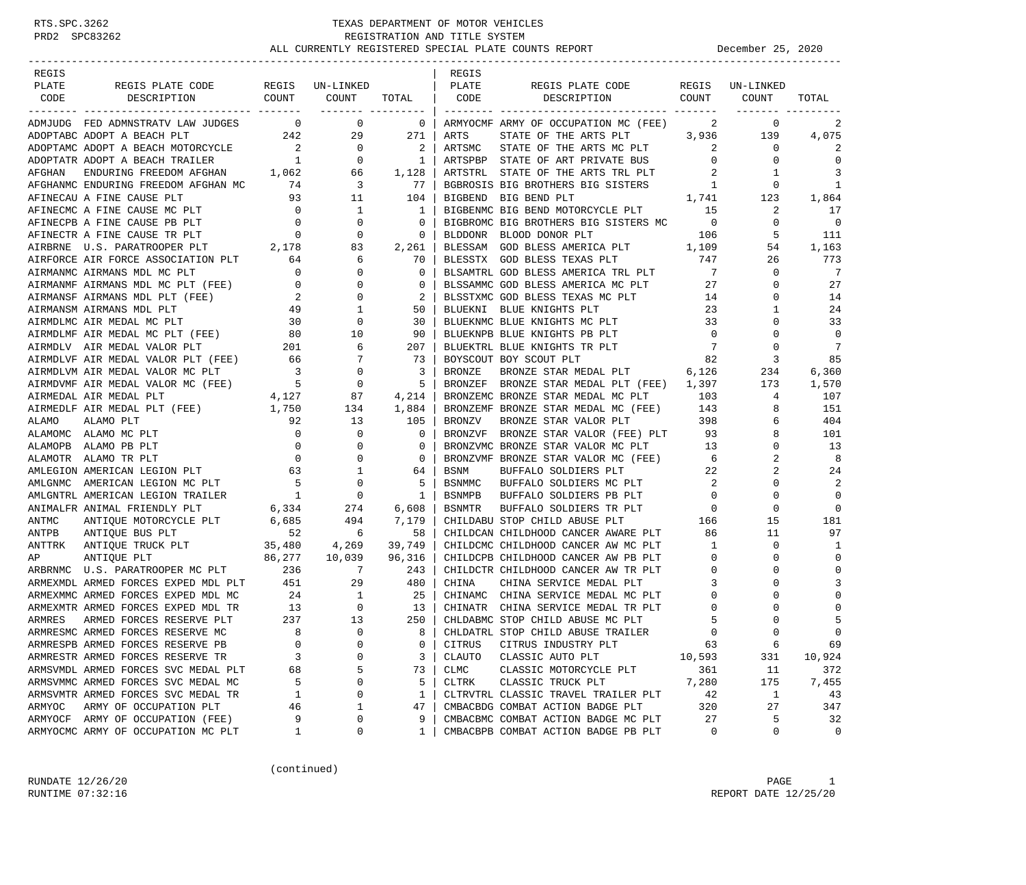| REGIS   |                                                                                                                                          |                                                |                                 |                          | REGIS         |                                                                            |                            |                 |               |
|---------|------------------------------------------------------------------------------------------------------------------------------------------|------------------------------------------------|---------------------------------|--------------------------|---------------|----------------------------------------------------------------------------|----------------------------|-----------------|---------------|
| PLATE   | REGIS PLATE CODE REGIS UN-LINKED<br>DESCRIPTION COUNT                                                                                    |                                                |                                 |                          | PLATE         | REGIS PLATE CODE<br>DESCRIPTION COUNT                                      |                            | REGIS UN-LINKED |               |
| CODE    |                                                                                                                                          |                                                | COUNT<br>________ ______        | TOTAL CODE               |               |                                                                            |                            | COUNT           | TOTAL         |
|         | ADMJUDG FED ADMNSTRATV LAW JUDGES 0                                                                                                      |                                                | $\overline{0}$                  | $\overline{\phantom{0}}$ |               | ARMYOCMF ARMY OF OCCUPATION MC (FEE)                                       | 2                          | 0               | 2             |
|         | 242<br>ADOPTABC ADOPT A BEACH PLT                                                                                                        |                                                | 29                              | 271                      | ARTS          | STATE OF THE ARTS PLT 3,936                                                |                            | 139             | 4,075         |
|         | ADOPTAMC ADOPT A BEACH MOTORCYCLE                                                                                                        | $\begin{array}{c} 2 \\ 1 \end{array}$          | $\overline{0}$                  | 2                        | ARTSMC        | STATE OF THE ARTS MC PLT                                                   | $\sim$ 2                   | $\mathbf{0}$    | 2             |
|         | ADOPTATR ADOPT A BEACH TRAILER                                                                                                           |                                                | $\overline{0}$                  | $\overline{1}$           |               | ARTSPBP STATE OF ART PRIVATE BUS                                           | $\overline{0}$             | 0               | $\Omega$      |
| AFGHAN  | ENDURING FREEDOM AFGHAN $1,062$ 66                                                                                                       |                                                |                                 | 1,128                    |               | ARTSTRL STATE OF THE ARTS TRL PLT 2<br>BGBROSIS BIG BROTHERS BIG SISTERS 1 | $\overline{\phantom{a}}$ 2 | -1              | 3             |
|         | AFGHANMC ENDURING FREEDOM AFGHAN MC 74                                                                                                   |                                                | $\overline{3}$                  | 77                       |               |                                                                            |                            | 0               | 1             |
|         | AFINECAU A FINE CAUSE PLT                                                                                                                | 93                                             | 11                              | 104                      | BIGBEND       | BIG BEND PLT                                                               |                            | 1,741 123       | 1,864         |
|         | AFINECMC A FINE CAUSE MC PLT 0<br>AFINECPB A FINE CAUSE PB PLT 0<br>AFINECTR A FINE CAUSE TR PLT 0<br>AIRBRNE U.S. PARATROOPER PLT 2,178 |                                                | $\overline{1}$                  | 1                        |               | BIGBENMC BIG BEND MOTORCYCLE PLT 15                                        |                            | 2               | 17            |
|         |                                                                                                                                          |                                                | 0                               | $\Omega$                 |               | BIGBROMC BIG BROTHERS BIG SISTERS MC 0                                     |                            | $\mathbf 0$     | $\Omega$      |
|         |                                                                                                                                          |                                                | $\overline{0}$                  | 0                        | BLDDONR       | BLOOD DONOR PLT                                                            | 106                        | 5               | 111           |
|         |                                                                                                                                          |                                                | 83                              | 2,261                    |               | BLESSAM GOD BLESS AMERICA PLT 1,109                                        |                            | 54              | 1,163         |
|         | AIRFORCE AIR FORCE ASSOCIATION PLT 64                                                                                                    |                                                | 6                               | 70                       | BLESSTX       | 747<br>GOD BLESS TEXAS PLT                                                 |                            | 26              | 773           |
|         | AIRMANMC AIRMANS MDL MC PLT                                                                                                              | $\overline{0}$                                 | 0                               | 0                        |               | BLSAMTRL GOD BLESS AMERICA TRL PLT                                         | $7\phantom{0}$             | 0               | 7             |
|         | AIRMANMF AIRMANS MDL MC PLT (FEE) 0                                                                                                      |                                                | $\mathbf 0$                     | 0                        |               | BLSSAMMC GOD BLESS AMERICA MC PLT 27                                       |                            | $\Omega$        | 27            |
|         | AIRMANSF AIRMANS MDL PLT (FEE)                                                                                                           | $\begin{array}{c} 2 \\ 49 \end{array}$         | 0                               | 2                        |               | BLSSTXMC GOD BLESS TEXAS MC PLT 14                                         |                            | 0               | 14            |
|         | AIRMANSM AIRMANS MDL PLT                                                                                                                 |                                                | 1                               | 50                       | BLUEKNI       | BLUE KNIGHTS PLT                                                           | 23                         | 1               | 24            |
|         | AIRMDLMC AIR MEDAL MC PLT                                                                                                                | $\begin{array}{c} 30 \\ 80 \\ 201 \end{array}$ | $\mathbf 0$                     | 30                       |               | BLUEKNMC BLUE KNIGHTS MC PLT                                               | 33                         | 0               | 33            |
|         | AIRMDLMF AIR MEDAL MC PLT (FEE)                                                                                                          |                                                | 10                              | 90                       |               | BLUEKNPB BLUE KNIGHTS PB PLT                                               | $\overline{0}$             |                 | $\mathbf 0$   |
|         |                                                                                                                                          |                                                |                                 | 207                      |               | BLUEKTRL BLUE KNIGHTS TR PLT<br>BLUEKTRL BLUE KNIGHTS TR PLT               | $\overline{7}$             | $\Omega$        | 7             |
|         |                                                                                                                                          |                                                |                                 | 73                       |               | BOYSCOUT BOY SCOUT PLT                                                     | 82                         | 3               | 85            |
|         | AIRMDLV AIR MEDAL VALOR PLT<br>AIRMDLVF AIR MEDAL VALOR PLT (FEE) 66 7<br>AIRMDLVM AIR MEDAL VALOR MC PLT 3 0<br>1997                    |                                                |                                 | 3                        | BRONZE        | BRONZE STAR MEDAL PLT 6,126                                                |                            | 234             | 6,360         |
|         | AIRMDVMF AIR MEDAL VALOR MC (FEE) $5$<br>AIRMEDAL AIR MEDAL PLT $4,127$                                                                  |                                                |                                 | -5                       | BRONZEF       | BRONZE STAR MEDAL PLT (FEE) 1,397                                          |                            | 173             | 1,570         |
|         |                                                                                                                                          |                                                | 87                              | 4,214                    |               | BRONZEMC BRONZE STAR MEDAL MC PLT 103                                      |                            | 4               | 107           |
|         | AIRMEDLF AIR MEDAL PLT (FEE) 1,750                                                                                                       |                                                | 134                             | 1,884                    |               | BRONZEMF BRONZE STAR MEDAL MC (FEE) 143                                    |                            | 8               | 151           |
| ALAMO   | ALAMO PLT                                                                                                                                | 92                                             | 13                              | 105                      | BRONZV        | BRONZE STAR VALOR PLT                                                      | 398                        | 6               | 404           |
|         | ALAMOMC ALAMO MC PLT                                                                                                                     | $\overline{0}$                                 | $\mathbf 0$                     | $\mathbf 0$              | BRONZVF       | BRONZE STAR VALOR (FEE) PLT                                                | 93                         | 8               | 101           |
|         | ALAMOPB ALAMO PB PLT                                                                                                                     | $\overline{0}$                                 | $\mathbf 0$                     | $\mathbf 0$              |               | BRONZVMC BRONZE STAR VALOR MC PLT                                          | 13                         | 0               | 13            |
|         | ALAMOTR ALAMO TR PLT                                                                                                                     | $\overline{0}$                                 | $\mathbf 0$                     | $\overline{0}$           |               | BRONZVMF BRONZE STAR VALOR MC (FEE)                                        | 6                          | 2               | 8             |
|         | AMLEGION AMERICAN LEGION PLT 63                                                                                                          |                                                | 1                               | 64                       | BSNM          | BUFFALO SOLDIERS PLT                                                       | 22                         | 2               | 24            |
| AMLGNMC | AMERICAN LEGION MC PLT                                                                                                                   | $\begin{array}{c} 5 \\ 1 \end{array}$          | $\overline{0}$                  | 5                        | BSNMMC        | BUFFALO SOLDIERS MC PLT 2<br>BUFFALO SOLDIERS PB PLT 0                     |                            | 0               | 2             |
|         | AMLGNTRL AMERICAN LEGION TRAILER                                                                                                         |                                                | $\overline{\phantom{0}}$        | 1                        | BSNMPB        |                                                                            |                            | $\Omega$        | $\mathbf 0$   |
|         | ANIMAL FRIENDLY PLT 6,334<br>ANTIQUE MOTORCYCLE PLT 6,685<br>ANTIQUE BUS PLT 52<br>ANIMALFR ANIMAL FRIENDLY PLT                          |                                                | 274                             | 6,608                    | <b>BSNMTR</b> | BUFFALO SOLDIERS TR PLT                                                    | $\overline{0}$             | $\mathbf 0$     | $\mathbf 0$   |
| ANTMC   |                                                                                                                                          |                                                | 494                             | 7,179                    |               | CHILDABU STOP CHILD ABUSE PLT                                              | 166                        | 15              | 181           |
| ANTPB   |                                                                                                                                          |                                                | $\overline{6}$                  | 58                       |               | CHILDCAN CHILDHOOD CANCER AWARE PLT                                        | 86                         | 11              | 97            |
| ANTTRK  | ANIIQUE BOU FII<br>ANTIQUE TRUCK PLT 35,480 4,269<br>ANTIOUE PLT 86,277 10,039                                                           |                                                |                                 | 39,749                   |               | CHILDCMC CHILDHOOD CANCER AW MC PLT                                        | $\mathbf{1}$               | 0               | -1            |
| ΑP      |                                                                                                                                          |                                                |                                 | 96,316                   |               | CHILDCPB CHILDHOOD CANCER AW PB PLT                                        | $\overline{0}$             | $\Omega$        | $\mathbf 0$   |
|         | ARBRNMC U.S. PARATROOPER MC PLT 236 7                                                                                                    |                                                |                                 | 243                      |               | CHILDCTR CHILDHOOD CANCER AW TR PLT                                        | $\overline{0}$             | O               | 0             |
|         | ARMEXMDL ARMED FORCES EXPED MDL PLT 451                                                                                                  |                                                | $24$<br>$24$<br>$1$<br>$1$<br>0 | 480                      | CHINA         | CHINA SERVICE MEDAL PLT<br>CHINAMC CHINA SERVICE MEDAL MC PLT              | $\overline{3}$             |                 | 3<br>$\Omega$ |
|         | ARMEXMMC ARMED FORCES EXPED MDL MC                                                                                                       |                                                |                                 | -25                      | CHINATR       | CHINA SERVICE MEDAL TR PLT                                                 | 0                          | 0               | $\Omega$      |
|         | ARMEXMTR ARMED FORCES EXPED MDL TR                                                                                                       | $\frac{13}{237}$<br>237                        | 13                              | 13<br>250                |               | CHLDABMC STOP CHILD ABUSE MC PLT                                           | $\mathbf 0$<br>5           |                 | 5             |
| ARMRES  | ARMED FORCES RESERVE PLT                                                                                                                 | 8                                              | $\Omega$                        | 8                        |               | CHLDATRL STOP CHILD ABUSE TRAILER                                          | $\Omega$                   |                 | $\Omega$      |
|         | ARMRESMC ARMED FORCES RESERVE MC<br>ARMRESPB ARMED FORCES RESERVE PB                                                                     | 0                                              | 0                               | 0                        | CITRUS        | CITRUS INDUSTRY PLT                                                        | 63                         | 6               | 69            |
|         | ARMRESTR ARMED FORCES RESERVE TR                                                                                                         | 3                                              | O                               | 3                        | CLAUTO        | CLASSIC AUTO PLT                                                           | 10,593                     | 331             | 10,924        |
|         | ARMSVMDL ARMED FORCES SVC MEDAL PLT                                                                                                      | 68                                             | 5                               | 73                       | CLMC          | CLASSIC MOTORCYCLE PLT                                                     | 361                        | 11              | 372           |
|         | ARMSVMMC ARMED FORCES SVC MEDAL MC                                                                                                       | 5                                              | 0                               | 5                        | CLTRK         | CLASSIC TRUCK PLT                                                          | 7,280                      | 175             | 7,455         |
|         | ARMSVMTR ARMED FORCES SVC MEDAL TR                                                                                                       | 1                                              | 0                               | 1                        |               | CLTRVTRL CLASSIC TRAVEL TRAILER PLT                                        | 42                         | 1               | 43            |
| ARMYOC  | ARMY OF OCCUPATION PLT                                                                                                                   | 46                                             | 1                               | 47                       |               | CMBACBDG COMBAT ACTION BADGE PLT                                           | 320                        | 27              | 347           |
|         | ARMYOCF ARMY OF OCCUPATION (FEE)                                                                                                         | 9                                              | 0                               | 9                        |               | CMBACBMC COMBAT ACTION BADGE MC PLT                                        | 27                         | 5               | 32            |
|         | ARMYOCMC ARMY OF OCCUPATION MC PLT                                                                                                       | 1                                              | 0                               | 1                        |               | CMBACBPB COMBAT ACTION BADGE PB PLT                                        | 0                          | 0               | 0             |

(continued)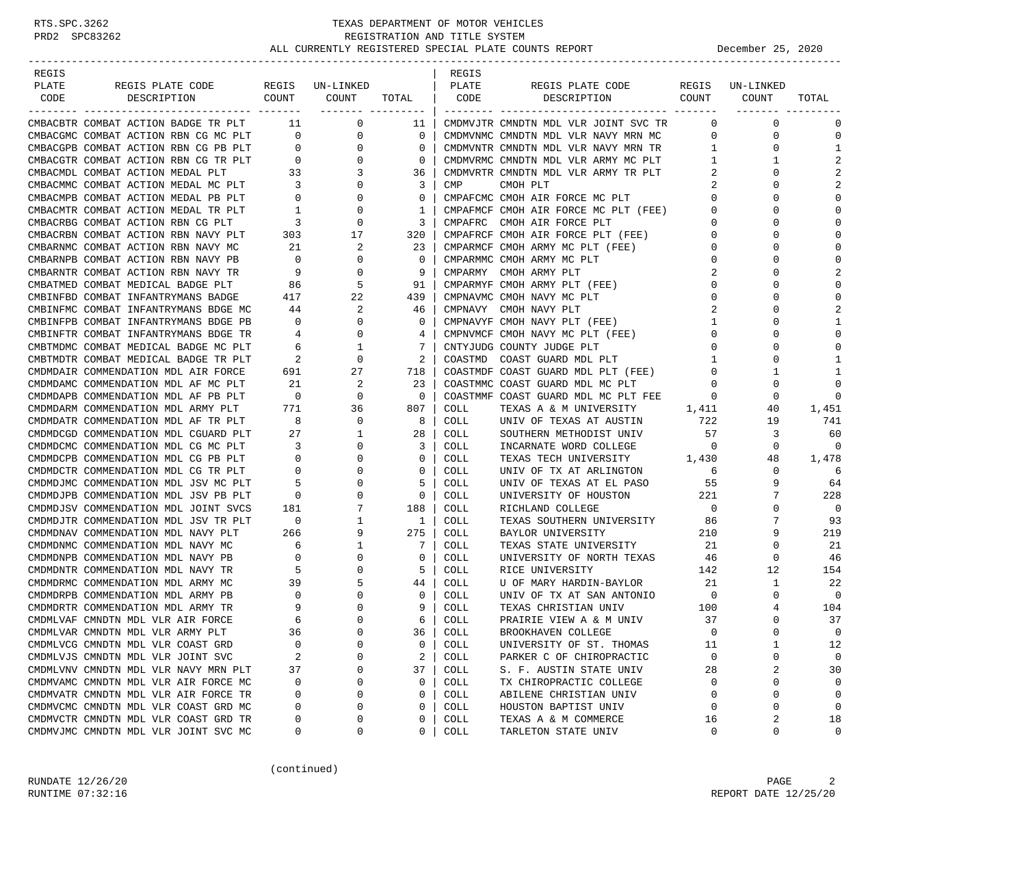| REGIS |                                                                              |                            |                                                             |                                                     | REGIS       |                                                                 |                |                 |                |
|-------|------------------------------------------------------------------------------|----------------------------|-------------------------------------------------------------|-----------------------------------------------------|-------------|-----------------------------------------------------------------|----------------|-----------------|----------------|
| PLATE | REGIS PLATE CODE                                                             |                            | REGIS UN-LINKED                                             |                                                     | PLATE       | REGIS PLATE CODE                                                |                | REGIS UN-LINKED |                |
| CODE  | COUNT<br>DESCRIPTION                                                         |                            | COUNT                                                       | TOTAL                                               | CODE        | DESCRIPTION                                                     | COUNT          | COUNT           | TOTAL          |
|       |                                                                              |                            |                                                             | ------- ---------                                   |             |                                                                 |                |                 |                |
|       | CMBACBTR COMBAT ACTION BADGE TR PLT 11                                       |                            | $\overline{0}$                                              | 11                                                  |             | CMDMVJTR CMNDTN MDL VLR JOINT SVC TR                            | $\overline{0}$ | $\mathbf 0$     | 0              |
|       | CMBACGMC COMBAT ACTION RBN CG MC PLT                                         | $\overline{0}$             | 0                                                           | $\overline{0}$                                      |             | CMDMVNMC CMNDTN MDL VLR NAVY MRN MC                             | $\mathbf 0$    | 0               | $\mathbf 0$    |
|       | CMBACGPB COMBAT ACTION RBN CG PB PLT                                         | $\overline{0}$             | $\mathbf{0}$                                                | $\circ$                                             |             | CMDMVNTR CMNDTN MDL VLR NAVY MRN TR                             | 1              | 0               | $\mathbf{1}$   |
|       | CMBACGTR COMBAT ACTION RBN CG TR PLT $\overline{0}$                          |                            | $\overline{0}$                                              | $\mathbf{0}$                                        |             | CMDMVRMC CMNDTN MDL VLR ARMY MC PLT                             | 1              | 1               | 2              |
|       |                                                                              |                            | $\overline{\mathbf{3}}$                                     | 36                                                  |             | CMDMVRTR CMNDTN MDL VLR ARMY TR PLT                             | 2              | 0               | $\overline{2}$ |
|       | CMBACMDL COMBAT ACTION MEDAL PLT 33<br>CMBACMMC COMBAT ACTION MEDAL MC PLT 3 |                            | $\overline{0}$                                              | 3                                                   | CMP         | CMOH PLT                                                        | 2              | $\Omega$        | $\overline{2}$ |
|       | CMBACMPB COMBAT ACTION MEDAL PB PLT                                          | $\overline{0}$             | $\overline{0}$                                              | $\mathbf{0}$                                        |             | CMPAFCMC CMOH AIR FORCE MC PLT                                  | $\overline{0}$ | $\Omega$        | $\bigcap$      |
|       | CMBACMTR COMBAT ACTION MEDAL TR PLT                                          |                            | $\mathbf 0$                                                 | 1                                                   |             | CMPAFMCF CMOH AIR FORCE MC PLT (FEE)                            | $\mathbf{0}$   | $\Omega$        | $\bigcap$      |
|       | CMBACRBG COMBAT ACTION RBN CG PLT                                            | $\frac{1}{3}$              | $\overline{0}$                                              | $\mathbf{3}$                                        |             | CMPAFRC CMOH AIR FORCE PLT                                      | $\mathbf{0}$   | $\Omega$        | C              |
|       | CMBACRBN COMBAT ACTION RBN NAVY PLT 303 17                                   |                            |                                                             | 320                                                 |             | CMPAFRCF CMOH AIR FORCE PLT (FEE)                               | $\overline{0}$ | 0               | $\cap$         |
|       | CMBARNMC COMBAT ACTION RBN NAVY MC                                           | 21                         | 2                                                           | 23                                                  |             | CMPARMCF CMOH ARMY MC PLT (FEE)                                 | $\overline{0}$ | $\Omega$        | $\Omega$       |
|       | CMBARNPB COMBAT ACTION RBN NAVY PB                                           | $\overline{0}$             | $\overline{0}$                                              | $\circ$                                             |             | CMPARMMC CMOH ARMY MC PLT                                       | $\mathbf 0$    | $\Omega$        | $\cap$         |
|       | CMBARNTR COMBAT ACTION RBN NAVY TR                                           | 9                          | $\mathbf 0$                                                 | 9                                                   |             | CMPARMY CMOH ARMY PLT                                           | 2              | U               | 2              |
|       | CMBATMED COMBAT MEDICAL BADGE PLT                                            | 86                         | 5                                                           | 91                                                  |             | CMPARMYF CMOH ARMY PLT (FEE)                                    | 0              | U               | $\bigcap$      |
|       | CMBINFBD COMBAT INFANTRYMANS BADGE                                           | 417                        | 22                                                          | 439                                                 |             | CMPNAVMC CMOH NAVY MC PLT                                       | 0              | 0               | $\bigcap$      |
|       | CMBINFMC COMBAT INFANTRYMANS BDGE MC                                         | 44                         | 2                                                           | 46                                                  |             | CMPNAVY CMOH NAVY PLT                                           | 2              | $\Omega$        | 2              |
|       | CMBINFPB COMBAT INFANTRYMANS BDGE PB                                         | $\overline{\phantom{0}}$   | $\overline{0}$                                              | $\overline{0}$                                      |             |                                                                 | $\mathbf{1}$   | 0               | -1             |
|       | CMBINFTR COMBAT INFANTRYMANS BDGE TR                                         | 4                          | $\mathbf 0$                                                 | 41                                                  |             | CMPNAVYF CMOH NAVY PLT (FEE)<br>CMPNVMCF CMOH NAVY MC PLT (FEE) | $\mathbf 0$    | U               | $\bigcap$      |
|       | CMBTMDMC COMBAT MEDICAL BADGE MC PLT                                         | $6\overline{6}$            |                                                             |                                                     |             |                                                                 |                | U               | C              |
|       |                                                                              |                            | $\begin{array}{ccc} 6 & 1 \\ 2 & 0 \\ 691 & 27 \end{array}$ | $7\overline{ }$                                     |             | CNTYJUDG COUNTY JUDGE PLT                                       | $\circ$        |                 | -1             |
|       | CMBTMDTR COMBAT MEDICAL BADGE TR PLT                                         |                            |                                                             | 2                                                   | COASTMD     | COAST GUARD MDL PLT                                             | 1              | 0               |                |
|       | CMDMDAIR COMMENDATION MDL AIR FORCE                                          |                            |                                                             | 718 l                                               |             | COASTMDF COAST GUARD MDL PLT (FEE)                              | $\overline{0}$ | 1               | 1              |
|       | CMDMDAMC COMMENDATION MDL AF MC PLT                                          | 21                         | 2                                                           | 23                                                  |             | COASTMMC COAST GUARD MDL MC PLT                                 | $\circ$        | 0               | $\Omega$       |
|       | CMDMDAPB COMMENDATION MDL AF PB PLT                                          | $\overline{\phantom{0}}$   | $\mathbf{0}$                                                | $\overline{\phantom{0}}$ 0 $\overline{\phantom{0}}$ |             | COASTMMF COAST GUARD MDL MC PLT FEE                             | $\Omega$       | 0               | $\bigcap$      |
|       | CMDMDARM COMMENDATION MDL ARMY PLT                                           | 771                        | 36                                                          | 807                                                 | COLL        | TEXAS A & M UNIVERSITY                                          | 1,411          | 40              | 1,451          |
|       | CMDMDATR COMMENDATION MDL AF TR PLT                                          | 8                          | $\overline{0}$                                              | 8                                                   | COLL        | UNIV OF TEXAS AT AUSTIN                                         | 722            | 19              | 741            |
|       | CMDMDCGD COMMENDATION MDL CGUARD PLT                                         | 27                         | $\mathbf{1}$                                                | 28                                                  | COLL        | SOUTHERN METHODIST UNIV                                         | 57             | 3               | 60             |
|       | CMDMDCMC COMMENDATION MDL CG MC PLT                                          | $\overline{\phantom{a}}$ 3 | $\mathbf{0}$                                                | $\overline{3}$                                      | COLL        | INCARNATE WORD COLLEGE                                          | $\overline{0}$ | 0               | $\cap$         |
|       | CMDMDCPB COMMENDATION MDL CG PB PLT                                          | $\overline{0}$             | $\mathbf 0$                                                 | $0-1$                                               | COLL        | TEXAS TECH UNIVERSITY 1,430                                     |                | 48              | 1,478          |
|       | CMDMDCTR COMMENDATION MDL CG TR PLT                                          | $\overline{0}$             | $\mathbf{0}$                                                | $\mathbf{0}$                                        | COLL        | UNIV OF TX AT ARLINGTON                                         | 6              | 0               | 6              |
|       | CMDMDJMC COMMENDATION MDL JSV MC PLT                                         | 5                          | 0                                                           | 5                                                   | COLL        | UNIV OF TEXAS AT EL PASO                                        | 55             | 9               | 64             |
|       | CMDMDJPB COMMENDATION MDL JSV PB PLT                                         | $\overline{0}$             | $\mathbf{0}$                                                | $0-1$                                               | COLL        | UNIVERSITY OF HOUSTON                                           | 221            | 7               | 228            |
|       | CMDMDJSV COMMENDATION MDL JOINT SVCS                                         | 181                        | 7                                                           | 188                                                 | COLL        | RICHLAND COLLEGE                                                | $\overline{0}$ | 0               | 0              |
|       | CMDMDJTR COMMENDATION MDL JSV TR PLT                                         | $\overline{\phantom{0}}$   | $\mathbf{1}$                                                | $\frac{1}{2}$                                       | COLL        | TEXAS SOUTHERN UNIVERSITY                                       | 86             | 7               | 93             |
|       | CMDMDNAV COMMENDATION MDL NAVY PLT                                           | 266                        | 9                                                           | 275                                                 | COLL        | BAYLOR UNIVERSITY                                               | 210            | 9               | 219            |
|       | CMDMDNMC COMMENDATION MDL NAVY MC                                            | 6                          | $\mathbf{1}$                                                | 7                                                   | COLL        | TEXAS STATE UNIVERSITY                                          | 21             | 0               | 21             |
|       | CMDMDNPB COMMENDATION MDL NAVY PB                                            | $\overline{0}$             | 0                                                           | $0-1$                                               | COLL        | UNIVERSITY OF NORTH TEXAS                                       | 46             | 0               | 46             |
|       | CMDMDNTR COMMENDATION MDL NAVY TR                                            | $\overline{5}$             | $\mathbf{0}$                                                | 5                                                   | COLL        | RICE UNIVERSITY                                                 | 142            | 12              | 154            |
|       | CMDMDRMC COMMENDATION MDL ARMY MC                                            | 39                         | 5                                                           | 44                                                  | COLL        | U OF MARY HARDIN-BAYLOR                                         | 21             | 1               | 22             |
|       | CMDMDRPB COMMENDATION MDL ARMY PB                                            | $\overline{\phantom{0}}$   | $\mathbf 0$                                                 | $0-1$                                               | COLL        | UNIV OF TX AT SAN ANTONIO                                       | $\overline{0}$ | 0               | 0              |
|       | CMDMDRTR COMMENDATION MDL ARMY TR                                            | 9                          | 0                                                           | 9 <sup>1</sup>                                      | COLL        | TEXAS CHRISTIAN UNIV                                            | 100            | 4               | 104            |
|       | CMDMLVAF CMNDTN MDL VLR AIR FORCE                                            | 6                          | $\mathbf 0$                                                 | 6                                                   | COLL        | PRAIRIE VIEW A & M UNIV                                         | 37             | $\Omega$        | 37             |
|       | CMDMLVAR CMNDTN MDL VLR ARMY PLT                                             | 36                         | $\Omega$                                                    | 36 <sup>1</sup>                                     | <b>COLL</b> | BROOKHAVEN COLLEGE                                              | $\Omega$       | $\Omega$        | $\Omega$       |
|       | CMDMLVCG CMNDTN MDL VLR COAST GRD                                            | 0                          | $\Omega$                                                    | 0                                                   | COLL        | UNIVERSITY OF ST. THOMAS                                        | 11             | 1               | 12             |
|       | CMDMLVJS CMNDTN MDL VLR JOINT SVC                                            | 2                          | $\Omega$                                                    | 2                                                   | COLL        | PARKER C OF CHIROPRACTIC                                        | 0              | 0               | 0              |
|       | CMDMLVNV CMNDTN MDL VLR NAVY MRN PLT                                         | 37                         | 0                                                           | 37                                                  | COLL        | S. F. AUSTIN STATE UNIV                                         | 28             | 2               | 30             |
|       | CMDMVAMC CMNDTN MDL VLR AIR FORCE MC                                         | 0                          | $\Omega$                                                    | 0                                                   | COLL        | TX CHIROPRACTIC COLLEGE                                         | $\Omega$       | 0               | 0              |
|       | CMDMVATR CMNDTN MDL VLR AIR FORCE TR                                         | 0                          | $\Omega$                                                    | 0                                                   | COLL        | ABILENE CHRISTIAN UNIV                                          | $\Omega$       | 0               | $\mathbf 0$    |
|       | CMDMVCMC CMNDTN MDL VLR COAST GRD MC                                         | 0                          | $\Omega$                                                    | 0                                                   | COLL        | HOUSTON BAPTIST UNIV                                            | $\Omega$       | 0               | $\mathbf 0$    |
|       | CMDMVCTR CMNDTN MDL VLR COAST GRD TR                                         | 0                          | 0                                                           | 0                                                   | COLL        |                                                                 | 16             | 2               | 18             |
|       | CMDMVJMC CMNDTN MDL VLR JOINT SVC MC                                         | 0                          | 0                                                           | 0                                                   | COLL        | TEXAS A & M COMMERCE<br>TARLETON STATE UNIV                     | 0              | 0               | 0              |
|       |                                                                              |                            |                                                             |                                                     |             |                                                                 |                |                 |                |

(continued)

RUNDATE 12/26/20 PAGE 2 RUNTIME 07:32:16 REPORT DATE 12/25/20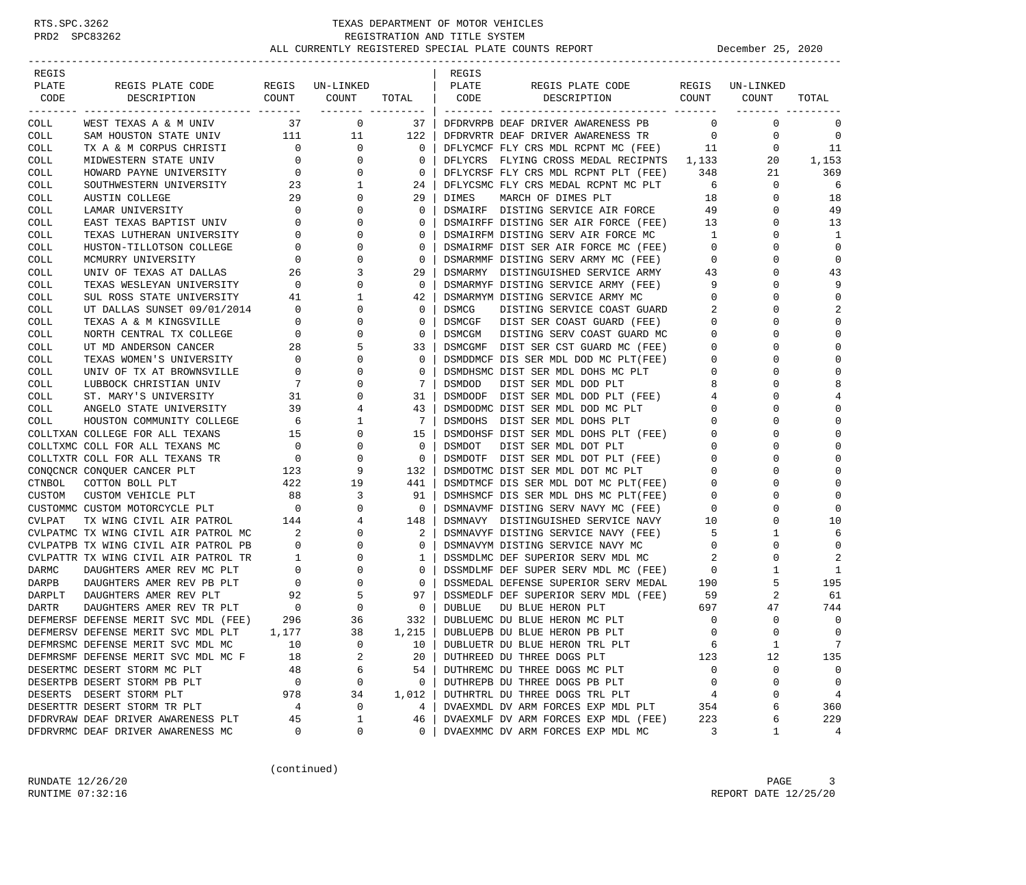| REGIS  |                                                                                      |                                        |                |                         | REGIS         |                                                                              |                |                                      |                |
|--------|--------------------------------------------------------------------------------------|----------------------------------------|----------------|-------------------------|---------------|------------------------------------------------------------------------------|----------------|--------------------------------------|----------------|
| PLATE  | REGIS PLATE CODE REGIS UN-LINKED                                                     |                                        |                |                         | PLATE         | REGIS PLATE CODE                                                             |                | REGIS UN-LINKED                      |                |
| CODE   | COUNT<br>DESCRIPTION                                                                 |                                        | COUNT          | TOTAL                   | CODE          | DESCRIPTION COUNT                                                            |                | COUNT                                | TOTAL          |
| COLL   | WEST TEXAS A & M UNIV                                                                | 37                                     | $\overline{0}$ | ------- ---------<br>37 |               | DFDRVRPB DEAF DRIVER AWARENESS PB                                            | $\Omega$       | <u>-------- -----</u><br>$\mathbf 0$ | 0              |
| COLL   | SAM HOUSTON STATE UNIV 111 11                                                        |                                        |                | 122                     |               | DFDRVRTR DEAF DRIVER AWARENESS TR                                            | $\overline{0}$ | $\mathbf 0$                          | 0              |
| COLL   | TX A & M CORPUS CHRISTI                                                              | $\overline{0}$                         | $\overline{0}$ | $\mathbf 0$             |               | DFLYCMCF FLY CRS MDL RCPNT MC (FEE)                                          | 11             | $\mathbf 0$                          | 11             |
| COLL   | MIDWESTERN STATE UNIV                                                                | $\overline{0}$                         | $\Omega$       | 0                       |               | DFLYCRS FLYING CROSS MEDAL RECIPNTS 1,133                                    |                | 20                                   | 1,153          |
| COLL   |                                                                                      |                                        | 0              | 0                       |               | DFLYCRSF FLY CRS MDL RCPNT PLT (FEE)                                         | 348            | 21                                   | 369            |
| COLL   | HOWARD PAYNE UNIVERSITY 0<br>SOUTHWESTERN UNIVERSITY 23<br>AUGUST COLLECT            |                                        | 1              | 24                      |               | DFLYCSMC FLY CRS MEDAL RCPNT MC PLT                                          | 6              | $\mathbf 0$                          | 6              |
| COLL   | AUSTIN COLLEGE                                                                       | 29                                     | 0              | 29                      | DIMES         | MARCH OF DIMES PLT                                                           | 18             | $\mathbf 0$                          | 18             |
| COLL   | LAMAR UNIVERSITY                                                                     | $\overline{0}$                         | 0              | $\mathbf 0$             |               | DSMAIRF DISTING SERVICE AIR FORCE                                            | 49             | $\mathbf 0$                          | 49             |
| COLL   | EAST TEXAS BAPTIST UNIV                                                              | $\mathbf{0}$                           | $\Omega$       | $\Omega$                |               | DSMAIRFF DISTING SER AIR FORCE (FEE) 13                                      |                | $\mathbf 0$                          | 13             |
| COLL   | TEXAS LUTHERAN UNIVERSITY                                                            | $\mathbf{0}$                           | 0              | 0                       |               | DSMAIRFM DISTING SERV AIR FORCE MC                                           | $\overline{1}$ | 0                                    | 1              |
| COLL   | HUSTON-TILLOTSON COLLEGE                                                             | 0                                      | $\Omega$       | $\mathbf 0$             |               | DSMAIRMF DIST SER AIR FORCE MC (FEE)                                         | $\overline{0}$ | 0                                    | $\mathbf 0$    |
| COLL   | MCMURRY UNIVERSITY                                                                   | 0                                      | 0              | $\mathbf 0$             |               | DSMARMMF DISTING SERV ARMY MC (FEE)                                          | $\overline{0}$ | 0                                    | $\mathbf 0$    |
| COLL   | UNIV OF TEXAS AT DALLAS                                                              | 26                                     | 3              | 29                      |               | DSMARMY DISTINGUISHED SERVICE ARMY                                           | 43             | 0                                    | 43             |
| COLL   | TEXAS WESLEYAN UNIVERSITY 0                                                          |                                        | $\Omega$       | 0                       |               | DSMARMYF DISTING SERVICE ARMY (FEE)                                          | - 9            | $\Omega$                             | 9              |
| COLL   | SUL ROSS STATE UNIVERSITY 41                                                         |                                        | 1              | 42                      |               | DSMARMYM DISTING SERVICE ARMY MC                                             | $\mathbf{0}$   | 0                                    | $\mathbf 0$    |
| COLL   | UT DALLAS SUNSET 09/01/2014                                                          | $\overline{0}$                         | 0              | $\mathbf 0$             | DSMCG         | DISTING SERVICE COAST GUARD                                                  | 2              | $\Omega$                             | 2              |
| COLL   | TEXAS A & M KINGSVILLE                                                               | $\overline{0}$                         | 0              | $\mathbf 0$             | DSMCGF        | DIST SER COAST GUARD (FEE)                                                   | $\overline{0}$ | 0                                    | $\Omega$       |
| COLL   | NORTH CENTRAL TX COLLEGE                                                             | $\overline{0}$                         | 0              | $\mathbf 0$             | DSMCGM        | DISTING SERV COAST GUARD MC                                                  | $\mathbf 0$    | 0                                    | $\Omega$       |
| COLL   | UT MD ANDERSON CANCER                                                                | $\overline{28}$                        | 5              | 33                      |               | DSMCGMF DIST SER CST GUARD MC (FEE)                                          | $\mathbf 0$    | $\Omega$                             | $\bigcap$      |
| COLL   |                                                                                      | $\overline{0}$                         | 0              | $\mathbf 0$             |               | DSMDDMCF DIS SER MDL DOD MC PLT(FEE)                                         | $\overline{0}$ | 0                                    | $\Omega$       |
| COLL   | TEXAS WOMEN'S UNIVERSITY<br>UNIV OF TX AT BROWNSVILLE                                | 0                                      | $\Omega$       | $\mathbf 0$             |               | DSMDHSMC DIST SER MDL DOHS MC PLT                                            | $\overline{0}$ | 0                                    | $\mathbf 0$    |
| COLL   | LUBBOCK CHRISTIAN UNIV                                                               | $\overline{7}$                         | 0              | 7                       | DSMDOD        | DIST SER MDL DOD PLT                                                         | 8              | 0                                    | 8              |
| COLL   | ST. MARY'S UNIVERSITY                                                                | 31                                     | 0              | 31                      |               | DSMDODF DIST SER MDL DOD PLT (FEE)                                           | $\overline{4}$ | 0                                    | 4              |
| COLL   | ANGELO STATE UNIVERSITY                                                              | 39                                     | 4              | 43                      |               | DSMDODMC DIST SER MDL DOD MC PLT                                             | $\circ$        | $\Omega$                             | $\bigcap$      |
| COLL   | HOUSTON COMMUNITY COLLEGE                                                            | 6                                      | 1              | -7                      | DSMDOHS       | DIST SER MDL DOHS PLT                                                        | $\mathbf{0}$   | 0                                    | $\cap$         |
|        | COLLTXAN COLLEGE FOR ALL TEXANS                                                      | 15                                     | 0              | 15                      |               | DSMDOHSF DIST SER MDL DOHS PLT (FEE)                                         | $\overline{0}$ | 0                                    | $\Omega$       |
|        | COLLTXMC COLL FOR ALL TEXANS MC                                                      |                                        | 0              | $\mathbf 0$             | DSMDOT        | DIST SER MDL DOT PLT                                                         | $\overline{0}$ | 0                                    | $\bigcap$      |
|        | COLLTXTR COLL FOR ALL TEXANS TR                                                      | $\begin{array}{c}0\\0\\123\end{array}$ | 0              | $\mathbf 0$             |               | DSMDOTF DIST SER MDL DOT PLT (FEE)                                           | $\mathbf 0$    | 0                                    | $\bigcap$      |
|        | CONQCNCR CONQUER CANCER PLT                                                          |                                        | 9              | 132                     |               | DSMDOTMC DIST SER MDL DOT MC PLT                                             | $\overline{0}$ | $\Omega$                             | $\bigcap$      |
| CTNBOL | COTTON BOLL PLT                                                                      | 422                                    | 19             | 441                     |               |                                                                              | $\overline{0}$ | 0                                    | $\mathbf 0$    |
| CUSTOM | CUSTOM VEHICLE PLT                                                                   | 88                                     | 3              | 91                      |               | DSMDTMCF DIS SER MDL DOT MC PLT(FEE)<br>DSMHSMCF DIS SER MDL DHS MC PLT(FEE) | $\overline{0}$ | 0                                    | $\mathbf 0$    |
|        | CUSTOMMC CUSTOM MOTORCYCLE PLT                                                       | $\overline{\phantom{0}}$               | 0              | $\overline{0}$          |               | DSMNAVMF DISTING SERV NAVY MC (FEE)                                          | $\overline{0}$ | 0                                    | $\bigcap$      |
| CVLPAT | TX WING CIVIL AIR PATROL                                                             | 144                                    | 4              | 148                     |               | DSMNAVY DISTINGUISHED SERVICE NAVY                                           | 10             | 0                                    | 10             |
|        | CVLPATMC TX WING CIVIL AIR PATROL MC                                                 | $\overline{\phantom{a}}$ 2             | $\Omega$       | 2                       |               | DSMNAVYF DISTING SERVICE NAVY (FEE)                                          | - 5            | 1                                    | 6              |
|        | CVLPATPB TX WING CIVIL AIR PATROL PB                                                 | $\mathbf{0}$                           | 0              | $\mathbf 0$             |               | DSMNAVYM DISTING SERVICE NAVY MC                                             | $\overline{0}$ | $\mathbf 0$                          | $\mathbf 0$    |
|        | CVLPATTR TX WING CIVIL AIR PATROL TR                                                 | $\mathbf{1}$                           | $\Omega$       | 1                       |               | DSSMDLMC DEF SUPERIOR SERV MDL MC                                            | 2              | 0                                    | $\overline{2}$ |
| DARMC  | DAUGHTERS AMER REV MC PLT                                                            | $\overline{0}$                         | 0              | $\mathbf 0$             |               | DSSMDLMF DEF SUPER SERV MDL MC (FEE)                                         | $\overline{0}$ | 1                                    | 1              |
| DARPB  | DAUGHTERS AMER REV PB PLT                                                            | $\overline{0}$                         | 0              | $\mathbf 0$             |               | DSSMEDAL DEFENSE SUPERIOR SERV MEDAL                                         | 190            | 5                                    | 195            |
| DARPLT | DAUGHTERS AMER REV PLT                                                               | 92                                     | 5              | 97                      |               | DSSMEDLF DEF SUPERIOR SERV MDL (FEE) 59                                      |                | 2                                    | 61             |
|        |                                                                                      |                                        | 0              | $\overline{0}$          | <b>DUBLUE</b> | DU BLUE HERON PLT                                                            | 697            | 47                                   | 744            |
|        | DEFMERSF DEFENSE MERIT SVC MDL (FEE) 296<br>DEFMERSF DEFENSE MERIT SVC MDL (FEE) 296 |                                        | 36             | 332                     |               | DUBLUEMC DU BLUE HERON MC PLT                                                | $\overline{0}$ | $\mathbf 0$                          | 0              |
|        | DEFMERSV DEFENSE MERIT SVC MDL PLT                                                   | 1,177                                  | 38             | $1,215$                 |               | DUBLUEPB DU BLUE HERON PB PLT                                                | $\Omega$       | $\Omega$                             | $\Omega$       |
|        | DEFMRSMC DEFENSE MERIT SVC MDL MC                                                    | 10                                     | 0              | 10                      |               | DUBLUETR DU BLUE HERON TRL PLT                                               | 6              | $\mathbf{1}$                         | 7              |
|        | DEFMRSMF DEFENSE MERIT SVC MDL MC F                                                  | 18                                     | 2              | 20                      |               | DUTHREED DU THREE DOGS PLT                                                   | 123            | 12                                   | 135            |
|        | DESERTMC DESERT STORM MC PLT                                                         | 48                                     | 6              | 54                      |               | DUTHREMC DU THREE DOGS MC PLT                                                | $\mathbf{0}$   | 0                                    | 0              |
|        | DESERTPB DESERT STORM PB PLT                                                         | $\mathbf 0$                            | 0              | $\mathbf{0}$            |               | DUTHREPB DU THREE DOGS PB PLT                                                | $\mathbf 0$    | $\mathbf 0$                          | $\overline{0}$ |
|        | DESERTS DESERT STORM PLT                                                             | 978                                    | 34             | 1,012                   |               | DUTHRTRL DU THREE DOGS TRL PLT                                               | 4              | 0                                    | $\overline{4}$ |
|        | DESERTTR DESERT STORM TR PLT                                                         | $\overline{4}$                         | 0              | $4\overline{ }$         |               | DVAEXMDL DV ARM FORCES EXP MDL PLT                                           | 354            | 6                                    | 360            |
|        | DFDRVRAW DEAF DRIVER AWARENESS PLT                                                   | 45                                     | 1              | 46                      |               | DVAEXMLF DV ARM FORCES EXP MDL (FEE)                                         | 223            | 6                                    | 229            |
|        | DFDRVRMC DEAF DRIVER AWARENESS MC                                                    | $\overline{0}$                         | 0              | 0                       |               | DVAEXMMC DV ARM FORCES EXP MDL MC                                            | $\overline{3}$ | 1                                    | 4              |
|        |                                                                                      |                                        |                |                         |               |                                                                              |                |                                      |                |

(continued)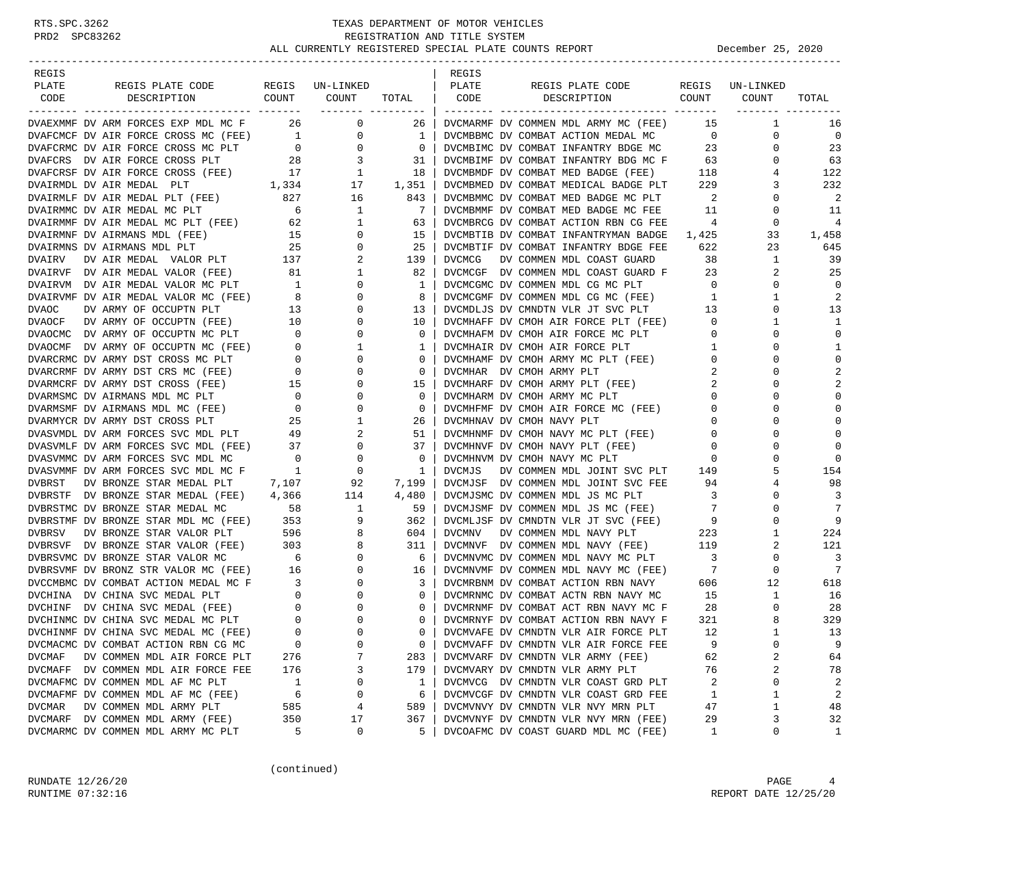| REGIS                          |                                                                                                   |                                             |                                        |              | REGIS         |                                      |                            |                 |                |
|--------------------------------|---------------------------------------------------------------------------------------------------|---------------------------------------------|----------------------------------------|--------------|---------------|--------------------------------------|----------------------------|-----------------|----------------|
| PLATE                          | REGIS PLATE CODE                                                                                  |                                             | REGIS UN-LINKED                        |              | PLATE         | REGIS PLATE CODE                     |                            | REGIS UN-LINKED |                |
| CODE                           | COUNT<br>DESCRIPTION                                                                              |                                             | COUNT                                  | TOTAL   CODE |               | COUNT<br>DESCRIPTION                 |                            | COUNT           | TOTAL          |
|                                |                                                                                                   |                                             |                                        |              |               |                                      |                            |                 |                |
|                                | DVAEXMMF DV ARM FORCES EXP MDL MC F 26 0                                                          |                                             |                                        | 26           |               | DVCMARMF DV COMMEN MDL ARMY MC (FEE) | 15                         | 1               | 16             |
|                                | DVAFCMCF DV AIR FORCE CROSS MC (FEE) 1<br>DVAFCRMC DV AIR FORCE CROSS MC PLT 0                    |                                             | $\mathbf 0$                            | 1            |               | DVCMBBMC DV COMBAT ACTION MEDAL MC   | $\overline{0}$             | 0               | $\mathbf 0$    |
|                                | DVAFCRMC DV AIR FORCE CROSS MC PLT                                                                | $\frac{6}{28}$                              | $\overline{0}$                         | $\mathbf{0}$ |               | DVCMBIMC DV COMBAT INFANTRY BDGE MC  | 23                         | $\mathbf 0$     | 23             |
|                                | DVAFCRS DV AIR FORCE CROSS PLT                                                                    |                                             | $\overline{\mathbf{3}}$                | 31           |               | DVCMBIMF DV COMBAT INFANTRY BDG MC F | 63                         | $\mathbf 0$     | 63             |
|                                | DVAFCRSF DV AIR FORCE CROSS (FEE)                                                                 | $\begin{array}{cc} 17 \\ 1,334 \end{array}$ | $\begin{array}{c} 1 \\ 17 \end{array}$ | 18           |               | DVCMBMDF DV COMBAT MED BADGE (FEE)   | 118                        | 4               | 122            |
| DVAIRMDL DV AIR MEDAL PLT      |                                                                                                   |                                             |                                        | 1,351        |               | DVCMBMED DV COMBAT MEDICAL BADGE PLT | 229                        | 3               | 232            |
|                                | DVAIRMLF DV AIR MEDAL PLT (FEE)                                                                   | 827                                         | 16                                     | 843          |               | DVCMBMMC DV COMBAT MED BADGE MC PLT  | $\overline{\phantom{0}}^2$ | 0               | 2              |
| DVAIRMMC DV AIR MEDAL MC PLT   |                                                                                                   | 6                                           | 1                                      | 7            |               | DVCMBMMF DV COMBAT MED BADGE MC FEE  | 11                         | $\mathbf 0$     | 11             |
|                                | DVAIRMMF DV AIR MEDAL MC PLT (FEE) 62                                                             |                                             | 1                                      | 63           |               | DVCMBRCG DV COMBAT ACTION RBN CG FEE | $\overline{4}$             | $\mathbf 0$     | $\overline{4}$ |
| DVAIRMNF DV AIRMANS MDL (FEE)  |                                                                                                   | $\frac{15}{25}$                             | 0                                      | 15           |               | DVCMBTIB DV COMBAT INFANTRYMAN BADGE | 1,425                      | 33              | 1,458          |
| DVAIRMNS DV AIRMANS MDL PLT    |                                                                                                   |                                             | $\mathbf 0$                            | 25           |               | DVCMBTIF DV COMBAT INFANTRY BDGE FEE | 622                        | 23              | 645            |
| DVAIRV                         | DV AIR MEDAL VALOR PLT 137                                                                        |                                             | 2                                      | 139          | <b>DVCMCG</b> | DV COMMEN MDL COAST GUARD            | 38                         | $\mathbf{1}$    | 39             |
|                                | DVAIRVF DV AIR MEDAL VALOR (FEE)                                                                  | 81                                          | 1                                      | 82           |               | DVCMCGF DV COMMEN MDL COAST GUARD F  | 23                         | 2               | 25             |
|                                | DVAIRVM DV AIR MEDAL VALOR MC PLT                                                                 | $\overline{1}$                              | 0                                      | 1            |               | DVCMCGMC DV COMMEN MDL CG MC PLT     | $\overline{0}$             | $\mathbf 0$     | $\Omega$       |
|                                | DVAIRVM DV ALK FIRM VALOR MC (FEE) 8<br>DVAIRVMF DV AIR MEDAL VALOR MC (FEE) 8<br>$\frac{13}{11}$ |                                             | 0                                      | 8            |               | DVCMCGMF DV COMMEN MDL CG MC (FEE)   | $\mathbf{1}$               | 1               | $\overline{2}$ |
|                                |                                                                                                   |                                             | $\Omega$                               | 13           |               | DVCMDLJS DV CMNDTN VLR JT SVC PLT    | 13                         | $\mathbf 0$     | 13             |
| DVAOCF                         | DV ARMY OF OCCUPTN (FEE) 10                                                                       |                                             | $\mathbf 0$                            | 10           |               | DVCMHAFF DV CMOH AIR FORCE PLT (FEE) | $\overline{0}$             | 1               | 1              |
|                                | DVAOCMC DV ARMY OF OCCUPTN MC PLT                                                                 | $\overline{\phantom{0}}$                    | 0                                      | $\circ$      |               | DVCMHAFM DV CMOH AIR FORCE MC PLT    | $\overline{0}$             | $\mathbf 0$     | $\mathbf 0$    |
|                                | DVAOCMF DV ARMY OF OCCUPTN MC (FEE) 0                                                             |                                             | 1                                      | 1            |               | DVCMHAIR DV CMOH AIR FORCE PLT       | 1                          | $\Omega$        | 1              |
|                                | DVARCRMC DV ARMY DST CROSS MC PLT                                                                 | $\begin{array}{c} 0 \\ 0 \end{array}$       | 0                                      | $\circ$      |               | DVCMHAMF DV CMOH ARMY MC PLT (FEE)   | $\mathbf 0$                | 0               | $\Omega$       |
|                                | DVARCRMF DV ARMY DST CRS MC (FEE)                                                                 |                                             | 0                                      | 0            |               | DVCMHAR DV CMOH ARMY PLT             | 2                          | $\Omega$        | $\overline{2}$ |
|                                | DVARMCRF DV ARMY DST CROSS (FEE)                                                                  | 15                                          | 0                                      | 15           |               | DVCMHARF DV CMOH ARMY PLT (FEE)      | 2                          | $\mathbf 0$     | 2              |
|                                | DVARMSMC DV AIRMANS MDL MC PLT 0<br>DVARMSMF DV AIRMANS MDL MC (FEE) 0                            |                                             | 0                                      | $\circ$      |               | DVCMHARM DV CMOH ARMY MC PLT         | $\mathbf{0}$               | $\Omega$        | $\Omega$       |
|                                |                                                                                                   |                                             | 0                                      | $\circ$      |               | DVCMHFMF DV CMOH AIR FORCE MC (FEE)  | $\overline{0}$             | $\Omega$        | $\Omega$       |
| DVARMYCR DV ARMY DST CROSS PLT |                                                                                                   | 25                                          | 1                                      | 26           |               | DVCMHNAV DV CMOH NAVY PLT            | $\mathbf{0}$               | 0               | $\Omega$       |
|                                | DVASVMDL DV ARM FORCES SVC MDL PLT                                                                | 49                                          | 2                                      | 51           |               | DVCMHNMF DV CMOH NAVY MC PLT (FEE)   | $\overline{0}$             | $\Omega$        | $\Omega$       |
|                                | DVASVMLF DV ARM FORCES SVC MDL (FEE) 37                                                           |                                             | $\mathbf 0$                            | 37           |               | DVCMHNVF DV CMOH NAVY PLT (FEE)      | $\overline{0}$             | 0               | $\Omega$       |
|                                | DVASVMMC DV ARM FORCES SVC MDL MC                                                                 | $\overline{0}$                              | 0                                      | 0            |               | DVCMHNVM DV CMOH NAVY MC PLT         | $\mathbf 0$                | $\Omega$        | $\Omega$       |
|                                | DVASVMMF DV ARM FORCES SVC MDL MC F 1                                                             |                                             | $\overline{0}$                         | 1            | DVCMJS        | DV COMMEN MDL JOINT SVC PLT 149      |                            | 5               | 154            |
| DVBRST                         | DV BRONZE STAR MEDAL PLT 7,107                                                                    |                                             | 92                                     | 7,199        |               | DVCMJSF DV COMMEN MDL JOINT SVC FEE  | 94                         | 4               | 98             |
|                                | DVBRSTF DV BRONZE STAR MEDAL (FEE) 4,366                                                          |                                             | 114                                    | 4,480        |               | DVCMJSMC DV COMMEN MDL JS MC PLT     | $\overline{\mathbf{3}}$    | 0               | 3              |
|                                | DVBRSTMC DV BRONZE STAR MEDAL MC                                                                  | 58                                          | $\overline{\phantom{a}}$               | 59           |               | DVCMJSMF DV COMMEN MDL JS MC (FEE)   | 7                          | 0               | 7              |
|                                | DVBRSTMF DV BRONZE STAR MDL MC (FEE) 353                                                          |                                             | 9                                      | 362          |               | DVCMLJSF DV CMNDTN VLR JT SVC (FEE)  | $\overline{9}$             | 0               | 9              |
| <b>DVBRSV</b>                  | DV BRONZE STAR VALOR PLT                                                                          | 596                                         | 8                                      | 604          | <b>DVCMNV</b> | DV COMMEN MDL NAVY PLT               | 223                        | 1               | 224            |
|                                | DVBRSVF DV BRONZE STAR VALOR (FEE) 303<br>DVBRSVMC DV BRONZE STAR VALOR MC 6                      |                                             | 8                                      | 311          |               | DVCMNVF DV COMMEN MDL NAVY (FEE)     | 119                        | 2               | 121            |
|                                | DVBRSVMC DV BRONZE STAR VALOR MC                                                                  | $6\overline{6}$                             | $\mathbf 0$                            | 6            |               | DVCMNVMC DV COMMEN MDL NAVY MC PLT   | $\overline{\mathbf{3}}$    | $\mathbf 0$     | 3              |
|                                | DVBRSVMF DV BRONZ STR VALOR MC (FEE) 16                                                           |                                             | $\mathbf 0$                            | 16           |               | DVCMNVMF DV COMMEN MDL NAVY MC (FEE) | $7\phantom{0}7$            | $\mathbf 0$     | 7              |
|                                | DVCCMBMC DV COMBAT ACTION MEDAL MC F                                                              | $\begin{array}{cc} 3 \\ 0 \end{array}$      | 0                                      | 3            |               | DVCMRBNM DV COMBAT ACTION RBN NAVY   | 606                        | 12              | 618            |
|                                | DVCHINA DV CHINA SVC MEDAL PLT                                                                    |                                             | $\mathbf 0$                            | $\circ$      |               | DVCMRNMC DV COMBAT ACTN RBN NAVY MC  | 15                         | 1               | 16             |
|                                | DVCHINF DV CHINA SVC MEDAL (FEE) 0<br>DVCHINMC DV CHINA SVC MEDAL MC PLT 0                        |                                             | 0                                      | $\mathbf{0}$ |               | DVCMRNMF DV COMBAT ACT RBN NAVY MC F | 28                         | 0               | 28             |
|                                |                                                                                                   |                                             | $\mathbf 0$                            | $\Omega$     |               | DVCMRNYF DV COMBAT ACTION RBN NAVY F | 321                        | 8               | 329            |
|                                | DVCHINMF DV CHINA SVC MEDAL MC (FEE)                                                              | $\Omega$                                    | $\Omega$                               | $\Omega$     |               | DVCMVAFE DV CMNDTN VLR AIR FORCE PLT | 12                         | $\mathbf{1}$    | 13             |
|                                | DVCMACMC DV COMBAT ACTION RBN CG MC                                                               | 0                                           | 0                                      | 0            |               | DVCMVAFF DV CMNDTN VLR AIR FORCE FEE | 9                          | 0               | 9              |
| <b>DVCMAF</b>                  | DV COMMEN MDL AIR FORCE PLT                                                                       | 276                                         | 7                                      | 283          |               | DVCMVARF DV CMNDTN VLR ARMY (FEE)    | 62                         | 2               | 64             |
|                                | DVCMAFF DV COMMEN MDL AIR FORCE FEE                                                               | 176                                         | 3                                      | 179          |               | DVCMVARY DV CMNDTN VLR ARMY PLT      | 76                         | 2               | 78             |
|                                | DVCMAFMC DV COMMEN MDL AF MC PLT                                                                  | $\mathbf{1}$                                | 0                                      | 1            |               | DVCMVCG DV CMNDTN VLR COAST GRD PLT  | 2                          | 0               | $\overline{2}$ |
|                                | DVCMAFMF DV COMMEN MDL AF MC (FEE)                                                                | 6                                           | 0                                      | 6            |               | DVCMVCGF DV CMNDTN VLR COAST GRD FEE | 1                          | 1               | 2              |
| <b>DVCMAR</b>                  | DV COMMEN MDL ARMY PLT                                                                            | 585                                         | 4                                      | 589          |               | DVCMVNVY DV CMNDTN VLR NVY MRN PLT   | 47                         | 1               | 48             |
| DVCMARF                        | DV COMMEN MDL ARMY (FEE)                                                                          | 350                                         | 17                                     | 367          |               | DVCMVNYF DV CMNDTN VLR NVY MRN (FEE) | 29                         | 3               | 32             |
|                                | DVCMARMC DV COMMEN MDL ARMY MC PLT                                                                | 5                                           | 0                                      | 5            |               | DVCOAFMC DV COAST GUARD MDL MC (FEE) | 1                          | 0               | $\mathbf{1}$   |

(continued)

RUNDATE  $12/26/20$  PAGE 4 RUNTIME 07:32:16 REPORT DATE 12/25/20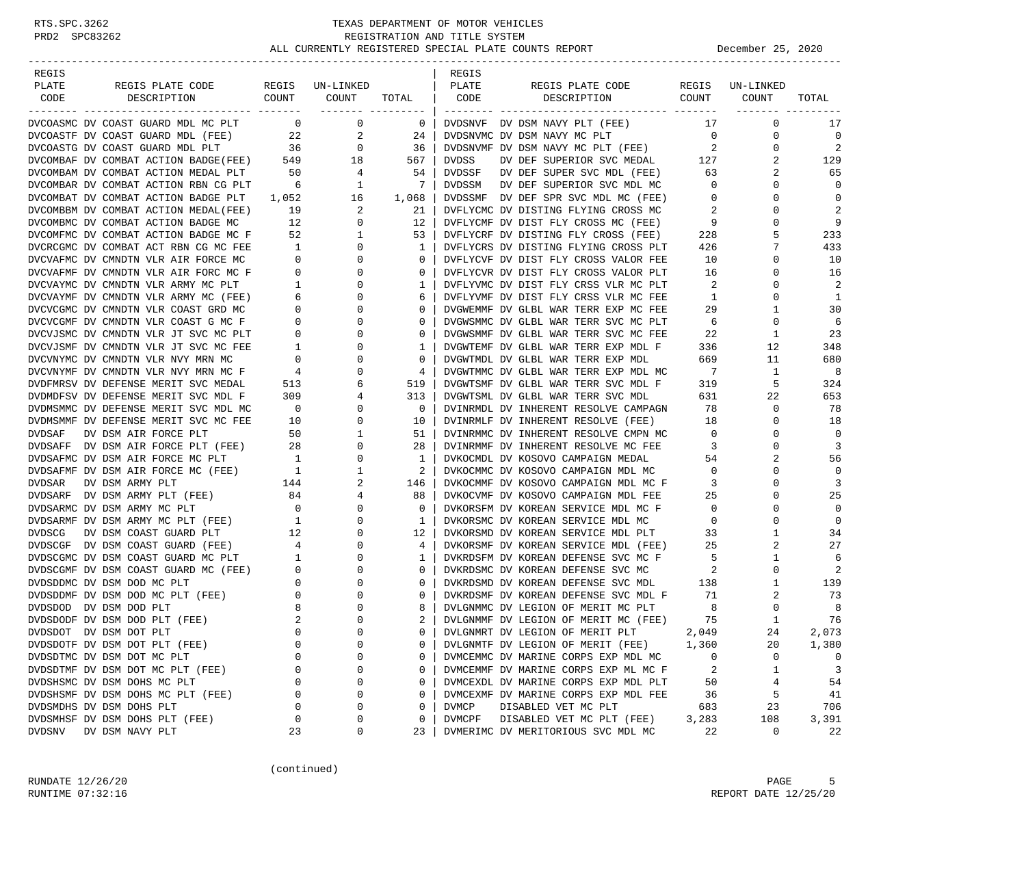| REGIS                                                                                                                                                                                                                                         |                                      |                                                           |                                        | REGIS        |                                                                             |                            |                        |                |
|-----------------------------------------------------------------------------------------------------------------------------------------------------------------------------------------------------------------------------------------------|--------------------------------------|-----------------------------------------------------------|----------------------------------------|--------------|-----------------------------------------------------------------------------|----------------------------|------------------------|----------------|
| PLATE<br>REGIS PLATE CODE                                                                                                                                                                                                                     | COUNT COUNT                          | REGIS UN-LINKED                                           |                                        | PLATE        | REGIS PLATE CODE<br>DESCRIPTION COUNT                                       |                            | REGIS UN-LINKED        |                |
| CODE<br>DESCRIPTION                                                                                                                                                                                                                           |                                      |                                                           | TOTAL  <br>___________________         | CODE         |                                                                             |                            | COUNT<br>-------- ---- | TOTAL          |
| DVCOASMC DV COAST GUARD MDL MC PLT 0 0 0 0                                                                                                                                                                                                    |                                      |                                                           | $\begin{array}{c c} 0 & 1 \end{array}$ |              | DVDSNVF DV DSM NAVY PLT (FEE)                                               | 17                         | $\mathbf 0$            | 17             |
|                                                                                                                                                                                                                                               |                                      | 2                                                         | 24                                     |              |                                                                             | $\overline{0}$             | 0                      | $\mathbf 0$    |
|                                                                                                                                                                                                                                               |                                      | $\overline{0}$                                            | 36                                     |              | DVDSNVMC DV DSM NAVY MC PLT<br>DVDSNVMF DV DSM NAVY MC PLT (FEE)            | $\overline{\mathbf{2}}$    | $\mathbf 0$            | $\overline{2}$ |
| DVCOMBAF DV COMBAT ACTION BADGE(FEE) 549 18                                                                                                                                                                                                   |                                      |                                                           | 567                                    | DVDSS        | DV DEF SUPERIOR SVC MEDAL 127                                               |                            | 2                      | 129            |
|                                                                                                                                                                                                                                               |                                      |                                                           | 54                                     |              | DVDSSF DV DEF SUPER SVC MDL (FEE)                                           | 63                         | 2                      | 65             |
|                                                                                                                                                                                                                                               |                                      |                                                           | 7                                      |              | DVDSSM DV DEF SUPERIOR SVC MDL MC                                           | $\overline{0}$             | $\mathbf 0$            | $\mathbf 0$    |
| DVCOMBAT DV COMBAT ACTION BADGE PLT                                                                                                                                                                                                           | 1,052                                | 16 1,068                                                  |                                        |              | DVDSSMF DV DEF SPR SVC MDL MC (FEE)                                         | $\overline{0}$             | $\mathbf 0$            | $\mathbf 0$    |
|                                                                                                                                                                                                                                               |                                      |                                                           | 21                                     |              | DVFLYCMC DV DISTING FLYING CROSS MC                                         | 2                          | $\Omega$               | $\overline{2}$ |
|                                                                                                                                                                                                                                               |                                      |                                                           | 12                                     |              | DVFLYCMF DV DIST FLY CROSS MC (FEE)                                         | $\overline{9}$             | 0                      | 9              |
| DVCOMFMC DV COMBAT ACTION BADGE MC F<br>DVCCOMFMC DV COMBAT ACTION BADGE MC F<br>DVCCAGMC DV COMBAT ACT RBN CG MC FEE 1 0<br>DVCVAFMC DV CMNDTN VLR AIR FORCE MC 0 0<br>DVCVAFMF DV CMNDTN VLR ARMY MC PLT 1 0<br>DVCVAYMC DV CMNDTN VLR ARMY |                                      |                                                           | 53                                     |              | DVFLYCRF DV DISTING FLY CROSS (FEE)                                         | 228                        | 5                      | 233            |
|                                                                                                                                                                                                                                               |                                      |                                                           | 1                                      |              | DVFLYCRS DV DISTING FLYING CROSS PLT                                        | 426                        | 7                      | 433            |
|                                                                                                                                                                                                                                               |                                      |                                                           | $\mathbf{0}$                           |              | DVFLYCVF DV DIST FLY CROSS VALOR FEE                                        | 10                         | $\mathbf 0$            | 10             |
|                                                                                                                                                                                                                                               |                                      |                                                           | $0-1$                                  |              | DVFLYCVR DV DIST FLY CROSS VALOR PLT                                        | 16                         | 0                      | 16             |
|                                                                                                                                                                                                                                               |                                      |                                                           | $\mathbf{1}$                           |              | DVFLYVMC DV DIST FLY CRSS VLR MC PLT                                        | $\overline{\phantom{a}}^2$ | 0                      | 2              |
| DVCVAYMF DV CMNDTN VLR ARMY MC (FEE)                                                                                                                                                                                                          |                                      | $\mathbf 0$                                               | 6                                      |              | DVFLYVMF DV DIST FLY CRSS VLR MC FEE                                        | $\mathbf{1}$               | $\mathbf{0}$           | 1              |
| DVCVCGMC DV CMNDTN VLR COAST GRD MC                                                                                                                                                                                                           |                                      | $\begin{array}{c} 6 \\ 0 \end{array}$<br>$\mathbf{0}$     | $\overline{0}$                         |              | DVGWEMMF DV GLBL WAR TERR EXP MC FEE                                        | 29                         | $\mathbf{1}$           | 30             |
| DVCVCGMF DV CMNDTN VLR COAST G MC F                                                                                                                                                                                                           |                                      | $\mathbf{0}$                                              | $\overline{0}$                         |              | DVGWSMMC DV GLBL WAR TERR SVC MC PLT                                        | 6                          | $\mathbf 0$            | 6              |
| DVCVJSMC DV CMNDTN VLR JT SVC MC PLT                                                                                                                                                                                                          |                                      | $\begin{array}{c} 0 \\ 0 \\ 1 \end{array}$<br>$\mathbf 0$ | $\overline{0}$                         |              | DVGWSMMF DV GLBL WAR TERR SVC MC FEE                                        | 22                         | $\mathbf{1}$           | 23             |
| DVCVJSMF DV CMNDTN VLR JT SVC MC FEE                                                                                                                                                                                                          |                                      | $\mathbf{0}$                                              | $\mathbf{1}$                           |              | DVGWTEMF DV GLBL WAR TERR EXP MDL F                                         | 336                        | 12                     | 348            |
| DVCVNYMC DV CMNDTN VLR NVY MRN MC                                                                                                                                                                                                             | $\overline{0}$                       | 0                                                         | $\overline{0}$                         |              | DVGWTMDL DV GLBL WAR TERR EXP MDL                                           | 669                        | 11                     | 680            |
| DVCVNYMF DV CMNDTN VLR NVY MRN MC F                                                                                                                                                                                                           | 4                                    | $\mathbf{0}$                                              | 4                                      |              | DVGWTMMC DV GLBL WAR TERR EXP MDL MC                                        | $7\phantom{0}$             | $\mathbf{1}$           | 8              |
| DVDFMRSV DV DEFENSE MERIT SVC MEDAL                                                                                                                                                                                                           | 513                                  | 6                                                         | 519                                    |              | DVGWTSMF DV GLBL WAR TERR SVC MDL F                                         | 319                        | 5                      | 324            |
| DVDMDFSV DV DEFENSE MERIT SVC MDL F                                                                                                                                                                                                           |                                      | 4                                                         | 313                                    |              | DVGWTSML DV GLBL WAR TERR SVC MDL                                           | 631 —                      | 22                     | 653            |
| DVDMSMMC DV DEFENSE MERIT SVC MDL MC                                                                                                                                                                                                          |                                      | $309$<br>0<br>10<br>50<br>0                               | $\overline{\mathbf{0}}$                |              | DVINRMDL DV INHERENT RESOLVE CAMPAGN 78                                     |                            | 0                      | 78             |
| DVDMSMMF DV DEFENSE MERIT SVC MC FEE                                                                                                                                                                                                          |                                      | $\overline{0}$                                            | 10                                     |              | DVINRMLF DV INHERENT RESOLVE (FEE) 18                                       |                            | 0                      | 18             |
| DVDSAF<br>DV DSM AIR FORCE PLT                                                                                                                                                                                                                |                                      | 1                                                         | 51                                     |              | DVINRMMC DV INHERENT RESOLVE CMPN MC                                        | $\overline{0}$             | $\mathbf 0$            | $\mathbf 0$    |
|                                                                                                                                                                                                                                               |                                      | $\overline{0}$                                            | 28                                     |              | DVINRMMF DV INHERENT RESOLVE MC FEE                                         | $\overline{\mathbf{3}}$    | $\mathbf 0$            | 3              |
| DVDSAFF DV DSM AIR FORCE PLT (FEE) 28<br>DVDSAFMC DV DSM AIR FORCE MC PLT 1<br>DVDSAFMF DV DSM AIR FORCE MC (FEE) 1                                                                                                                           |                                      | $\mathbf 0$                                               | $\mathbf{1}$                           |              | DVKOCMDL DV KOSOVO CAMPAIGN MEDAL 54                                        |                            | 2                      | 56             |
|                                                                                                                                                                                                                                               |                                      | $\mathbf{1}$                                              | 2                                      |              | DVKOCMMC DV KOSOVO CAMPAIGN MDL MC                                          | $\overline{0}$             | 0                      | $\Omega$       |
| DVDSAR<br>DV DSM ARMY PLT                                                                                                                                                                                                                     |                                      | 2                                                         | 146                                    |              | DVKOCMMF DV KOSOVO CAMPAIGN MDL MC F<br>DVKOCVMF DV KOSOVO CAMPAIGN MDL FEE | $\overline{\mathbf{3}}$    | 0                      | 3              |
| DVDSARF DV DSM ARMY PLT (FEE)                                                                                                                                                                                                                 |                                      | $4\overline{ }$                                           | 88                                     |              |                                                                             | 25                         | $\Omega$               | 25             |
| DVDSARMC DV DSM ARMY MC PLT                                                                                                                                                                                                                   |                                      | $\mathbf{0}$                                              | $\overline{0}$                         |              | DVKORSFM DV KOREAN SERVICE MDL MC F                                         | $\overline{0}$             | $\mathbf 0$            | $\mathbf 0$    |
| DVDSARMF DV DSM ARMY MC PLT (FEE)                                                                                                                                                                                                             |                                      | $\mathbf 0$                                               | $\mathbf{1}$                           |              | DVKORSMC DV KOREAN SERVICE MDL MC                                           | $\overline{0}$             | 0                      | $\mathbf 0$    |
| DVDSCG<br>DV DSM COAST GUARD PLT                                                                                                                                                                                                              |                                      | $\mathbf{0}$                                              | 12                                     |              | DVKORSMD DV KOREAN SERVICE MDL PLT                                          | 33                         | 1                      | 34             |
| DVDSCGF DV DSM COAST GUARD (FEE)                                                                                                                                                                                                              | $\overline{4}$                       | 0                                                         | 4                                      |              | DVKORSMF DV KOREAN SERVICE MDL (FEE)<br>DVKRDSFM DV KOREAN DEFENSE SVC MC F | 25                         | 2                      | 27             |
| DVDSCGMC DV DSM COAST GUARD MC PLT                                                                                                                                                                                                            | $\overline{1}$                       | $\mathbf{0}$                                              | 1                                      |              |                                                                             | $5^{\circ}$                | $\mathbf{1}$           | 6              |
| DVDSCGMF DV DSM COAST GUARD MC (FEE) 0                                                                                                                                                                                                        |                                      | $\mathbf{0}$                                              | $\overline{0}$                         |              | DVKRDSMC DV KOREAN DEFENSE SVC MC 2                                         |                            | $\mathbf 0$            | 2              |
| DVDSDDMC DV DSM DOD MC PLT                                                                                                                                                                                                                    | $\begin{matrix} 0 \\ 0 \end{matrix}$ | $\overline{0}$<br>$\mathbf{0}$                            | $\mathbf{0}$                           |              | DVKRDSMD DV KOREAN DEFENSE SVC MDL                                          | 138                        | $\mathbf{1}$           | 139            |
| DVDSDDMF DV DSM DOD MC PLT (FEE)                                                                                                                                                                                                              |                                      | $\mathbf{0}$                                              | $\mathbf{0}$                           |              | DVKRDSMF DV KOREAN DEFENSE SVC MDL F                                        | 71                         | 2                      | 73             |
| DVDSDOD DV DSM DOD PLT                                                                                                                                                                                                                        | 8                                    | 0                                                         | 8                                      |              | DVLGNMMC DV LEGION OF MERIT MC PLT                                          | 8                          | 0                      | 8              |
| DVDSDODF DV DSM DOD PLT (FEE)                                                                                                                                                                                                                 | 2                                    | $\mathbf 0$                                               | 2 <sup>1</sup>                         |              | DVLGNMMF DV LEGION OF MERIT MC (FEE)                                        | 75                         | $\mathbf{1}$           | 76             |
| DVDSDOT DV DSM DOT PLT                                                                                                                                                                                                                        | $\Omega$                             | $\Omega$                                                  | $0-1$                                  |              | DVLGNMRT DV LEGION OF MERIT PLT                                             | 2,049                      | 24                     | 2,073          |
| DVDSDOTF DV DSM DOT PLT (FEE)                                                                                                                                                                                                                 | 0                                    | $\Omega$                                                  | 0                                      |              | DVLGNMTF DV LEGION OF MERIT (FEE)                                           | 1,360                      | 20                     | 1,380          |
| DVDSDTMC DV DSM DOT MC PLT                                                                                                                                                                                                                    | 0                                    | $\Omega$                                                  | 0                                      |              | DVMCEMMC DV MARINE CORPS EXP MDL MC                                         | 0                          | $\mathbf 0$            | 0              |
| DVDSDTMF DV DSM DOT MC PLT (FEE)                                                                                                                                                                                                              | 0                                    | 0                                                         | 0                                      |              | DVMCEMMF DV MARINE CORPS EXP ML MC F                                        | 2                          | 1                      | 3              |
| DVDSHSMC DV DSM DOHS MC PLT                                                                                                                                                                                                                   | 0                                    | $\Omega$                                                  | 0                                      |              | DVMCEXDL DV MARINE CORPS EXP MDL PLT                                        | 50                         | 4                      | 54             |
| DVDSHSMF DV DSM DOHS MC PLT (FEE)                                                                                                                                                                                                             | 0                                    | $\Omega$                                                  | 0                                      |              | DVMCEXMF DV MARINE CORPS EXP MDL FEE                                        | 36                         | 5                      | 41             |
| DVDSMDHS DV DSM DOHS PLT                                                                                                                                                                                                                      | 0                                    | $\Omega$                                                  | 0                                      | <b>DVMCP</b> | DISABLED VET MC PLT                                                         | 683                        | 23                     | 706            |
| DVDSMHSF DV DSM DOHS PLT (FEE)                                                                                                                                                                                                                | 0                                    | $\Omega$                                                  | 0                                      | DVMCPF       | DISABLED VET MC PLT (FEE)                                                   | 3,283                      | 108                    | 3,391          |
| <b>DVDSNV</b><br>DV DSM NAVY PLT                                                                                                                                                                                                              | 23                                   | 0                                                         | 23                                     |              | DVMERIMC DV MERITORIOUS SVC MDL MC                                          | 22                         | 0                      | 22             |

(continued)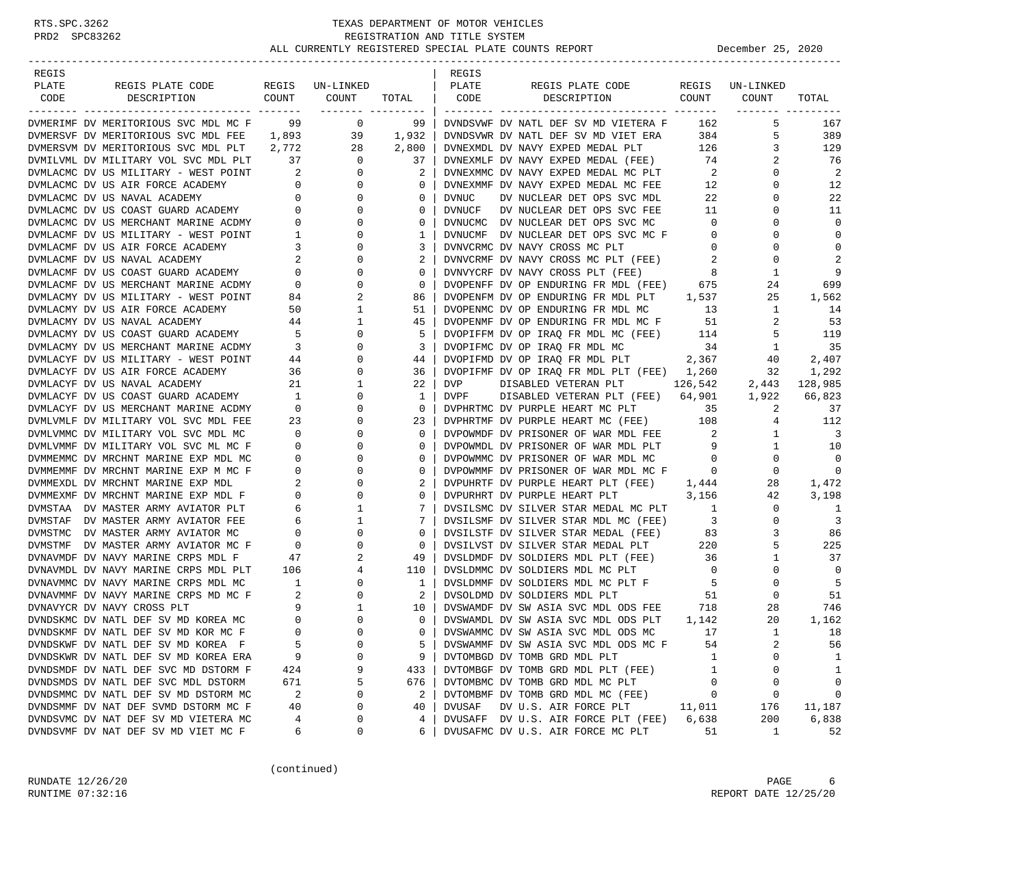| REGIS                                                                                                                                                                |                                  |                                                                            |                | REGIS  |                                                                            |                         |                   |                         |
|----------------------------------------------------------------------------------------------------------------------------------------------------------------------|----------------------------------|----------------------------------------------------------------------------|----------------|--------|----------------------------------------------------------------------------|-------------------------|-------------------|-------------------------|
| PLATE<br>REGIS PLATE CODE                                                                                                                                            |                                  | REGIS UN-LINKED                                                            |                | PLATE  | REGIS PLATE CODE                                                           |                         | REGIS UN-LINKED   |                         |
| CODE<br>DESCRIPTION                                                                                                                                                  | COUNT                            | COUNT                                                                      | TOTAL          | CODE   | DESCRIPTION                                                                | COUNT                   | COUNT             | TOTAL                   |
| DVMERIMF DV MERITORIOUS SVC MDL MC F 99                                                                                                                              |                                  | ________ ________<br>$\overline{0}$                                        | 99             |        | DVNDSVWF DV NATL DEF SV MD VIETERA F                                       | 162                     | 5                 | 167                     |
| DVMERSVF DV MERITORIOUS SVC MDL FEE 1,893                                                                                                                            |                                  | 39                                                                         |                |        | DVNDSVWR DV NATL DEF SV MD VIET ERA                                        | 384                     | 5                 | 389                     |
| DVMERSVM DV MERITORIOUS SVC MDL PLT 2,772                                                                                                                            |                                  | 28                                                                         | 1,932<br>2,800 |        |                                                                            | 126                     | 3                 | 129                     |
| DVMILVML DV MILITARY VOL SVC MDL PLT 37                                                                                                                              |                                  | $\overline{0}$                                                             |                |        | DVNEXMDL DV NAVY EXPED MEDAL PLT<br>DVNEXMLF DV NAVY EXPED MEDAL (FEE)     |                         |                   | 76                      |
|                                                                                                                                                                      |                                  |                                                                            | 37             |        |                                                                            | 74                      | 2<br>$\mathbf{0}$ | 2                       |
|                                                                                                                                                                      |                                  |                                                                            | 2              |        | DVNEXMMC DV NAVY EXPED MEDAL MC PLT<br>DVNEXMMF DV NAVY EXPED MEDAL MC FEE | $\sim$ 2                | $\Omega$          | 12                      |
|                                                                                                                                                                      |                                  |                                                                            | $\circ$        |        |                                                                            | 12                      |                   |                         |
| DVMLACMC DV US MILITARY - WEST POINT 2 0<br>DVMLACMC DV US AIR FORCE ACADEMY 0 0 0<br>DVMLACMC DV US NAVAL ACADEMY 0 0 0<br>DVMLACMC DV US COAST GUARD ACADEMY 0 0 0 |                                  |                                                                            | $\circ$        | DVNUC  | DV NUCLEAR DET OPS SVC MDL                                                 | 22                      | 0<br>$\Omega$     | 22<br>11                |
| DVMLACMC DV US MERCHANT MARINE ACDMY 0                                                                                                                               |                                  |                                                                            | 0              | DVNUCF | DV NUCLEAR DET OPS SVC FEE                                                 | 11                      |                   |                         |
|                                                                                                                                                                      |                                  | $\overline{0}$                                                             | 0              |        | DVNUCMC DV NUCLEAR DET OPS SVC MC                                          | $\overline{0}$          | $\Omega$          | $\mathbf 0$             |
| DVMLACMF DV US MILITARY - WEST POINT                                                                                                                                 | $\frac{1}{2}$                    | 0                                                                          | 1              |        | DVNUCMF DV NUCLEAR DET OPS SVC MC F                                        | $\overline{0}$          | 0                 | $\mathbf 0$             |
| DVMLACMF DV US AIR FORCE ACADEMY                                                                                                                                     | $\overline{\mathbf{3}}$          | $\mathbf{0}$                                                               | 3              |        | DVNVCRMC DV NAVY CROSS MC PLT                                              | $\overline{0}$          | $\Omega$          | $\mathbf 0$             |
|                                                                                                                                                                      |                                  | $\mathbf{0}$                                                               | 2              |        | DVNVCRMF DV NAVY CROSS MC PLT (FEE)                                        | 2                       | $\mathbf 0$       | 2                       |
| DVMLACMF DV US NAVAL ACADEMY 2<br>DVMLACMF DV US COAST GUARD ACADEMY 0<br>DVMLACMF DV US MERCHANT MARINE ACDMY 0                                                     |                                  | $\mathbf 0$                                                                | $\mathbf 0$    |        | DVNVYCRF DV NAVY CROSS PLT (FEE)                                           | 8                       | 1                 | 9                       |
|                                                                                                                                                                      |                                  | $\mathbf{0}$                                                               | $\circ$        |        | DVOPENFF DV OP ENDURING FR MDL (FEE) 675                                   |                         | 24                | 699                     |
| DVMLACMY DV US MILITARY - WEST POINT                                                                                                                                 |                                  | 84<br>50<br>2                                                              | 86             |        | DVOPENFM DV OP ENDURING FR MDL PLT 1,537                                   |                         | 25                | 1,562                   |
| DVMLACMY DV US AIR FORCE ACADEMY                                                                                                                                     |                                  | $\mathbf{1}$                                                               | 51             |        | DVOPENMC DV OP ENDURING FR MDL MC                                          | 13                      | $\mathbf{1}$      | 14                      |
| DVMLACMY DV US NAVAL ACADEMY                                                                                                                                         |                                  | $\begin{array}{c}\n 44 \\  \hline\n 5 \\  3\n \end{array}$<br>$\mathbf{1}$ | 45             |        | DVOPENMF DV OP ENDURING FR MDL MC F                                        | 51                      | 2                 | 53                      |
| DVMLACMY DV US COAST GUARD ACADEMY                                                                                                                                   |                                  | $\mathbf 0$                                                                | 5              |        | DVOPIFFM DV OP IRAO FR MDL MC (FEE)                                        | 114                     | 5                 | 119                     |
| DVMLACMY DV US MERCHANT MARINE ACDMY                                                                                                                                 |                                  | $\mathbf{0}$                                                               | 3              |        | DVOPIFMC DV OP IRAQ FR MDL MC                                              | 34                      | 1                 | 35                      |
| DVMLACYF DV US MILITARY - WEST POINT                                                                                                                                 |                                  | $\frac{44}{36}$<br>0                                                       | 44             |        | DVOPIFMD DV OP IRAQ FR MDL PLT 2,367                                       |                         | 40                | 2,407                   |
| DVMLACYF DV US AIR FORCE ACADEMY                                                                                                                                     |                                  | $\overline{0}$                                                             | 36             |        | DVOPIFMF DV OP IRAQ FR MDL PLT (FEE) 1,260                                 |                         | 32                | 1,292                   |
| DVMLACYF DV US NAVAL ACADEMY                                                                                                                                         |                                  | 21<br>$\mathbf{1}$                                                         | 22             | DVP    | DISABLED VETERAN PLT                                                       | 126,542                 |                   | 2,443 128,985           |
| DVMLACYF DV US COAST GUARD ACADEMY                                                                                                                                   | $\overline{1}$                   | $\mathbf 0$                                                                | 1              | DVPF   | DISABLED VETERAN PLT (FEE) 64,901 1,922                                    |                         |                   | 66,823                  |
| DVMLACYF DV US MERCHANT MARINE ACDMY                                                                                                                                 | $\overline{0}$                   | $\Omega$                                                                   | $\circ$        |        | DVPHRTMC DV PURPLE HEART MC PLT                                            | 35                      | 2                 | 37                      |
| DVMLVMLF DV MILITARY VOL SVC MDL FEE                                                                                                                                 |                                  | 0<br>$\begin{array}{c} 23 \\ 0 \end{array}$                                | 23             |        | DVPHRTMF DV PURPLE HEART MC (FEE) 108                                      |                         | 4                 | 112                     |
| DVMLVMMC DV MILITARY VOL SVC MDL MC                                                                                                                                  |                                  | $\mathbf 0$                                                                | $\circ$        |        | DVPOWMDF DV PRISONER OF WAR MDL FEE                                        | $\overline{\mathbf{2}}$ | $\mathbf{1}$      | $\overline{\mathbf{3}}$ |
| DVMLVMMF DV MILITARY VOL SVC ML MC F                                                                                                                                 | $\sim$ 0                         | $\mathbf{0}$                                                               | $\circ$        |        | DVPOWMDL DV PRISONER OF WAR MDL PLT                                        | 9                       | $\mathbf{1}$      | 10                      |
| DVMMEMMC DV MRCHNT MARINE EXP MDL MC                                                                                                                                 | $\overline{0}$                   | $\mathbf 0$                                                                | 0              |        | DVPOWMMC DV PRISONER OF WAR MDL MC                                         | $\overline{0}$          | 0                 | $\mathbf 0$             |
| DVMMEMMF DV MRCHNT MARINE EXP M MC F                                                                                                                                 | $\overline{0}$                   | $\mathbf{0}$                                                               | $\circ$        |        | DVPOWMMF DV PRISONER OF WAR MDL MC F 0                                     |                         | $\Omega$          | $\mathbf 0$             |
| DVMMEXDL DV MRCHNT MARINE EXP MDL                                                                                                                                    | 2                                | 0                                                                          | 2              |        | DVPUHRTF DV PURPLE HEART PLT (FEE) 1,444                                   |                         | 28                | 1,472                   |
| DVMMEXMF DV MRCHNT MARINE EXP MDL F                                                                                                                                  | $\overline{0}$                   | $\mathbf{0}$                                                               | $\circ$        |        | DVPURHRT DV PURPLE HEART PLT                                               | 3,156                   | 42                | 3,198                   |
| DVMSTAA DV MASTER ARMY AVIATOR PLT                                                                                                                                   |                                  | $\mathbf{1}$                                                               | 7              |        | DVSILSMC DV SILVER STAR MEDAL MC PLT                                       | $\sim$ 1                | 0                 | 1                       |
| DVMSTAF DV MASTER ARMY AVIATOR FEE                                                                                                                                   |                                  | $\mathbf{1}$                                                               | 7              |        | DVSILSMF DV SILVER STAR MDL MC (FEE)                                       | $\overline{\mathbf{3}}$ | 0                 | $\overline{3}$          |
| DVMSTMC DV MASTER ARMY AVIATOR MC                                                                                                                                    |                                  | $\mathbf{0}$                                                               | $\circ$        |        | DVSILSTF DV SILVER STAR MEDAL (FEE)                                        | 83                      | 3                 | 86                      |
| DVMSTMF DV MASTER ARMY AVIATOR MC F                                                                                                                                  | $6$<br>$6$<br>$0$<br>$0$<br>$47$ | 0                                                                          | 0              |        | DVSILVST DV SILVER STAR MEDAL PLT 220                                      |                         | 5                 | 225                     |
| DVNAVMDF DV NAVY MARINE CRPS MDL F                                                                                                                                   |                                  | 2                                                                          | 49             |        | DVSLDMDF DV SOLDIERS MDL PLT (FEE)                                         | 36                      | $\mathbf{1}$      | 37                      |
| DVNAVMDL DV NAVY MARINE CRPS MDL PLT                                                                                                                                 | 106                              | $4\overline{ }$                                                            | 110            |        | DVSLDMMC DV SOLDIERS MDL MC PLT                                            | $\overline{0}$          | 0                 | $\mathbf 0$             |
| DVNAVMMC DV NAVY MARINE CRPS MDL MC                                                                                                                                  | $\overline{1}$                   | $\mathbf 0$                                                                | 1              |        | DVSLDMMF DV SOLDIERS MDL MC PLT F                                          | $-5$                    | $\mathbf 0$       | 5                       |
| DVNAVMMF DV NAVY MARINE CRPS MD MC F                                                                                                                                 | $\overline{\phantom{a}}$ 2       | $\overline{0}$                                                             | 2              |        | DVSOLDMD DV SOLDIERS MDL PLT                                               | 51                      | $\Omega$          | 51                      |
| DVNAVYCR DV NAVY CROSS PLT                                                                                                                                           |                                  | 9<br>$\mathbf{1}$                                                          | 10             |        | DVSWAMDF DV SW ASIA SVC MDL ODS FEE 718                                    |                         | 28                | 746                     |
| DVNDSKMC DV NATL DEF SV MD KOREA MC                                                                                                                                  | $\overline{0}$                   | $\mathbf 0$                                                                | $\mathbf{0}$   |        | DVSWAMDL DV SW ASIA SVC MDL ODS PLT                                        | 1,142                   | 20                | 1,162                   |
| DVNDSKMF DV NATL DEF SV MD KOR MC F                                                                                                                                  | $\Omega$                         | $\Omega$                                                                   | $\Omega$       |        | DVSWAMMC DV SW ASIA SVC MDL ODS MC                                         | 17                      | 1                 | 18                      |
| DVNDSKWF DV NATL DEF SV MD KOREA F                                                                                                                                   | 5                                | 0                                                                          | 5              |        | DVSWAMMF DV SW ASIA SVC MDL ODS MC F                                       | 54                      | 2                 | 56                      |
| DVNDSKWR DV NATL DEF SV MD KOREA ERA                                                                                                                                 | 9                                | $\Omega$                                                                   | 9              |        | DVTOMBGD DV TOMB GRD MDL PLT                                               | 1                       | U                 | 1                       |
| DVNDSMDF DV NATL DEF SVC MD DSTORM F                                                                                                                                 | 424                              | 9                                                                          | 433            |        | DVTOMBGF DV TOMB GRD MDL PLT (FEE)                                         | 1                       | 0                 | 1                       |
| DVNDSMDS DV NATL DEF SVC MDL DSTORM                                                                                                                                  | 671                              | 5                                                                          | 676            |        | DVTOMBMC DV TOMB GRD MDL MC PLT                                            | 0                       | $\Omega$          | 0                       |
| DVNDSMMC DV NATL DEF SV MD DSTORM MC                                                                                                                                 | 2                                | $\Omega$                                                                   | 2              |        | DVTOMBMF DV TOMB GRD MDL MC (FEE)                                          | 0                       | 0                 | 0                       |
| DVNDSMMF DV NAT DEF SVMD DSTORM MC F                                                                                                                                 | 40                               | 0                                                                          | 40             | DVUSAF | DV U.S. AIR FORCE PLT                                                      | 11,011                  | 176               | 11,187                  |
| DVNDSVMC DV NAT DEF SV MD VIETERA MC                                                                                                                                 | 4                                | 0                                                                          | 4              |        | DVUSAFF DV U.S. AIR FORCE PLT (FEE)                                        | 6,638                   | 200               | 6,838                   |
| DVNDSVMF DV NAT DEF SV MD VIET MC F                                                                                                                                  | 6                                | 0                                                                          | 6              |        | DVUSAFMC DV U.S. AIR FORCE MC PLT                                          | 51                      | 1                 | 52                      |

(continued)

RUNDATE  $12/26/20$  PAGE 6 RUNTIME 07:32:16 REPORT DATE 12/25/20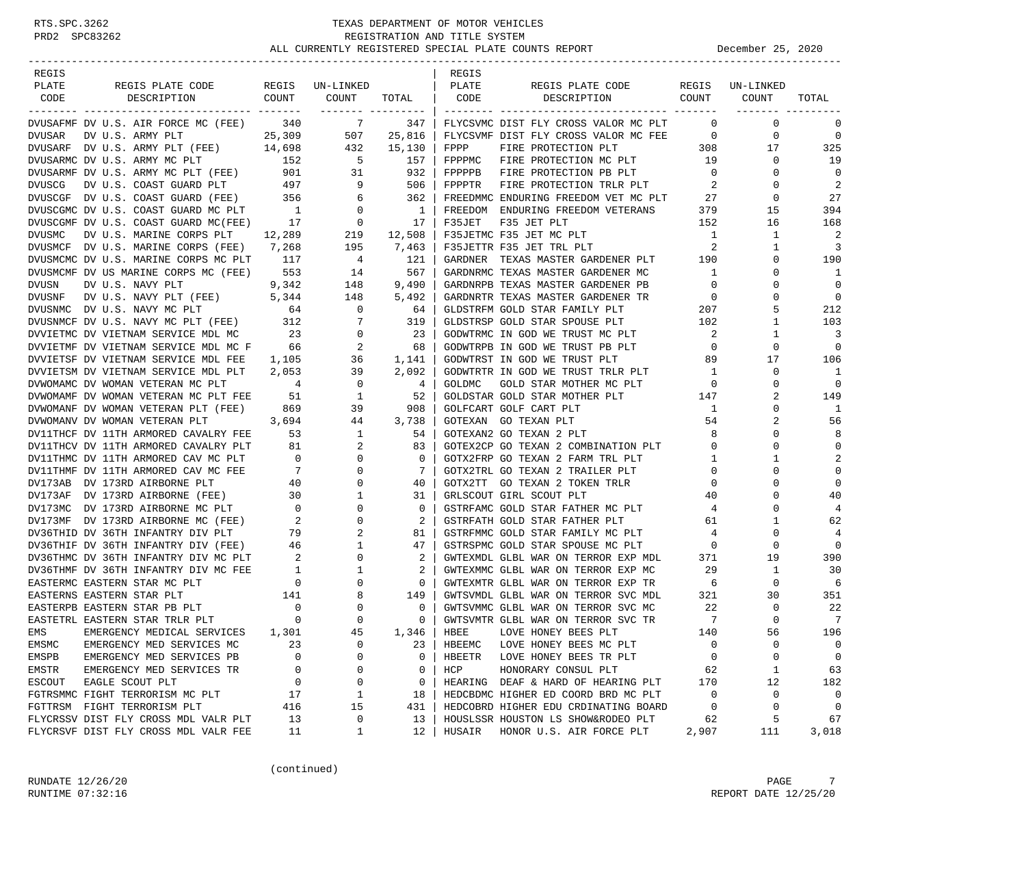| REGIS                  |                                                                                                                                                                                                                                                                                                                                                                                                                                                       |             |                                                          |                | REGIS        |                                                                               |                          |                 |                  |
|------------------------|-------------------------------------------------------------------------------------------------------------------------------------------------------------------------------------------------------------------------------------------------------------------------------------------------------------------------------------------------------------------------------------------------------------------------------------------------------|-------------|----------------------------------------------------------|----------------|--------------|-------------------------------------------------------------------------------|--------------------------|-----------------|------------------|
| PLATE                  | REGIS PLATE CODE                                                                                                                                                                                                                                                                                                                                                                                                                                      |             | REGIS UN-LINKED                                          |                | PLATE        | REGIS PLATE CODE                                                              |                          | REGIS UN-LINKED |                  |
| CODE                   | COUNT<br>DESCRIPTION                                                                                                                                                                                                                                                                                                                                                                                                                                  |             | COUNT                                                    |                | TOTAL   CODE | COUNT<br>DESCRIPTION                                                          |                          | COUNT           | TOTAL            |
|                        | DVUSAFMF DV U.S. AIR FORCE MC (FEE) 340 7 347                                                                                                                                                                                                                                                                                                                                                                                                         |             |                                                          |                |              | FLYCSVMC DIST FLY CROSS VALOR MC PLT                                          | $\bigcirc$               | $\mathbf 0$     | $\mathbf 0$      |
|                        |                                                                                                                                                                                                                                                                                                                                                                                                                                                       |             |                                                          |                |              | FLYCSVMF DIST FLY CROSS VALOR MC FEE 0                                        |                          | 0               | $\mathbf 0$      |
|                        | ${\tt D VU SAR} \hspace{0.5cm} {\tt DV U.S. ARMY PLT} \hspace{1.5cm} 25,309 \hspace{1.5cm} 507 \hspace{0.5cm} 25,816 \\ {\tt D VU SARF} \hspace{0.5cm} {\tt DV U.S. ARMY PLT} \hspace{0.5cm} ({\tt FEE}) \hspace{1.5cm} 14,698 \hspace{1.5cm} 432 \hspace{0.5cm} 15,130 \\$                                                                                                                                                                           |             |                                                          |                | FPPP         | FIRE PROTECTION PLT                                                           | 308                      | 17              | 325              |
|                        | DVUSARMC DV U.S. ARMY MC PLT                                                                                                                                                                                                                                                                                                                                                                                                                          |             | 152 5 157                                                |                |              | FOR THE PROTECTION MC PLT 19                                                  |                          | $\mathbf{0}$    | 19               |
|                        |                                                                                                                                                                                                                                                                                                                                                                                                                                                       |             |                                                          |                |              |                                                                               |                          | $\mathbf{0}$    | $\Omega$         |
|                        |                                                                                                                                                                                                                                                                                                                                                                                                                                                       |             |                                                          |                |              |                                                                               |                          | $\Omega$        | 2                |
|                        |                                                                                                                                                                                                                                                                                                                                                                                                                                                       |             |                                                          |                |              | FREEDMMC ENDURING FREEDOM VET MC PLT 27                                       |                          | $\mathbf{0}$    | 27               |
|                        |                                                                                                                                                                                                                                                                                                                                                                                                                                                       |             |                                                          |                |              | FREEDOM ENDURING FREEDOM VETERANS 379                                         |                          | 15              | 394              |
|                        | $\begin{tabular}{lllllllllllllllllllll} \hline \textsc{DVUSCGF} & \textsc{DV U.S. COAST GUARD} & (\textsc{FEE}) & \textsc{356} & \textsc{6} & \textsc{362} \\ \textsc{DVUSCGMC} & \textsc{DV U.S. COAST GUARD} & \textsc{MC PLT} & \textsc{1} & \textsc{0} & \textsc{1} \\ \textsc{DVUSCGMF} & \textsc{DV U.S. COAST GUARD} & \textsc{MC (FEE)} & \textsc{17} & \textsc{0} & \textsc{17} \\ \end{tabular}$<br>DVUSCGMF DV U.S. COAST GUARD MC(FEE) 17 |             |                                                          |                | F35JET       | F35 JET PLT                                                                   | 152                      | 16              | 168              |
| DVUSMC                 | DV U.S. MARINE CORPS PLT 12,289                                                                                                                                                                                                                                                                                                                                                                                                                       |             |                                                          |                |              | F35JETMC F35 JET MC PLT                                                       | $\overline{1}$           | 1               | - 2              |
|                        | DVUSMCF DV U.S. MARINE CORPS (FEE) 7,268                                                                                                                                                                                                                                                                                                                                                                                                              |             | $219$ $12,508$                                           | 195 7,463      |              | F35JETTR F35 JET TRL PLT                                                      | $\overline{\phantom{a}}$ | $\mathbf{1}$    | $\overline{3}$   |
|                        | DVUSMOMC DV U.S. MARINE CORPS MC PLT 117                                                                                                                                                                                                                                                                                                                                                                                                              |             | $\overline{4}$                                           |                |              | GARDNER TEXAS MASTER GARDENER PLT 190                                         |                          | 0               | 190              |
|                        | DVUSMCMF DV US MARINE CORPS MC (FEE) 553                                                                                                                                                                                                                                                                                                                                                                                                              |             | 14                                                       | 121<br>567     |              | GARDNRMC TEXAS MASTER GARDENER MC                                             | $\overline{1}$           | 0               | 1                |
| DVUSN                  | DV U.S. NAVY PLT                                                                                                                                                                                                                                                                                                                                                                                                                                      |             | $9,342$ 148                                              | 9,490          |              | GARDNRPB TEXAS MASTER GARDENER PB                                             | $\overline{0}$           | 0               | $\mathbf 0$      |
|                        |                                                                                                                                                                                                                                                                                                                                                                                                                                                       |             |                                                          |                |              |                                                                               |                          | 0               | $\overline{0}$   |
|                        | DVUSNF DV U.S. NAVY PLT (FEE) $5,344$ 148 5,492<br>DVUSNMC DV U.S. NAVY MC PLT 64 0 64                                                                                                                                                                                                                                                                                                                                                                |             |                                                          |                |              | GARDNRTR TEXAS MASTER GARDENER TR $$0$ GLDSTRFM GOLD STAR FAMILY PLT $$207$   |                          | 5               | 212              |
|                        |                                                                                                                                                                                                                                                                                                                                                                                                                                                       |             |                                                          |                |              | GLDSTRSP GOLD STAR SPOUSE PLT 102                                             |                          | 1               | 103              |
|                        | $\begin{tabular}{lllllllllllllllllllll} \hline \textsc{DVISNMCF} & \textsc{DV U.S. NAVY} & \textsc{MC PLT} & (\textsc{FEE}) & 312 & 7 & 319 \\ \textsc{DVVIETMC} & \textsc{DV VIETNAM} & \textsc{SERVICE} & \textsc{MDL} & \textsc{MC} & 23 & 0 & 23 \\ \textsc{DVVIETMF} & \textsc{DV VIETNAM} & \textsc{SERVICE} & \textsc{MDL} & \textsc{MC} & \textsc{F} & 66 & 2 & 68 \\ \hline \end{tabular}$                                                   |             |                                                          |                |              | GODWTRMC IN GOD WE TRUST MC PLT                                               | $\sim$ 2                 | 1               | $\overline{3}$   |
|                        |                                                                                                                                                                                                                                                                                                                                                                                                                                                       |             |                                                          |                |              | GODWTRPB IN GOD WE TRUST PB PLT                                               | $\overline{0}$           | $\mathbf 0$     | $\Omega$         |
|                        | DVVIETSF DV VIETNAM SERVICE MDL FEE 1,105                                                                                                                                                                                                                                                                                                                                                                                                             |             |                                                          |                |              | GODWTRST IN GOD WE TRUST PLT                                                  | 89                       | 17              | 106              |
|                        | DVVIETSM DV VIETNAM SERVICE MDL PLT 2,053                                                                                                                                                                                                                                                                                                                                                                                                             |             | 36 1,141<br>39 2,092                                     |                |              | GODWTRTR IN GOD WE TRUST TRLR PLT                                             | $\overline{1}$           | $\mathbf 0$     | $\overline{1}$   |
|                        |                                                                                                                                                                                                                                                                                                                                                                                                                                                       |             |                                                          | 4              | GOLDMC       | GOLD STAR MOTHER MC PLT                                                       | $\overline{0}$           | 0               | $\mathbf 0$      |
|                        |                                                                                                                                                                                                                                                                                                                                                                                                                                                       |             |                                                          | 52             |              | GOLDSTAR GOLD STAR MOTHER PLT                                                 |                          | 2               | 149              |
|                        | $\begin{tabular}{lllllllllllllllllllll} \hline \textsc{DVMOMAMC} & \textsc{DV} & \textsc{WOMAN} & \textsc{VETERAN} & \textsc{M} & \textsc{PLT} & \textsc{PEE} & \textsc{1} & \textsc{2} & \textsc{1} \\ \textsc{DVMOMANF} & \textsc{DV} & \textsc{WOMAN} & \textsc{VETERAN} & \textsc{PLT} & \textsc{FEE} & \textsc{51} & \textsc{1} & \textsc{1} \\ \textsc{DVMOMANF} & \textsc{DV} & \textsc{WOMAN} & \textsc{VETERAN} & \textsc{PLT$               |             |                                                          | 908            |              | GOLFCART GOLF CART PLT                                                        | 147<br>$\mathbf{1}$      | 0               | 1                |
|                        | DVWOMANV DV WOMAN VETERAN PLT                                                                                                                                                                                                                                                                                                                                                                                                                         |             |                                                          | 44 3,738       |              | GOTEXAN GO TEXAN PLT                                                          | 54                       | 2               | 56               |
|                        | DV11THCF DV 11TH ARMORED CAVALRY FEE                                                                                                                                                                                                                                                                                                                                                                                                                  |             | $7 \text{ FEE}$ $3,694$ $44$<br>$1 \text{ FEE}$ $53$ $1$ | 54             |              | GOTEXAN2 GO TEXAN 2 PLT                                                       | 8                        | $\Omega$        | 8                |
|                        | DVIITHCF DV IITH ARMORED CAVALRY FEE 53<br>DVIITHCV DV 11TH ARMORED CAVALRY PLT 81 2<br>DVIITHMC DV 11TH ARMORED CAVALRY PLT 0 0<br>DVIITHMF DV 11TH ARMORED CAVAC PLT 9 0<br>DVI73AB DV 173RD AIRBORNE PLT 40 0<br>DVI73AF DV 173RD AIR                                                                                                                                                                                                              |             |                                                          | 83             |              |                                                                               |                          | $\mathbf 0$     | $\mathbf 0$      |
|                        |                                                                                                                                                                                                                                                                                                                                                                                                                                                       |             |                                                          | $\mathbf{0}$   |              | GOTEX2CP GO TEXAN 2 COMBINATION PLT 0                                         |                          | 1               | $\overline{2}$   |
|                        |                                                                                                                                                                                                                                                                                                                                                                                                                                                       |             |                                                          | 7              |              |                                                                               |                          | 0               | $\mathbf 0$      |
|                        |                                                                                                                                                                                                                                                                                                                                                                                                                                                       |             |                                                          | 40             |              | GOTX2TT GO TEXAN 2 TOKEN TRLR                                                 | $\overline{0}$           | 0               | $\mathbf 0$      |
|                        |                                                                                                                                                                                                                                                                                                                                                                                                                                                       |             |                                                          | 31             |              | GRLSCOUT GIRL SCOUT PLT                                                       | 40                       | $\Omega$        | 40               |
|                        |                                                                                                                                                                                                                                                                                                                                                                                                                                                       |             |                                                          | $\mathbf{0}$   |              |                                                                               |                          | 0               | $\overline{4}$   |
|                        |                                                                                                                                                                                                                                                                                                                                                                                                                                                       |             |                                                          | 2              |              | GSTRFAMC GOLD STAR FATHER MC PLT 4<br>GSTRFATH GOLD STAR FATHER PLT           | 61                       | 1               | 62               |
|                        |                                                                                                                                                                                                                                                                                                                                                                                                                                                       |             |                                                          | 81             |              | GSTRFMMC GOLD STAR FAMILY MC PLT 4                                            |                          | 0               | 4                |
|                        |                                                                                                                                                                                                                                                                                                                                                                                                                                                       |             |                                                          | 47             |              |                                                                               |                          | 0               | $\mathbf 0$      |
|                        | DV36THIF DV 36TH INFANTRY DIV (FEE) 46 1<br>DV36THMC DV 36TH INFANTRY DIV MC PLT 2 0                                                                                                                                                                                                                                                                                                                                                                  |             |                                                          | 2              |              | GSTRSPMC GOLD STAR SPOUSE MC PLT 0<br>GWTEXMDL GLBL WAR ON TERROR EXP MDL 371 |                          | 19              | 390              |
|                        |                                                                                                                                                                                                                                                                                                                                                                                                                                                       |             |                                                          | 2              |              | GWTEXMMC GLBL WAR ON TERROR EXP MC                                            | 29                       | $\mathbf{1}$    | 30               |
|                        |                                                                                                                                                                                                                                                                                                                                                                                                                                                       |             |                                                          | $\overline{0}$ |              | GWTEXMTR GLBL WAR ON TERROR EXP TR                                            | 6                        | $\mathbf{0}$    | 6                |
|                        |                                                                                                                                                                                                                                                                                                                                                                                                                                                       |             |                                                          | 149            |              | GWTSVMDL GLBL WAR ON TERROR SVC MDL                                           | 321                      | 30              | 351              |
|                        |                                                                                                                                                                                                                                                                                                                                                                                                                                                       |             |                                                          | $\circ$        |              | GWTSVMMC GLBL WAR ON TERROR SVC MC                                            | 22                       | 0               | -22              |
|                        |                                                                                                                                                                                                                                                                                                                                                                                                                                                       |             |                                                          | $\mathbf{0}$   |              | GWTSVMTR GLBL WAR ON TERROR SVC TR                                            | $\overline{7}$           | $\Omega$        | $\overline{7}$   |
| EMS                    | EMERGENCY MEDICAL SERVICES                                                                                                                                                                                                                                                                                                                                                                                                                            |             | 45                                                       | 1,346          | HBEE         | LOVE HONEY BEES PLT                                                           | 140                      | 56              | 196              |
|                        |                                                                                                                                                                                                                                                                                                                                                                                                                                                       | 1,301<br>23 | 0                                                        |                |              | LOVE HONEY BEES MC PLT                                                        | 0                        | 0               | 0                |
| EMSMC                  | EMERGENCY MED SERVICES MC                                                                                                                                                                                                                                                                                                                                                                                                                             |             | 0                                                        | 23             | HBEEMC       |                                                                               |                          | 0               |                  |
| EMSPB                  | EMERGENCY MED SERVICES PB<br>EMERGENCY MED SERVICES TR                                                                                                                                                                                                                                                                                                                                                                                                | 0           | 0                                                        | 0<br>0         | HBEETR       | LOVE HONEY BEES TR PLT                                                        | 0                        |                 | 0                |
| EMSTR<br><b>ESCOUT</b> | EAGLE SCOUT PLT                                                                                                                                                                                                                                                                                                                                                                                                                                       | 0           | 0                                                        |                | HCP          | HONORARY CONSUL PLT                                                           | 62                       | 1               | 63               |
|                        | FGTRSMMC FIGHT TERRORISM MC PLT                                                                                                                                                                                                                                                                                                                                                                                                                       | 0           |                                                          | 0              |              | HEARING DEAF & HARD OF HEARING PLT                                            | 170                      | 12              | 182              |
|                        |                                                                                                                                                                                                                                                                                                                                                                                                                                                       | 17          | 1                                                        | 18             |              | HEDCBDMC HIGHER ED COORD BRD MC PLT                                           | 0<br>0                   | 0<br>0          | 0<br>$\mathbf 0$ |
|                        | FGTTRSM FIGHT TERRORISM PLT                                                                                                                                                                                                                                                                                                                                                                                                                           | 416         | 15                                                       | 431            |              | HEDCOBRD HIGHER EDU CRDINATING BOARD                                          |                          |                 |                  |
|                        | FLYCRSSV DIST FLY CROSS MDL VALR PLT                                                                                                                                                                                                                                                                                                                                                                                                                  | 13          | 0                                                        | 13             |              | HOUSLSSR HOUSTON LS SHOW&RODEO PLT                                            | 62                       | 5               | 67               |
|                        | FLYCRSVF DIST FLY CROSS MDL VALR FEE                                                                                                                                                                                                                                                                                                                                                                                                                  | 11          | 1                                                        | 12             | HUSAIR       | HONOR U.S. AIR FORCE PLT                                                      | 2,907                    | 111             | 3,018            |

(continued)

RUNDATE  $12/26/20$  PAGE 7 RUNTIME 07:32:16 REPORT DATE 12/25/20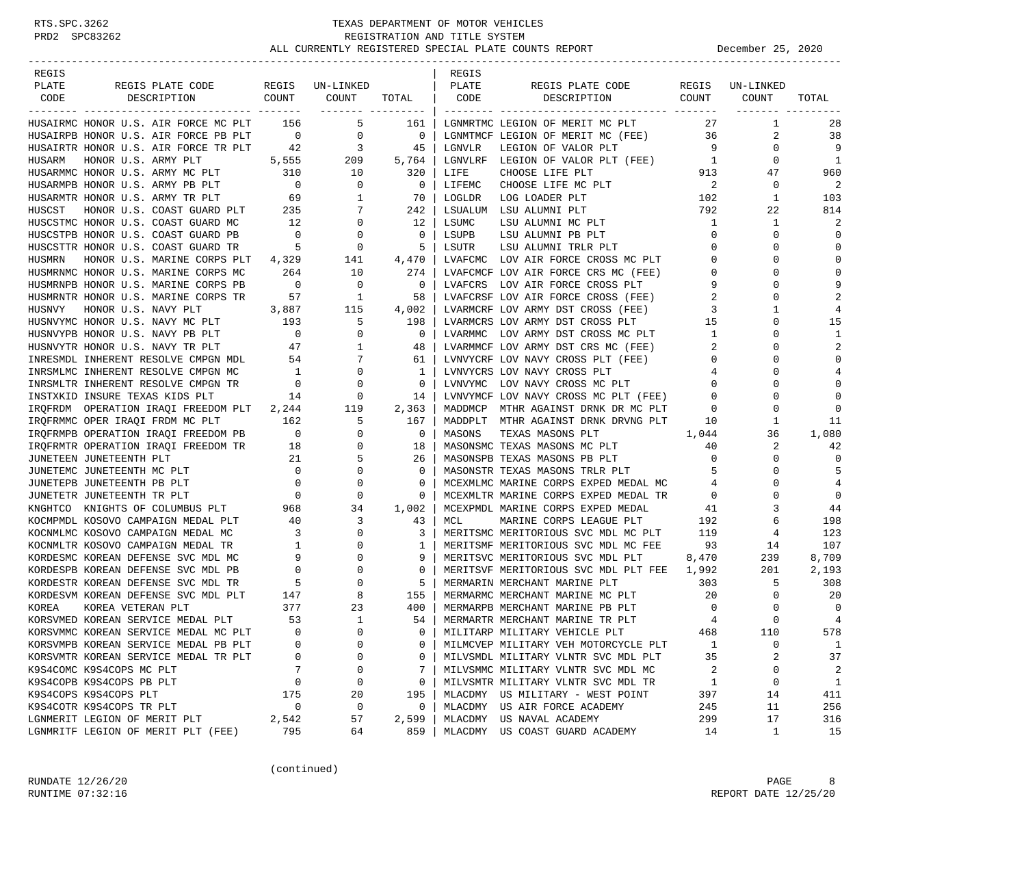| REGIS                                                             |                                       |                            |                | REGIS  |                                            |                                              |              |                |
|-------------------------------------------------------------------|---------------------------------------|----------------------------|----------------|--------|--------------------------------------------|----------------------------------------------|--------------|----------------|
| PLATE<br>REGIS PLATE CODE                                         |                                       | REGIS UN-LINKED            |                | PLATE  | REGIS PLATE CODE<br>COUNT                  | REGIS                                        | UN-LINKED    |                |
| CODE<br>DESCRIPTION                                               | COUNT                                 | COUNT<br>------- --------- | TOTAL          | CODE   | DESCRIPTION                                |                                              | COUNT        | TOTAL          |
| HUSAIRMC HONOR U.S. AIR FORCE MC PLT                              | 156                                   | 5                          | 161            |        | LGNMRTMC LEGION OF MERIT MC PLT            | 27                                           | 1            | 28             |
| HUSAIRPB HONOR U.S. AIR FORCE PB PLT                              | $\overline{0}$                        | $\overline{0}$             | $\overline{0}$ |        | LGNMTMCF LEGION OF MERIT MC (FEE)          | 36                                           | 2            | 38             |
| HUSAIRTR HONOR U.S. AIR FORCE TR PLT                              |                                       |                            | 45             | LGNVLR | LEGION OF VALOR PLT                        | 9                                            | $\mathbf 0$  | 9              |
| HUSARM<br>HONOR U.S. ARMY PLT                                     |                                       | $42$ $3$<br>5,555 209      | 5,764          |        | LGNVLRF LEGION OF VALOR PLT (FEE) 1        |                                              | $\mathbf 0$  | 1              |
| HUSARMMC HONOR U.S. ARMY MC PLT                                   | 310                                   | 10                         | 320            | LIFE   | CHOOSE LIFE PLT                            | 913                                          | 47           | 960            |
| HUSARMPB HONOR U.S. ARMY PB PLT                                   | $\overline{0}$                        | 0                          | 0              | LIFEMC | CHOOSE LIFE MC PLT                         | $\begin{array}{c} 2 \\ 2 \\ 102 \end{array}$ | $\mathbf 0$  | 2              |
| HUSARMTR HONOR U.S. ARMY TR PLT                                   | 69                                    | 1                          | 70             | LOGLDR | LOG LOADER PLT                             |                                              | 1            | 103            |
| HONOR U.S. COAST GUARD PLT 235<br>HUSCST                          |                                       | 7                          | 242            |        | LSUALUM LSU ALUMNI PLT                     | 792                                          | 22           | 814            |
| HUSCSTMC HONOR U.S. COAST GUARD MC                                | 12                                    | 0                          | 12             | LSUMC  | LSU ALUMNI MC PLT                          | 1                                            | 1            | 2              |
| HUSCSTPB HONOR U.S. COAST GUARD PB                                | $\begin{array}{c} 0 \\ 5 \end{array}$ | 0                          | 0              | LSUPB  | LSU ALUMNI PB PLT                          | 0                                            | 0            | $\mathbf 0$    |
| HUSCSTTR HONOR U.S. COAST GUARD TR                                |                                       | $\mathbf 0$                | 5              | LSUTR  | LSU ALUMNI TRLR PLT                        | 0                                            | $\Omega$     | $\mathbf 0$    |
| HUSMRN<br>HONOR U.S. MARINE CORPS PLT                             | 4,329                                 | 141                        | 4,470          |        | LVAFCMC LOV AIR FORCE CROSS MC PLT         | $\mathbf 0$                                  | $\Omega$     | $\mathbf 0$    |
| HUSMRNMC HONOR U.S. MARINE CORPS MC                               | 264                                   | 10                         | 274            |        | LVAFCMCF LOV AIR FORCE CRS MC (FEE)        | $\mathbf 0$                                  | $\Omega$     | $\Omega$       |
| HUSMRNPB HONOR U.S. MARINE CORPS PB                               | $\overline{\phantom{0}}$              | 0                          | 0              |        | LVAFCRS LOV AIR FORCE CROSS PLT            | 9                                            | $\Omega$     | 9              |
| HUSMRNTR HONOR U.S. MARINE CORPS TR                               | 57                                    | $\overline{1}$             | 58             |        | LVAFCRSF LOV AIR FORCE CROSS (FEE)         | 2                                            | 0            | 2              |
| HUSNVY<br>HONOR U.S. NAVY PLT                                     | 3,887                                 | 115                        | 4,002          |        | LVARMCRF LOV ARMY DST CROSS (FEE)          | 3                                            | $\mathbf{1}$ | 4              |
| HUSNVYMC HONOR U.S. NAVY MC PLT                                   | 193                                   | 5                          | 198            |        | LVARMCRS LOV ARMY DST CROSS PLT            | 15                                           | 0            | 15             |
| HUSNVYPB HONOR U.S. NAVY PB PLT                                   | $\overline{0}$                        | $\mathbf 0$                | 0              |        | LVARMMC LOV ARMY DST CROSS MC PLT          | 1                                            | $\Omega$     | 1              |
| HUSNVYTR HONOR U.S. NAVY TR PLT                                   | $\frac{1}{47}$                        | 1                          | 48             |        | LVARMMCF LOV ARMY DST CRS MC (FEE)         | 2                                            | $\Omega$     | 2              |
| INRESMDL INHERENT RESOLVE CMPGN MDL 54                            |                                       | 7                          | 61             |        | LVNVYCRF LOV NAVY CROSS PLT (FEE)          | 0                                            | 0            | $\mathbf 0$    |
| INRSMLMC INHERENT RESOLVE CMPGN MC                                | 1                                     | $\mathbf 0$                | 1              |        | LVNVYCRS LOV NAVY CROSS PLT                | 4                                            | $\Omega$     | 4              |
| INRSMLTR INHERENT RESOLVE CMPGN TR                                | $\overline{0}$                        | $\mathbf 0$                | 0              |        | LVNVYMC LOV NAVY CROSS MC PLT              | $\mathbf 0$                                  | $\Omega$     | $\mathbf 0$    |
| INSTXKID INSURE TEXAS KIDS PLT                                    | 14                                    | 0                          | 14             |        | LVNVYMCF LOV NAVY CROSS MC PLT (FEE)       | 0                                            | $\Omega$     | $\Omega$       |
| IRQFRDM OPERATION IRAQI FREEDOM PLT 2,244                         |                                       | 119                        | 2,363          |        | MADDMCP MTHR AGAINST DRNK DR MC PLT        | 0                                            | 0            | $\Omega$       |
| IROFRMMC OPER IRAOI FRDM MC PLT                                   | 162                                   | 5                          | 167            |        | MADDPLT MTHR AGAINST DRNK DRVNG PLT        | 10                                           | 1            | 11             |
| IRQFRMPB OPERATION IRAQI FREEDOM PB                               | $\overline{\phantom{0}}$              | 0                          | 0              | MASONS | TEXAS MASONS PLT                           | 1,044                                        | 36           | 1,080          |
| IRQFRMTR OPERATION IRAQI FREEDOM TR 18                            |                                       | 0                          | 18             |        | MASONSMC TEXAS MASONS MC PLT               | 40                                           | 2            | 42             |
| JUNETEEN JUNETEENTH PLT<br>$\begin{array}{c} 21 \\ 0 \end{array}$ |                                       | 5                          | 26             |        | MASONSPB TEXAS MASONS PB PLT               | $\mathbf 0$                                  | $\Omega$     | $\Omega$       |
| JUNETEMC JUNETEENTH MC PLT                                        |                                       | 0                          | 0              |        | MASONSTR TEXAS MASONS TRLR PLT             | 5                                            | $\Omega$     | 5              |
| JUNETEPB JUNETEENTH PB PLT                                        | $\overline{0}$                        | 0                          | 0              |        | MCEXMLMC MARINE CORPS EXPED MEDAL MC       | 4                                            | 0            | 4              |
| JUNETETR JUNETEENTH TR PLT                                        | $\overline{0}$                        | 0                          | 0              |        | MCEXMLTR MARINE CORPS EXPED MEDAL TR       | 0                                            | $\Omega$     | $\mathbf 0$    |
| KNGHTCO KNIGHTS OF COLUMBUS PLT                                   | 968                                   | 34                         | 1,002          |        | MCEXPMDL MARINE CORPS EXPED MEDAL          | 41                                           | 3            | 44             |
| KOCMPMDL KOSOVO CAMPAIGN MEDAL PLT                                | 40                                    | 3                          | 43             | MCL    | MARINE CORPS LEAGUE PLT                    | 192                                          | 6            | 198            |
| KOCNMLMC KOSOVO CAMPAIGN MEDAL MC                                 | $\overline{\phantom{a}}$              | 0                          | 3              |        | MERITSMC MERITORIOUS SVC MDL MC PLT        | 119                                          | 4            | 123            |
| KOCNMLTR KOSOVO CAMPAIGN MEDAL TR                                 | $\overline{1}$                        | 0                          | 1              |        | MERITSMF MERITORIOUS SVC MDL MC FEE        | 93                                           | 14           | 107            |
| KORDESMC KOREAN DEFENSE SVC MDL MC                                | 9                                     | $\Omega$                   | 9              |        | MERITSVC MERITORIOUS SVC MDL PLT           | 8,470                                        | 239          | 8,709          |
| KORDESPB KOREAN DEFENSE SVC MDL PB                                | $\overline{\phantom{0}}$              | $\mathbf 0$                | $\mathbf 0$    |        | MERITSVF MERITORIOUS SVC MDL PLT FEE 1,992 |                                              | 201          | 2,193          |
| KORDESTR KOREAN DEFENSE SVC MDL TR                                | $\overline{5}$                        | 0                          | 5              |        | MERMARIN MERCHANT MARINE PLT               | 303                                          | 5            | 308            |
| KORDESVM KOREAN DEFENSE SVC MDL PLT                               | 147                                   | 8                          | 155            |        | MERMARMC MERCHANT MARINE MC PLT            | 20                                           | 0            | 20             |
| KOREA<br>KOREA VETERAN PLT                                        | 377                                   | 23                         | 400            |        | MERMARPB MERCHANT MARINE PB PLT            | $\overline{\phantom{0}}$                     | 0            | $\overline{0}$ |
| KORSVMED KOREAN SERVICE MEDAL PLT                                 | 53                                    | $\mathbf{1}$               | 54             |        | MERMARTR MERCHANT MARINE TR PLT            | $\overline{4}$                               | $\Omega$     | 4              |
| KORSVMMC KOREAN SERVICE MEDAL MC PLT                              | $\Omega$                              | $\Omega$                   | $\Omega$       |        | MILITARP MILITARY VEHICLE PLT              | 468                                          | 110          | 578            |
| KORSVMPB KOREAN SERVICE MEDAL PB PLT                              | 0                                     | 0                          | 0              |        | MILMCVEP MILITARY VEH MOTORCYCLE PLT       | 1                                            | 0            | $\mathbf{1}$   |
| KORSVMTR KOREAN SERVICE MEDAL TR PLT                              | 0                                     | 0                          | 0              |        | MILVSMDL MILITARY VLNTR SVC MDL PLT        | 35                                           | 2            | 37             |
| K9S4COMC K9S4COPS MC PLT                                          | 7                                     | 0                          | 7              |        | MILVSMMC MILITARY VLNTR SVC MDL MC         | 2                                            | 0            | 2              |
| K9S4COPB K9S4COPS PB PLT                                          | 0                                     | 0                          | 0              |        | MILVSMTR MILITARY VLNTR SVC MDL TR         | 1                                            | 0            | $\mathbf{1}$   |
| K9S4COPS K9S4COPS PLT                                             | 175                                   | 20                         | 195            |        | MLACDMY US MILITARY - WEST POINT           | 397                                          | 14           | 411            |
| K9S4COTR K9S4COPS TR PLT                                          | $\mathbf 0$                           | $\mathsf 0$                | 0              |        | MLACDMY US AIR FORCE ACADEMY               | 245                                          | 11           | 256            |
| LGNMERIT LEGION OF MERIT PLT                                      | 2,542                                 | 57                         | 2,599          |        | MLACDMY US NAVAL ACADEMY                   | 299                                          | 17           | 316            |
| LGNMRITF LEGION OF MERIT PLT (FEE)                                | 795                                   | 64                         | 859            |        | MLACDMY US COAST GUARD ACADEMY             | 14                                           | 1            | 15             |

(continued)

RUNDATE  $12/26/20$  PAGE 8 RUNTIME 07:32:16 REPORT DATE 12/25/20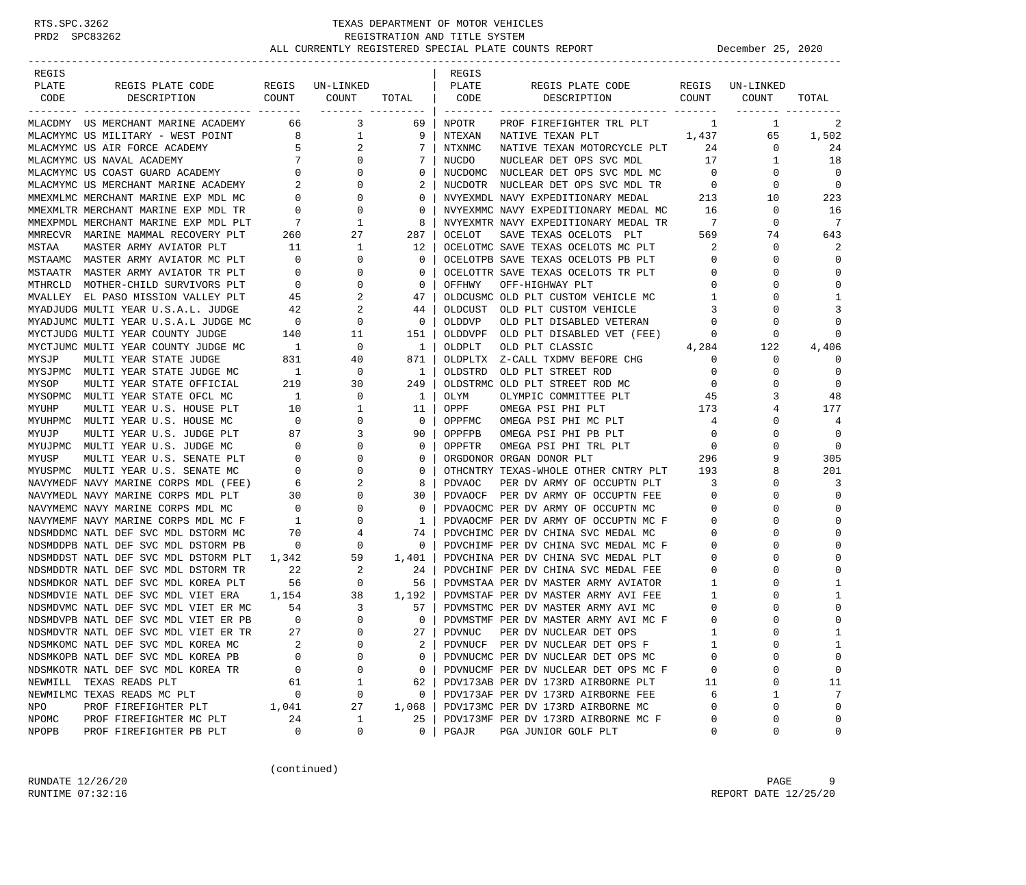### RTS.SPC.3262 TEXAS DEPARTMENT OF MOTOR VEHICLES<br>PRD2 SPC83262 REGISTRATION AND TITLE SYSTEM<br>ALL CURRENT V REGISTRATION AND TITLE SYSTEM REGISTRATION AND TITLE SYSTEM ALL CURRENTLY REGISTERED SPECIAL PLATE COUNTS REPORT **December 25, 2020**

| REGIS        |                                                                     |                                   |                         |                  | REGIS     |                                                                           |                            |                   |              |
|--------------|---------------------------------------------------------------------|-----------------------------------|-------------------------|------------------|-----------|---------------------------------------------------------------------------|----------------------------|-------------------|--------------|
| PLATE        | REGIS PLATE CODE                                                    |                                   | REGIS UN-LINKED         |                  | PLATE     | REGIS PLATE CODE                                                          |                            | REGIS UN-LINKED   |              |
| CODE         | COUNT<br>DESCRIPTION                                                |                                   | COUNT                   | TOTAL   CODE     |           | DESCRIPTION                                                               | COUNT                      | COUNT             | TOTAL        |
|              |                                                                     |                                   |                         |                  |           |                                                                           |                            |                   |              |
|              | MLACDMY US MERCHANT MARINE ACADEMY 66 3                             |                                   |                         | 69               | NPOTR     | PROF FIREFIGHTER TRL PLT                                                  | $\mathbf{1}$               | 1                 | 2            |
|              | MLACMYMC US MILITARY - WEST POINT                                   | 8 <sup>1</sup>                    | $\mathbf{1}$            | 9                | NTEXAN    | 1,437<br>NATIVE TEXAN PLT                                                 |                            | 65                | 1,502        |
|              | MLACMYMC US AIR FORCE ACADEMY                                       | 5 <sub>5</sub><br>$7\overline{ }$ | $\overline{a}$          | 7                | NTXNMC    | NATIVE TEXAN MOTORCYCLE PLT                                               | 24                         | 0                 | 24           |
|              | MLACMYMC US NAVAL ACADEMI<br>MLACMYMC US COAST GUARD ACADEMY 0<br>2 |                                   | $\overline{0}$          | 7                | NUCDO     | NUCLEAR DET OPS SVC MDL                                                   | 17                         | 1                 | 18           |
|              |                                                                     |                                   | 0<br>$\mathbf{0}$       | 0                |           | NUCDOMC NUCLEAR DET OPS SVC MDL MC                                        | $\overline{0}$             | 0                 | 0<br>0       |
|              | MMEXMLMC MERCHANT MARINE EXP MDL MC                                 |                                   | $\mathbf{0}$            | 2                |           | NUCDOTR NUCLEAR DET OPS SVC MDL TR                                        | $\overline{0}$             | 0                 |              |
|              | MMEXMLTR MERCHANT MARINE EXP MDL TR                                 | $\overline{0}$<br>$\overline{0}$  | 0                       | 0<br>$\mathbf 0$ |           | NVYEXMDL NAVY EXPEDITIONARY MEDAL<br>NVYEXMMC NAVY EXPEDITIONARY MEDAL MC | 213<br>-16                 | 10<br>$\mathbf 0$ | 223<br>16    |
|              | MMEXPMDL MERCHANT MARINE EXP MDL PLT                                | $\overline{7}$                    | 1                       | 8                |           | NVYEXMTR NAVY EXPEDITIONARY MEDAL TR                                      | 7                          | $\mathbf 0$       | 7            |
|              | MMRECVR MARINE MAMMAL RECOVERY PLT                                  |                                   | 27                      | 287              | OCELOT    | SAVE TEXAS OCELOTS PLT                                                    | 569                        | 74                | 643          |
| MSTAA        | MASTER ARMY AVIATOR PLT                                             | 260<br>11                         | $\mathbf{1}$            | 12               |           | OCELOTMC SAVE TEXAS OCELOTS MC PLT                                        | $\overline{\phantom{a}}^2$ | 0                 | 2            |
|              | MSTAAMC MASTER ARMY AVIATOR MC PLT                                  | $\sim$ 0                          | $\mathbf 0$             | $\mathbf{0}$     |           | OCELOTPB SAVE TEXAS OCELOTS PB PLT                                        | $\overline{0}$             | 0                 | $\cap$       |
|              | MSTAATR MASTER ARMY AVIATOR TR PLT                                  | $\overline{\phantom{0}}$          | 0                       | $\mathbf 0$      |           | OCELOTTR SAVE TEXAS OCELOTS TR PLT                                        | 0                          | 0                 | $\bigcap$    |
|              |                                                                     |                                   | 0                       | $\circ$          |           |                                                                           | $\mathbf{0}$               | 0                 | $\cap$       |
|              | MTHRCLD MOTHER-CHILD SURVIVORS PLT                                  | $\overline{\phantom{0}}$          |                         |                  | OFFHWY    | OFF-HIGHWAY PLT                                                           |                            | 0                 | 1            |
|              | MVALLEY EL PASO MISSION VALLEY PLT                                  | 45                                | 2                       | 47               |           | OLDCUSMC OLD PLT CUSTOM VEHICLE MC                                        | $\overline{1}$             |                   |              |
|              | MYADJUDG MULTI YEAR U.S.A.L. JUDGE                                  | 42                                | 2                       | 44               | OLDCUST   | OLD PLT CUSTOM VEHICLE                                                    | $\overline{3}$             | $\Omega$          | 3            |
|              | MYADJUMC MULTI YEAR U.S.A.L JUDGE MC                                | $\overline{0}$                    | 0                       | $\circ$          | OLDDVP    | OLD PLT DISABLED VETERAN                                                  | $\mathbf 0$                | 0                 | $\Omega$     |
|              | MYCTJUDG MULTI YEAR COUNTY JUDGE                                    | 140                               | 11                      | 151              |           | OLDDVPF OLD PLT DISABLED VET (FEE)                                        | 0                          | $\mathbf 0$       | $\cap$       |
|              | MYCTJUMC MULTI YEAR COUNTY JUDGE MC                                 | $\overline{\phantom{a}}$          | 0                       | $\mathbf{1}$     | OLDPLT    | OLD PLT CLASSIC                                                           | 4,284                      | 122               | 4,406        |
| MYSJP        | MULTI YEAR STATE JUDGE                                              | 831                               | 40                      | 871              | OLDPLTX   | Z-CALL TXDMV BEFORE CHG                                                   | 0                          | 0                 | $\Omega$     |
|              | MYSJPMC MULTI YEAR STATE JUDGE MC                                   | $\overline{1}$                    | 0                       | $1 \mid$         | OLDSTRD   | OLD PLT STREET ROD                                                        | $\overline{0}$             | 0                 | 0            |
| MYSOP        | MULTI YEAR STATE OFFICIAL                                           | 219                               | 30                      | 249              |           | OLDSTRMC OLD PLT STREET ROD MC                                            | 0                          | 0                 | $\mathbf 0$  |
|              | MYSOPMC MULTI YEAR STATE OFCL MC                                    | $\overline{1}$                    | 0                       | $\mathbf{1}$     | OLYM      | OLYMPIC COMMITTEE PLT                                                     | 45                         | 3                 | 48           |
| MYUHP        | MULTI YEAR U.S. HOUSE PLT                                           | 10                                | 1                       | 11               | OPPF      | OMEGA PSI PHI PLT                                                         | 173                        | 4                 | 177          |
|              | MYUHPMC MULTI YEAR U.S. HOUSE MC                                    | $\overline{0}$                    | 0                       | $\mathbf{0}$     | OPPFMC    | OMEGA PSI PHI MC PLT                                                      | 4                          | 0                 | 4            |
| MYUJP        | MULTI YEAR U.S. JUDGE PLT                                           | 87                                | 3                       | 90               | OPPFPB    | OMEGA PSI PHI PB PLT                                                      | $\overline{0}$             | 0                 | 0            |
|              | MYUJPMC MULTI YEAR U.S. JUDGE MC                                    | $\overline{0}$                    | 0                       | $\mathbf 0$      | OPPFTR    | OMEGA PSI PHI TRL PLT                                                     | $\overline{0}$             | 0                 | 0            |
| MYUSP        | MULTI YEAR U.S. SENATE PLT                                          | $\overline{\phantom{0}}$          | $\mathbf 0$             | $\mathbf 0$      |           | ORGDONOR ORGAN DONOR PLT                                                  | 296                        | 9                 | 305          |
|              | MYUSPMC MULTI YEAR U.S. SENATE MC                                   | $\overline{0}$                    | 0                       | $\circ$          |           | OTHCNTRY TEXAS-WHOLE OTHER CNTRY PLT 193                                  |                            | 8                 | 201          |
|              | NAVYMEDF NAVY MARINE CORPS MDL (FEE)                                | $6\overline{6}$                   | 2                       | 8                | PDVAOC    | PER DV ARMY OF OCCUPTN PLT                                                | 3                          | 0                 | 3            |
|              | NAVYMEDL NAVY MARINE CORPS MDL PLT                                  | 30                                | 0                       | 30               |           | PDVAOCF PER DV ARMY OF OCCUPTN FEE                                        | $\overline{0}$             | 0                 | $\mathbf 0$  |
|              | NAVYMEMC NAVY MARINE CORPS MDL MC                                   | $\sim$ 0                          | 0                       | $\mathbf{0}$     |           | PDVAOCMC PER DV ARMY OF OCCUPTN MC                                        | $\mathbf 0$                | $\Omega$          | $\Omega$     |
|              | NAVYMEMF NAVY MARINE CORPS MDL MC F                                 | $\overline{1}$                    | 0                       | $\mathbf{1}$     |           | PDVAOCMF PER DV ARMY OF OCCUPTN MC F                                      | $\mathbf 0$                | O                 | $\bigcap$    |
|              | NDSMDDMC NATL DEF SVC MDL DSTORM MC                                 | 70                                | 4                       | 74               |           | PDVCHIMC PER DV CHINA SVC MEDAL MC                                        | 0                          | 0                 | $\cap$       |
|              | NDSMDDPB NATL DEF SVC MDL DSTORM PB                                 | $\overline{\phantom{0}}$          | 0                       | 0                |           | PDVCHIMF PER DV CHINA SVC MEDAL MC F                                      | 0                          | 0                 | $\cap$       |
|              | NDSMDDST NATL DEF SVC MDL DSTORM PLT                                | 1,342                             | 59                      | 1,401            |           | PDVCHINA PER DV CHINA SVC MEDAL PLT                                       | 0                          | 0                 | $\Omega$     |
|              | NDSMDDTR NATL DEF SVC MDL DSTORM TR                                 | 22                                | 2                       | 24               |           | PDVCHINF PER DV CHINA SVC MEDAL FEE                                       | 0                          | 0                 |              |
|              | NDSMDKOR NATL DEF SVC MDL KOREA PLT                                 | 56                                | $\overline{0}$          | 56               |           | PDVMSTAA PER DV MASTER ARMY AVIATOR                                       | $\mathbf{1}$               | 0                 | -1           |
|              | NDSMDVIE NATL DEF SVC MDL VIET ERA                                  | 1,154                             | 38                      | 1,192            |           | PDVMSTAF PER DV MASTER ARMY AVI FEE                                       | 1                          | 0                 |              |
|              | NDSMDVMC NATL DEF SVC MDL VIET ER MC                                | 54                                | $\overline{\mathbf{3}}$ | 57               |           | PDVMSTMC PER DV MASTER ARMY AVI MC                                        | 0                          | 0                 | $\cap$       |
|              | NDSMDVPB NATL DEF SVC MDL VIET ER PB                                | $\overline{0}$                    | $\mathbf 0$             | $\mathbf{0}$     |           | PDVMSTMF PER DV MASTER ARMY AVI MC F                                      | 0                          | $\Omega$          | $\mathbf 0$  |
|              | NDSMDVTR NATL DEF SVC MDL VIET ER TR                                | 27                                | $\Omega$                |                  | 27 PDVNUC | PER DV NUCLEAR DET OPS                                                    |                            | $\cap$            | $\mathbf{1}$ |
|              | NDSMKOMC NATL DEF SVC MDL KOREA MC                                  | $\sqrt{2}$                        | 0                       | 2                |           | PDVNUCF PER DV NUCLEAR DET OPS F                                          |                            | 0                 | 1            |
|              | NDSMKOPB NATL DEF SVC MDL KOREA PB                                  | $\Omega$                          | 0                       | 0                |           | PDVNUCMC PER DV NUCLEAR DET OPS MC                                        |                            | U                 | 0            |
|              | NDSMKOTR NATL DEF SVC MDL KOREA TR                                  | 0                                 | 0                       | 0                |           | PDVNUCMF PER DV NUCLEAR DET OPS MC F                                      | 0                          | 0                 | 0            |
| NEWMILL      | TEXAS READS PLT                                                     | 61                                | 1                       | 62               |           | PDV173AB PER DV 173RD AIRBORNE PLT                                        | 11                         | 0                 | 11           |
|              | NEWMILMC TEXAS READS MC PLT                                         | 0                                 | 0                       | 0                |           | PDV173AF PER DV 173RD AIRBORNE FEE                                        | 6                          | 1                 | 7            |
| NPO          | PROF FIREFIGHTER PLT                                                | 1,041                             | 27                      | 1,068            |           | PDV173MC PER DV 173RD AIRBORNE MC                                         | $\Omega$                   | 0                 | 0            |
| NPOMC        | PROF FIREFIGHTER MC PLT                                             | 24                                | $\mathbf{1}$            | 25               |           | PDV173MF PER DV 173RD AIRBORNE MC F                                       | 0                          | 0                 | 0            |
| <b>NPOPB</b> | PROF FIREFIGHTER PB PLT                                             | 0                                 | 0                       | 0                | PGAJR     | PGA JUNIOR GOLF PLT                                                       | 0                          | 0                 | 0            |

(continued)

RUNDATE  $12/26/20$  PAGE 9 RUNTIME 07:32:16 REPORT DATE 12/25/20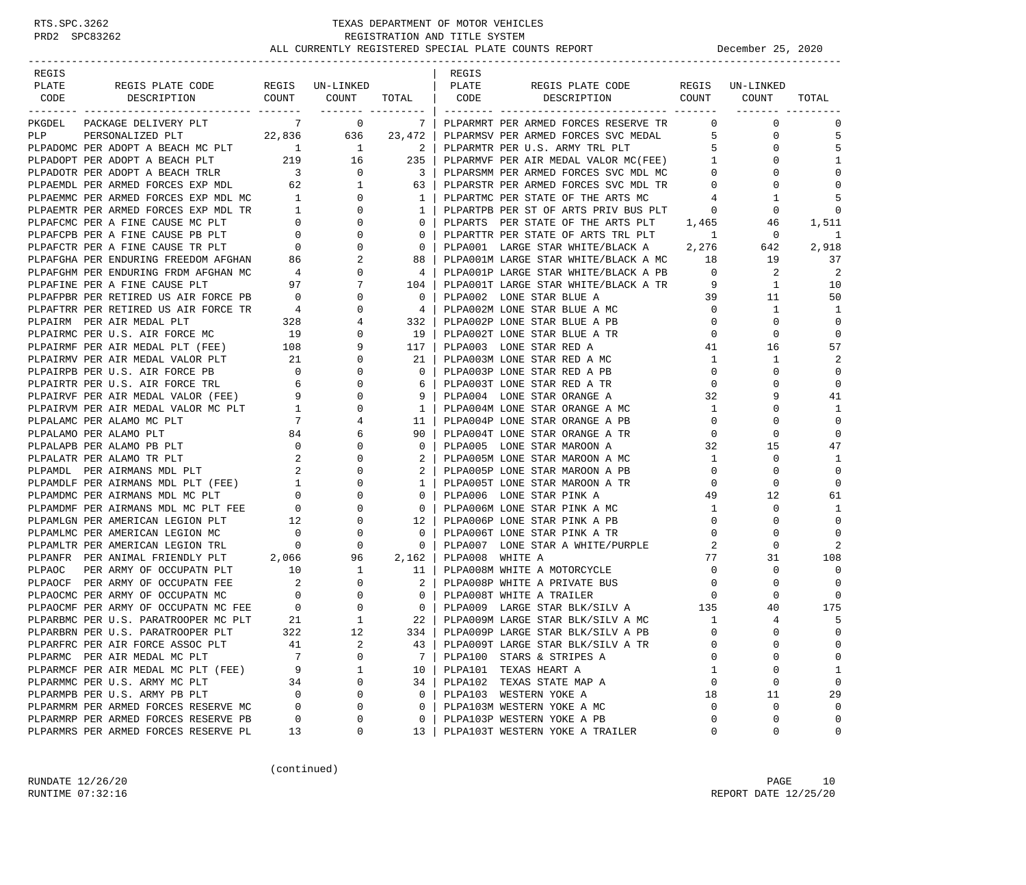| REGIS |                                                                                                                                                                                                                                          |     |       |                                        | REGIS           |                                                                                                               |                   |                                |                      |
|-------|------------------------------------------------------------------------------------------------------------------------------------------------------------------------------------------------------------------------------------------|-----|-------|----------------------------------------|-----------------|---------------------------------------------------------------------------------------------------------------|-------------------|--------------------------------|----------------------|
| PLATE | REGIS PLATE CODE REGIS UN-LINKED   PLATE                                                                                                                                                                                                 |     |       |                                        |                 | REGIS PLATE CODE REGIS UN-LINKED                                                                              |                   |                                |                      |
|       | CODE DESCRIPTION                                                                                                                                                                                                                         |     |       |                                        |                 | COUNT COUNT TOTAL CODE DESCRIPTION COUNT COUNT                                                                |                   |                                | TOTAL                |
|       | PKGDEL PACKAGE DELIVERY PLT                                                                                                                                                                                                              |     | $7$ 0 |                                        |                 | 7   PLPARMRT PER ARMED FORCES RESERVE TR                                                                      |                   | $\overline{0}$<br>$\mathbf{0}$ | $\Omega$             |
|       |                                                                                                                                                                                                                                          |     |       |                                        |                 |                                                                                                               |                   | $\mathbf 0$                    | 5                    |
|       | PLP<br>PERSONALIZED PLT<br>PLPADOMC PER ADOPT A BEACH MC PLT<br>PLPADOPT PER ADOPT A BEACH PLT<br>219 16 235                                                                                                                             |     |       | $\begin{array}{ccc} & 2 & \end{array}$ |                 | PLPARMSV PER ARMED FORCES SVC MEDAL 5<br>PLPARMTR PER U.S. ARMY TRL PLT                                       | $5 -$             | 0                              | 5                    |
|       |                                                                                                                                                                                                                                          |     |       |                                        |                 | PLPARMVF PER AIR MEDAL VALOR MC(FEE) 1                                                                        |                   | 0                              | 1                    |
|       |                                                                                                                                                                                                                                          |     |       |                                        |                 | PLPARSMM PER ARMED FORCES SVC MDL MC                                                                          | $\overline{0}$    | 0                              | $\Omega$             |
|       |                                                                                                                                                                                                                                          |     |       |                                        |                 |                                                                                                               | $\overline{0}$    | 0                              | $\mathbf 0$          |
|       |                                                                                                                                                                                                                                          |     |       |                                        |                 | PLPARSTR PER ARMED FORCES SVC MDL TR<br>PLPARTMC PER STATE OF THE ARTS MC                                     | $4\overline{4}$   | 1                              | 5                    |
|       |                                                                                                                                                                                                                                          |     |       |                                        |                 |                                                                                                               | $\overline{0}$    | 0                              | $\mathbf 0$          |
|       |                                                                                                                                                                                                                                          |     |       |                                        |                 | PLPARTPB PER ST OF ARTS PRIV BUS PLT                                                                          |                   |                                |                      |
|       |                                                                                                                                                                                                                                          |     |       |                                        |                 | PLPARTS PER STATE OF THE ARTS PLT 1,465                                                                       |                   | 46<br>$\mathbf{0}$             | 1,511<br>-1          |
|       |                                                                                                                                                                                                                                          |     |       |                                        |                 | PLPARTTR PER STATE OF ARTS TRL PLT 1<br>PLPA001 LARGE STAR WHITE/BLACK A 2,276                                |                   | 642                            |                      |
|       |                                                                                                                                                                                                                                          |     |       |                                        |                 |                                                                                                               |                   |                                | 2,918                |
|       |                                                                                                                                                                                                                                          |     |       |                                        |                 | PLPA001M LARGE STAR WHITE/BLACK A MC 18                                                                       | $\overline{0}$    | 19                             | 37<br>$\overline{2}$ |
|       |                                                                                                                                                                                                                                          |     |       |                                        |                 | PLPA001P LARGE STAR WHITE/BLACK A PB                                                                          |                   | 2                              |                      |
|       |                                                                                                                                                                                                                                          |     |       |                                        |                 | PLPA001T LARGE STAR WHITE/BLACK A TR 9                                                                        |                   | $\mathbf{1}$                   | 10                   |
|       |                                                                                                                                                                                                                                          |     |       |                                        |                 | PLPA002 LONE STAR BLUE A                                                                                      | 39                | 11                             | 50                   |
|       |                                                                                                                                                                                                                                          |     |       |                                        |                 | PLPA002M LONE STAR BLUE A MC                                                                                  | $\overline{0}$    | $\mathbf{1}$                   | 1                    |
|       |                                                                                                                                                                                                                                          |     |       |                                        |                 | PLPA002P LONE STAR BLUE A PB<br>PLPA002P LONE SIAN LILE A TR<br>PLPA002T LONE STAR BLUE A TR<br>- 2002P DED A | $\overline{0}$    | $\mathbf 0$                    | $\mathbf 0$          |
|       |                                                                                                                                                                                                                                          |     |       |                                        |                 |                                                                                                               | $\overline{0}$    | $\mathbf 0$                    | $\mathbf 0$          |
|       |                                                                                                                                                                                                                                          |     |       |                                        |                 |                                                                                                               | 41                | 16                             | 57                   |
|       |                                                                                                                                                                                                                                          |     |       | 21                                     |                 | PLPA003M LONE STAR RED A MC                                                                                   | $\mathbf{1}$      | $\mathbf{1}$                   | 2                    |
|       |                                                                                                                                                                                                                                          |     |       | $\mathbf{0}$                           |                 | PLPA003P LONE STAR RED A PB                                                                                   | $\overline{0}$    | 0                              | 0                    |
|       |                                                                                                                                                                                                                                          |     |       | 6                                      |                 | PLPA003T LONE STAR RED A TR                                                                                   | $0 \qquad \qquad$ | 0                              | $\mathbf 0$          |
|       | PLPAIRMF PER AIR MEDAL PLT (FEE) 108 9<br>PLPAIRMF PER AIR MEDAL VALOR PLT 21 0<br>PLPAIRPB PER U.S. AIR FORCE PB 0 0 0<br>PLPAIRTR PER U.S. AIR FORCE TRL 6 0<br>PLPAIRWF PER AIR MEDAL VALOR (FEE) 9 0<br>PLPAIRWM PER AIR MEDAL VALOR |     |       | 9 <sup>1</sup>                         |                 | PLPA004 LONE STAR ORANGE A                                                                                    | 32                | 9                              | 41                   |
|       |                                                                                                                                                                                                                                          |     |       | 1                                      |                 | PLPA004M LONE STAR ORANGE A MC                                                                                | $\mathbf{1}$      | 0                              | 1                    |
|       |                                                                                                                                                                                                                                          |     |       | 11                                     |                 | PLPA004P LONE STAR ORANGE A PB                                                                                | $\circ$           | 0                              | $\mathbf 0$          |
|       |                                                                                                                                                                                                                                          |     |       | 90                                     |                 | PLPA004T LONE STAR ORANGE A TR                                                                                | $\circ$           | $\mathbf 0$                    | $\mathbf 0$          |
|       |                                                                                                                                                                                                                                          |     |       | $\mathbf{0}$                           |                 | PLPA005 LONE STAR MAROON A                                                                                    | 32                | 15                             | 47                   |
|       |                                                                                                                                                                                                                                          |     |       |                                        |                 | PLPA005M LONE STAR MAROON A MC                                                                                | $\mathbf{1}$      | $\mathbf 0$                    | 1                    |
|       |                                                                                                                                                                                                                                          |     |       | 2                                      |                 | PLPA005P LONE STAR MAROON A PB                                                                                | $\overline{0}$    | 0                              | $\mathbf 0$          |
|       |                                                                                                                                                                                                                                          |     |       | 1                                      |                 | PLPA005T LONE STAR MAROON A TR<br>PLPA006 LONE STAR PINK A                                                    | $\overline{0}$    | 0                              | $\mathbf 0$          |
|       |                                                                                                                                                                                                                                          |     |       | $\overline{0}$                         |                 |                                                                                                               | 49                | 12                             | 61                   |
|       |                                                                                                                                                                                                                                          |     |       | $\overline{0}$                         |                 | PLPA006M LONE STAR PINK A MC                                                                                  | <sup>1</sup>      | $\mathbf 0$                    | 1                    |
|       |                                                                                                                                                                                                                                          |     |       | $12-1$                                 |                 | PLPA006P LONE STAR PINK A PB                                                                                  | $\overline{0}$    | 0                              | $\mathbf 0$          |
|       |                                                                                                                                                                                                                                          |     |       | $\mathbf{0}$                           |                 | PLPA006T LONE STAR PINK A TR                                                                                  | $\circ$           | 0                              | $\mathbf 0$          |
|       |                                                                                                                                                                                                                                          |     |       | $\mathbf{0}$                           |                 | PLPA007 LONE STAR A WHITE/PURPLE                                                                              | 2                 | 0                              | 2                    |
|       |                                                                                                                                                                                                                                          |     |       | 2,162                                  | PLPA008 WHITE A |                                                                                                               | 77                | 31                             | 108                  |
|       | PLEANER PER ARMY OF OCCUPATN PLT 10 1 11<br>PLEAOCF PER ARMY OF OCCUPATN FEE 2 0 2<br>PLEAOCMC PER ARMY OF OCCUPATN MC 0 0 0<br>PLEAOCMF PER ARMY OF OCCUPATN MC FEE 0 0 0 0<br>PLEAOCMF PER ARMY OF OCCUPATN MC FEE 0 0 0 0<br>PLEARBMC |     |       |                                        |                 | PLPA008M WHITE A MOTORCYCLE                                                                                   | $\overline{0}$    | $\mathbf 0$                    | $\mathbf 0$          |
|       |                                                                                                                                                                                                                                          |     |       | $2-1$                                  |                 | PLPA008P WHITE A PRIVATE BUS                                                                                  | $\overline{0}$    | 0                              | $\Omega$             |
|       |                                                                                                                                                                                                                                          |     |       |                                        |                 | PLPA008T WHITE A TRAILER                                                                                      | $\circ$           | $\Omega$                       | $\Omega$             |
|       |                                                                                                                                                                                                                                          |     |       | $\begin{array}{ccc} & & 0 \end{array}$ |                 |                                                                                                               |                   | 40                             | 175                  |
|       |                                                                                                                                                                                                                                          |     |       | 22                                     |                 |                                                                                                               |                   | $\overline{4}$                 | 5                    |
|       | PLPARBRN PER U.S. PARATROOPER PLT                                                                                                                                                                                                        | 322 | 12    | 334                                    |                 | PLPA009P LARGE STAR BLK/SILV A PB                                                                             | $\Omega$          | $\Omega$                       | $\Omega$             |
|       | PLPARFRC PER AIR FORCE ASSOC PLT                                                                                                                                                                                                         | 41  | 2     | 43                                     |                 | PLPA009T LARGE STAR BLK/SILV A TR                                                                             | 0                 | 0                              | $\Omega$             |
|       | PLPARMC PER AIR MEDAL MC PLT                                                                                                                                                                                                             | 7   | 0     | 7                                      |                 | PLPA100 STARS & STRIPES A                                                                                     | U                 | $\mathbf 0$                    | 0                    |
|       | PLPARMCF PER AIR MEDAL MC PLT (FEE)                                                                                                                                                                                                      | 9   | 1     | 10                                     |                 | PLPA101 TEXAS HEART A                                                                                         | 1                 | 0                              | 1                    |
|       | PLPARMMC PER U.S. ARMY MC PLT                                                                                                                                                                                                            | 34  | 0     | 34                                     |                 | PLPA102 TEXAS STATE MAP A                                                                                     | 0                 | 0                              | 0                    |
|       | PLPARMPB PER U.S. ARMY PB PLT                                                                                                                                                                                                            | 0   | 0     | 0                                      |                 | PLPA103 WESTERN YOKE A                                                                                        | 18                | 11                             | 29                   |
|       | PLPARMRM PER ARMED FORCES RESERVE MC                                                                                                                                                                                                     | 0   | 0     | 0                                      |                 | PLPA103M WESTERN YOKE A MC                                                                                    | 0                 | 0                              | $\mathbf 0$          |
|       | PLPARMRP PER ARMED FORCES RESERVE PB                                                                                                                                                                                                     | 0   | 0     | 0                                      |                 | PLPA103P WESTERN YOKE A PB                                                                                    | 0                 | 0                              | $\mathbf 0$          |
|       | PLPARMRS PER ARMED FORCES RESERVE PL                                                                                                                                                                                                     | 13  | 0     | 13                                     |                 | PLPA103T WESTERN YOKE A TRAILER                                                                               | 0                 | 0                              | 0                    |

(continued)

RUNDATE  $12/26/20$  PAGE 10 RUNTIME 07:32:16 REPORT DATE 12/25/20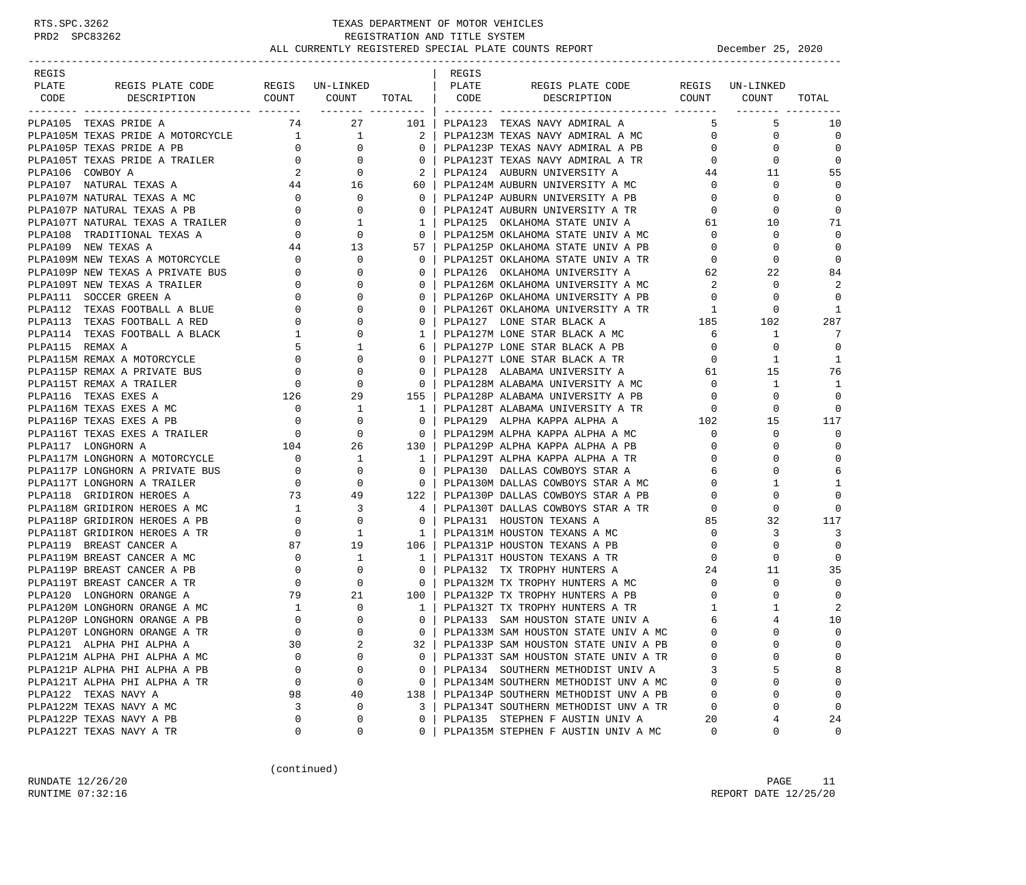| REGIS           |                                                                                                                                       |                                                                                                                                                                                                                                                                                                                                                   |                                                                                                          |                                                     | REGIS |                                                                        |                |             |             |
|-----------------|---------------------------------------------------------------------------------------------------------------------------------------|---------------------------------------------------------------------------------------------------------------------------------------------------------------------------------------------------------------------------------------------------------------------------------------------------------------------------------------------------|----------------------------------------------------------------------------------------------------------|-----------------------------------------------------|-------|------------------------------------------------------------------------|----------------|-------------|-------------|
| PLATE           | REGIS PLATE CODE REGIS UN-LINKED                                                                                                      |                                                                                                                                                                                                                                                                                                                                                   |                                                                                                          |                                                     | PLATE | REGIS PLATE CODE REGIS UN-LINKED                                       |                |             |             |
| CODE            | DESCRIPTION                                                                                                                           |                                                                                                                                                                                                                                                                                                                                                   | COUNT COUNT TOTAL   CODE                                                                                 |                                                     |       | DESCRIPTION COUNT COUNT                                                |                |             | TOTAL       |
|                 |                                                                                                                                       |                                                                                                                                                                                                                                                                                                                                                   |                                                                                                          | <u> ------- ---------  </u>                         |       |                                                                        |                |             |             |
|                 | PLPA105 TEXAS PRIDE A                                                                                                                 | 74                                                                                                                                                                                                                                                                                                                                                | 27                                                                                                       | 101                                                 |       | PLPA123 TEXAS NAVY ADMIRAL A                                           | 5              | 5           | 10          |
|                 | PLPA105M TEXAS PRIDE A MOTORCYCLE 1 1 1                                                                                               |                                                                                                                                                                                                                                                                                                                                                   |                                                                                                          | 2 I                                                 |       | PLPA123M TEXAS NAVY ADMIRAL A MC                                       | $\mathbf{0}$   | $\mathbf 0$ | 0           |
|                 |                                                                                                                                       |                                                                                                                                                                                                                                                                                                                                                   |                                                                                                          | 0 <sup>1</sup>                                      |       | PLPA123P TEXAS NAVY ADMIRAL A PB                                       | $\overline{0}$ | $\Omega$    | $\Omega$    |
|                 |                                                                                                                                       |                                                                                                                                                                                                                                                                                                                                                   |                                                                                                          | $\mathbf{0}$                                        |       | PLPA123T TEXAS NAVY ADMIRAL A TR                                       | $\overline{0}$ | $\Omega$    | $\Omega$    |
|                 | PLPAIOSE IEANS FRIDE A POLORICICAL CONDITY OF A PRIME A TRAILER $10$ 0 0 0 0 0 DLPAIOS COWBOY A 2 0 2 0 DLPAIO7 NATURAL TEXAS A 44 16 |                                                                                                                                                                                                                                                                                                                                                   |                                                                                                          | $\frac{2}{2}$                                       |       | PLPA124 AUBURN UNIVERSITY A                                            |                | 44<br>11    | 55          |
|                 |                                                                                                                                       |                                                                                                                                                                                                                                                                                                                                                   |                                                                                                          | 60 I                                                |       | PLPA124M AUBURN UNIVERSITY A MC                                        | $\overline{0}$ | $\mathbf 0$ | $\mathbf 0$ |
|                 |                                                                                                                                       | $\begin{array}{c} 0 \\ 0 \end{array}$                                                                                                                                                                                                                                                                                                             |                                                                                                          | $\overline{0}$                                      |       | PLPA124P AUBURN UNIVERSITY A PB                                        | $\overline{0}$ | $\mathbf 0$ | 0           |
|                 |                                                                                                                                       |                                                                                                                                                                                                                                                                                                                                                   |                                                                                                          | $\overline{0}$                                      |       | PLPA124T AUBURN UNIVERSITY A TR                                        | $\overline{0}$ | 0           | $\mathbf 0$ |
|                 |                                                                                                                                       |                                                                                                                                                                                                                                                                                                                                                   |                                                                                                          | 1                                                   |       | PLPA125 OKLAHOMA STATE UNIV A                                          | 61             | 10          | 71          |
|                 |                                                                                                                                       | $\frac{1}{44}$                                                                                                                                                                                                                                                                                                                                    |                                                                                                          | $\mathbf{0}$                                        |       | PLPA125M OKLAHOMA STATE UNIV A MC<br>PLPA125P OKLAHOMA STATE UNIV A PB | $\overline{0}$ | 0           | 0           |
|                 |                                                                                                                                       |                                                                                                                                                                                                                                                                                                                                                   |                                                                                                          | 57 I                                                |       |                                                                        | $\overline{0}$ | $\Omega$    | $\mathbf 0$ |
|                 | PLPA109M NEW TEXAS A MOTORCYCLE                                                                                                       | $\begin{bmatrix} 1 & 1 \\ 0 & 0 \\ 0 & 0 \\ 0 & 0 \\ 0 & 0 \\ 0 & 0 \\ 0 & 0 \\ 0 & 0 \\ 0 & 0 \\ 0 & 0 \\ 0 & 0 \\ 0 & 0 \\ 0 & 0 \\ 0 & 0 \\ 0 & 0 \\ 0 & 0 \\ 0 & 0 \\ 0 & 0 \\ 0 & 0 \\ 0 & 0 \\ 0 & 0 \\ 0 & 0 \\ 0 & 0 \\ 0 & 0 \\ 0 & 0 \\ 0 & 0 \\ 0 & 0 \\ 0 & 0 \\ 0 & 0 \\ 0 & 0 \\ 0 & 0 \\ 0 & 0 \\ 0 & 0 \\ 0 & 0 \\ 0 & 0 \\ 0 & $ | $\mathbf 0$                                                                                              | $\overline{0}$                                      |       | PLPA125T OKLAHOMA STATE UNIV A TR                                      | $\overline{0}$ | $\mathbf 0$ | 0           |
|                 | PLPA109P NEW TEXAS A PRIVATE BUS                                                                                                      |                                                                                                                                                                                                                                                                                                                                                   | 0                                                                                                        | $\mathbf{0}$                                        |       |                                                                        | 62             | 22          | 84          |
|                 | PLPA109T NEW TEXAS A TRAILER                                                                                                          |                                                                                                                                                                                                                                                                                                                                                   | $\Omega$                                                                                                 | $\Omega$                                            |       |                                                                        | 2              | 0           | 2           |
|                 | PLPA111 SOCCER GREEN A                                                                                                                |                                                                                                                                                                                                                                                                                                                                                   | 0                                                                                                        | $\mathbf{0}$                                        |       | PLPA126P OKLAHOMA UNIVERSITY A PB<br>PLPA126T OKLAHOMA UNIVERSITY A TR | $\mathbf{0}$   | 0           | $\Omega$    |
|                 | PLPA112 TEXAS FOOTBALL A BLUE                                                                                                         |                                                                                                                                                                                                                                                                                                                                                   | $\Omega$                                                                                                 | 0                                                   |       |                                                                        | $\mathbf{1}$   | 0           | 1           |
|                 | PLPA113 TEXAS FOOTBALL A RED                                                                                                          | $\overline{0}$                                                                                                                                                                                                                                                                                                                                    | 0                                                                                                        | 0                                                   |       | PLPA127 LONE STAR BLACK A                                              | 185            | 102         | 287         |
|                 | PLPA114 TEXAS FOOTBALL A BLACK                                                                                                        | $\mathbf{1}$                                                                                                                                                                                                                                                                                                                                      | 0                                                                                                        | $\mathbf{1}$                                        |       | PLPA127M LONE STAR BLACK A MC                                          | 6              | 1           | -7          |
| PLPA115 REMAX A |                                                                                                                                       | 5                                                                                                                                                                                                                                                                                                                                                 | 1                                                                                                        | 6                                                   |       | PLPA127P LONE STAR BLACK A PB                                          | $\overline{0}$ | $\Omega$    | $\Omega$    |
|                 | PLPA115M REMAX A MOTORCYCLE                                                                                                           | $\overline{0}$                                                                                                                                                                                                                                                                                                                                    | 0                                                                                                        | $\mathbf{0}$                                        |       | PLPA127T LONE STAR BLACK A TR                                          | $\mathbf{0}$   | 1           | 1           |
|                 | PLPA115P REMAX A PRIVATE BUS                                                                                                          | $\overline{0}$                                                                                                                                                                                                                                                                                                                                    |                                                                                                          | $\mathbf{0}$                                        |       | PLPA128 ALABAMA UNIVERSITY A                                           | 61             | 15          | 76          |
|                 | PLPA115T REMAX A TRAILER                                                                                                              | $\overline{0}$                                                                                                                                                                                                                                                                                                                                    |                                                                                                          | $\overline{\mathbf{0}}$                             |       | PLPA128M ALABAMA UNIVERSITY A MC 0                                     |                | 1           | 1           |
|                 | PLPA116 TEXAS EXES A                                                                                                                  | 126                                                                                                                                                                                                                                                                                                                                               | $\ddot{\phantom{0}}$                                                                                     | 155 l                                               |       | PLPA128P ALABAMA UNIVERSITY A PB                                       | $\overline{0}$ | $\mathbf 0$ | $\mathbf 0$ |
|                 | PLPA116M TEXAS EXES A MC                                                                                                              |                                                                                                                                                                                                                                                                                                                                                   | $\begin{array}{ccc} 126 & & & \\ 0 & & & \\ 0 & & & \\ 0 & & & 0 \\ 104 & & & 26 \\ 0 & & & \end{array}$ | 1 <sup>1</sup>                                      |       | PLPA128T ALABAMA UNIVERSITY A TR 0                                     |                | $\Omega$    | $\Omega$    |
|                 | PLPA116P TEXAS EXES A PB                                                                                                              |                                                                                                                                                                                                                                                                                                                                                   |                                                                                                          | $\mathbf{0}$                                        |       | PLPA129 ALPHA KAPPA ALPHA A                                            | 102            | 15          | 117         |
|                 | PLPA116T TEXAS EXES A TRAILER                                                                                                         |                                                                                                                                                                                                                                                                                                                                                   |                                                                                                          | $\overline{0}$                                      |       | PLPA129M ALPHA KAPPA ALPHA A MC                                        | $\overline{0}$ | $\mathbf 0$ | 0           |
|                 | PLPA117 LONGHORN A                                                                                                                    |                                                                                                                                                                                                                                                                                                                                                   |                                                                                                          | 130                                                 |       | PLPA129P ALPHA KAPPA ALPHA A PB                                        | $\mathbf{0}$   | $\mathbf 0$ | 0           |
|                 | PLPA117M LONGHORN A MOTORCYCLE                                                                                                        |                                                                                                                                                                                                                                                                                                                                                   |                                                                                                          | $1\quad$                                            |       | PLPA129T ALPHA KAPPA ALPHA A TR                                        | $\mathbf 0$    | $\Omega$    | $\mathbf 0$ |
|                 | PLPA117P LONGHORN A PRIVATE BUS                                                                                                       | $\overline{0}$                                                                                                                                                                                                                                                                                                                                    |                                                                                                          | $\overline{0}$                                      |       | PLPA130 DALLAS COWBOYS STAR A                                          | 6              | $\Omega$    | 6           |
|                 | PLPA117T LONGHORN A TRAILER                                                                                                           | $\begin{array}{c}0\\73\end{array}$                                                                                                                                                                                                                                                                                                                | $\begin{array}{c}0\\49\end{array}$                                                                       | $\overline{0}$                                      |       | PLPA130M DALLAS COWBOYS STAR A MC                                      | $\mathbf{0}$   | 1           | 1           |
|                 | PLPA118 GRIDIRON HEROES A                                                                                                             |                                                                                                                                                                                                                                                                                                                                                   |                                                                                                          | 122                                                 |       | PLPA130P DALLAS COWBOYS STAR A PB                                      | $\mathbf{0}$   | $\Omega$    | $\mathbf 0$ |
|                 | PLPA118M GRIDIRON HEROES A MC                                                                                                         | $\overline{1}$                                                                                                                                                                                                                                                                                                                                    | $\overline{3}$                                                                                           | 4 <sub>1</sub>                                      |       | PLPA130T DALLAS COWBOYS STAR A TR                                      | $\overline{0}$ | $\Omega$    | 0           |
|                 | PLPA118P GRIDIRON HEROES A PB                                                                                                         | $\overline{0}$                                                                                                                                                                                                                                                                                                                                    | $\begin{array}{c} 0 \\ 1 \end{array}$                                                                    | 0 <sup>1</sup>                                      |       | PLPA131 HOUSTON TEXANS A                                               | 85             | 32          | 117         |
|                 | PLPA118T GRIDIRON HEROES A TR                                                                                                         | $\overline{0}$                                                                                                                                                                                                                                                                                                                                    |                                                                                                          | $\frac{1}{2}$                                       |       | PLPA131M HOUSTON TEXANS A MC                                           | $\overline{0}$ | 3           | 3           |
|                 | PLPA119 BREAST CANCER A                                                                                                               |                                                                                                                                                                                                                                                                                                                                                   | $\begin{array}{ccc}\n87 & & 19 \\ 0 & & 1\n\end{array}$                                                  | $106$                                               |       | PLPA131P HOUSTON TEXANS A PB                                           | $\overline{0}$ | 0           | $\mathbf 0$ |
|                 | PLPA119M BREAST CANCER A MC                                                                                                           |                                                                                                                                                                                                                                                                                                                                                   |                                                                                                          | $1\quad$                                            |       |                                                                        | $\overline{0}$ | 0           | $\mathbf 0$ |
|                 | PLPA119P BREAST CANCER A PB                                                                                                           |                                                                                                                                                                                                                                                                                                                                                   | $\begin{array}{ccc} 0 & & 0 \\ 0 & & 0 \\ 79 & & 21 \end{array}$                                         | $\overline{0}$                                      |       | PLPA132 TX TROPHY HUNTERS A                                            | 24             | 11          | 35          |
|                 | PLPA119T BREAST CANCER A TR                                                                                                           |                                                                                                                                                                                                                                                                                                                                                   |                                                                                                          | $\overline{\phantom{0}}$ 0 $\overline{\phantom{0}}$ |       | PLPA132M TX TROPHY HUNTERS A MC                                        | $\overline{0}$ | $\mathbf 0$ | $\mathbf 0$ |
|                 | PLPA120 LONGHORN ORANGE A                                                                                                             |                                                                                                                                                                                                                                                                                                                                                   |                                                                                                          | 100                                                 |       | PLPA132P TX TROPHY HUNTERS A PB                                        | $\Omega$       | $\Omega$    | 0           |
|                 | PLPA120M LONGHORN ORANGE A MC                                                                                                         | 1                                                                                                                                                                                                                                                                                                                                                 | $\overline{0}$                                                                                           | $\frac{1}{1}$                                       |       | PLPA132T TX TROPHY HUNTERS A TR<br>PLPA133 SAM HOUSTON STATE UNIV A    | $\mathbf{1}$   | 1           | 2           |
|                 | PLPA120P LONGHORN ORANGE A PB                                                                                                         | $\mathbf{0}$                                                                                                                                                                                                                                                                                                                                      | $\Omega$                                                                                                 | $\circ$                                             |       |                                                                        | 6              | 4           | 10          |
|                 | PLPA120T LONGHORN ORANGE A TR                                                                                                         | $\Omega$                                                                                                                                                                                                                                                                                                                                          | $\Omega$                                                                                                 | $\Omega$                                            |       | PLPA133M SAM HOUSTON STATE UNIV A MC                                   | $\Omega$       | $\Omega$    | $\Omega$    |
|                 | PLPA121 ALPHA PHI ALPHA A                                                                                                             | 30                                                                                                                                                                                                                                                                                                                                                | 2                                                                                                        | 32                                                  |       | PLPA133P SAM HOUSTON STATE UNIV A PB                                   | 0              | $\Omega$    | 0           |
|                 | PLPA121M ALPHA PHI ALPHA A MC                                                                                                         | $\Omega$                                                                                                                                                                                                                                                                                                                                          | 0                                                                                                        | 0                                                   |       | PLPA133T SAM HOUSTON STATE UNIV A TR                                   | 0              | U           | 0           |
|                 | PLPA121P ALPHA PHI ALPHA A PB                                                                                                         | 0                                                                                                                                                                                                                                                                                                                                                 | 0                                                                                                        | 0                                                   |       | PLPA134 SOUTHERN METHODIST UNIV A                                      | 3              | 5           | 8           |
|                 | PLPA121T ALPHA PHI ALPHA A TR                                                                                                         | 0                                                                                                                                                                                                                                                                                                                                                 | 0                                                                                                        | $\mathbf{0}$                                        |       | PLPA134M SOUTHERN METHODIST UNV A MC                                   | 0              | $\Omega$    | $\mathbf 0$ |
|                 | PLPA122 TEXAS NAVY A                                                                                                                  | 98                                                                                                                                                                                                                                                                                                                                                | 40                                                                                                       | 138                                                 |       | PLPA134P SOUTHERN METHODIST UNV A PB                                   | $\Omega$       | $\Omega$    | 0           |
|                 | PLPA122M TEXAS NAVY A MC                                                                                                              | 3                                                                                                                                                                                                                                                                                                                                                 | 0                                                                                                        | 3                                                   |       | PLPA134T SOUTHERN METHODIST UNV A TR                                   | 0              | $\Omega$    | $\mathbf 0$ |
|                 | PLPA122P TEXAS NAVY A PB                                                                                                              | 0                                                                                                                                                                                                                                                                                                                                                 | 0                                                                                                        | 0                                                   |       | PLPA135 STEPHEN F AUSTIN UNIV A                                        | 20             | 4           | 24          |
|                 | PLPA122T TEXAS NAVY A TR                                                                                                              | 0                                                                                                                                                                                                                                                                                                                                                 | 0                                                                                                        | 0                                                   |       | PLPA135M STEPHEN F AUSTIN UNIV A MC                                    | 0              | 0           | 0           |

(continued)

RUNDATE  $12/26/20$  PAGE 11 RUNTIME 07:32:16 REPORT DATE 12/25/20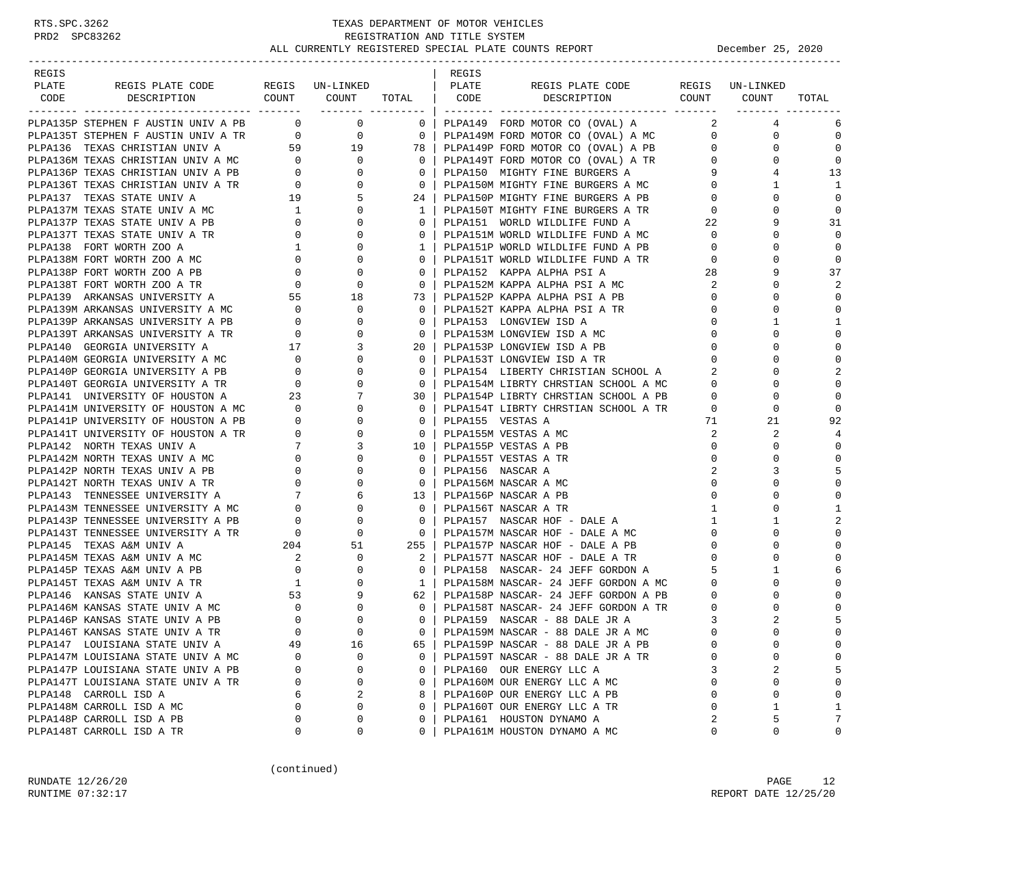| REGIS |                                                                                                                                                                                                                                            |          |                |                                                     | REGIS            |                                                                                    |                                                                                                                                                                                                                                                                                                                                    |                                                      |                |
|-------|--------------------------------------------------------------------------------------------------------------------------------------------------------------------------------------------------------------------------------------------|----------|----------------|-----------------------------------------------------|------------------|------------------------------------------------------------------------------------|------------------------------------------------------------------------------------------------------------------------------------------------------------------------------------------------------------------------------------------------------------------------------------------------------------------------------------|------------------------------------------------------|----------------|
| PLATE | REGIS PLATE CODE REGIS UN-LINKED   PLATE                                                                                                                                                                                                   |          |                |                                                     |                  | REGIS PLATE CODE REGIS UN-LINKED                                                   |                                                                                                                                                                                                                                                                                                                                    |                                                      |                |
|       |                                                                                                                                                                                                                                            |          |                |                                                     |                  | CODE DESCRIPTION COUNT COUNT TOTAL CODE DESCRIPTION COUNT COUNT                    |                                                                                                                                                                                                                                                                                                                                    |                                                      | TOTAL          |
|       |                                                                                                                                                                                                                                            |          |                |                                                     |                  |                                                                                    |                                                                                                                                                                                                                                                                                                                                    |                                                      |                |
|       | PLPA135P STEPHEN F AUSTIN UNIV A PB 0 0 0                                                                                                                                                                                                  |          |                |                                                     |                  | 0   PLPA149 FORD MOTOR CO (OVAL) A                                                 | $\overline{a}$ and $\overline{a}$ and $\overline{a}$ and $\overline{a}$ and $\overline{a}$ and $\overline{a}$ and $\overline{a}$ and $\overline{a}$ and $\overline{a}$ and $\overline{a}$ and $\overline{a}$ and $\overline{a}$ and $\overline{a}$ and $\overline{a}$ and $\overline{a}$ and $\overline{a}$ and $\overline{a}$ and | 4                                                    | 6              |
|       |                                                                                                                                                                                                                                            |          |                |                                                     |                  |                                                                                    |                                                                                                                                                                                                                                                                                                                                    | $\mathbf 0$                                          | $\mathbf 0$    |
|       |                                                                                                                                                                                                                                            |          |                |                                                     |                  |                                                                                    |                                                                                                                                                                                                                                                                                                                                    | $\mathbf 0$                                          | $\mathbf 0$    |
|       |                                                                                                                                                                                                                                            |          |                |                                                     |                  |                                                                                    |                                                                                                                                                                                                                                                                                                                                    | $\mathbf 0$                                          | 0              |
|       |                                                                                                                                                                                                                                            |          |                |                                                     |                  |                                                                                    |                                                                                                                                                                                                                                                                                                                                    | 4                                                    | 13             |
|       |                                                                                                                                                                                                                                            |          |                |                                                     |                  |                                                                                    |                                                                                                                                                                                                                                                                                                                                    | 1                                                    | 1              |
|       |                                                                                                                                                                                                                                            |          |                |                                                     |                  |                                                                                    |                                                                                                                                                                                                                                                                                                                                    | $\mathbf 0$                                          | 0              |
|       |                                                                                                                                                                                                                                            |          |                |                                                     |                  |                                                                                    |                                                                                                                                                                                                                                                                                                                                    | $\mathbf 0$                                          | $\mathbf 0$    |
|       |                                                                                                                                                                                                                                            |          |                |                                                     |                  |                                                                                    |                                                                                                                                                                                                                                                                                                                                    | 9                                                    | 31             |
|       |                                                                                                                                                                                                                                            |          |                |                                                     |                  |                                                                                    |                                                                                                                                                                                                                                                                                                                                    | 0                                                    | 0              |
|       |                                                                                                                                                                                                                                            |          |                |                                                     |                  |                                                                                    |                                                                                                                                                                                                                                                                                                                                    | $\mathbf 0$                                          | $\mathbf 0$    |
|       |                                                                                                                                                                                                                                            |          |                |                                                     |                  |                                                                                    |                                                                                                                                                                                                                                                                                                                                    | $\mathbf 0$                                          | $\mathbf 0$    |
|       |                                                                                                                                                                                                                                            |          |                |                                                     |                  |                                                                                    |                                                                                                                                                                                                                                                                                                                                    | 9                                                    | 37             |
|       |                                                                                                                                                                                                                                            |          |                |                                                     |                  |                                                                                    |                                                                                                                                                                                                                                                                                                                                    | $\Omega$                                             | 2              |
|       |                                                                                                                                                                                                                                            |          |                | 73                                                  |                  | PLPA152P KAPPA ALPHA PSI A PB                                                      | $\overline{0}$                                                                                                                                                                                                                                                                                                                     | $\mathbf 0$                                          | $\mathbf 0$    |
|       |                                                                                                                                                                                                                                            |          |                | $\overline{\phantom{0}}$ 0 $\overline{\phantom{0}}$ |                  | PLPA152T KAPPA ALPHA PSI A TR                                                      | $\overline{0}$                                                                                                                                                                                                                                                                                                                     | $\mathbf 0$                                          | $\mathbf 0$    |
|       |                                                                                                                                                                                                                                            |          |                | $\overline{0}$                                      |                  | PLPA153 LONGVIEW ISD A                                                             |                                                                                                                                                                                                                                                                                                                                    | $\begin{array}{c} 0 \\ 0 \end{array}$<br>1           | -1             |
|       |                                                                                                                                                                                                                                            |          |                |                                                     |                  | 0   PLPA153M LONGVIEW ISD A MC                                                     |                                                                                                                                                                                                                                                                                                                                    | $\mathbf 0$                                          | $\mathbf 0$    |
|       |                                                                                                                                                                                                                                            |          |                | 20 <sub>1</sub>                                     |                  | PLPA153P LONGVIEW ISD A PB                                                         | $\overline{0}$                                                                                                                                                                                                                                                                                                                     | $\Omega$                                             | $\mathbf 0$    |
|       |                                                                                                                                                                                                                                            |          |                | $\overline{\phantom{0}}$ 0 $\overline{\phantom{0}}$ |                  | PLPA153T LONGVIEW ISD A TR<br>PLPA154 LIBERTY CHRISTIAN SCHOOL A 2                 | $\overline{0}$                                                                                                                                                                                                                                                                                                                     | $\mathbf 0$                                          | $\mathbf 0$    |
|       |                                                                                                                                                                                                                                            |          |                | $\begin{array}{ccc} & 0 & \end{array}$              |                  |                                                                                    |                                                                                                                                                                                                                                                                                                                                    | $\Omega$                                             | $\overline{2}$ |
|       |                                                                                                                                                                                                                                            |          |                | $\begin{array}{c c} 0 \\ \hline \end{array}$        |                  | PLPA154M LIBRTY CHRSTIAN SCHOOL A MC                                               | $\overline{0}$                                                                                                                                                                                                                                                                                                                     | $\Omega$                                             | $\mathbf 0$    |
|       |                                                                                                                                                                                                                                            |          |                |                                                     |                  | 30   PLPA154P LIBRTY CHRSTIAN SCHOOL A PB                                          | $\overline{0}$                                                                                                                                                                                                                                                                                                                     | 0                                                    | $\Omega$       |
|       |                                                                                                                                                                                                                                            |          |                | 0 <sup>1</sup>                                      |                  | PLPA154T LIBRTY CHRSTIAN SCHOOL A TR 0                                             |                                                                                                                                                                                                                                                                                                                                    | $\mathbf 0$                                          | $\Omega$       |
|       |                                                                                                                                                                                                                                            |          |                | $0-1$                                               | PLPA155 VESTAS A |                                                                                    | 71                                                                                                                                                                                                                                                                                                                                 | 21                                                   | 92             |
|       |                                                                                                                                                                                                                                            |          |                | $\overline{\mathbf{0}}$                             |                  | PLPA155M VESTAS A MC                                                               | $\overline{a}$                                                                                                                                                                                                                                                                                                                     | 2                                                    | $\overline{4}$ |
|       |                                                                                                                                                                                                                                            |          |                |                                                     |                  | 10   PLPA155P VESTAS A PB                                                          | $\overline{0}$                                                                                                                                                                                                                                                                                                                     | 0                                                    | $\bigcap$      |
|       |                                                                                                                                                                                                                                            |          |                |                                                     |                  | 0   PLPA155T VESTAS A TR                                                           | $\mathbf 0$                                                                                                                                                                                                                                                                                                                        | 0                                                    | $\bigcap$      |
|       |                                                                                                                                                                                                                                            |          |                | $\overline{\phantom{0}}$ 0 $\overline{\phantom{0}}$ | PLPA156 NASCAR A |                                                                                    | 2                                                                                                                                                                                                                                                                                                                                  | 3                                                    | 5              |
|       |                                                                                                                                                                                                                                            |          |                | $\begin{array}{ccc} & & 0 & \end{array}$            |                  | PLPA156M NASCAR A MC                                                               | $\mathbf 0$                                                                                                                                                                                                                                                                                                                        | $\mathbf 0$                                          | $\mathbf 0$    |
|       |                                                                                                                                                                                                                                            |          |                |                                                     |                  | 13   PLPA156P NASCAR A PB                                                          | $\mathbf 0$                                                                                                                                                                                                                                                                                                                        | $\mathbf 0$                                          | $\mathbf 0$    |
|       |                                                                                                                                                                                                                                            |          |                | $\overline{0}$                                      |                  | PLPA156T NASCAR A TR                                                               | $\mathbf{1}$                                                                                                                                                                                                                                                                                                                       | $\mathbf 0$                                          | $\mathbf{1}$   |
|       |                                                                                                                                                                                                                                            |          |                | $0-1$                                               |                  | PLPA157 NASCAR HOF - DALE A                                                        | $\mathbf{1}$                                                                                                                                                                                                                                                                                                                       | 1                                                    | $\overline{2}$ |
|       |                                                                                                                                                                                                                                            |          |                | $\overline{0}$                                      |                  | PLPA157M NASCAR HOF - DALE A MC                                                    | $\overline{0}$                                                                                                                                                                                                                                                                                                                     | 0                                                    | $\Omega$       |
|       |                                                                                                                                                                                                                                            |          |                |                                                     |                  |                                                                                    |                                                                                                                                                                                                                                                                                                                                    | 0                                                    | $\Omega$       |
|       |                                                                                                                                                                                                                                            |          |                |                                                     |                  | 255   PLPA157P NASCAR HOF - DALE A PB<br>2   PLPA157T NASCAR HOF - DALE A TR       |                                                                                                                                                                                                                                                                                                                                    | $\begin{array}{c} 0 \\ 0 \end{array}$<br>$\mathbf 0$ | $\mathbf 0$    |
|       | PLPA145T TENNESSEE UNIVERSITY A TR<br>PLPA145 TEXAS A&M UNIV A $204$ 51<br>PLPA145M TEXAS A&M UNIV A MC $2$ 0<br>PLPA145P TEXAS A&M UNIV A PB 0<br>PLPA145T TEXAS A&M UNIV A TR 1 0<br>PLPA146 KANSAS STATE UNIV A MC 0<br>PLPA146M KANSAS |          |                | $\overline{0}$                                      |                  | PLPA158 NASCAR- 24 JEFF GORDON A 5                                                 |                                                                                                                                                                                                                                                                                                                                    | 1                                                    | 6              |
|       |                                                                                                                                                                                                                                            |          |                |                                                     |                  | 1   PLPA158M NASCAR- 24 JEFF GORDON A MC                                           | $\mathbf{0}$                                                                                                                                                                                                                                                                                                                       | $\mathbf 0$                                          | $\bigcap$      |
|       |                                                                                                                                                                                                                                            |          |                | 62                                                  |                  | PLPA158P NASCAR- 24 JEFF GORDON A PB                                               | $\overline{0}$                                                                                                                                                                                                                                                                                                                     | $\Omega$                                             |                |
|       |                                                                                                                                                                                                                                            |          |                | $0-1$                                               |                  |                                                                                    |                                                                                                                                                                                                                                                                                                                                    | $\mathbf 0$                                          |                |
|       |                                                                                                                                                                                                                                            |          |                | $\Omega$                                            |                  | PLPA158T NASCAR- 24 JEFF GORDON A TR $_{2}$ 0 PLPA159 NASCAR - 88 DALE JR A $_{3}$ |                                                                                                                                                                                                                                                                                                                                    | 2                                                    | 5              |
|       | PLPA146T KANSAS STATE UNIV A TR                                                                                                                                                                                                            |          |                |                                                     |                  | 0   PLPA159M NASCAR - 88 DALE JR A MC                                              | $\Omega$                                                                                                                                                                                                                                                                                                                           | $\Omega$                                             | $\Omega$       |
|       | PLPA147 LOUISIANA STATE UNIV A                                                                                                                                                                                                             | 49       | 16             | 65                                                  |                  | PLPA159P NASCAR - 88 DALE JR A PB                                                  | $\Omega$                                                                                                                                                                                                                                                                                                                           | 0                                                    | $\mathbf 0$    |
|       | PLPA147M LOUISIANA STATE UNIV A MC                                                                                                                                                                                                         | U        | 0              | $\mathbf{0}$                                        |                  | PLPA159T NASCAR - 88 DALE JR A TR                                                  | $\Omega$                                                                                                                                                                                                                                                                                                                           | 0                                                    | 0              |
|       | PLPA147P LOUISIANA STATE UNIV A PB                                                                                                                                                                                                         | 0        | 0              | $\mathbf{0}$                                        |                  | PLPA160 OUR ENERGY LLC A                                                           | 3                                                                                                                                                                                                                                                                                                                                  | 2                                                    | 5              |
|       | PLPA147T LOUISIANA STATE UNIV A TR                                                                                                                                                                                                         | 0        | $\mathsf 0$    | 0                                                   |                  | PLPA160M OUR ENERGY LLC A MC                                                       | $\Omega$                                                                                                                                                                                                                                                                                                                           | 0                                                    | $\mathbf 0$    |
|       | PLPA148 CARROLL ISD A                                                                                                                                                                                                                      | 6        | $\overline{2}$ | 8                                                   |                  | PLPA160P OUR ENERGY LLC A PB                                                       | $\Omega$                                                                                                                                                                                                                                                                                                                           | 0                                                    | $\Omega$       |
|       | PLPA148M CARROLL ISD A MC                                                                                                                                                                                                                  | $\Omega$ | $\mathbf 0$    | 0                                                   |                  | PLPA160T OUR ENERGY LLC A TR                                                       | 0                                                                                                                                                                                                                                                                                                                                  | 1                                                    | 1              |
|       | PLPA148P CARROLL ISD A PB                                                                                                                                                                                                                  | O        | 0              | 0                                                   |                  | PLPA161 HOUSTON DYNAMO A                                                           | 2                                                                                                                                                                                                                                                                                                                                  | 5                                                    | 7              |
|       | PLPA148T CARROLL ISD A TR                                                                                                                                                                                                                  | 0        | 0              | 0                                                   |                  | PLPA161M HOUSTON DYNAMO A MC                                                       | 0                                                                                                                                                                                                                                                                                                                                  | 0                                                    | 0              |
|       |                                                                                                                                                                                                                                            |          |                |                                                     |                  |                                                                                    |                                                                                                                                                                                                                                                                                                                                    |                                                      |                |

(continued)

RUNDATE 12/26/20 PAGE 12 RUNTIME 07:32:17 REPORT DATE 12/25/20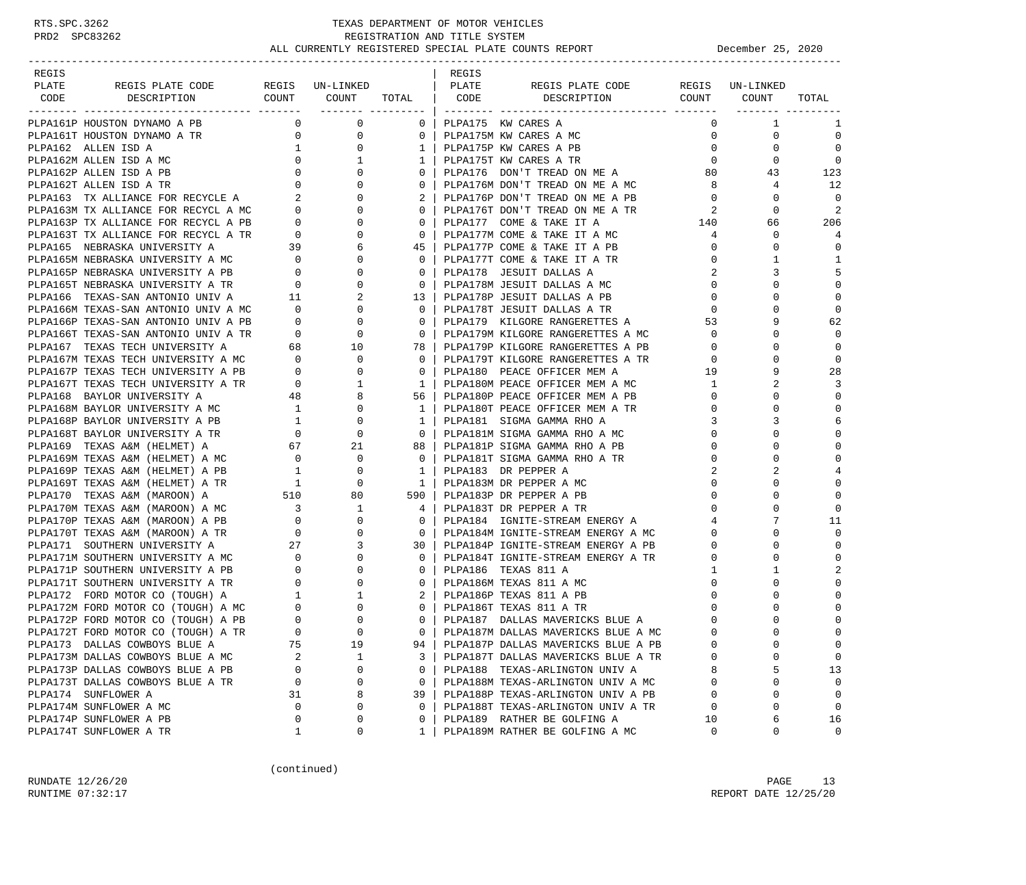-----------------------------------------------------------------------------------------------------------------------------------

| REGIS |                                                                                                                                                                                                                                                                                                                                                                                                                                            |  | REGIS |                                                                                                                         |                                              |                                                                      |                          |
|-------|--------------------------------------------------------------------------------------------------------------------------------------------------------------------------------------------------------------------------------------------------------------------------------------------------------------------------------------------------------------------------------------------------------------------------------------------|--|-------|-------------------------------------------------------------------------------------------------------------------------|----------------------------------------------|----------------------------------------------------------------------|--------------------------|
| PLATE |                                                                                                                                                                                                                                                                                                                                                                                                                                            |  |       |                                                                                                                         |                                              |                                                                      |                          |
|       |                                                                                                                                                                                                                                                                                                                                                                                                                                            |  |       |                                                                                                                         |                                              |                                                                      | TOTAL                    |
|       |                                                                                                                                                                                                                                                                                                                                                                                                                                            |  |       |                                                                                                                         |                                              |                                                                      |                          |
|       |                                                                                                                                                                                                                                                                                                                                                                                                                                            |  |       |                                                                                                                         |                                              | $\overline{0}$<br>$\sim$ 1                                           | 1                        |
|       |                                                                                                                                                                                                                                                                                                                                                                                                                                            |  |       | 0   PLPA175M KW CARES A MC                                                                                              | $\Omega$                                     | $\Omega$                                                             | $\Omega$                 |
|       |                                                                                                                                                                                                                                                                                                                                                                                                                                            |  |       | 1   PLPA175P KW CARES A PB                                                                                              |                                              | $\overline{0}$                                                       | $\Omega$                 |
|       |                                                                                                                                                                                                                                                                                                                                                                                                                                            |  |       | 1   PLPA175T KW CARES A TR                                                                                              | $\begin{array}{c} 0 \\ 0 \end{array}$        |                                                                      | $\bigcirc$               |
|       | $\begin{tabular}{l c c c c c} \multicolumn{3}{c}{\textbf{PLPA161T HOUTTON DYNAMO A TR}} & 0 & 0 \\ \multicolumn{3}{c}{\textbf{PLPA162}} & \multicolumn{3}{c}{\textbf{ALLEN ISD A}} & 1 & 0 \\ \multicolumn{3}{c}{\textbf{PLPA162P ALLEN ISD A M}\text{N}\text{C}} & 0 & 1 \\ \multicolumn{3}{c}{\textbf{PLPA162P ALLEN ISD A PR}} & 0 & 0 \\ \multicolumn{3}{c}{\textbf{PLPA163T ALLINK ISD A TR}} & 0 & 0 \\ \multicolumn{3}{c}{\textbf{$ |  |       | 1   PLPA175T KW CARES A TR<br>0   PLPA176 DON'T TREAD ON ME A                                                           |                                              | $\begin{matrix}0&&&0\\80&&&43\end{matrix}$                           | 123                      |
|       |                                                                                                                                                                                                                                                                                                                                                                                                                                            |  |       | $0$   PLPA176M DON'T TREAD ON ME A MC                                                                                   | $\overline{\mathbf{8}}$                      | $4\overline{4}$                                                      | 12                       |
|       |                                                                                                                                                                                                                                                                                                                                                                                                                                            |  |       | 2   PLPA176P DON'T TREAD ON ME A PB                                                                                     | $\overline{0}$                               | $\overline{0}$                                                       | $\overline{\phantom{0}}$ |
|       |                                                                                                                                                                                                                                                                                                                                                                                                                                            |  |       | 0   PLPA176T DON'T TREAD ON ME A TR                                                                                     | $\overline{2}$                               | $\mathbf 0$                                                          |                          |
|       |                                                                                                                                                                                                                                                                                                                                                                                                                                            |  |       | 0   PLPA177 COME & TAKE IT A                                                                                            | $\begin{array}{c}\n 2 \\  140\n \end{array}$ | 66                                                                   | 206                      |
|       |                                                                                                                                                                                                                                                                                                                                                                                                                                            |  |       | 0   PLPA177M COME & TAKE IT A MC                                                                                        | $4\overline{ }$                              | $\mathbf 0$                                                          | $\overline{4}$           |
|       |                                                                                                                                                                                                                                                                                                                                                                                                                                            |  |       | 45   PLPA177P COME & TAKE IT A PB                                                                                       |                                              | $\Omega$                                                             | $\Omega$                 |
|       |                                                                                                                                                                                                                                                                                                                                                                                                                                            |  |       | 0   PLPA177T COME & TAKE IT A TR                                                                                        |                                              | $\mathbf{1}$                                                         | 1                        |
|       |                                                                                                                                                                                                                                                                                                                                                                                                                                            |  |       | 0   PLPA178 JESUIT DALLAS A                                                                                             |                                              | 3                                                                    | 5                        |
|       |                                                                                                                                                                                                                                                                                                                                                                                                                                            |  |       | 0   PLPA178M JESUIT DALLAS A MC                                                                                         |                                              | $\begin{bmatrix} 0 \\ 2 \\ 2 \\ 0 \\ 0 \end{bmatrix}$<br>$\mathbf 0$ | $\mathbf 0$              |
|       |                                                                                                                                                                                                                                                                                                                                                                                                                                            |  |       | 13   PLPA178P JESUIT DALLAS A PB                                                                                        |                                              | $\Omega$                                                             | $\Omega$                 |
|       |                                                                                                                                                                                                                                                                                                                                                                                                                                            |  |       | 0   PLPA178T JESUIT DALLAS A TR                                                                                         | $\overline{0}$                               | $\Omega$                                                             | $\mathbf 0$              |
|       |                                                                                                                                                                                                                                                                                                                                                                                                                                            |  |       | 0   PLPA179 KILGORE RANGERETTES A                                                                                       | 53                                           | 9                                                                    | 62                       |
|       |                                                                                                                                                                                                                                                                                                                                                                                                                                            |  |       | 0   PLPA179M KILGORE RANGERETTES A MC                                                                                   |                                              | $\Omega$                                                             | $\Omega$                 |
|       |                                                                                                                                                                                                                                                                                                                                                                                                                                            |  |       |                                                                                                                         | $\overline{0}$                               |                                                                      |                          |
|       |                                                                                                                                                                                                                                                                                                                                                                                                                                            |  |       | 78   PLPA179P KILGORE RANGERETTES A PB                                                                                  | $\overline{0}$                               | $\Omega$                                                             | $\Omega$                 |
|       |                                                                                                                                                                                                                                                                                                                                                                                                                                            |  |       | 0   PLPA179T KILGORE RANGERETTES A TR                                                                                   | $\Omega$                                     | $\Omega$                                                             | $\Omega$                 |
|       |                                                                                                                                                                                                                                                                                                                                                                                                                                            |  |       |                                                                                                                         |                                              | 9                                                                    | 28                       |
|       |                                                                                                                                                                                                                                                                                                                                                                                                                                            |  |       |                                                                                                                         |                                              | $\overline{2}$                                                       | 3                        |
|       |                                                                                                                                                                                                                                                                                                                                                                                                                                            |  |       | 56   PLPA180P PEACE OFFICER MEM A PB                                                                                    |                                              | $\mathbf 0$                                                          | $\mathbf 0$              |
|       |                                                                                                                                                                                                                                                                                                                                                                                                                                            |  |       | 1   PLPA180T PEACE OFFICER MEM A TR                                                                                     | $\mathbf{0}$                                 | $\Omega$                                                             | $\Omega$                 |
|       |                                                                                                                                                                                                                                                                                                                                                                                                                                            |  |       | 1   PLPA181 SIGMA GAMMA RHO A                                                                                           | 3                                            | 3                                                                    | 6                        |
|       |                                                                                                                                                                                                                                                                                                                                                                                                                                            |  |       | 0   PLPA181M SIGMA GAMMA RHO A MC                                                                                       | $\mathbf 0$                                  | $\Omega$                                                             | $\Omega$                 |
|       |                                                                                                                                                                                                                                                                                                                                                                                                                                            |  |       | 88   PLPA181P SIGMA GAMMA RHO A PB                                                                                      | $\Omega$                                     | $\Omega$                                                             | $\Omega$                 |
|       |                                                                                                                                                                                                                                                                                                                                                                                                                                            |  |       | 0   PLPA181T SIGMA GAMMA RHO A TR                                                                                       | $\mathbf 0$                                  | $\mathbf 0$                                                          | $\mathbf 0$              |
|       |                                                                                                                                                                                                                                                                                                                                                                                                                                            |  |       | 1   PLPA183 DR PEPPER A                                                                                                 |                                              |                                                                      |                          |
|       |                                                                                                                                                                                                                                                                                                                                                                                                                                            |  |       | 1   PLPA183M DR PEPPER A MC                                                                                             |                                              |                                                                      | $\mathbf 0$              |
|       |                                                                                                                                                                                                                                                                                                                                                                                                                                            |  |       | 590   PLPA183P DR PEPPER A PB                                                                                           |                                              |                                                                      | $\Omega$                 |
|       |                                                                                                                                                                                                                                                                                                                                                                                                                                            |  |       | 4   PLPA183T DR PEPPER A TR                                                                                             |                                              |                                                                      |                          |
|       |                                                                                                                                                                                                                                                                                                                                                                                                                                            |  |       | 0   PLPA184 IGNITE-STREAM ENERGY A                                                                                      |                                              |                                                                      | 11                       |
|       |                                                                                                                                                                                                                                                                                                                                                                                                                                            |  |       | 0   PLPA184M IGNITE-STREAM ENERGY A MC                                                                                  | $\Omega$                                     |                                                                      | $\Omega$                 |
|       |                                                                                                                                                                                                                                                                                                                                                                                                                                            |  |       | 30   PLPA184P IGNITE-STREAM ENERGY A PB                                                                                 | $\mathbf 0$                                  | $\mathbf 0$                                                          | $\mathbf 0$              |
|       |                                                                                                                                                                                                                                                                                                                                                                                                                                            |  |       | 0   PLPA184T IGNITE-STREAM ENERGY A TR<br>0   DLDA186 TEXAS 811 A                                                       | $\mathbf 0$                                  | $\Omega$                                                             | $\Omega$                 |
|       |                                                                                                                                                                                                                                                                                                                                                                                                                                            |  |       | 0   PLPA186 TEXAS 811 A                                                                                                 | $\mathbf{1}$                                 | 1                                                                    | $\overline{2}$           |
|       |                                                                                                                                                                                                                                                                                                                                                                                                                                            |  |       | 0   PLPA186M TEXAS 811 A MC                                                                                             | $\mathbf 0$                                  | $\Omega$                                                             | $\Omega$                 |
|       |                                                                                                                                                                                                                                                                                                                                                                                                                                            |  |       | 2   PLPA186P TEXAS 811 A PB                                                                                             | $\mathbf{0}$                                 | $\mathbf 0$                                                          | $\Omega$                 |
|       |                                                                                                                                                                                                                                                                                                                                                                                                                                            |  |       | 0   PLPA186T TEXAS 811 A TR                                                                                             | $\mathsf{O}$                                 | $\Omega$                                                             | $\Omega$                 |
|       |                                                                                                                                                                                                                                                                                                                                                                                                                                            |  |       | 0   PLPA187 DALLAS MAVERICKS BLUE A                                                                                     | $\circ$                                      | $\Omega$                                                             | $\Omega$                 |
|       |                                                                                                                                                                                                                                                                                                                                                                                                                                            |  |       |                                                                                                                         | $\overline{0}$                               | $\Omega$                                                             | $\Omega$                 |
|       |                                                                                                                                                                                                                                                                                                                                                                                                                                            |  |       | 0   PLPA187M DALLAS MAVERICKS BLUE A MC<br>94   PLPA187P DALLAS MAVERICKS BLUE A PB                                     | $\mathbf{0}$                                 | $\Omega$                                                             |                          |
|       |                                                                                                                                                                                                                                                                                                                                                                                                                                            |  |       |                                                                                                                         | $\mathsf{O}$                                 | $\mathbf 0$                                                          | $\Omega$                 |
|       |                                                                                                                                                                                                                                                                                                                                                                                                                                            |  |       | 3   PLPA187T DALLAS MAVERICKS BLUE A TR<br>0   PLPA188 TEXAS-ARLINGTON UNIV A<br>0   PLPA188M TEXAS-ARLINGTON UNIV A MC | 8                                            | 5                                                                    | 13                       |
|       |                                                                                                                                                                                                                                                                                                                                                                                                                                            |  |       |                                                                                                                         | $\overline{0}$                               | 0                                                                    | $\mathbf 0$              |
|       |                                                                                                                                                                                                                                                                                                                                                                                                                                            |  |       | 39   PLPA188P TEXAS-ARLINGTON UNIV A PB                                                                                 | $\Omega$                                     | $\Omega$                                                             |                          |
|       |                                                                                                                                                                                                                                                                                                                                                                                                                                            |  |       | 0   PLPA188T TEXAS-ARLINGTON UNIV A TR                                                                                  | $\overline{0}$                               | $\Omega$                                                             | $\Omega$                 |
|       |                                                                                                                                                                                                                                                                                                                                                                                                                                            |  |       | 0   PLPA189 RATHER BE GOLFING A                                                                                         | $\begin{array}{c} 0 \\ 10 \end{array}$       | 6                                                                    | 16                       |
|       |                                                                                                                                                                                                                                                                                                                                                                                                                                            |  |       | 1   PLPA189M RATHER BE GOLFING A MC                                                                                     |                                              | $\Omega$                                                             | $\Omega$                 |
|       |                                                                                                                                                                                                                                                                                                                                                                                                                                            |  |       |                                                                                                                         |                                              |                                                                      |                          |

(continued)

RUNDATE 12/26/20 PAGE 13 RUNTIME 07:32:17 REPORT DATE 12/25/20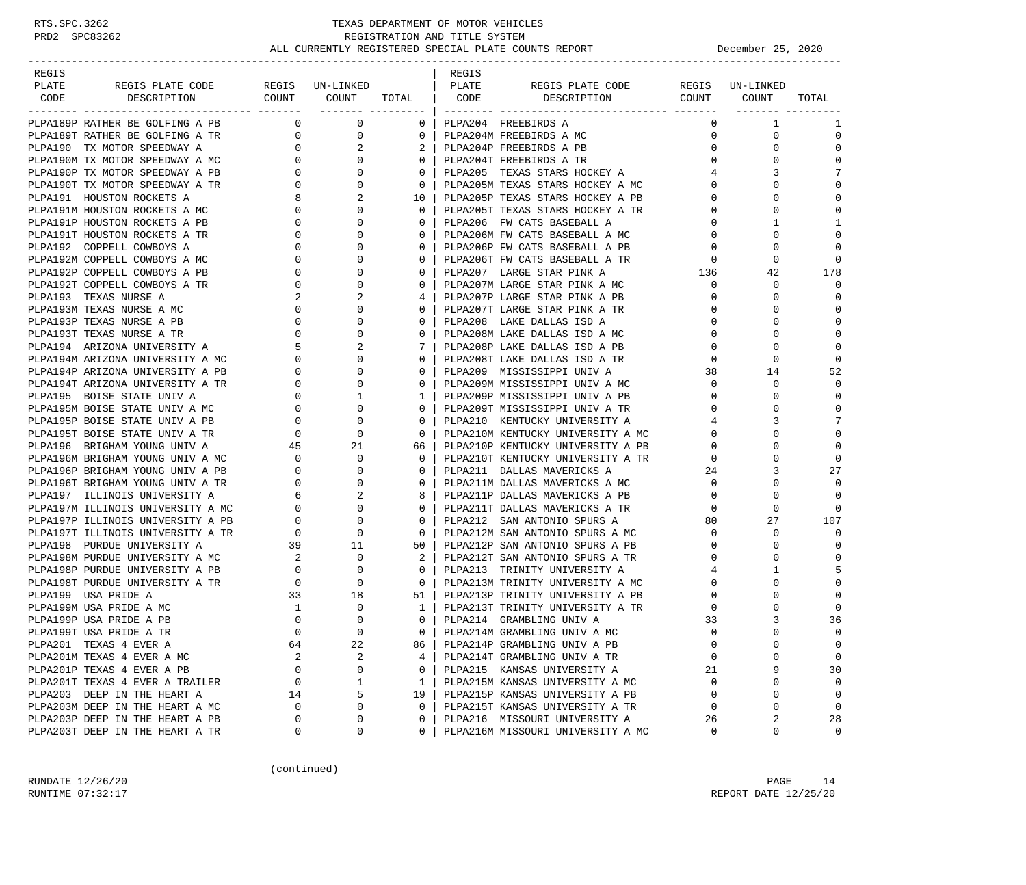| REGIS |                                                                                                |                                                                    |                                                                                                                                                                                                                                                                                                                                                       |                   | REGIS |                                                                    |                                     |              |             |
|-------|------------------------------------------------------------------------------------------------|--------------------------------------------------------------------|-------------------------------------------------------------------------------------------------------------------------------------------------------------------------------------------------------------------------------------------------------------------------------------------------------------------------------------------------------|-------------------|-------|--------------------------------------------------------------------|-------------------------------------|--------------|-------------|
| PLATE | REGIS PLATE CODE                                                                               |                                                                    | REGIS UN-LINKED                                                                                                                                                                                                                                                                                                                                       |                   | PLATE | REGIS PLATE CODE REGIS UN-LINKED                                   |                                     |              |             |
| CODE  | DESCRIPTION COUNT COUNT TOTAL CODE                                                             |                                                                    | ________ _________                                                                                                                                                                                                                                                                                                                                    |                   |       | DESCRIPTION COUNT COUNT                                            |                                     |              | TOTAL       |
|       | PLPA189P RATHER BE GOLFING A PB                                                                | $\overline{0}$                                                     | $\overline{0}$                                                                                                                                                                                                                                                                                                                                        | 0 <sup>1</sup>    |       | PLPA204 FREEBIRDS A                                                |                                     | 1            | 1           |
|       | PLPA189T RATHER BE GOLFING A TR                                                                | $\overline{0}$                                                     | $\mathbf 0$                                                                                                                                                                                                                                                                                                                                           | $0-1$             |       | PLPA204M FREEBIRDS A MC                                            | $\mathbf{0}$                        | $\mathbf 0$  | $\mathbf 0$ |
|       | 0 11 1010 A SPEEDWAY A C<br>PLPA190M TX MOTOR SPEEDWAY A MC<br>PLPA190P TX MOTOR SPEEDWAY A DP |                                                                    | 2                                                                                                                                                                                                                                                                                                                                                     |                   |       | 2   PLPA204P FREEBIRDS A PB                                        | $\mathbf{0}$                        | $\Omega$     | $\mathbf 0$ |
|       |                                                                                                |                                                                    | $\Omega$                                                                                                                                                                                                                                                                                                                                              | $0-1$             |       | PLPA204T FREEBIRDS A TR                                            | $\Omega$                            | $\Omega$     | $\mathbf 0$ |
|       |                                                                                                |                                                                    | $\mathbf 0$                                                                                                                                                                                                                                                                                                                                           | $\mathbf{0}$      |       | PLPA205 TEXAS STARS HOCKEY A                                       | $4\overline{ }$                     | 3            | 7           |
|       | PLPA190T TX MOTOR SPEEDWAY A TR                                                                |                                                                    | $\mathbf 0$                                                                                                                                                                                                                                                                                                                                           | 0 <sup>1</sup>    |       | PLPA205M TEXAS STARS HOCKEY A MC                                   | $\circ$                             | $\Omega$     | $\mathbf 0$ |
|       | PLPA191 HOUSTON ROCKETS A                                                                      |                                                                    | 2                                                                                                                                                                                                                                                                                                                                                     | $10-1$            |       | PLPA205P TEXAS STARS HOCKEY A PB                                   | $\mathbf{0}$                        | $\Omega$     | $\mathbf 0$ |
|       | PLPA191M HOUSTON ROCKETS A MC                                                                  |                                                                    | $\mathbf{0}$                                                                                                                                                                                                                                                                                                                                          | 0 <sup>1</sup>    |       | PLPA205T TEXAS STARS HOCKEY A TR                                   | $\mathbf{0}$                        | $\Omega$     | $\mathbf 0$ |
|       | PLPA191P HOUSTON ROCKETS A PB                                                                  | $\begin{array}{c}\n 8 \\  0 \\  0\n \end{array}$<br>$\overline{0}$ | $\Omega$                                                                                                                                                                                                                                                                                                                                              |                   |       | PLPA206 FW CATS BASEBALL A                                         | $\Omega$                            | $\mathbf{1}$ | 1           |
|       | PLPA191T HOUSTON ROCKETS A TR                                                                  |                                                                    | $\mathbf 0$                                                                                                                                                                                                                                                                                                                                           | $\mathbf{0}$      |       | PLPA206M FW CATS BASEBALL A MC                                     | $\mathbf{0}$                        | $\mathbf 0$  | $\mathbf 0$ |
|       | PLPA192 COPPELL COWBOYS A                                                                      | $\overline{0}$<br>$\mathbf{0}$                                     | $\Omega$                                                                                                                                                                                                                                                                                                                                              | $\Omega$          |       | PLPA206P FW CATS BASEBALL A PB                                     | $\mathbf 0$                         | $\Omega$     | $\mathbf 0$ |
|       | PLPA192M COPPELL COWBOYS A MC                                                                  |                                                                    | $\mathbf 0$                                                                                                                                                                                                                                                                                                                                           | $\Omega$          |       | PLPA206T FW CATS BASEBALL A TR                                     |                                     | $\mathbf 0$  | $\mathbf 0$ |
|       | PLPA192P COPPELL COWBOYS A PB                                                                  |                                                                    | $\mathbf{0}$                                                                                                                                                                                                                                                                                                                                          | $\Omega$          |       | PLPA207 LARGE STAR PINK A                                          | $\begin{array}{c}0\\136\end{array}$ | 42           | 178         |
|       | PLPA192T COPPELL COWBOYS A TR                                                                  | $\overline{0}$                                                     | $\begin{bmatrix} 0 \\ 0 \\ 0 \end{bmatrix}$<br>$\Omega$                                                                                                                                                                                                                                                                                               |                   |       | PLPA207M LARGE STAR PINK A MC                                      | $\mathbf{0}$                        | 0            | $\Omega$    |
|       | PLPA193 TEXAS NURSE A                                                                          | 2                                                                  | 2                                                                                                                                                                                                                                                                                                                                                     | 4                 |       | PLPA207P LARGE STAR PINK A PB                                      | 0                                   | 0            | 0           |
|       | PLPA193M TEXAS NURSE A MC                                                                      | $\mathbf{0}$                                                       | $\Omega$                                                                                                                                                                                                                                                                                                                                              | $\Omega$          |       | PLPA207T LARGE STAR PINK A TR                                      | $\mathbf 0$                         | $\Omega$     | $\mathbf 0$ |
|       | PLPA193P TEXAS NURSE A PB                                                                      |                                                                    | $\begin{bmatrix} 0 \\ 0 \\ 5 \\ 0 \\ 0 \\ 0 \end{bmatrix}$<br>$\mathbf 0$                                                                                                                                                                                                                                                                             | $\mathbf{0}$      |       | PLPA208 LAKE DALLAS ISD A                                          | $\Omega$                            | $\Omega$     | $\mathbf 0$ |
|       | PLPA193T TEXAS NURSE A TR                                                                      |                                                                    | $\mathbf 0$                                                                                                                                                                                                                                                                                                                                           | $\Omega$          |       | PLPA208M LAKE DALLAS ISD A MC                                      | $\mathbf{0}$                        | $\Omega$     | $\mathbf 0$ |
|       | PLPA194 ARIZONA UNIVERSITY A                                                                   |                                                                    | 2                                                                                                                                                                                                                                                                                                                                                     |                   |       | PLPA208P LAKE DALLAS ISD A PB                                      | $\mathbf 0$                         | $\Omega$     | $\mathbf 0$ |
|       | PLPA194M ARIZONA UNIVERSITY A MC                                                               |                                                                    | $\mathbf 0$                                                                                                                                                                                                                                                                                                                                           | $\mathbf{0}$      |       | PLPA208T LAKE DALLAS ISD A TR                                      | $\mathbf{0}$                        | $\mathbf 0$  | 0           |
|       | PLPA194P ARIZONA UNIVERSITY A PB                                                               |                                                                    | $\Omega$                                                                                                                                                                                                                                                                                                                                              | $\Omega$          |       | PLPA209 MISSISSIPPI UNIV A                                         | 38                                  | 14           | 52          |
|       | PLPA194T ARIZONA UNIVERSITY A TR                                                               |                                                                    | $\mathbf 0$                                                                                                                                                                                                                                                                                                                                           | $\Omega$          |       | PLPA209M MISSISSIPPI UNIV A MC                                     | $\mathbf{0}$                        | 0            | $\mathbf 0$ |
|       | PLPA195 BOISE STATE UNIV A                                                                     |                                                                    | $\mathbf{1}$                                                                                                                                                                                                                                                                                                                                          | $1 \mid$          |       | PLPA209P MISSISSIPPI UNIV A PB                                     | $\mathbf 0$                         | $\Omega$     | $\Omega$    |
|       | PLPA195M BOISE STATE UNIV A MC                                                                 |                                                                    | $\begin{matrix} 0 & 0 & 0 \\ 0 & 0 & 0 \\ 0 & 0 & 0 \\ 0 & 0 & 0 \\ 0 & 0 & 0 \\ 0 & 0 & 0 \\ 0 & 0 & 0 \\ 0 & 0 & 0 \\ 0 & 0 & 0 \\ 0 & 0 & 0 \\ 0 & 0 & 0 \\ 0 & 0 & 0 \\ 0 & 0 & 0 \\ 0 & 0 & 0 \\ 0 & 0 & 0 \\ 0 & 0 & 0 \\ 0 & 0 & 0 \\ 0 & 0 & 0 \\ 0 & 0 & 0 \\ 0 & 0 & 0 \\ 0 & 0 & 0 \\ 0 & 0 & 0 \\ 0 & 0 & 0 \\ 0 & 0 & 0$<br>$\mathbf{0}$ |                   |       | PLPA209T MISSISSIPPI UNIV A TR                                     | $\Omega$                            | $\Omega$     | $\Omega$    |
|       | PLPA195P BOISE STATE UNIV A PB                                                                 |                                                                    | 0                                                                                                                                                                                                                                                                                                                                                     | $\mathbf{0}$      |       | PLPA210 KENTUCKY UNIVERSITY A                                      | $4\overline{ }$                     | 3            | 7           |
|       | PLPA195T BOISE STATE UNIV A TR                                                                 |                                                                    | $\mathbf 0$                                                                                                                                                                                                                                                                                                                                           | $\mathbf{0}$      |       | PLPA210M KENTUCKY UNIVERSITY A MC                                  | $\Omega$                            | $\Omega$     | $\mathbf 0$ |
|       | PLPA196 BRIGHAM YOUNG UNIV A                                                                   | 45                                                                 | 21                                                                                                                                                                                                                                                                                                                                                    | 66                |       | PLPA210P KENTUCKY UNIVERSITY A PB                                  | $\mathbf{0}$                        | $\Omega$     | $\mathbf 0$ |
|       | PLPA196M BRIGHAM YOUNG UNIV A MC                                                               |                                                                    | $\mathbf 0$                                                                                                                                                                                                                                                                                                                                           | $\mathbf{0}$      |       |                                                                    | $\mathbf{0}$                        | $\Omega$     | $\Omega$    |
|       | PLPA196P BRIGHAM YOUNG UNIV A PB                                                               | $\begin{array}{c} 0 \\ 0 \end{array}$                              | $\mathbf 0$                                                                                                                                                                                                                                                                                                                                           | $\Omega$          |       | PLPA210T KENTUCKY UNIVERSITY A TR<br>plPa211 pallas mavericks a    | 24                                  | 3            | 27          |
|       | PLPA196T BRIGHAM YOUNG UNIV A TR                                                               |                                                                    | $\mathbf{0}$                                                                                                                                                                                                                                                                                                                                          | $\mathbf{0}$      |       | PLPA211M DALLAS MAVERICKS A MC                                     | $\overline{\mathbf{0}}$             | $\Omega$     | $\Omega$    |
|       | PLPA197 ILLINOIS UNIVERSITY A                                                                  | $\begin{array}{c} 0 \\ 6 \\ 0 \end{array}$                         | 2                                                                                                                                                                                                                                                                                                                                                     |                   |       | PLPA211P DALLAS MAVERICKS A PB                                     | $\overline{0}$                      | $\Omega$     | $\mathbf 0$ |
|       | PLPA197M ILLINOIS UNIVERSITY A MC                                                              |                                                                    | $\mathbf 0$                                                                                                                                                                                                                                                                                                                                           | $\Omega$          |       | PLPA211T DALLAS MAVERICKS A TR                                     | $\mathbf{0}$                        | $\mathbf 0$  | $\Omega$    |
|       | PLPA197P ILLINOIS UNIVERSITY A PB                                                              | $\mathbf{0}$                                                       | $\mathbf 0$                                                                                                                                                                                                                                                                                                                                           | $\mathbf{0}$      |       | PLPA212 SAN ANTONIO SPURS A                                        | 80                                  | 27           | 107         |
|       | PLPA197T ILLINOIS UNIVERSITY A TR                                                              | $\overline{0}$                                                     | $\mathbf 0$                                                                                                                                                                                                                                                                                                                                           | $\mathbf{0}$      |       | PLPA212M SAN ANTONIO SPURS A MC                                    | $\mathbf{0}$                        | 0            | $\Omega$    |
|       | PLPA198 PURDUE UNIVERSITY A                                                                    |                                                                    |                                                                                                                                                                                                                                                                                                                                                       | 50 l              |       | PLPA212P SAN ANTONIO SPURS A PB                                    | $\mathbf{0}$                        | 0            | 0           |
|       | PLPA198M PURDUE UNIVERSITY A MC                                                                | 2                                                                  | 39 11<br>$\mathbf 0$                                                                                                                                                                                                                                                                                                                                  | $2 \mid$          |       | PLPA212T SAN ANTONIO SPURS A TR                                    | 0                                   | $\Omega$     | $\mathbf 0$ |
|       | PLPA198P PURDUE UNIVERSITY A PB                                                                | $\overline{0}$                                                     | $\mathbf 0$                                                                                                                                                                                                                                                                                                                                           | $\mathbf{0}$      |       | PLPA213 TRINITY UNIVERSITY A                                       | $\overline{4}$                      | 1            | 5           |
|       | PLPA198T PURDUE UNIVERSITY A TR                                                                | $\overline{0}$                                                     | $\mathbf 0$                                                                                                                                                                                                                                                                                                                                           |                   |       | 0   PLPA213M TRINITY UNIVERSITY A MC                               | $\mathbf{0}$                        | $\Omega$     | $\mathbf 0$ |
|       | PLPA199 USA PRIDE A                                                                            | 33                                                                 | 18                                                                                                                                                                                                                                                                                                                                                    | $51 \mid$         |       | PLPA213P TRINITY UNIVERSITY A PB                                   | 0                                   |              | $\mathbf 0$ |
|       | PLPA199M USA PRIDE A MC                                                                        | $\mathbf{1}$                                                       | $\mathbf 0$                                                                                                                                                                                                                                                                                                                                           |                   |       | 1 PLPA213T TRINITY UNIVERSITY A TR                                 | 0                                   | $\Omega$     | 0           |
|       | PLPA199P USA PRIDE A PB                                                                        | $\mathbf{0}$                                                       | $\Omega$                                                                                                                                                                                                                                                                                                                                              | $\Omega$          |       | PLPA214 GRAMBLING UNIV A                                           | 33                                  | 3            | 36          |
|       |                                                                                                | $\Omega$                                                           | $\Omega$                                                                                                                                                                                                                                                                                                                                              | $0-1$             |       | PLPA214M GRAMBLING UNIV A MC                                       | $\Omega$                            | $\cap$       | $\Omega$    |
|       | PLPA199T USA PRIDE A TR<br>PLPA201 TEXAS 4 EVER A                                              | 64                                                                 | 22                                                                                                                                                                                                                                                                                                                                                    | 86                |       | PLPA214P GRAMBLING UNIV A PB                                       | $\mathbf 0$                         | 0            | $\mathbf 0$ |
|       | PLPA201M TEXAS 4 EVER A MC                                                                     |                                                                    | 2                                                                                                                                                                                                                                                                                                                                                     |                   |       |                                                                    | $\Omega$                            | U            | $\mathbf 0$ |
|       | PLPA201P TEXAS 4 EVER A PB                                                                     | 2<br>0                                                             | 0                                                                                                                                                                                                                                                                                                                                                     | 4<br>$\mathbf{0}$ |       | PLPA214T GRAMBLING UNIV A TR<br>PLPA215 KANSAS UNIVERSITY A        | 21                                  | 9            | 30          |
|       | PLPA201T TEXAS 4 EVER A TRAILER                                                                | $\mathbf 0$                                                        | 1                                                                                                                                                                                                                                                                                                                                                     | $\mathbf{1}$      |       | PLPA215M KANSAS UNIVERSITY A MC                                    | $\Omega$                            | $\mathbf 0$  | $\mathbf 0$ |
|       | PLPA203 DEEP IN THE HEART A                                                                    | 14                                                                 | 5                                                                                                                                                                                                                                                                                                                                                     | 19                |       | PLPA215P KANSAS UNIVERSITY A PB                                    | $\Omega$                            | 0            | 0           |
|       | PLPA203M DEEP IN THE HEART A MC                                                                | 0                                                                  | 0                                                                                                                                                                                                                                                                                                                                                     | $\mathbf 0$       |       | PLPA215T KANSAS UNIVERSITY A TR                                    | $\mathbf 0$                         | 0            | $\mathbf 0$ |
|       |                                                                                                | 0                                                                  | 0                                                                                                                                                                                                                                                                                                                                                     | $\Omega$          |       |                                                                    |                                     | 2            |             |
|       | PLPA203P DEEP IN THE HEART A PB<br>PLPA203T DEEP IN THE HEART A TR                             | 0                                                                  | 0                                                                                                                                                                                                                                                                                                                                                     | 0                 |       | PLPA216 MISSOURI UNIVERSITY A<br>PLPA216M MISSOURI UNIVERSITY A MC | 26<br>0                             | 0            | 28<br>0     |
|       |                                                                                                |                                                                    |                                                                                                                                                                                                                                                                                                                                                       |                   |       |                                                                    |                                     |              |             |

(continued)

RUNDATE 12/26/20 PAGE 14 RUNTIME 07:32:17 REPORT DATE 12/25/20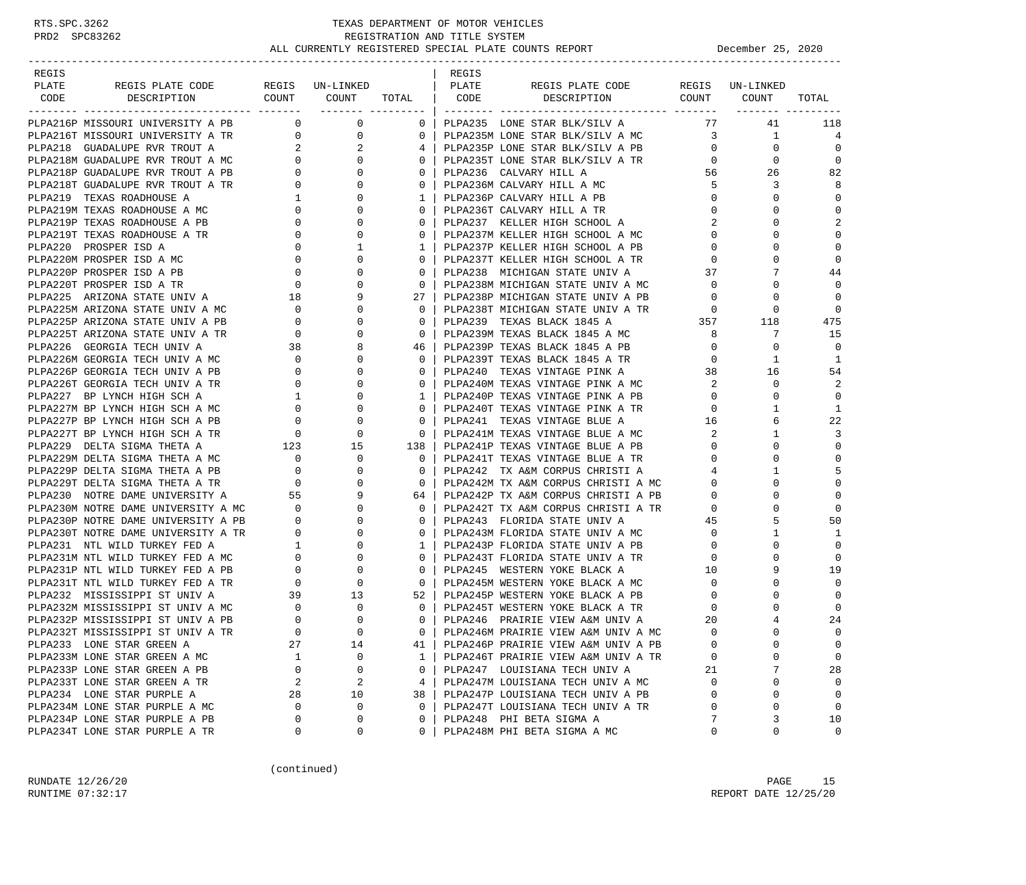| REGIS |                                                                                                                                                                                                                                           |                                                            |                                                         |                | REGIS |                                                                                                                                                                                                                                                                                                                                                                                                                              |                   |              |                |
|-------|-------------------------------------------------------------------------------------------------------------------------------------------------------------------------------------------------------------------------------------------|------------------------------------------------------------|---------------------------------------------------------|----------------|-------|------------------------------------------------------------------------------------------------------------------------------------------------------------------------------------------------------------------------------------------------------------------------------------------------------------------------------------------------------------------------------------------------------------------------------|-------------------|--------------|----------------|
| PLATE | REGIS PLATE CODE                                                                                                                                                                                                                          |                                                            | REGIS UN-LINKED                                         |                | PLATE |                                                                                                                                                                                                                                                                                                                                                                                                                              |                   |              |                |
| CODE  | DESCRIPTION                                                                                                                                                                                                                               |                                                            | COUNT COUNT TOTAL   CODE<br>________ __________         |                |       |                                                                                                                                                                                                                                                                                                                                                                                                                              |                   |              | TOTAL          |
|       | PLPA216P MISSOURI UNIVERSITY A PB                                                                                                                                                                                                         |                                                            | $\begin{array}{ccc} & & 0 & \quad & 0 \end{array}$      | $0-1$          |       | PLPA235 LONE STAR BLK/SILV A                                                                                                                                                                                                                                                                                                                                                                                                 | 77                | 41           | 118            |
|       | PLPA216T MISSOURI UNIVERSITY A TR 0                                                                                                                                                                                                       |                                                            | $\mathbf 0$                                             | $\mathbf{0}$   |       | PLPA235M LONE STAR BLK/SILV A MC 3                                                                                                                                                                                                                                                                                                                                                                                           |                   | $\mathbf{1}$ | $\overline{4}$ |
|       |                                                                                                                                                                                                                                           |                                                            | 2                                                       | 4              |       | PLPA235P LONE STAR BLK/SILV A PB                                                                                                                                                                                                                                                                                                                                                                                             | $\overline{0}$    | $\mathbf 0$  | $\Omega$       |
|       | PLPA218 GUADALUPE RVR TROUT A<br>PLPA218M GUADALUPE RVR TROUT A MC<br>PLPA218P GUADALUPE RVR TROUT A PB<br>PLPA218T GUADALUPE RVR TROUT A TR<br>PLPA219 TEXAS ROADHOUSE A MC<br>PLPA219M TEXAS ROADHOUSE A MC<br>PLPA219M TEXAS ROADHOUSE |                                                            | $\Omega$                                                | $\mathbf{0}$   |       | PLPA235P LONE STAR BLK/SILV A PB<br>PLPA235T LONE STAR BLK/SILV A TR                                                                                                                                                                                                                                                                                                                                                         |                   | $\Omega$     | $\Omega$       |
|       |                                                                                                                                                                                                                                           |                                                            | 0                                                       | $\mathbf{0}$   |       | PLPA236 CALVARY HILL A                                                                                                                                                                                                                                                                                                                                                                                                       |                   | 56 10<br>26  | 82             |
|       |                                                                                                                                                                                                                                           |                                                            | $\Omega$                                                | $\mathbf{0}$   |       | PLPA236M CALVARY HILL A MC                                                                                                                                                                                                                                                                                                                                                                                                   | 5                 | 3            | 8              |
|       |                                                                                                                                                                                                                                           |                                                            | 0                                                       | 1              |       | PLPA236P CALVARY HILL A PB                                                                                                                                                                                                                                                                                                                                                                                                   | $\mathbf{0}$      | $\Omega$     | $\mathbf 0$    |
|       |                                                                                                                                                                                                                                           |                                                            | $\begin{bmatrix} 1 \\ 0 \\ 0 \end{bmatrix}$<br>$\Omega$ | $\mathbf{0}$   |       | PLPA236T CALVARY HILL A TR                                                                                                                                                                                                                                                                                                                                                                                                   | $\mathbf 0$       | 0            | $\Omega$       |
|       | PLPA219P TEXAS ROADHOUSE A PB                                                                                                                                                                                                             |                                                            | $\Omega$                                                | $\Omega$       |       | PLPA237 KELLER HIGH SCHOOL A                                                                                                                                                                                                                                                                                                                                                                                                 | 2                 | 0            | $\overline{2}$ |
|       | PLPA219T TEXAS ROADHOUSE A TR                                                                                                                                                                                                             | $\begin{bmatrix} 0 \\ 0 \\ 0 \\ 0 \\ 0 \\ 0 \end{bmatrix}$ | 0                                                       | $\mathbf{0}$   |       |                                                                                                                                                                                                                                                                                                                                                                                                                              | $\mathbf{0}$      | 0            | $\mathbf 0$    |
|       | PLPA220 PROSPER ISD A                                                                                                                                                                                                                     |                                                            | 1                                                       | $\mathbf{1}$   |       | PLPA237M KELLER HIGH SCHOOL A MC<br>PLPA237P KELLER HIGH SCHOOL A PB                                                                                                                                                                                                                                                                                                                                                         | $\mathbf{0}$      | $\Omega$     | $\mathbf 0$    |
|       | PLPA220M PROSPER ISD A MC                                                                                                                                                                                                                 |                                                            | $\mathbf{0}$                                            | $\mathbf{0}$   |       | PLPA237T KELLER HIGH SCHOOL A TR                                                                                                                                                                                                                                                                                                                                                                                             | $\mathbf{0}$      | $\Omega$     | $\Omega$       |
|       | PLPA220P PROSPER ISD A PB                                                                                                                                                                                                                 |                                                            | $\mathbf{0}$                                            | $\mathbf{0}$   |       |                                                                                                                                                                                                                                                                                                                                                                                                                              |                   | 7            | 44             |
|       | PLPA220T PROSPER ISD A TR                                                                                                                                                                                                                 |                                                            | $\Omega$                                                | $\Omega$       |       | PLPA238 MICHIGAN STATE UNIV A 37<br>PLPA238M MICHIGAN STATE UNIV A MC 0                                                                                                                                                                                                                                                                                                                                                      |                   | $\Omega$     | $\Omega$       |
|       |                                                                                                                                                                                                                                           |                                                            |                                                         | 27             |       |                                                                                                                                                                                                                                                                                                                                                                                                                              | $\overline{0}$    | $\mathbf 0$  | $\Omega$       |
|       | PLPA225 ARIZONA STATE UNIV A 18<br>PLPA225M ARIZONA STATE UNIV A MC 0 0<br>PLPA225M ARIZONA STATE UNIV A MC                                                                                                                               | $\overline{0}$                                             | $\Omega$                                                | $\Omega$       |       | PLPA238P MICHIGAN STATE UNIV A PB<br>PLPA238T MICHIGAN STATE UNIV A TR                                                                                                                                                                                                                                                                                                                                                       | $\overline{0}$    | 0            | $\Omega$       |
|       | PLPA225P ARIZONA STATE UNIV A PB                                                                                                                                                                                                          |                                                            | 0                                                       | $\mathbf{0}$   |       | PLPA239 TEXAS BLACK 1845 A                                                                                                                                                                                                                                                                                                                                                                                                   |                   | 357 118      | 475            |
|       | PLPA225T ARIZONA STATE UNIV A TR                                                                                                                                                                                                          | $\begin{array}{c}0\\0\\38\end{array}$                      |                                                         | $\overline{0}$ |       |                                                                                                                                                                                                                                                                                                                                                                                                                              | 8 <sup>1</sup>    | 7            | 15             |
|       | PLPA226 GEORGIA TECH UNIV A                                                                                                                                                                                                               | $\begin{array}{c}0\\38\end{array}$                         |                                                         | 46             |       | PLPA239M TEXAS BLACK 1845 A MC<br>PLPA239P TEXAS BLACK 1845 A PB                                                                                                                                                                                                                                                                                                                                                             | $\overline{0}$    | $\Omega$     | $\Omega$       |
|       |                                                                                                                                                                                                                                           |                                                            | 0                                                       | $\Omega$       |       |                                                                                                                                                                                                                                                                                                                                                                                                                              | $\mathbf{0}$      | 1            | 1              |
|       |                                                                                                                                                                                                                                           |                                                            | $\Omega$                                                | $\mathbf{0}$   |       | PLPAZ39F IRAND DELACK 1845 A TR<br>PLPAZ39T TEXAS BLACK 1845 A TR<br>----- CITATRACE PINK A                                                                                                                                                                                                                                                                                                                                  | 38                | 16           | 54             |
|       |                                                                                                                                                                                                                                           |                                                            | 0                                                       | $\mathbf{0}$   |       | PLPA240M TEXAS VINTAGE PINK A MC                                                                                                                                                                                                                                                                                                                                                                                             | $\overline{2}$    | 0            | 2              |
|       |                                                                                                                                                                                                                                           |                                                            |                                                         | $\mathbf{1}$   |       | PLPA240P TEXAS VINTAGE PINK A PB                                                                                                                                                                                                                                                                                                                                                                                             | $\overline{0}$    | $\Omega$     | $\Omega$       |
|       |                                                                                                                                                                                                                                           |                                                            | $\Omega$                                                | $\Omega$       |       | PLPA240P TEXAS VINTAGE PINK A PB<br>PLPA240T TEXAS VINTAGE PINK A TR                                                                                                                                                                                                                                                                                                                                                         | $\overline{0}$    | -1           | 1              |
|       | PLPA227P BP LYNCH HIGH SCH A PB                                                                                                                                                                                                           |                                                            | 0                                                       | $\mathbf{0}$   |       |                                                                                                                                                                                                                                                                                                                                                                                                                              |                   | 6            | 22             |
|       | PLPA227T BP LYNCH HIGH SCH A TR                                                                                                                                                                                                           | $\begin{array}{c} 0 \\ 0 \end{array}$                      | $\Omega$                                                | $\mathbf 0$    |       | $\begin{tabular}{lllllllll} \texttt{\small \texttt{PLPA241}} & \texttt{\small \texttt{TEXAS} } & \texttt{\small \texttt{UNTAGE} } & \texttt{\small \texttt{BLEA}} & & \texttt{\small \texttt{16}} \\ \texttt{\small \texttt{PLPA241M} } & \texttt{\small \texttt{TEXAS} } & \texttt{\small \texttt{UNTAGE} } & \texttt{\small \texttt{BLEA} } & \texttt{\small \texttt{MC}} & & \texttt{\small \texttt{2}} \\ \end{tabular}$ |                   | $\mathbf{1}$ | 3              |
|       |                                                                                                                                                                                                                                           |                                                            | 15                                                      | 138            |       | PLPA241P TEXAS VINTAGE BLUE A PB                                                                                                                                                                                                                                                                                                                                                                                             | $\overline{0}$    | $\Omega$     | $\mathbf 0$    |
|       | PLPAZZ/T BE LYNCH HIGH SCH A IN THE CONDUCT OF THE TANK OF THE CONDUCT A MC CONDUCT OF THE STONG THETA A PB 0                                                                                                                             |                                                            | 0                                                       | $\overline{0}$ |       | PLPA241T TEXAS VINTAGE BLUE A TR                                                                                                                                                                                                                                                                                                                                                                                             | $\mathbf{0}$      | $\Omega$     | $\Omega$       |
|       |                                                                                                                                                                                                                                           |                                                            | $\Omega$                                                | $\Omega$       |       | PLPA242 TX A&M CORPUS CHRISTI A                                                                                                                                                                                                                                                                                                                                                                                              | 4                 | 1            | 5              |
|       | PLPA229T DELTA SIGMA THETA A TR                                                                                                                                                                                                           |                                                            | $\Omega$                                                | $\mathbf{0}$   |       |                                                                                                                                                                                                                                                                                                                                                                                                                              | $0 \qquad \qquad$ | $\Omega$     | $\mathbf 0$    |
|       | PLPA230 NOTRE DAME UNIVERSITY A                                                                                                                                                                                                           | $\begin{array}{c} 0 \\ 55 \end{array}$                     | 9                                                       | 64 I           |       | PLPA242M TX A&M CORPUS CHRISTI A MC<br>PLPA242P TX A&M CORPUS CHRISTI A PB                                                                                                                                                                                                                                                                                                                                                   | $\overline{0}$    | $\Omega$     | $\mathbf 0$    |
|       | PLPA230M NOTRE DAME UNIVERSITY A MC 0                                                                                                                                                                                                     |                                                            | $\Omega$                                                | $\overline{0}$ |       | PLPA242T TX A&M CORPUS CHRISTI A TR 0                                                                                                                                                                                                                                                                                                                                                                                        |                   | $\Omega$     | $\Omega$       |
|       |                                                                                                                                                                                                                                           |                                                            | 0                                                       | $\mathbf{0}$   |       |                                                                                                                                                                                                                                                                                                                                                                                                                              |                   | 5            | 50             |
|       | PLPA230P NOTRE DAME UNIVERSITY A PB 0<br>PLPA230T NOTRE DAME UNIVERSITY A TR 0                                                                                                                                                            |                                                            | $\Omega$                                                | $\Omega$       |       | PLPA243 FLORIDA STATE UNIV A $45$<br>PLPA243M FLORIDA STATE UNIV A MC $0$                                                                                                                                                                                                                                                                                                                                                    |                   | 1            | 1              |
|       | PLPA231 NTL WILD TURKEY FED A                                                                                                                                                                                                             |                                                            | 0                                                       | $\mathbf{1}$   |       | PLPA243P FLORIDA STATE UNIV A PB                                                                                                                                                                                                                                                                                                                                                                                             | $\mathbf{0}$      | $\mathbf 0$  | $\Omega$       |
|       | PLPA231M NTL WILD TURKEY FED A MC                                                                                                                                                                                                         |                                                            | $\Omega$                                                | $\mathbf{0}$   |       | PLPA243T FLORIDA STATE UNIV A TR                                                                                                                                                                                                                                                                                                                                                                                             | $\overline{0}$    |              | $\mathbf 0$    |
|       | PLPA231P NTL WILD TURKEY FED A PB                                                                                                                                                                                                         |                                                            | 0                                                       | $\mathbf{0}$   |       | PLPA245 WESTERN YOKE BLACK A                                                                                                                                                                                                                                                                                                                                                                                                 | 10                | 9            | 19             |
|       | PLPA231T NTL WILD TURKEY FED A TR                                                                                                                                                                                                         |                                                            | 0                                                       | $\overline{0}$ |       | PLPA245P WESTERN YOKE BLACK A PB<br>PLPA245T WESTERN YOKE BLACK A PB<br>PLPA245T WESTERN YOKE BLACK                                                                                                                                                                                                                                                                                                                          |                   | $\Omega$     | $\Omega$       |
|       | PLPA232 MISSISSIPPI ST UNIV A                                                                                                                                                                                                             | $\overline{39}$                                            | 13                                                      | 52             |       |                                                                                                                                                                                                                                                                                                                                                                                                                              |                   |              | $\Omega$       |
|       | PLPA232M MISSISSIPPI ST UNIV A MC                                                                                                                                                                                                         |                                                            | 0                                                       | $\mathbf{0}$   |       | PLPA245T WESTERN YOKE BLACK A TR<br>PLPA246 PRAIRIE VIEW A&M UNIV A                                                                                                                                                                                                                                                                                                                                                          |                   | $\Omega$     | $\Omega$       |
|       | PLPA232P MISSISSIPPI ST UNIV A PB                                                                                                                                                                                                         | $\begin{array}{c} 0 \\ 0 \end{array}$<br>$\mathbf 0$       | $\Omega$                                                | $\Omega$       |       | PLPA246 PRAIRIE VIEW A&M UNIV A                                                                                                                                                                                                                                                                                                                                                                                              | 20                |              | 24             |
|       | PLPA232T MISSISSIPPI ST UNIV A TR                                                                                                                                                                                                         | $\Omega$                                                   | $\Omega$                                                | $\Omega$       |       | PLPA246M PRAIRIE VIEW A&M UNIV A MC                                                                                                                                                                                                                                                                                                                                                                                          | $\Omega$          | $\Omega$     | $\Omega$       |
|       | PLPA233 LONE STAR GREEN A                                                                                                                                                                                                                 | 27                                                         | 14                                                      | 41             |       | PLPA246P PRAIRIE VIEW A&M UNIV A PB                                                                                                                                                                                                                                                                                                                                                                                          | $\Omega$          | $\Omega$     | 0              |
|       | PLPA233M LONE STAR GREEN A MC                                                                                                                                                                                                             | 1                                                          | 0                                                       | $\mathbf{1}$   |       | PLPA246T PRAIRIE VIEW A&M UNIV A TR                                                                                                                                                                                                                                                                                                                                                                                          | 0                 | U            | $\mathbf 0$    |
|       | PLPA233P LONE STAR GREEN A PB                                                                                                                                                                                                             | 0                                                          | 0                                                       | $\mathbf{0}$   |       | PLPA247 LOUISIANA TECH UNIV A                                                                                                                                                                                                                                                                                                                                                                                                | 21                | 7            | 28             |
|       | PLPA233T LONE STAR GREEN A TR                                                                                                                                                                                                             | 2                                                          | 2                                                       | 4              |       | PLPA247M LOUISIANA TECH UNIV A MC                                                                                                                                                                                                                                                                                                                                                                                            | $\mathbf 0$       | $\Omega$     | $\mathbf 0$    |
|       | PLPA234 LONE STAR PURPLE A                                                                                                                                                                                                                | 28                                                         | 10                                                      | 38             |       | PLPA247P LOUISIANA TECH UNIV A PB                                                                                                                                                                                                                                                                                                                                                                                            | $\Omega$          | 0            | 0              |
|       | PLPA234M LONE STAR PURPLE A MC                                                                                                                                                                                                            | 0                                                          | 0                                                       | 0              |       | PLPA247T LOUISIANA TECH UNIV A TR                                                                                                                                                                                                                                                                                                                                                                                            | $\Omega$          | $\Omega$     | $\mathbf 0$    |
|       | PLPA234P LONE STAR PURPLE A PB                                                                                                                                                                                                            | 0                                                          | 0                                                       | 0              |       | PLPA248 PHI BETA SIGMA A                                                                                                                                                                                                                                                                                                                                                                                                     | 7                 | 3            | 10             |
|       | PLPA234T LONE STAR PURPLE A TR                                                                                                                                                                                                            | 0                                                          | 0                                                       | 0              |       | PLPA248M PHI BETA SIGMA A MC                                                                                                                                                                                                                                                                                                                                                                                                 | 0                 | 0            | 0              |

(continued)

RUNDATE  $12/26/20$  PAGE 15 RUNTIME 07:32:17 REPORT DATE 12/25/20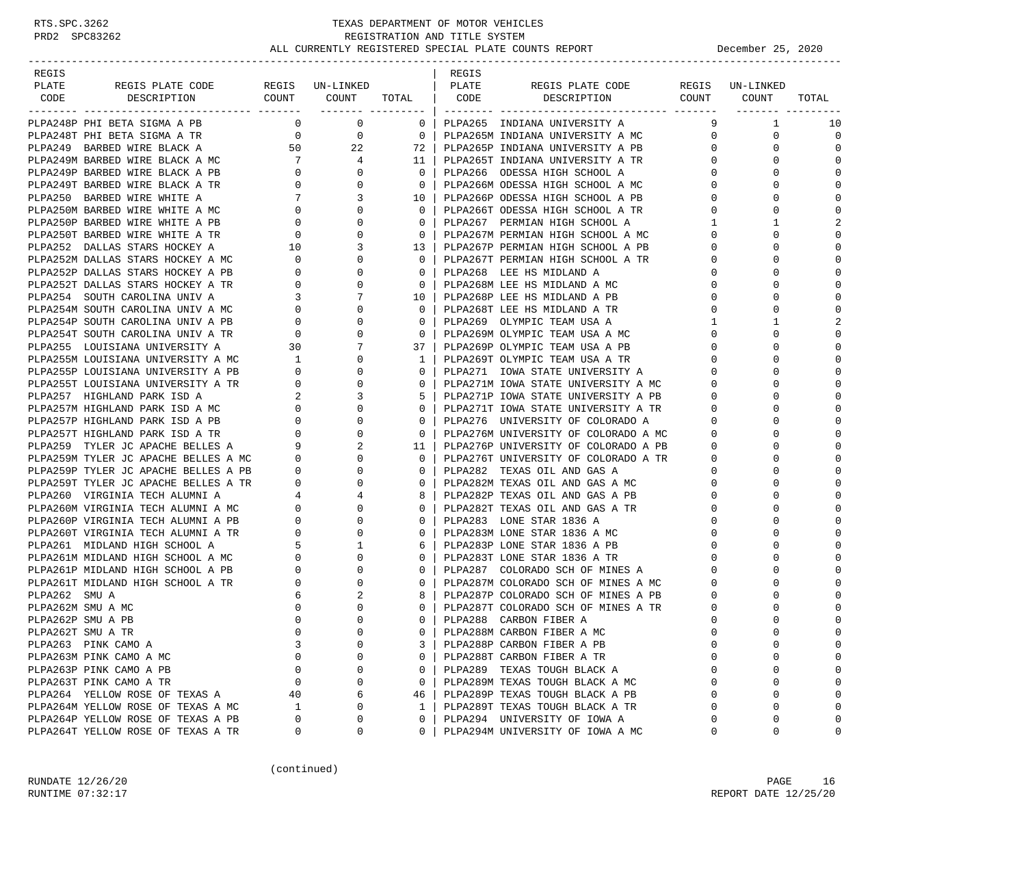| REGIS                                                                                                                                                                                                                                                                                                                                                                                                                                                           |             |                     |              | REGIS |                                         |                        |                                                  |                |
|-----------------------------------------------------------------------------------------------------------------------------------------------------------------------------------------------------------------------------------------------------------------------------------------------------------------------------------------------------------------------------------------------------------------------------------------------------------------|-------------|---------------------|--------------|-------|-----------------------------------------|------------------------|--------------------------------------------------|----------------|
| TRATE REGISPLATE CODE REGIS UN-LINKED   PLATE REGISPLATE CODE REGIS UN-LINKED<br>CODE DESCRIPTION COUNT COUNT TOTAL   CODE DESCRIPTION COUNT COUNT TOTAL<br>PLATE                                                                                                                                                                                                                                                                                               |             |                     |              |       |                                         |                        |                                                  |                |
|                                                                                                                                                                                                                                                                                                                                                                                                                                                                 |             |                     |              |       |                                         |                        |                                                  |                |
| PLPA248P PHI BETA SIGMA A PB<br>$\begin{tabular}{@{}c@{}}\hline \textbf{3} & \textbf{5} & \textbf{6} & \textbf{6} & \textbf{7} & \textbf{8} & \textbf{8} & \textbf{9} & \textbf{9} & \textbf{1} & \textbf{1} & \textbf{1} & \textbf{1} & \textbf{1} & \textbf{1} & \textbf{1} & \textbf{1} & \textbf{1} & \textbf{1} & \textbf{1} & \textbf{1} & \textbf{1} & \textbf{1} & \textbf{1} & \textbf{1} & \textbf{1} & \textbf{1} & \textbf{1} & \textbf{1} & \text$ |             | $0 \qquad \qquad 0$ |              |       | 0   PLPA265 INDIANA UNIVERSITY A        | 9                      | $\mathbf{1}$                                     | 10             |
|                                                                                                                                                                                                                                                                                                                                                                                                                                                                 |             |                     |              |       |                                         |                        | $\overline{0}$<br>$\mathbf{0}$                   | $\overline{0}$ |
|                                                                                                                                                                                                                                                                                                                                                                                                                                                                 |             |                     |              |       |                                         | $0 \qquad \qquad$      | $\Omega$                                         | $\Omega$       |
|                                                                                                                                                                                                                                                                                                                                                                                                                                                                 |             |                     |              |       |                                         | $0 \qquad \qquad$      | $\Omega$                                         | $\Omega$       |
|                                                                                                                                                                                                                                                                                                                                                                                                                                                                 |             |                     |              |       |                                         |                        | $\overline{0}$<br>$\Omega$                       | $\mathbf 0$    |
|                                                                                                                                                                                                                                                                                                                                                                                                                                                                 |             |                     |              |       |                                         | $0 \qquad \qquad$      | $\Omega$                                         | $\mathbf 0$    |
|                                                                                                                                                                                                                                                                                                                                                                                                                                                                 |             |                     |              |       |                                         |                        | $\overline{0}$<br>$\Omega$                       | $\mathbf 0$    |
|                                                                                                                                                                                                                                                                                                                                                                                                                                                                 |             |                     |              |       |                                         | $0 \qquad \qquad$      | 0                                                | $\mathbf 0$    |
|                                                                                                                                                                                                                                                                                                                                                                                                                                                                 |             |                     |              |       |                                         | $\mathbf{1}$           | 1                                                | 2              |
|                                                                                                                                                                                                                                                                                                                                                                                                                                                                 |             |                     |              |       |                                         | $\mathbf{0}$           | $\Omega$                                         | $\mathbf 0$    |
|                                                                                                                                                                                                                                                                                                                                                                                                                                                                 |             |                     |              |       |                                         |                        | $\Omega$<br>$0 \qquad \qquad$                    | $\mathbf 0$    |
|                                                                                                                                                                                                                                                                                                                                                                                                                                                                 |             |                     |              |       |                                         | $\overline{0}$         | $\Omega$                                         | $\mathbf 0$    |
|                                                                                                                                                                                                                                                                                                                                                                                                                                                                 |             |                     |              |       |                                         | $\mathbf{0}$           | $\Omega$                                         | $\Omega$       |
|                                                                                                                                                                                                                                                                                                                                                                                                                                                                 |             |                     |              |       |                                         | $\mathbf{0}$           | U                                                | $\Omega$       |
|                                                                                                                                                                                                                                                                                                                                                                                                                                                                 |             |                     |              |       |                                         | $\overline{0}$         | $\Omega$                                         | $\mathbf 0$    |
|                                                                                                                                                                                                                                                                                                                                                                                                                                                                 |             |                     |              |       |                                         | $\mathbf 0$            | $\Omega$                                         | $\mathbf 0$    |
|                                                                                                                                                                                                                                                                                                                                                                                                                                                                 |             |                     |              |       |                                         | $1 \quad \blacksquare$ | $\mathbf{1}$                                     | 2              |
|                                                                                                                                                                                                                                                                                                                                                                                                                                                                 |             |                     |              |       |                                         |                        | $\Omega$                                         | $\mathbf 0$    |
|                                                                                                                                                                                                                                                                                                                                                                                                                                                                 |             |                     |              |       |                                         |                        | $\begin{matrix} 0 \\ 0 \end{matrix}$<br>$\Omega$ | $\mathbf 0$    |
|                                                                                                                                                                                                                                                                                                                                                                                                                                                                 |             |                     |              |       |                                         |                        | $\overline{0}$<br>$\Omega$                       | $\mathbf 0$    |
|                                                                                                                                                                                                                                                                                                                                                                                                                                                                 |             |                     |              |       |                                         | $\mathbf{0}$           | $\Omega$                                         | $\mathbf 0$    |
|                                                                                                                                                                                                                                                                                                                                                                                                                                                                 |             |                     |              |       |                                         | $\mathbf{0}$           | $\Omega$                                         | $\mathbf 0$    |
|                                                                                                                                                                                                                                                                                                                                                                                                                                                                 |             |                     |              |       |                                         | $\mathbf 0$            | $\Omega$                                         | $\Omega$       |
|                                                                                                                                                                                                                                                                                                                                                                                                                                                                 |             |                     |              |       |                                         | $\mathbf{0}$           |                                                  | $\Omega$       |
|                                                                                                                                                                                                                                                                                                                                                                                                                                                                 |             |                     |              |       |                                         |                        | $\begin{matrix} 0 \\ 0 \end{matrix}$<br>$\Omega$ | $\mathbf 0$    |
|                                                                                                                                                                                                                                                                                                                                                                                                                                                                 |             |                     |              |       |                                         | $0 \qquad \qquad$      | $\Omega$                                         | $\mathbf 0$    |
|                                                                                                                                                                                                                                                                                                                                                                                                                                                                 |             |                     |              |       | PLPA276P UNIVERSITY OF COLORADO A PB    |                        | $\overline{0}$<br>$\Omega$                       | $\mathbf 0$    |
|                                                                                                                                                                                                                                                                                                                                                                                                                                                                 |             |                     |              |       |                                         | $\overline{0}$         | $\Omega$                                         | $\Omega$       |
|                                                                                                                                                                                                                                                                                                                                                                                                                                                                 |             |                     |              |       |                                         | $\mathbf{0}$           |                                                  | $\Omega$       |
|                                                                                                                                                                                                                                                                                                                                                                                                                                                                 |             |                     |              |       |                                         | $\overline{0}$         | $\Omega$                                         | $\mathbf 0$    |
|                                                                                                                                                                                                                                                                                                                                                                                                                                                                 |             |                     |              |       |                                         | $\mathbf{0}$           | $\Omega$                                         | $\mathbf 0$    |
|                                                                                                                                                                                                                                                                                                                                                                                                                                                                 |             |                     |              |       |                                         | $\mathbf 0$            | $\Omega$                                         | $\mathbf 0$    |
|                                                                                                                                                                                                                                                                                                                                                                                                                                                                 |             |                     |              |       |                                         | $\mathbf 0$            | $\Omega$                                         | $\Omega$       |
|                                                                                                                                                                                                                                                                                                                                                                                                                                                                 |             |                     |              |       |                                         | $\mathbf{0}$           | U                                                | $\mathbf 0$    |
|                                                                                                                                                                                                                                                                                                                                                                                                                                                                 |             |                     |              |       |                                         |                        | $0 \qquad \qquad$<br>$\Omega$                    | $\mathbf 0$    |
|                                                                                                                                                                                                                                                                                                                                                                                                                                                                 |             |                     |              |       |                                         | $\mathbf 0$            | $\Omega$                                         | $\mathbf 0$    |
|                                                                                                                                                                                                                                                                                                                                                                                                                                                                 |             |                     |              |       |                                         |                        | $\overline{0}$<br>$\Omega$                       | $\bigcap$      |
|                                                                                                                                                                                                                                                                                                                                                                                                                                                                 |             |                     |              |       |                                         | $\mathbf 0$            | $\Omega$                                         | $\bigcap$      |
|                                                                                                                                                                                                                                                                                                                                                                                                                                                                 |             |                     |              |       |                                         | $\mathbf{0}$           |                                                  | $\bigcap$      |
| PLPA262M SMU A MC                                                                                                                                                                                                                                                                                                                                                                                                                                               | 0           | $\mathbf 0$         |              |       | 0   PLPA287T COLORADO SCH OF MINES A TR | 0                      | 0                                                | $\mathbf 0$    |
| PLPA262P SMU A PB                                                                                                                                                                                                                                                                                                                                                                                                                                               | $\mathbf 0$ | $\Omega$            |              |       | 0   PLPA288 CARBON FIBER A              | $\mathbf 0$            | $\Omega$                                         | $\mathbf 0$    |
| PLPA262T SMU A TR                                                                                                                                                                                                                                                                                                                                                                                                                                               | $\Omega$    | $\Omega$            | $\Omega$     |       | PLPA288M CARBON FIBER A MC              | $\cap$                 | $\cap$                                           | $\Omega$       |
| PLPA263 PINK CAMO A                                                                                                                                                                                                                                                                                                                                                                                                                                             | 3           | 0                   | 3            |       | PLPA288P CARBON FIBER A PB              | $\mathbf 0$            | 0                                                | 0              |
| PLPA263M PINK CAMO A MC                                                                                                                                                                                                                                                                                                                                                                                                                                         | 0           | $\Omega$            | $\mathbf{0}$ |       | PLPA288T CARBON FIBER A TR              | $\Omega$               | U                                                | $\mathbf 0$    |
| PLPA263P PINK CAMO A PB                                                                                                                                                                                                                                                                                                                                                                                                                                         | 0           | 0                   | $\mathbf{0}$ |       | PLPA289 TEXAS TOUGH BLACK A             | 0                      | 0                                                | 0              |
| PLPA263T PINK CAMO A TR                                                                                                                                                                                                                                                                                                                                                                                                                                         | 0           | $\mathbf 0$         | $\mathbf{0}$ |       | PLPA289M TEXAS TOUGH BLACK A MC         | $\Omega$               | $\Omega$                                         | $\mathbf 0$    |
| PLPA264 YELLOW ROSE OF TEXAS A                                                                                                                                                                                                                                                                                                                                                                                                                                  | 40          | 6                   | 46           |       | PLPA289P TEXAS TOUGH BLACK A PB         | $\Omega$               | U                                                | $\mathbf 0$    |
| PLPA264M YELLOW ROSE OF TEXAS A MC                                                                                                                                                                                                                                                                                                                                                                                                                              | 1           | 0                   | 1            |       | PLPA289T TEXAS TOUGH BLACK A TR         | $\Omega$               | 0                                                | $\mathbf 0$    |
| PLPA264P YELLOW ROSE OF TEXAS A PB                                                                                                                                                                                                                                                                                                                                                                                                                              | $\Omega$    | 0                   | $\mathbf 0$  |       | PLPA294 UNIVERSITY OF IOWA A            | ∩                      | 0                                                | $\Omega$       |
| PLPA264T YELLOW ROSE OF TEXAS A TR                                                                                                                                                                                                                                                                                                                                                                                                                              | 0           | 0                   | $\mathbf{0}$ |       | PLPA294M UNIVERSITY OF IOWA A MC        | 0                      | 0                                                | 0              |

(continued)

RUNDATE 12/26/20 PAGE 16 RUNTIME 07:32:17 REPORT DATE 12/25/20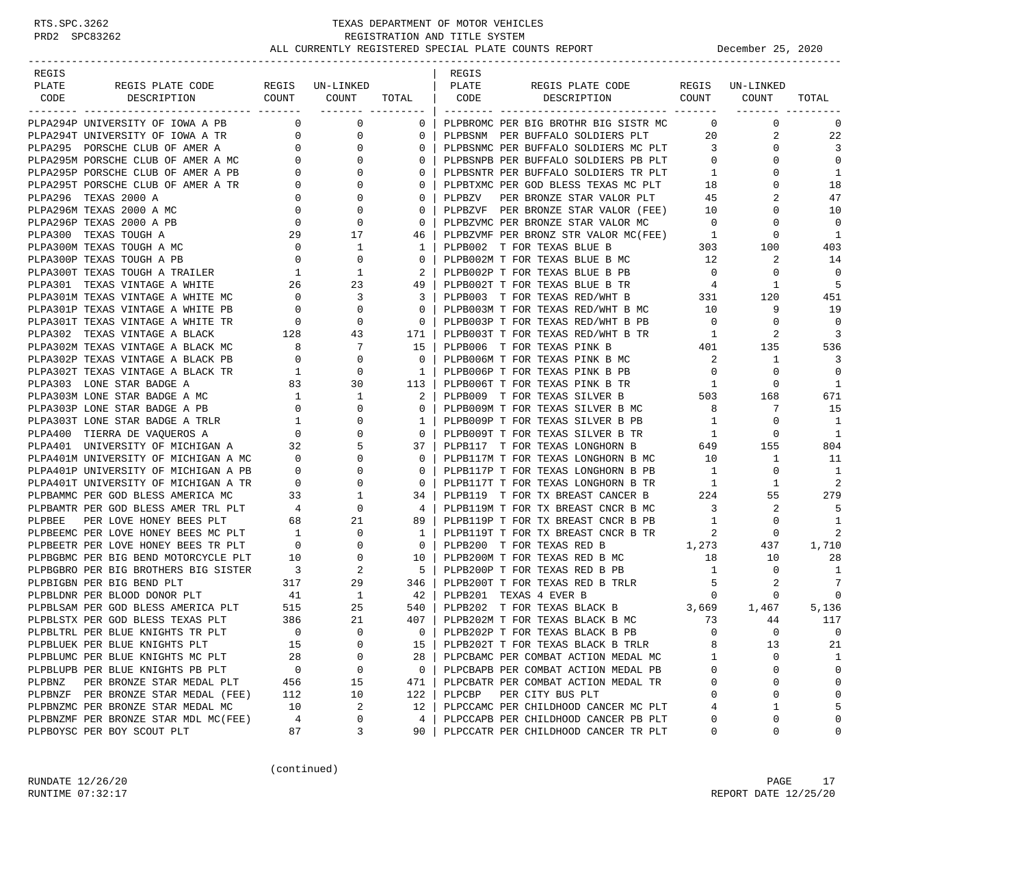| REGIS  |                                                                                                                                                                                                                                                |                                       |                                                   |                         | REGIS  |                                                                                                            |                                            |                         |                      |
|--------|------------------------------------------------------------------------------------------------------------------------------------------------------------------------------------------------------------------------------------------------|---------------------------------------|---------------------------------------------------|-------------------------|--------|------------------------------------------------------------------------------------------------------------|--------------------------------------------|-------------------------|----------------------|
| PLATE  | REGIS PLATE CODE REGIS UN-LINKED                                                                                                                                                                                                               |                                       | COUNT COUNT                                       |                         | PLATE  | REGIS PLATE CODE<br>TOTAL   CODE DESCRIPTION COUNT COUNT                                                   |                                            | REGIS UN-LINKED         |                      |
|        | CODE DESCRIPTION                                                                                                                                                                                                                               |                                       |                                                   |                         |        |                                                                                                            |                                            |                         | TOTAL                |
|        | PLPA294P UNIVERSITY OF IOWA A PB                                                                                                                                                                                                               | $\overline{0}$                        | $\overline{0}$                                    | $0-1$                   |        | PLPBROMC PER BIG BROTHR BIG SISTR MC                                                                       | $\overline{0}$                             | $\mathbf{0}$            | 0                    |
|        | PLPA294T UNIVERSITY OF IOWA A TR 0                                                                                                                                                                                                             |                                       | 0                                                 | $\mathbf{0}$            |        | PLPBSNM PER BUFFALO SOLDIERS PLT                                                                           |                                            | 20<br>2                 | 22                   |
|        |                                                                                                                                                                                                                                                |                                       | $\mathbf{0}$                                      | $\mathbf{0}$            |        | PLPBSNMC PER BUFFALO SOLDIERS MC PLT 3                                                                     |                                            | 0                       | 3                    |
|        | PLPA295 PORSCHE CLUB OF AMER A 0<br>PLPA295M PORSCHE CLUB OF AMER A MC 0                                                                                                                                                                       |                                       | $\mathbf{0}$                                      | $\Omega$                |        | PLPBSNPB PER BUFFALO SOLDIERS PB PLT 0                                                                     |                                            | $\Omega$                | $\mathbf 0$          |
|        |                                                                                                                                                                                                                                                |                                       | $\mathbf 0$                                       | $\mathbf{0}$            |        | PLPBSNTR PER BUFFALO SOLDIERS TR PLT 1<br>PLPBTXMC PER GOD BLESS TEXAS MC PLT 18                           | $\sim$ 1                                   | 0                       | 1                    |
|        |                                                                                                                                                                                                                                                |                                       | $\mathbf{0}$                                      | 0                       |        |                                                                                                            |                                            | $\mathbf 0$             | 18                   |
|        |                                                                                                                                                                                                                                                |                                       | $\mathbf 0$                                       | $\mathbf{0}$            | PLPBZV | PER BRONZE STAR VALOR PLT 45                                                                               |                                            | 2                       | 47                   |
|        | PLPA295P PORSCHE CLUB OF AMER A PB<br>PLPA295T PORSCHE CLUB OF AMER A TR 0<br>PLPA296 TEXAS 2000 A<br>PLPA296M TEXAS 2000 A MC 0<br>PLPA296M TEXAS 2000 A MC 0<br>PLPA296P TEXAS 2000 A PB 0                                                   |                                       | $\mathbf 0$                                       | 0                       |        | PLPBZVF PER BRONZE STAR VALOR (FEE) 10                                                                     |                                            | $\mathbf 0$             | 10                   |
|        |                                                                                                                                                                                                                                                |                                       | $\mathbf 0$                                       | $\mathbf{0}$            |        | PLPBZVMC PER BRONZE STAR VALOR MC                                                                          | $\overline{0}$                             | $\Omega$                | $\Omega$             |
|        | PLPA300 TEXAS TOUGH A                                                                                                                                                                                                                          | 29                                    | 17                                                | 46                      |        | PLPBZVMF PER BRONZ STR VALOR MC(FEE) 1<br>PLPB002 T FOR TEXAS BLUE B 303                                   |                                            | 0                       | $\overline{1}$       |
|        | PLPA300M TEXAS TOUGH A MC                                                                                                                                                                                                                      | $\overline{\phantom{0}}$              | $\mathbf{1}$                                      | 1 <sup>1</sup>          |        |                                                                                                            |                                            | 100                     | 403                  |
|        |                                                                                                                                                                                                                                                |                                       | $\mathbf 0$                                       | $\mathbf{0}$            |        | PLPB002M T FOR TEXAS BLUE B MC 12                                                                          |                                            | 2                       | 14                   |
|        | PLPA300P TEXAS TOUGH A PB<br>PLPA300T TEXAS TOUGH A TRAILER 1<br>PLPA301 TEXAS VINTAGE A WHITE 26                                                                                                                                              |                                       | 1                                                 | $2-1$                   |        | PLPB002P T FOR TEXAS BLUE B PB                                                                             | $\overline{0}$                             | 0                       | $\Omega$             |
|        |                                                                                                                                                                                                                                                |                                       | 23                                                | 49                      |        | PLPB002T T FOR TEXAS BLUE B TR 4                                                                           |                                            | 1                       | 5                    |
|        | PLPA301M TEXAS VINTAGE A WHITE MC $0$ 3<br>PLPA301P TEXAS VINTAGE A WHITE PB $0$ 0                                                                                                                                                             |                                       |                                                   | $\overline{\mathbf{3}}$ |        | PLPB003 T FOR TEXAS RED/WHT B 331<br>PLPB003M T FOR TEXAS RED/WHT B MC 10                                  |                                            | 120                     | 451                  |
|        |                                                                                                                                                                                                                                                |                                       |                                                   | $\overline{0}$          |        |                                                                                                            |                                            | 9                       | 19                   |
|        | PLPASULP IEARS VININGE A WHILE FR<br>PLPASULT TEXAS VINTAGE A BLACK 128 43<br>PLPASU2 TEXAS VINTAGE A BLACK MC 8 7<br>PLPASU2P TEXAS VINTAGE A BLACK PB 0 0 0<br>PLPASU2P TEXAS VINTAGE A BLACK TR 1 0 0                                       |                                       |                                                   | $\overline{0}$          |        | PLPB003P T FOR TEXAS RED/WHT B PB 0                                                                        |                                            | $\mathbf{0}$            | $\mathbf 0$          |
|        |                                                                                                                                                                                                                                                |                                       |                                                   | 171                     |        | PLPB003T T FOR TEXAS RED/WHT B TR                                                                          | $\overline{1}$                             | 2                       | 3                    |
|        |                                                                                                                                                                                                                                                |                                       |                                                   | 15                      |        | PLPB006 T FOR TEXAS PINK B                                                                                 | $\begin{array}{c}\n11 \\ 401\n\end{array}$ | 135                     | 536                  |
|        |                                                                                                                                                                                                                                                |                                       |                                                   | $\overline{0}$          |        | PLPB006M T FOR TEXAS PINK B MC<br>PLPB006P T FOR TEXAS PINK B PB                                           | $\overline{\mathbf{c}}$                    | <sup>1</sup>            | $\overline{3}$       |
|        |                                                                                                                                                                                                                                                |                                       | $\begin{array}{ccc} 1 & 0 \\ 83 & 30 \end{array}$ | 1 <sup>1</sup>          |        |                                                                                                            | $\overline{0}$                             | $\mathbf 0$             | $\overline{0}$       |
|        | PLPA303 LONE STAR BADGE A                                                                                                                                                                                                                      |                                       |                                                   | 113                     |        |                                                                                                            |                                            | $\circ$                 | 1                    |
|        | PLPA303M LONE STAR BADGE A MC                                                                                                                                                                                                                  | $\begin{array}{c} 1 \\ 0 \end{array}$ | 1                                                 | $2-1$                   |        | PLPB006T T FOR TEXAS PINK B TR<br>PLPB009 T FOR TEXAS SILVER B 503<br>PLPB009M T FOR TEXAS SILVER B MC 8   |                                            | 168                     | 671                  |
|        | PLPA303P LONE STAR BADGE A PB                                                                                                                                                                                                                  |                                       | $\overline{0}$                                    | $\Omega$                |        |                                                                                                            |                                            | 7                       | 15                   |
|        | PLPA303T LONE STAR BADGE A TRLR 1<br>PLPA400 TIERRA DE VAQUEROS A 0                                                                                                                                                                            |                                       | $\mathbf 0$<br>$\mathbf{0}$                       | $\mathbf{1}$<br>$0-1$   |        | PLPB009P T FOR TEXAS SILVER B PB<br>PLPB009T T FOR TEXAS SILVER B TR                                       | $\mathbf{1}$                               | $\mathbf{0}$<br>$\circ$ | -1<br>$\overline{1}$ |
|        |                                                                                                                                                                                                                                                |                                       |                                                   | 37                      |        |                                                                                                            | $\overline{1}$                             | 155                     | 804                  |
|        | PLPA400 TIERRA DE VAQUEROS A<br>PLPA401 UNIVERSITY OF MICHIGAN A<br>PLPA401 UNIVERSITY OF MICHIGAN A<br>23 5<br>PLPA401P UNIVERSITY OF MICHIGAN A PB<br>0 0 0<br>PLPA401T UNIVERSITY OF MICHIGAN A TR<br>0 0 0<br>PLPA401T UNIVERSITY OF MICHI |                                       |                                                   | $0-1$                   |        | PLPB117 T FOR TEXAS LONGHORN B 649<br>PLPB117M T FOR TEXAS LONGHORN B MC                                   | 10                                         | $\mathbf{1}$            | 11                   |
|        |                                                                                                                                                                                                                                                |                                       |                                                   | $\mathbf{0}$            |        | PLPB117P T FOR TEXAS LONGHORN B PB                                                                         | $\overline{1}$                             | $\mathbf{0}$            | -1                   |
|        |                                                                                                                                                                                                                                                |                                       |                                                   | $\mathbf{0}$            |        |                                                                                                            |                                            | 1                       | 2                    |
|        |                                                                                                                                                                                                                                                |                                       |                                                   | 34 I                    |        | PLPB117T T FOR TEXAS LONGHORN B TR<br>PLPB119 T FOR TX BREAST CANCER B 224                                 |                                            | 55                      | 279                  |
|        |                                                                                                                                                                                                                                                |                                       |                                                   | 4                       |        | PLPB119M T FOR TX BREAST CNCR B MC 3                                                                       |                                            | 2                       | 5                    |
|        |                                                                                                                                                                                                                                                |                                       |                                                   | 89                      |        | PLPB119P T FOR TX BREAST CNCR B PB                                                                         | 1                                          | $\circ$                 | $\mathbf{1}$         |
|        |                                                                                                                                                                                                                                                |                                       |                                                   | - 1                     |        | PLPB119T T FOR TX BREAST CNCR B TR                                                                         | $\overline{\phantom{a}}$                   | $\mathbf{0}$            | 2                    |
|        |                                                                                                                                                                                                                                                |                                       |                                                   | $\mathbf{0}$            |        |                                                                                                            |                                            | 437                     | 1,710                |
|        |                                                                                                                                                                                                                                                |                                       |                                                   | 10 l                    |        | PLPB200 T FOR TEXAS RED B 1,273<br>PLPB200M T FOR TEXAS RED B MC 18                                        |                                            | 10                      | 28                   |
|        |                                                                                                                                                                                                                                                |                                       |                                                   | 51                      |        | PLPB200P T FOR TEXAS RED B PB                                                                              | $\mathbf{1}$                               | $\mathbf{0}$            | 1                    |
|        |                                                                                                                                                                                                                                                |                                       |                                                   | 346                     |        |                                                                                                            |                                            | 2                       | 7                    |
|        |                                                                                                                                                                                                                                                |                                       |                                                   | 42                      |        | PLPB200T T FOR TEXAS RED B TRLR 5<br>PLPP201 TEXAS 4 FVER P<br>PLPB201 TEXAS 4 EVER B                      | $\overline{0}$                             | 0                       | 0                    |
|        | PLPBLSAM PER GOD BLESS AMERICA PLT 41 1<br>PLPBLSAM PER GOD BLESS AMERICA PLT 515 25<br>PLPBLSTX PER GOD BLESS TEXAS PLT 386 21<br>PLPBLTRL PER BLUE KNIGHTS TEXAS PLT                                                                         |                                       |                                                   | 540                     |        | PLPB201 IEAAS 4 EVER B<br>PLPB202 T FOR TEXAS BLACK B 3,669 1,467<br>PLPB202M T FOR TEXAS BLACK B MC 73 44 |                                            |                         | 5,136                |
|        |                                                                                                                                                                                                                                                |                                       |                                                   | 407 I                   |        |                                                                                                            |                                            |                         | 117                  |
|        |                                                                                                                                                                                                                                                |                                       |                                                   | $0-1$                   |        | PLPB202P T FOR TEXAS BLACK B PB                                                                            | $\Omega$                                   | $\Omega$                | $\Omega$             |
|        | PLPBLUEK PER BLUE KNIGHTS PLT                                                                                                                                                                                                                  | 15                                    | 0                                                 | 15                      |        | PLPB202T T FOR TEXAS BLACK B TRLR                                                                          | 8                                          | 13                      | 21                   |
|        | PLPBLUMC PER BLUE KNIGHTS MC PLT                                                                                                                                                                                                               | 28                                    | 0                                                 | 28                      |        | PLPCBAMC PER COMBAT ACTION MEDAL MC                                                                        | 1                                          | 0                       | 1                    |
|        | PLPBLUPB PER BLUE KNIGHTS PB PLT                                                                                                                                                                                                               | 0                                     | 0                                                 | 0                       |        | PLPCBAPB PER COMBAT ACTION MEDAL PB                                                                        | 0                                          | 0                       | $\mathbf 0$          |
| PLPBNZ | PER BRONZE STAR MEDAL PLT                                                                                                                                                                                                                      | 456                                   | 15                                                | 471                     |        | PLPCBATR PER COMBAT ACTION MEDAL TR                                                                        | 0                                          | 0                       | $\Omega$             |
|        | PLPBNZF PER BRONZE STAR MEDAL (FEE)                                                                                                                                                                                                            | 112                                   | 10                                                | 122                     | PLPCBP | PER CITY BUS PLT                                                                                           | $\Omega$                                   | 0                       | $\Omega$             |
|        | PLPBNZMC PER BRONZE STAR MEDAL MC                                                                                                                                                                                                              | 10                                    | 2                                                 | 12                      |        | PLPCCAMC PER CHILDHOOD CANCER MC PLT                                                                       | 4                                          | 1                       | 5                    |
|        | PLPBNZMF PER BRONZE STAR MDL MC(FEE)                                                                                                                                                                                                           | 4                                     | 0                                                 | 4                       |        | PLPCCAPB PER CHILDHOOD CANCER PB PLT                                                                       | 0                                          | 0                       | $\Omega$             |
|        | PLPBOYSC PER BOY SCOUT PLT                                                                                                                                                                                                                     | 87                                    | 3                                                 | 90                      |        | PLPCCATR PER CHILDHOOD CANCER TR PLT                                                                       | 0                                          | 0                       | 0                    |

(continued)

RUNDATE 12/26/20 PAGE 17 RUNTIME 07:32:17 REPORT DATE 12/25/20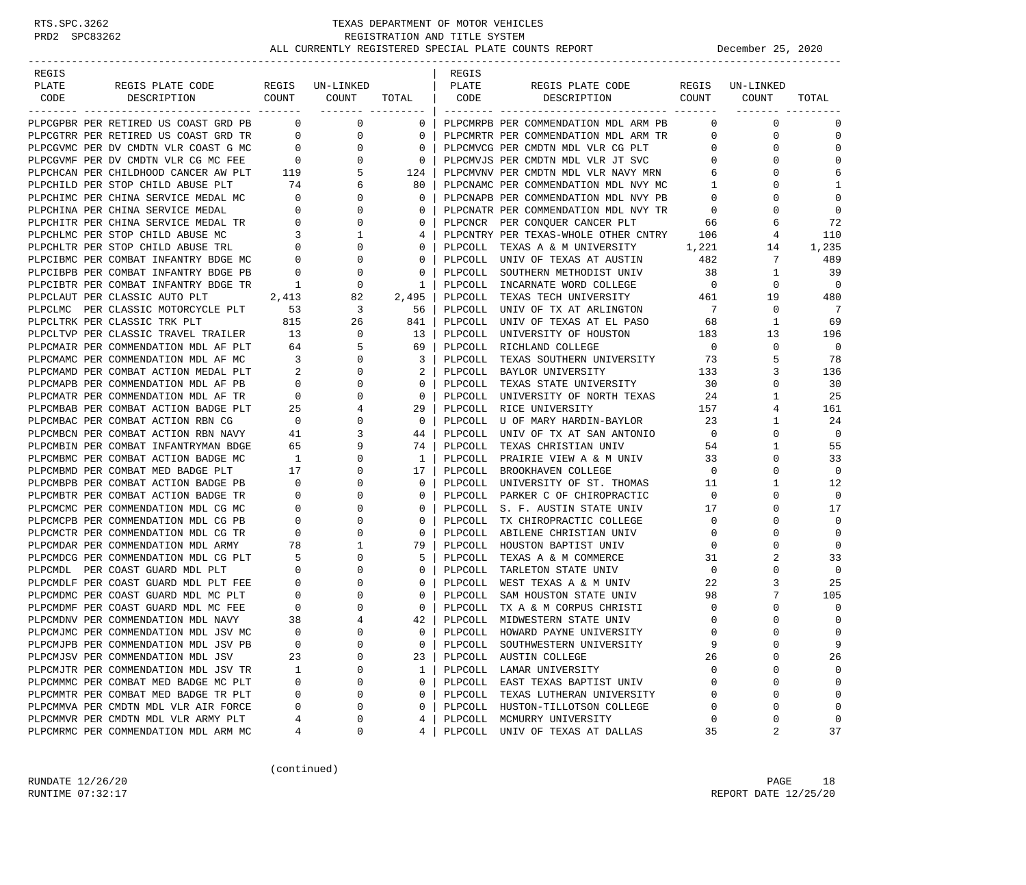| REGIS |                                        |                                       |                                                              |              | REGIS     |                                          |                          |                 |             |
|-------|----------------------------------------|---------------------------------------|--------------------------------------------------------------|--------------|-----------|------------------------------------------|--------------------------|-----------------|-------------|
| PLATE | REGIS PLATE CODE                       |                                       | REGIS UN-LINKED                                              |              | PLATE     | REGIS PLATE CODE                         |                          | REGIS UN-LINKED |             |
| CODE  | COUNT<br>DESCRIPTION                   |                                       | COUNT                                                        | TOTAL   CODE |           | COUNT<br>DESCRIPTION                     |                          | COUNT           | TOTAL       |
|       |                                        |                                       |                                                              |              |           |                                          |                          |                 |             |
|       | PLPCGPBR PER RETIRED US COAST GRD PB 0 |                                       | $\mathbf{0}$                                                 |              |           | 0   PLPCMRPB PER COMMENDATION MDL ARM PB | $\overline{0}$           | 0               | 0           |
|       | PLPCGTRR PER RETIRED US COAST GRD TR   | $\overline{0}$                        | 0                                                            | $\mathbf{0}$ |           | PLPCMRTR PER COMMENDATION MDL ARM TR     | $\mathbf{0}$             | 0               | $\mathbf 0$ |
|       | PLPCGVMC PER DV CMDTN VLR COAST G MC   |                                       | 0                                                            | $\mathbf{0}$ |           | PLPCMVCG PER CMDTN MDL VLR CG PLT        | $\mathbf{0}$             | $\mathbf 0$     | $\mathbf 0$ |
|       | PLPCGVMF PER DV CMDTN VLR CG MC FEE    |                                       | $\begin{array}{c}0\\0\\119\\74\end{array}$<br>$\overline{0}$ | $\mathbf{0}$ |           | PLPCMVJS PER CMDTN MDL VLR JT SVC        | $\overline{0}$           | 0               | $\mathbf 0$ |
|       | PLPCHCAN PER CHILDHOOD CANCER AW PLT   |                                       | 5                                                            | 124          |           | PLPCMVNV PER CMDTN MDL VLR NAVY MRN      | 6                        | 0               | 6           |
|       | PLPCHILD PER STOP CHILD ABUSE PLT      | 74                                    | 6                                                            | 80           |           | PLPCNAMC PER COMMENDATION MDL NVY MC     | $\overline{1}$           | 0               | 1           |
|       | PLPCHIMC PER CHINA SERVICE MEDAL MC    | $\sim$ 0                              | $\mathbf{0}$                                                 | $\mathbf{0}$ |           | PLPCNAPB PER COMMENDATION MDL NVY PB     | $\overline{\phantom{0}}$ | 0               | $\mathbf 0$ |
|       | PLPCHINA PER CHINA SERVICE MEDAL       | $\overline{\phantom{0}}$              | 0                                                            | $\mathbf{0}$ |           | PLPCNATR PER COMMENDATION MDL NVY TR     | $\overline{0}$           | 0               | 0           |
|       | PLPCHITR PER CHINA SERVICE MEDAL TR 0  |                                       | 0                                                            | $\mathbf{0}$ |           | PLPCNCR PER CONQUER CANCER PLT           | 66                       | 6               | 72          |
|       | PLPCHLMC PER STOP CHILD ABUSE MC       | $\begin{array}{c} 3 \\ 0 \end{array}$ | 1                                                            | 4            |           | PLPCNTRY PER TEXAS-WHOLE OTHER CNTRY 106 |                          | 4               | 110         |
|       | PLPCHLTR PER STOP CHILD ABUSE TRL      |                                       | $\mathbf 0$                                                  | $\mathbf{0}$ |           | PLPCOLL TEXAS A & M UNIVERSITY           | 1,221                    | 14              | 1,235       |
|       | PLPCIBMC PER COMBAT INFANTRY BDGE MC   | $\overline{\mathbf{0}}$               | 0                                                            | $\mathbf{0}$ |           | PLPCOLL UNIV OF TEXAS AT AUSTIN          | 482                      | 7               | 489         |
|       | PLPCIBPB PER COMBAT INFANTRY BDGE PB   | $\overline{\phantom{0}}$              | 0                                                            | 0            |           | PLPCOLL SOUTHERN METHODIST UNIV          | 38                       | 1               | 39          |
|       | PLPCIBTR PER COMBAT INFANTRY BDGE TR   | $\overline{\mathbf{1}}$               | 0                                                            | $\mathbf{1}$ |           | PLPCOLL INCARNATE WORD COLLEGE           | $\overline{0}$           | $\mathbf 0$     | $\Omega$    |
|       | PLPCLAUT PER CLASSIC AUTO PLT          | 2,413                                 | 82                                                           | $2,495$      | PLPCOLL   | TEXAS TECH UNIVERSITY                    | 461                      | 19              | 480         |
|       | PLPCLMC PER CLASSIC MOTORCYCLE PLT 53  |                                       | 3                                                            | 56           |           | PLPCOLL UNIV OF TX AT ARLINGTON          | $7\phantom{0}$           | $\mathbf 0$     | 7           |
|       | PLPCLTRK PER CLASSIC TRK PLT           | 815                                   | 26                                                           | 841          | PLPCOLL   | UNIV OF TEXAS AT EL PASO                 | 68                       | 1               | 69          |
|       | PLPCLTVP PER CLASSIC TRAVEL TRAILER 13 |                                       | $\mathbf 0$                                                  | 13           |           | PLPCOLL UNIVERSITY OF HOUSTON            | 183                      | 13              | 196         |
|       | PLPCMAIR PER COMMENDATION MDL AF PLT   | $\frac{13}{64}$                       | 5                                                            | 69           |           | PLPCOLL RICHLAND COLLEGE                 | $\overline{0}$           | 0               | 0           |
|       | PLPCMAMC PER COMMENDATION MDL AF MC    | $\overline{\mathbf{3}}$               | 0                                                            | 3            | PLPCOLL   | TEXAS SOUTHERN UNIVERSITY                | 73                       | 5               | 78          |
|       | PLPCMAMD PER COMBAT ACTION MEDAL PLT   | $\overline{\phantom{a}}$ 2            | $\mathbf{0}$                                                 | $2-1$        |           | PLPCOLL BAYLOR UNIVERSITY                | 133                      | 3               | 136         |
|       | PLPCMAPB PER COMMENDATION MDL AF PB    | $\overline{0}$                        | $\mathbf 0$                                                  | $\mathbf{0}$ | PLPCOLL   | TEXAS STATE UNIVERSITY                   | 30                       | 0               | 30          |
|       | PLPCMATR PER COMMENDATION MDL AF TR    | $\overline{\mathbf{0}}$               | 0                                                            | $\mathbf{0}$ |           | PLPCOLL UNIVERSITY OF NORTH TEXAS        | 24                       | $\mathbf{1}$    | 25          |
|       | PLPCMBAB PER COMBAT ACTION BADGE PLT   | 25                                    | 4                                                            | 29           |           | PLPCOLL RICE UNIVERSITY                  | 157                      | 4               | 161         |
|       | PLPCMBAC PER COMBAT ACTION RBN CG      | $\overline{0}$                        | 0                                                            | $\mathbf{0}$ | PLPCOLL   | U OF MARY HARDIN-BAYLOR                  | 23                       | 1               | 24          |
|       | PLPCMBCN PER COMBAT ACTION RBN NAVY    | 41                                    | 3                                                            | 44           |           | PLPCOLL UNIV OF TX AT SAN ANTONIO        | $\overline{0}$           | 0               | 0           |
|       | PLPCMBIN PER COMBAT INFANTRYMAN BDGE   | 65                                    | 9                                                            | 74           | PLPCOLL   | TEXAS CHRISTIAN UNIV                     | 54                       | $\mathbf{1}$    | 55          |
|       | PLPCMBMC PER COMBAT ACTION BADGE MC    | $\overline{1}$                        | 0                                                            | $1 \mid$     |           | PLPCOLL PRAIRIE VIEW A & M UNIV          | 33                       | 0               | 33          |
|       | PLPCMBMD PER COMBAT MED BADGE PLT      | 17                                    | 0                                                            | 17           |           | PLPCOLL BROOKHAVEN COLLEGE               | $\overline{0}$           | $\Omega$        | 0           |
|       | PLPCMBPB PER COMBAT ACTION BADGE PB    | $\overline{\mathbf{0}}$               | 0                                                            | $\mathbf{0}$ | PLPCOLL   | UNIVERSITY OF ST. THOMAS                 | 11                       | 1               | 12          |
|       | PLPCMBTR PER COMBAT ACTION BADGE TR    | $\overline{\mathbf{0}}$               | $\mathbf 0$                                                  | $\mathbf{0}$ |           | PLPCOLL PARKER C OF CHIROPRACTIC         | $\overline{0}$           | 0               | 0           |
|       | PLPCMCMC PER COMMENDATION MDL CG MC    | $\overline{0}$                        | 0                                                            | $\mathbf{0}$ | PLPCOLL   | S. F. AUSTIN STATE UNIV                  | 17                       | 0               | 17          |
|       | PLPCMCPB PER COMMENDATION MDL CG PB    | $\mathbf{0}$                          | 0                                                            | 0            | PLPCOLL   | TX CHIROPRACTIC COLLEGE                  | $\overline{0}$           | 0               | $\mathbf 0$ |
|       | PLPCMCTR PER COMMENDATION MDL CG TR    | $\overline{0}$                        | 0                                                            | $\mathbf{0}$ | PLPCOLL   | ABILENE CHRISTIAN UNIV                   | 0                        | 0               | $\mathbf 0$ |
|       | PLPCMDAR PER COMMENDATION MDL ARMY     | 78                                    | 1                                                            | 79           | PLPCOLL   | HOUSTON BAPTIST UNIV                     | $\mathbf 0$              | 0               | 0           |
|       | PLPCMDCG PER COMMENDATION MDL CG PLT   | 5                                     | $\mathbf 0$                                                  | 5            | PLPCOLL   | TEXAS A & M COMMERCE                     | 31                       | 2               | 33          |
|       | PLPCMDL PER COAST GUARD MDL PLT        | $\overline{0}$                        | 0                                                            | $\mathbf{0}$ | PLPCOLL   | TARLETON STATE UNIV                      | $\overline{0}$           | 0               | 0           |
|       | PLPCMDLF PER COAST GUARD MDL PLT FEE   | $\overline{\phantom{0}}$              | 0                                                            | $\mathbf{0}$ |           | PLPCOLL WEST TEXAS A & M UNIV            | 22                       | 3               | 25          |
|       | PLPCMDMC PER COAST GUARD MDL MC PLT    | $\overline{\phantom{0}}$              | 0                                                            | $\mathbf{0}$ | PLPCOLL   | SAM HOUSTON STATE UNIV                   | 98                       | 7               | 105         |
|       | PLPCMDMF PER COAST GUARD MDL MC FEE    | $\overline{0}$                        | 0                                                            | $\mathbf{0}$ | PLPCOLL   | TX A & M CORPUS CHRISTI                  | $\overline{0}$           | 0               | 0           |
|       | PLPCMDNV PER COMMENDATION MDL NAVY     | 38                                    | 4                                                            | 42           | PLPCOLL   | MIDWESTERN STATE UNIV                    | $\mathbf 0$              | $\Omega$        | $\mathbf 0$ |
|       | PLPCMJMC PER COMMENDATION MDL JSV MC   | $\overline{0}$                        | $\Omega$                                                     |              | 0 PLPCOLL | HOWARD PAYNE UNIVERSITY                  | $\Omega$                 | $\Omega$        | $\Omega$    |
|       | PLPCMJPB PER COMMENDATION MDL JSV PB   | 0                                     | 0                                                            | 0            |           | PLPCOLL SOUTHWESTERN UNIVERSITY          | 9                        | $\Omega$        | 9           |
|       | PLPCMJSV PER COMMENDATION MDL JSV      | 23                                    | 0                                                            | 23           |           | PLPCOLL AUSTIN COLLEGE                   | 26                       | 0               | 26          |
|       | PLPCMJTR PER COMMENDATION MDL JSV TR   | 1                                     | 0                                                            | 1            |           | PLPCOLL LAMAR UNIVERSITY                 | 0                        | 0               | 0           |
|       | PLPCMMMC PER COMBAT MED BADGE MC PLT   | 0                                     | 0                                                            | 0            |           | PLPCOLL EAST TEXAS BAPTIST UNIV          | $\Omega$                 | 0               | $\mathbf 0$ |
|       | PLPCMMTR PER COMBAT MED BADGE TR PLT   | 0                                     | 0                                                            | 0            | PLPCOLL   | TEXAS LUTHERAN UNIVERSITY                | 0                        | 0               | $\mathbf 0$ |
|       | PLPCMMVA PER CMDTN MDL VLR AIR FORCE   | 0                                     | 0                                                            | 0            |           | PLPCOLL HUSTON-TILLOTSON COLLEGE         | $\Omega$                 | 0               | $\mathbf 0$ |
|       | PLPCMMVR PER CMDTN MDL VLR ARMY PLT    | 4                                     | 0                                                            | 4            |           | PLPCOLL MCMURRY UNIVERSITY               | 0                        | 0               | 0           |
|       | PLPCMRMC PER COMMENDATION MDL ARM MC   | 4                                     | 0                                                            | 4            |           | PLPCOLL UNIV OF TEXAS AT DALLAS          | 35                       | 2               | 37          |
|       |                                        |                                       |                                                              |              |           |                                          |                          |                 |             |

(continued)

RUNDATE 12/26/20 PAGE 18 RUNTIME 07:32:17 REPORT DATE 12/25/20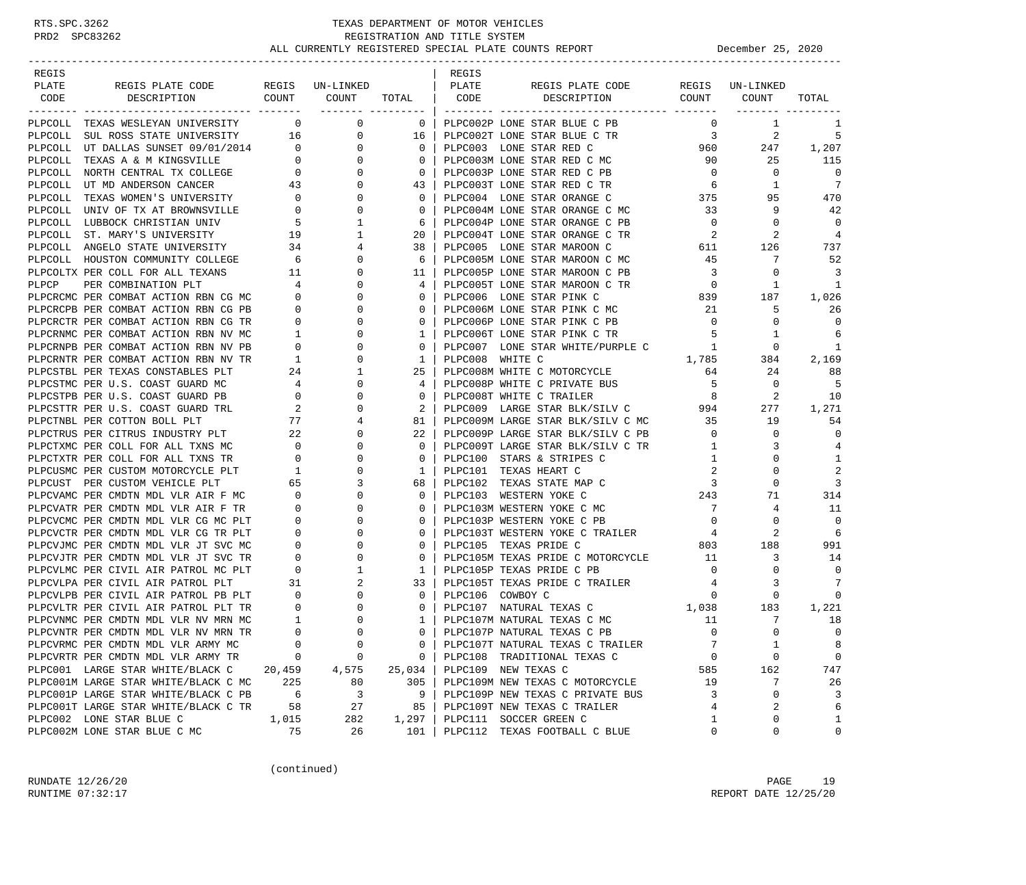| REGIS   |                                       |                                       |                                                                                                                                                                                                                                                                                                                                 |                | REGIS           |                                   |                            |             |                 |
|---------|---------------------------------------|---------------------------------------|---------------------------------------------------------------------------------------------------------------------------------------------------------------------------------------------------------------------------------------------------------------------------------------------------------------------------------|----------------|-----------------|-----------------------------------|----------------------------|-------------|-----------------|
| PLATE   | REGIS PLATE CODE                      |                                       | REGIS UN-LINKED                                                                                                                                                                                                                                                                                                                 |                | PLATE           | REGIS PLATE CODE                  | REGIS                      | UN-LINKED   |                 |
| CODE    | COUNT<br>DESCRIPTION                  |                                       | COUNT<br>________ _______                                                                                                                                                                                                                                                                                                       | TOTAL          | CODE            | DESCRIPTION                       | COUNT                      | COUNT       | TOTAL           |
|         | PLPCOLL TEXAS WESLEYAN UNIVERSITY     | $\overline{\phantom{0}}$              | $\overline{0}$                                                                                                                                                                                                                                                                                                                  | $\overline{0}$ |                 | PLPC002P LONE STAR BLUE C PB      | $\mathbf{0}$               | 1           | 1               |
| PLPCOLL | SUL ROSS STATE UNIVERSITY 16          |                                       | $\overline{0}$                                                                                                                                                                                                                                                                                                                  | 16             |                 | PLPC002T LONE STAR BLUE C TR      | 3                          | 2           | 5               |
|         | PLPCOLL UT DALLAS SUNSET 09/01/2014 0 |                                       | $\begin{matrix} 6 & 0 & 0 & 0 \\ 0 & 0 & 0 & 0 \\ 0 & 0 & 0 & 0 \\ 0 & 0 & 0 & 0 \\ 0 & 0 & 0 & 0 \\ 0 & 0 & 0 & 0 \\ 0 & 0 & 0 & 0 \\ 0 & 0 & 0 & 0 \\ 0 & 0 & 0 & 0 \\ 0 & 0 & 0 & 0 \\ 0 & 0 & 0 & 0 \\ 0 & 0 & 0 & 0 \\ 0 & 0 & 0 & 0 \\ 0 & 0 & 0 & 0 \\ 0 & 0 & 0 & 0 & 0 \\ 0 & 0 & 0 & 0 & 0 \\ 0 & 0 & 0 & 0 & 0 \\ 0$ | 0              |                 | PLPC003 LONE STAR RED C           | 960                        | 247         | 1,207           |
|         | PLPCOLL TEXAS A & M KINGSVILLE        |                                       |                                                                                                                                                                                                                                                                                                                                 | 0              |                 | PLPC003M LONE STAR RED C MC       | 90                         | 25          | 115             |
|         | PLPCOLL NORTH CENTRAL TX COLLEGE      |                                       |                                                                                                                                                                                                                                                                                                                                 | $\mathbf 0$    |                 | PLPC003P LONE STAR RED C PB       | $\overline{0}$             | 0           | $\overline{0}$  |
|         | PLPCOLL UT MD ANDERSON CANCER         | $\begin{array}{c}0\\43\end{array}$    |                                                                                                                                                                                                                                                                                                                                 | 43             |                 | PLPC003T LONE STAR RED C TR       | 6                          | 1           | $7\phantom{.0}$ |
| PLPCOLL | TEXAS WOMEN'S UNIVERSITY 0            |                                       | $\mathbf{0}$                                                                                                                                                                                                                                                                                                                    | $\mathbf 0$    |                 | PLPC004 LONE STAR ORANGE C        | 375                        | 95          | 470             |
|         | PLPCOLL UNIV OF TX AT BROWNSVILLE     | $\overline{0}$                        | 0                                                                                                                                                                                                                                                                                                                               | 0              |                 | PLPC004M LONE STAR ORANGE C MC    | 33                         | 9           | 42              |
|         | PLPCOLL LUBBOCK CHRISTIAN UNIV        | -5                                    | 1                                                                                                                                                                                                                                                                                                                               | 6              |                 | PLPC004P LONE STAR ORANGE C PB    | $\overline{\mathbf{0}}$    | 0           | $\mathbf 0$     |
|         | PLPCOLL ST. MARY'S UNIVERSITY         |                                       | 1                                                                                                                                                                                                                                                                                                                               | 20             |                 | PLPC004T LONE STAR ORANGE C TR    | $\overline{\phantom{0}}^2$ | 2           | $\overline{4}$  |
|         | PLPCOLL ANGELO STATE UNIVERSITY       | $\frac{19}{34}$                       | 4                                                                                                                                                                                                                                                                                                                               | 38             |                 | PLPC005 LONE STAR MAROON C        | 611                        | 126         | 737             |
|         | PLPCOLL HOUSTON COMMUNITY COLLEGE 6   |                                       | 0                                                                                                                                                                                                                                                                                                                               | 6              |                 | PLPC005M LONE STAR MAROON C MC    | 45                         | 7           | 52              |
|         | PLPCOLTX PER COLL FOR ALL TEXANS      | 11                                    | 0                                                                                                                                                                                                                                                                                                                               | 11             |                 | PLPC005P LONE STAR MAROON C PB    | $\overline{\mathbf{3}}$    | 0           | 3               |
| PLPCP   | PER COMBINATION PLT                   | 4                                     | 0                                                                                                                                                                                                                                                                                                                               | 4              |                 | PLPC005T LONE STAR MAROON C TR    | $\overline{0}$             | 1           | 1               |
|         | PLPCRCMC PER COMBAT ACTION RBN CG MC  | $\overline{0}$                        | 0                                                                                                                                                                                                                                                                                                                               | 0              |                 | PLPC006 LONE STAR PINK C          | 839                        | 187         | 1,026           |
|         | PLPCRCPB PER COMBAT ACTION RBN CG PB  | $\overline{0}$                        | $\Omega$                                                                                                                                                                                                                                                                                                                        | $\mathbf 0$    |                 | PLPC006M LONE STAR PINK C MC      | 21                         | 5           | 26              |
|         | PLPCRCTR PER COMBAT ACTION RBN CG TR  | $\overline{\phantom{0}}$              | 0                                                                                                                                                                                                                                                                                                                               | 0              |                 | PLPC006P LONE STAR PINK C PB      | $\overline{0}$             | 0           | $\Omega$        |
|         | PLPCRNMC PER COMBAT ACTION RBN NV MC  | $\mathbf{1}$                          | 0                                                                                                                                                                                                                                                                                                                               | $\mathbf 1$    |                 | PLPC006T LONE STAR PINK C TR      | 5                          | 1           | 6               |
|         | PLPCRNPB PER COMBAT ACTION RBN NV PB  | $\overline{0}$                        | $\Omega$                                                                                                                                                                                                                                                                                                                        | 0              |                 | PLPC007 LONE STAR WHITE/PURPLE C  | 1                          | 0           | 1               |
|         | PLPCRNTR PER COMBAT ACTION RBN NV TR  | $\mathbf{1}$                          | 0                                                                                                                                                                                                                                                                                                                               | 1              | PLPC008 WHITE C |                                   | 1,785                      | 384         | 2,169           |
|         | PLPCSTBL PER TEXAS CONSTABLES PLT     | 24                                    | 1                                                                                                                                                                                                                                                                                                                               | 25             |                 | PLPC008M WHITE C MOTORCYCLE       | 64                         | 24          | 88              |
|         | PLPCSTMC PER U.S. COAST GUARD MC      | $\overline{4}$                        | 0                                                                                                                                                                                                                                                                                                                               | 4              |                 | PLPC008P WHITE C PRIVATE BUS      | -5                         | 0           | -5              |
|         | PLPCSTPB PER U.S. COAST GUARD PB      |                                       | 0                                                                                                                                                                                                                                                                                                                               | 0              |                 | PLPC008T WHITE C TRAILER          | 8                          | 2           | 10              |
|         | PLPCSTTR PER U.S. COAST GUARD TRL     | $\begin{array}{c} 0 \\ 2 \end{array}$ | $\Omega$                                                                                                                                                                                                                                                                                                                        | 2              |                 | PLPC009 LARGE STAR BLK/SILV C 994 |                            | 277         | 1,271           |
|         | PLPCTNBL PER COTTON BOLL PLT          | 77                                    | 4                                                                                                                                                                                                                                                                                                                               | 81             |                 | PLPC009M LARGE STAR BLK/SILV C MC | 35                         | 19          | 54              |
|         | PLPCTRUS PER CITRUS INDUSTRY PLT      | 22                                    | 0                                                                                                                                                                                                                                                                                                                               | 22             |                 | PLPC009P LARGE STAR BLK/SILV C PB | $\overline{0}$             | $\mathbf 0$ | $\mathbf 0$     |
|         | PLPCTXMC PER COLL FOR ALL TXNS MC     | $\overline{0}$                        | 0                                                                                                                                                                                                                                                                                                                               | 0              |                 | PLPC009T LARGE STAR BLK/SILV C TR | 1                          | 3           | 4               |
|         | PLPCTXTR PER COLL FOR ALL TXNS TR     | $\overline{0}$                        | 0                                                                                                                                                                                                                                                                                                                               | 0              |                 | PLPC100 STARS & STRIPES C         | $\mathbf{1}$               | $\Omega$    | 1               |
|         | PLPCUSMC PER CUSTOM MOTORCYCLE PLT    | $\overline{1}$                        | $\Omega$                                                                                                                                                                                                                                                                                                                        | 1              |                 | PLPC101 TEXAS HEART C             | 2                          | 0           | 2               |
|         | PLPCUST PER CUSTOM VEHICLE PLT        | 65                                    | 3                                                                                                                                                                                                                                                                                                                               | 68             |                 | PLPC102 TEXAS STATE MAP C         | 3                          | 0           | 3               |
|         | PLPCVAMC PER CMDTN MDL VLR AIR F MC   | $\overline{\phantom{0}}$              | $\Omega$                                                                                                                                                                                                                                                                                                                        | 0              |                 | PLPC103 WESTERN YOKE C            | 243                        | 71          | 314             |
|         | PLPCVATR PER CMDTN MDL VLR AIR F TR   | $\overline{\phantom{0}}$              | $\mathbf{0}$                                                                                                                                                                                                                                                                                                                    | 0              |                 | PLPC103M WESTERN YOKE C MC        | $\overline{7}$             | 4           | 11              |
|         | PLPCVCMC PER CMDTN MDL VLR CG MC PLT  | $\mathbf{0}$                          | 0                                                                                                                                                                                                                                                                                                                               | 0              |                 | PLPC103P WESTERN YOKE C PB        | $\overline{0}$             | 0           | $\Omega$        |
|         | PLPCVCTR PER CMDTN MDL VLR CG TR PLT  | $\overline{0}$                        | 0                                                                                                                                                                                                                                                                                                                               | $\Omega$       |                 | PLPC103T WESTERN YOKE C TRAILER 4 |                            | 2           | 6               |
|         | PLPCVJMC PER CMDTN MDL VLR JT SVC MC  | $\mathbf{0}$                          | 0                                                                                                                                                                                                                                                                                                                               | 0              |                 | PLPC105 TEXAS PRIDE C             | 803                        | 188         | 991             |
|         | PLPCVJTR PER CMDTN MDL VLR JT SVC TR  | $\overline{0}$                        | 0                                                                                                                                                                                                                                                                                                                               | $\mathbf 0$    |                 | PLPC105M TEXAS PRIDE C MOTORCYCLE | 11                         | 3           | 14              |
|         | PLPCVLMC PER CIVIL AIR PATROL MC PLT  | $\overline{0}$                        | 1                                                                                                                                                                                                                                                                                                                               | 1              |                 | PLPC105P TEXAS PRIDE C PB         | $\overline{0}$             | 0           | 0               |
|         | PLPCVLPA PER CIVIL AIR PATROL PLT     | 31                                    | 2                                                                                                                                                                                                                                                                                                                               | 33             |                 | PLPC105T TEXAS PRIDE C TRAILER    | 4                          | 3           | 7               |
|         | PLPCVLPB PER CIVIL AIR PATROL PB PLT  | $\overline{0}$                        | 0                                                                                                                                                                                                                                                                                                                               | $\mathbf 0$    |                 | PLPC106 COWBOY C                  | $\mathbf{0}$               | 0           | $\Omega$        |
|         | PLPCVLTR PER CIVIL AIR PATROL PLT TR  | $\overline{0}$                        | $\mathbf{0}$                                                                                                                                                                                                                                                                                                                    | $\mathbf{0}$   |                 | 1,038<br>PLPC107 NATURAL TEXAS C  |                            | 183         | 1,221           |
|         | PLPCVNMC PER CMDTN MDL VLR NV MRN MC  | $\mathbf{1}$                          | $\Omega$                                                                                                                                                                                                                                                                                                                        | 1              |                 | PLPC107M NATURAL TEXAS C MC       | 11                         | 7           | 18              |
|         | PLPCVNTR PER CMDTN MDL VLR NV MRN TR  | $\Omega$                              | $\cap$                                                                                                                                                                                                                                                                                                                          | $0-1$          |                 | PLPC107P NATURAL TEXAS C PB       | $\Omega$                   | $\Omega$    | $\Omega$        |
|         | PLPCVRMC PER CMDTN MDL VLR ARMY MC    | $\mathbf 0$                           | $\mathbf 0$                                                                                                                                                                                                                                                                                                                     | 0              |                 | PLPC107T NATURAL TEXAS C TRAILER  | 7                          | $1\,$       | 8               |
|         | PLPCVRTR PER CMDTN MDL VLR ARMY TR    | 0                                     | 0                                                                                                                                                                                                                                                                                                                               | 0              |                 | PLPC108 TRADITIONAL TEXAS C       | 0                          | 0           | 0               |
|         | PLPC001 LARGE STAR WHITE/BLACK C      | 20,459                                | 4,575                                                                                                                                                                                                                                                                                                                           | 25,034         |                 | PLPC109 NEW TEXAS C               | 585                        | 162         | 747             |
|         | PLPC001M LARGE STAR WHITE/BLACK C MC  | 225                                   | 80                                                                                                                                                                                                                                                                                                                              | 305            |                 | PLPC109M NEW TEXAS C MOTORCYCLE   | 19                         | 7           | 26              |
|         | PLPC001P LARGE STAR WHITE/BLACK C PB  | - 6                                   | 3                                                                                                                                                                                                                                                                                                                               | 9              |                 | PLPC109P NEW TEXAS C PRIVATE BUS  | 3                          | $\Omega$    | 3               |
|         | PLPC001T LARGE STAR WHITE/BLACK C TR  | 58                                    | 27                                                                                                                                                                                                                                                                                                                              | 85             |                 | PLPC109T NEW TEXAS C TRAILER      | 4                          | 2           | 6               |
|         | PLPC002 LONE STAR BLUE C              | 1,015                                 | 282                                                                                                                                                                                                                                                                                                                             | 1,297          |                 | PLPC111 SOCCER GREEN C            | 1                          | 0           | $\mathbf{1}$    |
|         | PLPC002M LONE STAR BLUE C MC          | 75                                    | 26                                                                                                                                                                                                                                                                                                                              | 101            |                 | PLPC112 TEXAS FOOTBALL C BLUE     | $\mathbf 0$                | 0           | 0               |

(continued)

RUNDATE  $12/26/20$  PAGE 19 RUNTIME 07:32:17 REPORT DATE 12/25/20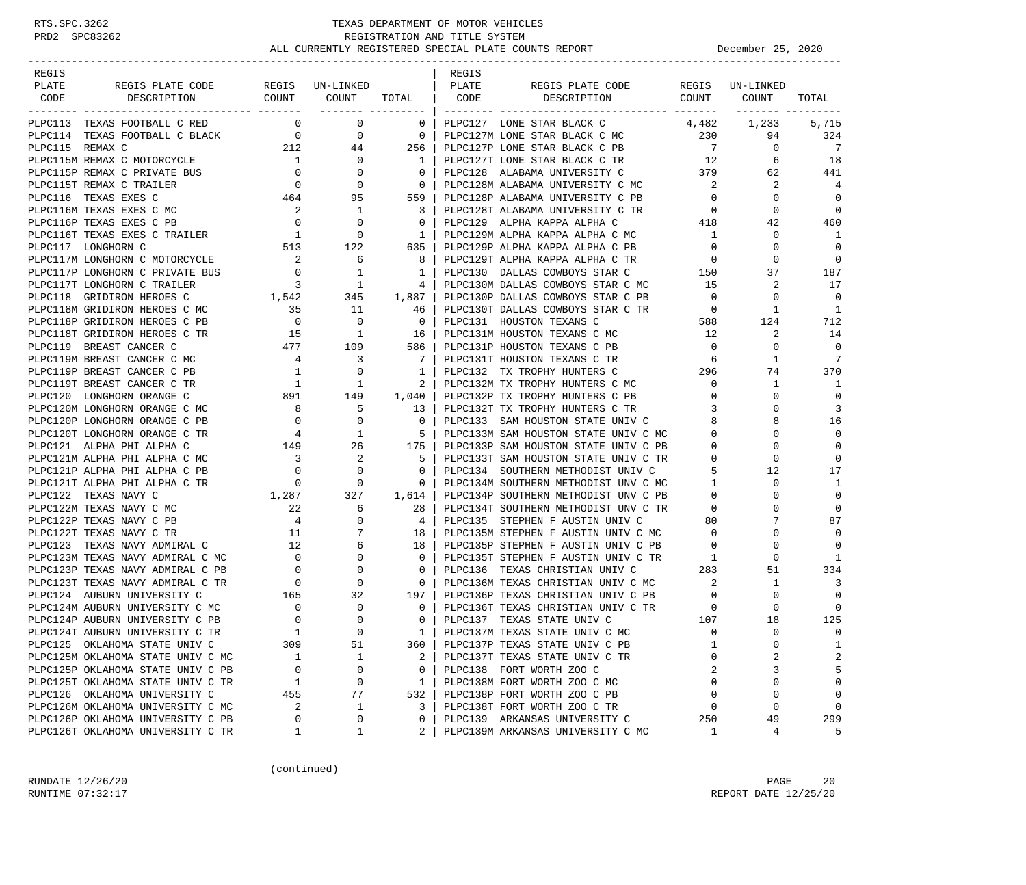| REGIS                                                                                                                                                                                                                                          |                                                                                                                                                                                                                                                          |                                                    |                | REGIS |                                                                                                                               |                         |                 |                         |
|------------------------------------------------------------------------------------------------------------------------------------------------------------------------------------------------------------------------------------------------|----------------------------------------------------------------------------------------------------------------------------------------------------------------------------------------------------------------------------------------------------------|----------------------------------------------------|----------------|-------|-------------------------------------------------------------------------------------------------------------------------------|-------------------------|-----------------|-------------------------|
| PLATE<br>REGIS PLATE CODE                                                                                                                                                                                                                      | REGIS UN-LINKED   PLATE                                                                                                                                                                                                                                  |                                                    |                |       | REGIS PLATE CODE                                                                                                              |                         | REGIS UN-LINKED |                         |
| DESCRIPTION<br>CODE                                                                                                                                                                                                                            |                                                                                                                                                                                                                                                          |                                                    |                |       | COUNT COUNT TOTAL CODE DESCRIPTION COUNT COUNT                                                                                |                         |                 | TOTAL                   |
|                                                                                                                                                                                                                                                |                                                                                                                                                                                                                                                          | ------- ---------                                  |                |       |                                                                                                                               |                         |                 |                         |
| PLPC113 TEXAS FOOTBALL C RED                                                                                                                                                                                                                   |                                                                                                                                                                                                                                                          | $\overline{0}$ 0                                   | $\mathbf{0}$   |       | PLPC127 LONE STAR BLACK C                                                                                                     |                         | 4,482 1,233     | 5,715                   |
| PIPC114 TEXAS FOOTBALL C BLACK<br>PIPC115 REMAX C MOTORCYCLE<br>PIPC115 REMAX C MOTORCYCLE<br>PIPC115 REMAX C MOTORCYCLE<br>PIPC115 REMAX C PRIVATE BUS<br>PIPC115 REMAX C TRAILER<br>PIPC115 TEXAS EXES C MC<br>PIPC116 TEXAS EXES C MC<br>PI |                                                                                                                                                                                                                                                          |                                                    |                |       | PLPC127M LONE STAR BLACK C MC<br>PLPC127P LONE STAR BLACK C PB 7<br>PLPC127T LONE STAR BLACK C TR 12                          |                         | 94              | 324                     |
|                                                                                                                                                                                                                                                |                                                                                                                                                                                                                                                          |                                                    |                |       |                                                                                                                               |                         | $\mathbf{0}$    | $\overline{7}$          |
|                                                                                                                                                                                                                                                |                                                                                                                                                                                                                                                          |                                                    |                |       |                                                                                                                               |                         | 6               | 18                      |
|                                                                                                                                                                                                                                                |                                                                                                                                                                                                                                                          |                                                    |                |       |                                                                                                                               |                         | 62              | 441                     |
|                                                                                                                                                                                                                                                |                                                                                                                                                                                                                                                          |                                                    |                |       |                                                                                                                               |                         | 2               | $\overline{4}$          |
|                                                                                                                                                                                                                                                |                                                                                                                                                                                                                                                          |                                                    |                |       | PLPC128P ALABAMA UNIVERSITY C PB                                                                                              | $\overline{0}$          | $\mathbf 0$     | 0                       |
| PLPC116M TEXAS EXES C MC                                                                                                                                                                                                                       |                                                                                                                                                                                                                                                          |                                                    |                |       | 3   PLPC128T ALABAMA UNIVERSITY C TR                                                                                          | $\overline{0}$          | $\mathbf 0$     | $\Omega$                |
| PLPC116P TEXAS EXES C PB                                                                                                                                                                                                                       | $\begin{array}{ccc} & 2 & & 1 \\ 0 & & 0 \end{array}$                                                                                                                                                                                                    |                                                    | $\overline{0}$ |       | 418<br>PLPC129 ALPHA KAPPA ALPHA C                                                                                            |                         | 42              | 460                     |
|                                                                                                                                                                                                                                                |                                                                                                                                                                                                                                                          |                                                    | 1 <sub>1</sub> |       | PLPC129M ALPHA KAPPA ALPHA C MC<br>PLPC129M ALPHA KAPPA ALPHA C MC                                                            | $\sim$ 1                | 0               | -1                      |
|                                                                                                                                                                                                                                                |                                                                                                                                                                                                                                                          |                                                    | 635            |       | PLPC129P ALPHA KAPPA ALPHA C PB                                                                                               | $\overline{0}$          | $\Omega$        | $\overline{0}$          |
|                                                                                                                                                                                                                                                |                                                                                                                                                                                                                                                          |                                                    | 8 <sup>1</sup> |       | PLPC129T ALPHA KAPPA ALPHA C TR                                                                                               | $\overline{a}$          | $\mathbf 0$     | $\overline{0}$          |
|                                                                                                                                                                                                                                                |                                                                                                                                                                                                                                                          |                                                    | $1 \vert$      |       | PLPC130 DALLAS COWBOYS STAR C                                                                                                 | 150                     | 37              | 187                     |
| PLPC117M LONGHORN C MOTORCYCLE<br>PLPC117P LONGHORN C PRIVATE BUS 0 1<br>PLPC117T LONGHORN C TRAILER 3 1                                                                                                                                       |                                                                                                                                                                                                                                                          |                                                    |                |       | 4   PLPC130M DALLAS COWBOYS STAR C MC 15                                                                                      |                         | 2               | 17                      |
| PLPC118 GRIDIRON HEROES C                                                                                                                                                                                                                      |                                                                                                                                                                                                                                                          |                                                    |                |       |                                                                                                                               | $\overline{0}$          | 0               | $\Omega$                |
| PLPC118M GRIDIRON HEROES C MC                                                                                                                                                                                                                  | $\begin{array}{cccc} 1,542 & 345 & 1,887 \\ 35 & 11 & 46 \end{array}$                                                                                                                                                                                    |                                                    |                |       | PLPC130P DALLAS COWBOYS STAR C PB<br>PLPC130T DALLAS COWBOYS STAR C TR                                                        |                         | 1               | $\mathbf{1}$            |
| PLPC118P GRIDIRON HEROES C PB                                                                                                                                                                                                                  |                                                                                                                                                                                                                                                          |                                                    |                |       | 588                                                                                                                           |                         | 124             | 712                     |
| PLPC118T GRIDIRON HEROES C TR                                                                                                                                                                                                                  |                                                                                                                                                                                                                                                          |                                                    |                |       |                                                                                                                               | 12                      | 2               | 14                      |
| PLPC119 BREAST CANCER C                                                                                                                                                                                                                        |                                                                                                                                                                                                                                                          |                                                    |                |       |                                                                                                                               | $\overline{0}$          | $\Omega$        | $\Omega$                |
| PLPC119M BREAST CANCER C MC                                                                                                                                                                                                                    |                                                                                                                                                                                                                                                          |                                                    |                |       |                                                                                                                               |                         | 1               | 7                       |
| PLPC119P BREAST CANCER C PB                                                                                                                                                                                                                    |                                                                                                                                                                                                                                                          |                                                    |                |       |                                                                                                                               |                         | 74              | 370                     |
| PLPC119T BREAST CANCER C TR                                                                                                                                                                                                                    |                                                                                                                                                                                                                                                          |                                                    |                |       | PLPC132M TX TROPHY HUNTERS C MC                                                                                               | $\overline{0}$          | 1               | 1                       |
| PLPC120 LONGHORN ORANGE C                                                                                                                                                                                                                      |                                                                                                                                                                                                                                                          |                                                    |                |       | 1,040   PLPC132P TX TROPHY HUNTERS C PB                                                                                       | $\overline{0}$          | $\Omega$        | $\Omega$                |
| PLPC120M LONGHORN ORANGE C MC                                                                                                                                                                                                                  | $\begin{array}{c ccccc} & 1 & & 0 & & 1 &   & & & \ 1 & & 1 & & 1 & & 2 &   & & \ 891 & & 149 & & 1,040 &   & & \ 8 & & 5 & & 13 &   & & \ 0 & & 0 & & 0 & & 0 &   & \ 4 & & 1 & & 5 &   & \ 149 & & 26 & & 175 &   & \ 3 & & 2 & & 5 &   & \end{array}$ |                                                    |                |       | PLPC132T TX TROPHY HUNTERS C TR 3                                                                                             |                         | <sup>0</sup>    | 3                       |
| PLPC120P LONGHORN ORANGE C PB                                                                                                                                                                                                                  |                                                                                                                                                                                                                                                          |                                                    |                |       |                                                                                                                               | 8                       | 8               | 16                      |
| PLPC120T LONGHORN ORANGE C TR                                                                                                                                                                                                                  |                                                                                                                                                                                                                                                          |                                                    |                |       | PLPC133 SAM HOUSTON STATE UNIV C<br>PLPC133M SAM HOUSTON STATE UNIV C MC                                                      | $\mathbf{0}$            | $\Omega$        | $\Omega$                |
| PLPC121 ALPHA PHI ALPHA C                                                                                                                                                                                                                      |                                                                                                                                                                                                                                                          |                                                    |                |       | PLPC133P SAM HOUSTON STATE UNIV C PB                                                                                          | $\overline{0}$          | $\Omega$        | $\Omega$                |
| PLPC121M ALPHA PHI ALPHA C MC                                                                                                                                                                                                                  |                                                                                                                                                                                                                                                          |                                                    |                |       | 5   PLPC133T SAM HOUSTON STATE UNIV C TR                                                                                      | $\mathbf{0}$            | $\Omega$        | $\Omega$                |
| PLPC121P ALPHA PHI ALPHA C PB                                                                                                                                                                                                                  | $\begin{array}{ccc} 3 & 2 \\ 0 & 0 \end{array}$                                                                                                                                                                                                          |                                                    | $\overline{0}$ |       | PLPC133T SAM HOUSTON STATE UNIV C TR<br>PLPC134 SOUTHERN METHODIST UNIV C                                                     | 5                       |                 | 17                      |
| PLPC121T ALPHA PHI ALPHA C TR                                                                                                                                                                                                                  |                                                                                                                                                                                                                                                          |                                                    |                |       |                                                                                                                               | $\sim$ 1                | 12<br>0         | 1                       |
|                                                                                                                                                                                                                                                |                                                                                                                                                                                                                                                          | $\begin{matrix}&&&0\\1,287&\qquad&327\end{matrix}$ |                |       | $0$   PLPC134M SOUTHERN METHODIST UNV C MC                                                                                    |                         | $\Omega$        | $\mathbf 0$             |
| PLPC122 TEXAS NAVY C                                                                                                                                                                                                                           |                                                                                                                                                                                                                                                          |                                                    |                |       | 1,614   PLPC134P SOUTHERN METHODIST UNV C PB                                                                                  | $\overline{0}$          |                 |                         |
| PLPC122M TEXAS NAVY C MC                                                                                                                                                                                                                       |                                                                                                                                                                                                                                                          | 6                                                  | 28             |       |                                                                                                                               |                         | $\Omega$        | $\Omega$<br>87          |
| PLPC122P TEXAS NAVY C PB                                                                                                                                                                                                                       | $\begin{array}{c} 22 \\ 4 \\ 11 \end{array}$<br>C                                                                                                                                                                                                        | $\mathbf{0}$                                       | 4              |       |                                                                                                                               |                         |                 |                         |
| PLPC122T TEXAS NAVY C TR                                                                                                                                                                                                                       |                                                                                                                                                                                                                                                          | 7                                                  | 18             |       |                                                                                                                               |                         | $\Omega$        | $\Omega$                |
| PLPC123 TEXAS NAVY ADMIRAL C                                                                                                                                                                                                                   |                                                                                                                                                                                                                                                          |                                                    |                |       | 18   PLPC135P STEPHEN F AUSTIN UNIV C PB<br>0   PLPC135T STEPHEN F AUSTIN UNIV C TR<br>0   PLPC136 TEXAS CHRISTIAN UNIV C 283 |                         | $\mathbf 0$     | $\Omega$                |
| PLPC123M TEXAS NAVY ADMIRAL C MC                                                                                                                                                                                                               |                                                                                                                                                                                                                                                          |                                                    |                |       |                                                                                                                               |                         | $\Omega$        | 1                       |
| PLPC123P TEXAS NAVY ADMIRAL C PB                                                                                                                                                                                                               |                                                                                                                                                                                                                                                          |                                                    |                |       |                                                                                                                               |                         | 51              | 334                     |
| PLPC123T TEXAS NAVY ADMIRAL C TR                                                                                                                                                                                                               |                                                                                                                                                                                                                                                          |                                                    |                |       | 0   PLPC136M TEXAS CHRISTIAN UNIV C MC                                                                                        | $\overline{\mathbf{2}}$ | $\mathbf{1}$    | 3                       |
| PLPC124 AUBURN UNIVERSITY C                                                                                                                                                                                                                    |                                                                                                                                                                                                                                                          |                                                    | 197            |       | PLPC136P TEXAS CHRISTIAN UNIV C PB                                                                                            | $\overline{0}$          | $\mathbf 0$     | $\Omega$                |
| PLPC124M AUBURN UNIVERSITY C MC                                                                                                                                                                                                                | $\begin{array}{c} 0 \\ 0 \end{array}$                                                                                                                                                                                                                    | $\overline{0}$                                     | $\overline{0}$ |       | PLPC136T TEXAS CHRISTIAN UNIV C TR<br>PLPC137 TEXAS STATE UNIV C 107                                                          |                         | 0               | $\Omega$                |
| PLPC124P AUBURN UNIVERSITY C PB                                                                                                                                                                                                                |                                                                                                                                                                                                                                                          | $\Omega$                                           | $\circ$        |       |                                                                                                                               |                         | 18              | 125                     |
| PLPC124T AUBURN UNIVERSITY C TR                                                                                                                                                                                                                | $\overline{1}$                                                                                                                                                                                                                                           | $\Omega$                                           | $1 \mid$       |       | PLPC137M TEXAS STATE UNIV C MC                                                                                                | $\Omega$                | $\Omega$        | $\Omega$                |
| PLPC125 OKLAHOMA STATE UNIV C                                                                                                                                                                                                                  | 309                                                                                                                                                                                                                                                      | 51                                                 | 360            |       | PLPC137P TEXAS STATE UNIV C PB                                                                                                | 1                       | 0               | 1                       |
| PLPC125M OKLAHOMA STATE UNIV C MC                                                                                                                                                                                                              | 1                                                                                                                                                                                                                                                        | 1                                                  | 2              |       | PLPC137T TEXAS STATE UNIV C TR                                                                                                | $\Omega$                | 2               | $\overline{\mathbf{c}}$ |
| PLPC125P OKLAHOMA STATE UNIV C PB                                                                                                                                                                                                              | 0                                                                                                                                                                                                                                                        | 0                                                  | $\mathbf 0$    |       | PLPC138 FORT WORTH ZOO C                                                                                                      | 2                       | 3               | 5                       |
| PLPC125T OKLAHOMA STATE UNIV C TR                                                                                                                                                                                                              | 1                                                                                                                                                                                                                                                        | 0                                                  | $\mathbf{1}$   |       | PLPC138M FORT WORTH ZOO C MC                                                                                                  | $\mathbf 0$             | $\Omega$        | $\mathbf 0$             |
| PLPC126 OKLAHOMA UNIVERSITY C                                                                                                                                                                                                                  | 455                                                                                                                                                                                                                                                      | 77                                                 | 532            |       | PLPC138P FORT WORTH ZOO C PB                                                                                                  | $\Omega$                | $\Omega$        | $\mathbf 0$             |
| PLPC126M OKLAHOMA UNIVERSITY C MC                                                                                                                                                                                                              | 2                                                                                                                                                                                                                                                        | 1                                                  | 3              |       | PLPC138T FORT WORTH ZOO C TR                                                                                                  | $\Omega$                | $\Omega$        | $\mathbf 0$             |
| PLPC126P OKLAHOMA UNIVERSITY C PB                                                                                                                                                                                                              | 0                                                                                                                                                                                                                                                        | 0                                                  | 0              |       | PLPC139 ARKANSAS UNIVERSITY C                                                                                                 | 250                     | 49              | 299                     |
| PLPC126T OKLAHOMA UNIVERSITY C TR                                                                                                                                                                                                              | 1                                                                                                                                                                                                                                                        | 1                                                  | 2              |       | PLPC139M ARKANSAS UNIVERSITY C MC                                                                                             | 1                       | 4               | 5                       |

(continued)

RUNDATE  $12/26/20$  PAGE 20 RUNTIME 07:32:17 REPORT DATE 12/25/20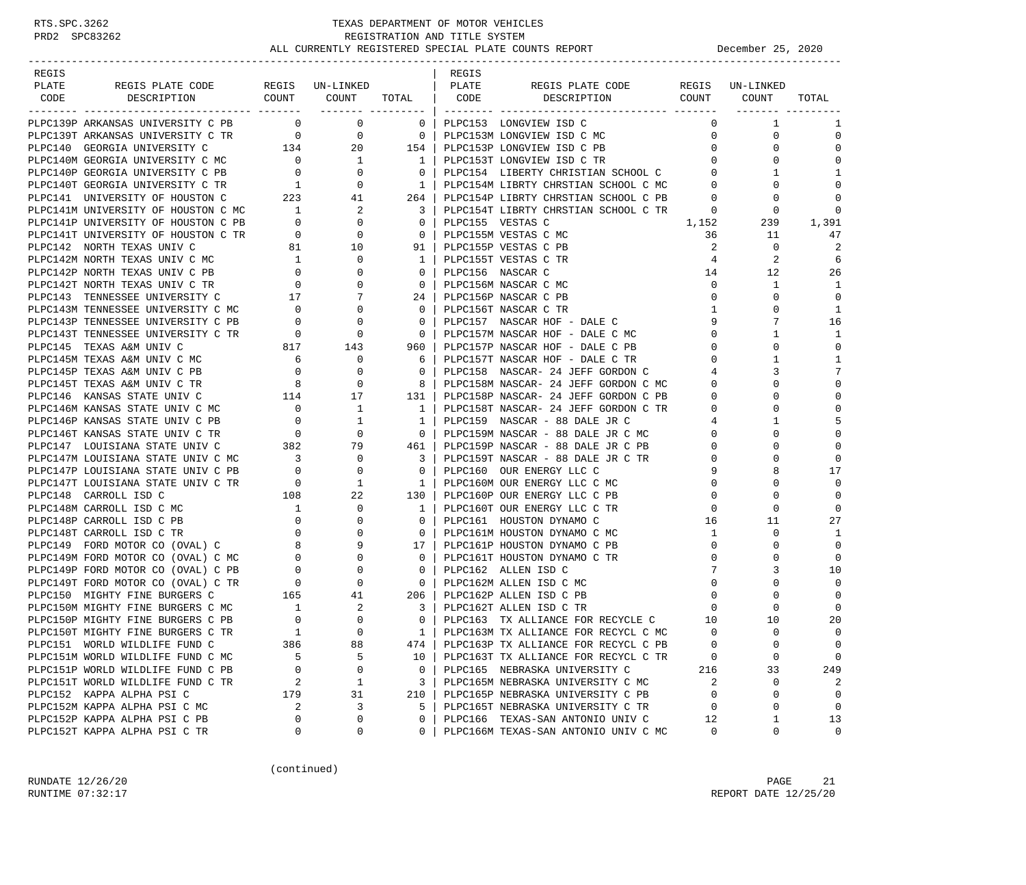| REGIS |                                                                                                                                                                                                  |                                       |                                                                                                 |                                                                       | REGIS |                                                                                                                    |                             |                                   |                   |
|-------|--------------------------------------------------------------------------------------------------------------------------------------------------------------------------------------------------|---------------------------------------|-------------------------------------------------------------------------------------------------|-----------------------------------------------------------------------|-------|--------------------------------------------------------------------------------------------------------------------|-----------------------------|-----------------------------------|-------------------|
| PLATE | REGIS PLATE CODE REGIS UN-LINKED   PLATE                                                                                                                                                         |                                       |                                                                                                 |                                                                       |       | REGIS PLATE CODE REGIS UN-LINKED                                                                                   |                             |                                   |                   |
| CODE  | DESCRIPTION COUNT COUNT TOTAL CODE DESCRIPTION                                                                                                                                                   |                                       |                                                                                                 |                                                                       |       |                                                                                                                    |                             | COUNT COUNT                       | TOTAL             |
|       |                                                                                                                                                                                                  |                                       |                                                                                                 |                                                                       |       |                                                                                                                    |                             |                                   |                   |
|       | PLPC139P ARKANSAS UNIVERSITY C PB 0 0 0                                                                                                                                                          |                                       |                                                                                                 | $\begin{array}{c c} 0 & 1 \end{array}$                                |       | PLPC153 LONGVIEW ISD C                                                                                             | $\Omega$                    | $\mathbf{1}$                      | 1                 |
|       |                                                                                                                                                                                                  |                                       |                                                                                                 |                                                                       |       | PLPC153M LONGVIEW ISD C MC                                                                                         |                             | $0 \qquad \qquad$<br>$\mathbf{0}$ | $\mathbf 0$       |
|       |                                                                                                                                                                                                  |                                       |                                                                                                 |                                                                       |       | PLPC153P LONGVIEW ISD C PB                                                                                         | 0                           | $\Omega$                          | $\mathbf 0$       |
|       |                                                                                                                                                                                                  |                                       |                                                                                                 |                                                                       |       | PLPC153T LONGVIEW ISD C TR                                                                                         | $0 \qquad \qquad$           | $\Omega$                          | $\Omega$          |
|       |                                                                                                                                                                                                  |                                       |                                                                                                 |                                                                       |       |                                                                                                                    | $0 \qquad \qquad$           | 1                                 | 1                 |
|       |                                                                                                                                                                                                  |                                       |                                                                                                 |                                                                       |       | PLPC154 LIBERTY CHRISTIAN SCHOOL C<br>PLPC154M LIBRTY CHRSTIAN SCHOOL C MC<br>PLPC154M LIBRTY CHRSTIAN SCHOOL C MC | $\overline{0}$              |                                   | $\mathbf 0$       |
|       |                                                                                                                                                                                                  |                                       |                                                                                                 |                                                                       |       | PLPC154P LIBRTY CHRSTIAN SCHOOL C PB                                                                               | $\overline{0}$              | 0                                 | $\Omega$          |
|       | PLECI41 UNIVERSITY OF HOUSTON C MC<br>PLECI41P UNIVERSITY OF HOUSTON C PB 0 0<br>PLECI41T UNIVERSITY OF HOUSTON C TR 0 0 0<br>PLECI42 NORTH TEXAS UNIV C 81 10                                   |                                       |                                                                                                 | $\overline{\phantom{a}}$ 3                                            |       | PLPC154T LIBRTY CHRSTIAN SCHOOL C TR                                                                               | $\overline{0}$              | 0                                 | $\Omega$          |
|       |                                                                                                                                                                                                  |                                       |                                                                                                 | $\overline{0}$                                                        |       | PLPC155 VESTAS C                                                                                                   | 1,152                       | 239                               | 1,391             |
|       |                                                                                                                                                                                                  |                                       |                                                                                                 | $\overline{\phantom{0}}$ 0 $\overline{\phantom{0}}$                   |       | PLPC155M VESTAS C MC                                                                                               | 36                          | 11                                | 47                |
|       |                                                                                                                                                                                                  |                                       |                                                                                                 | 91                                                                    |       | PLPC155P VESTAS C PB                                                                                               | 2                           | $\mathbf{0}$                      | 2                 |
|       |                                                                                                                                                                                                  |                                       | $\overline{0}$                                                                                  | $1 \quad$                                                             |       | PLPC155T VESTAS C TR                                                                                               | $\overline{4}$              | $\overline{2}$                    | 6                 |
|       |                                                                                                                                                                                                  |                                       | 0                                                                                               | $\overline{0}$                                                        |       | PLPC156 NASCAR C                                                                                                   | 14                          | 12                                | 26                |
|       | PLPC142M NORTH TEXAS UNIV C MC<br>PLPC142P NORTH TEXAS UNIV C PB 0<br>PLPC142T NORTH TEXAS UNIV C TR 0                                                                                           |                                       | $\mathbf{0}$                                                                                    | $\overline{\phantom{0}}$ 0 $\overline{\phantom{0}}$                   |       | PLPC156M NASCAR C MC                                                                                               | $\overline{0}$              | $\mathbf{1}$                      | 1                 |
|       |                                                                                                                                                                                                  |                                       |                                                                                                 | 24                                                                    |       | PLPC156P NASCAR C PB                                                                                               | $\overline{0}$              | 0                                 | $\mathbf 0$       |
|       | PLPC143 TENNESSEE UNIVERSITY C 17 7<br>PLPC143M TENNESSEE UNIVERSITY C MC 0 0                                                                                                                    |                                       |                                                                                                 | $\overline{\phantom{0}}$ 0 $\overline{\phantom{0}}$                   |       | PLPC156T NASCAR C TR                                                                                               | $\mathbf{1}$                | $\Omega$                          | 1                 |
|       | PLPC143P TENNESSEE UNIVERSITY C PB                                                                                                                                                               | $\overline{0}$                        | $\mathbf{0}$                                                                                    | $\overline{0}$                                                        |       | PLPC157 NASCAR HOF - DALE C                                                                                        | 9                           | 7                                 | 16                |
|       | PLPC143T TENNESSEE UNIVERSITY C TR                                                                                                                                                               |                                       |                                                                                                 | $\overline{0}$                                                        |       | PLPC157M NASCAR HOF - DALE C MC                                                                                    | $\overline{0}$              | $\mathbf{1}$                      | 1                 |
|       | PLPC145 TEXAS A&M UNIV C                                                                                                                                                                         |                                       | $817$ $143$                                                                                     | 960 l                                                                 |       | PLPC157P NASCAR HOF - DALE C PB                                                                                    | $\overline{0}$              | $\Omega$                          | $\mathbf 0$       |
|       | PLPC145M TEXAS A&M UNIV C MC                                                                                                                                                                     |                                       | 0                                                                                               | 61                                                                    |       | PLPC157T NASCAR HOF - DALE C TR                                                                                    | $\overline{0}$              | 1                                 | 1                 |
|       | PLPC145P TEXAS A&M UNIV C PB                                                                                                                                                                     | $\begin{array}{c} 6 \\ 0 \end{array}$ | $\mathbf{0}$                                                                                    | $\overline{\mathbf{0}}$                                               |       | PLPC158 NASCAR- 24 JEFF GORDON C                                                                                   | 4                           | 3                                 | 7                 |
|       | PLPC145T TEXAS A&M UNIV C TR                                                                                                                                                                     |                                       |                                                                                                 | 8                                                                     |       | PLPC158M NASCAR- 24 JEFF GORDON C MC                                                                               | $\mathbf{0}$                | $\Omega$                          | $\mathbf 0$       |
|       | PLPC146 KANSAS STATE UNIV C                                                                                                                                                                      |                                       |                                                                                                 | 131 l                                                                 |       | PLPC158P NASCAR- 24 JEFF GORDON C PB                                                                               | $\mathbf{0}$                | $\Omega$                          | $\mathbf 0$       |
|       | PLPC146M KANSAS STATE UNIV C MC 0                                                                                                                                                                |                                       |                                                                                                 | $\mathbf{1}$                                                          |       | PLPC158T NASCAR- 24 JEFF GORDON C TR                                                                               | $\mathbf 0$                 | $\Omega$                          | $\mathbf 0$       |
|       | PLPC146P KANSAS STATE UNIV C PB                                                                                                                                                                  |                                       |                                                                                                 | $\mathbf{1}$                                                          |       | PLPC159 NASCAR - 88 DALE JR C                                                                                      | 4                           | 1                                 | 5                 |
|       | PLPC146T KANSAS STATE UNIV C TR                                                                                                                                                                  |                                       | $\begin{array}{ccc} & & 0 & & 1 \\ & & 0 & & 0 \\ & & 382 & & 79 \\ \end{array}$                | $\overline{0}$                                                        |       | PLPC159M NASCAR - 88 DALE JR C MC                                                                                  | $\mathbf 0$                 |                                   | $\mathbf 0$       |
|       | PLPC147 LOUISIANA STATE UNIV C                                                                                                                                                                   |                                       |                                                                                                 | 461                                                                   |       | PLPC159P NASCAR - 88 DALE JR C PB                                                                                  | $\mathbf{0}$                | $\Omega$                          | $\mathbf 0$       |
|       | PLPC147M LOUISIANA STATE UNIV C MC                                                                                                                                                               |                                       |                                                                                                 | $\overline{\phantom{a}3}$                                             |       | PLPC159T NASCAR - 88 DALE JR C TR                                                                                  | $\mathbf 0$                 |                                   | $\Omega$          |
|       | PLPC147P LOUISIANA STATE UNIV C PB                                                                                                                                                               |                                       | $\begin{array}{cccc} & 3 & & & 0 \\ & 0 & & & 0 \\ & & 0 & & 1 \\ & & 108 & & & 22 \end{array}$ | $\overline{0}$                                                        |       | PLPC160 OUR ENERGY LLC C                                                                                           | 9                           |                                   | 17                |
|       | PLPC147T LOUISIANA STATE UNIV C TR                                                                                                                                                               |                                       |                                                                                                 | $\frac{1}{2}$                                                         |       | PLPC160M OUR ENERGY LLC C MC                                                                                       | $\overline{0}$              | $\Omega$                          | $\Omega$          |
|       | PLPC148 CARROLL ISD C                                                                                                                                                                            |                                       |                                                                                                 | 130                                                                   |       | PLPC160P OUR ENERGY LLC C PB                                                                                       | $\mathbf 0$                 |                                   | $\mathbf 0$       |
|       |                                                                                                                                                                                                  |                                       | $\overline{0}$                                                                                  | $\mathbf{1}$                                                          |       | PLPC160T OUR ENERGY LLC C TR                                                                                       | $\mathbf{0}$                | 0                                 | $\Omega$          |
|       |                                                                                                                                                                                                  |                                       | 0                                                                                               | $\overline{0}$                                                        |       | PLPC161 HOUSTON DYNAMO C                                                                                           | 16                          | 11                                | 27                |
|       |                                                                                                                                                                                                  |                                       | $\mathbf{0}$                                                                                    | $\overline{\mathbf{0}}$                                               |       | PLPC161M HOUSTON DYNAMO C MC                                                                                       |                             | 0                                 | 1                 |
|       |                                                                                                                                                                                                  |                                       | 9                                                                                               | 17                                                                    |       | PLPC161P HOUSTON DYNAMO C PB                                                                                       | $\mathbf{1}$<br>$\mathbf 0$ | 0                                 | $\mathbf 0$       |
|       | PLPC148M CARROLL ISD C MC<br>PLPC148P CARROLL ISD C PB<br>PLPC148T CARROLL ISD C TR<br>PLPC149T CARROLL ISD C TR<br>PLPC149 FORD MOTOR CO (OVAL) C MC<br>PLPC149M FORD MOTOR CO (OVAL) C MC<br>0 |                                       | $\mathbf{0}$                                                                                    | $\overline{0}$                                                        |       | PLPC161T HOUSTON DYNAMO C TR                                                                                       | $\mathbf{0}$                | $\Omega$                          | $\mathbf 0$       |
|       |                                                                                                                                                                                                  |                                       |                                                                                                 |                                                                       |       |                                                                                                                    | 7                           | 3                                 |                   |
|       | PLPC149P FORD MOTOR CO (OVAL) C PB<br>PLPC149T FORD MOTOR CO (OVAL) C TR<br>PLPC150 MIGHTY FINE BURGERS C C 165 41<br>PLPC150M MIGHTY FINE BURGERS C 165 41                                      |                                       |                                                                                                 | $\overline{0}$<br>$\overline{\phantom{0}}$ 0 $\overline{\phantom{0}}$ |       | PLPC162 ALLEN ISD C<br>PLPC162M ALLEN ISD C MC                                                                     | $\overline{0}$              | $\Omega$                          | 10<br>$\mathbf 0$ |
|       |                                                                                                                                                                                                  |                                       |                                                                                                 | 206                                                                   |       |                                                                                                                    |                             | $\Omega$                          | $\mathbf 0$       |
|       |                                                                                                                                                                                                  |                                       |                                                                                                 |                                                                       |       | PLPC162P ALLEN ISD C PB                                                                                            | $\overline{0}$              | $\Omega$                          | $\Omega$          |
|       | PLECISON MIGHTY FINE BURGERS C MC<br>TIPOLEOD MIGHTY FINE BURGERS C PB                                                                                                                           |                                       | 2                                                                                               | $\overline{\phantom{a}3}$                                             |       | PLPC162T ALLEN ISD C TR<br>PLPC163 TX ALLIANCE FOR RECYCLE C                                                       | $\mathbf{0}$                |                                   |                   |
|       |                                                                                                                                                                                                  |                                       | $\mathbf{0}$<br>$\Omega$                                                                        | $\overline{0}$                                                        |       |                                                                                                                    | 10                          | 10<br>$\Omega$                    | 20                |
|       | PLPC150T MIGHTY FINE BURGERS C TR                                                                                                                                                                | 1                                     |                                                                                                 | $1 \mid$                                                              |       | PLPC163M TX ALLIANCE FOR RECYCL C MC                                                                               | $\Omega$                    |                                   | $\Omega$          |
|       | PLPC151 WORLD WILDLIFE FUND C                                                                                                                                                                    | 386                                   | 88                                                                                              | 474                                                                   |       | PLPC163P TX ALLIANCE FOR RECYCL C PB                                                                               | $\mathbf 0$                 | 0                                 | 0                 |
|       | PLPC151M WORLD WILDLIFE FUND C MC                                                                                                                                                                | 5                                     | 5                                                                                               | 10                                                                    |       | PLPC163T TX ALLIANCE FOR RECYCL C TR                                                                               | 0                           | 0                                 | 0                 |
|       | PLPC151P WORLD WILDLIFE FUND C PB                                                                                                                                                                | 0                                     | 0                                                                                               | 0                                                                     |       | PLPC165 NEBRASKA UNIVERSITY C                                                                                      | 216                         | 33                                | 249               |
|       | PLPC151T WORLD WILDLIFE FUND C TR                                                                                                                                                                | 2                                     | 1                                                                                               | 3                                                                     |       | PLPC165M NEBRASKA UNIVERSITY C MC                                                                                  | 2                           | 0                                 | 2                 |
|       | PLPC152 KAPPA ALPHA PSI C                                                                                                                                                                        | 179                                   | 31                                                                                              | 210                                                                   |       | PLPC165P NEBRASKA UNIVERSITY C PB                                                                                  | $\mathbf 0$                 | $\Omega$                          | 0                 |
|       | PLPC152M KAPPA ALPHA PSI C MC                                                                                                                                                                    | 2                                     | 3                                                                                               | 5                                                                     |       | PLPC165T NEBRASKA UNIVERSITY C TR                                                                                  | 0                           | 0                                 | $\mathbf 0$       |
|       | PLPC152P KAPPA ALPHA PSI C PB                                                                                                                                                                    | 0                                     | 0                                                                                               | 0                                                                     |       | PLPC166 TEXAS-SAN ANTONIO UNIV C                                                                                   | 12                          | 1                                 | 13                |
|       | PLPC152T KAPPA ALPHA PSI C TR                                                                                                                                                                    | 0                                     | 0                                                                                               | 0                                                                     |       | PLPC166M TEXAS-SAN ANTONIO UNIV C MC                                                                               | 0                           | 0                                 | 0                 |

(continued)

RUNDATE  $12/26/20$  PAGE 21 RUNTIME 07:32:17 REPORT DATE 12/25/20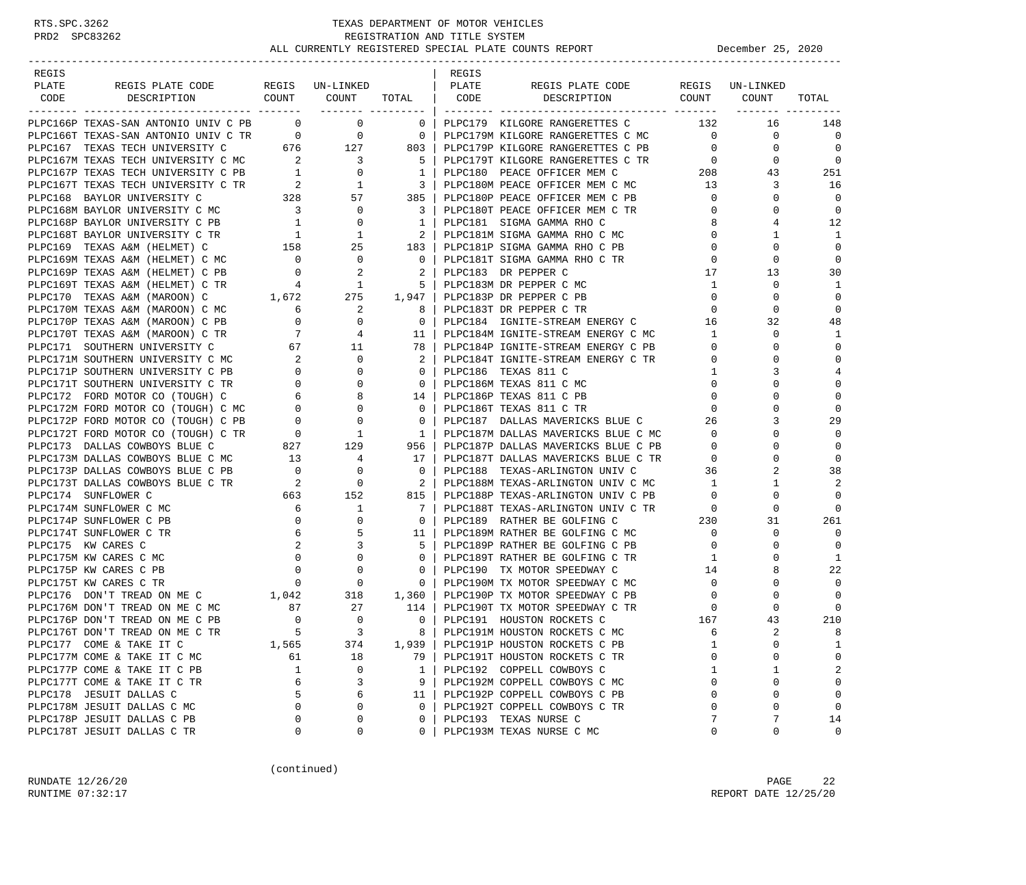| REGIS                                                                                                                                                                                                                                     |                                        |                                                                 |                                                         | REGIS        |                                                                                                                                                                              |                                          |                |                            |
|-------------------------------------------------------------------------------------------------------------------------------------------------------------------------------------------------------------------------------------------|----------------------------------------|-----------------------------------------------------------------|---------------------------------------------------------|--------------|------------------------------------------------------------------------------------------------------------------------------------------------------------------------------|------------------------------------------|----------------|----------------------------|
| PLATE<br>REGIS PLATE CODE REGIS UN-LINKED                                                                                                                                                                                                 |                                        |                                                                 |                                                         | <b>PLATE</b> | REGIS PLATE CODE REGIS UN-LINKED                                                                                                                                             |                                          |                |                            |
| CODE<br>DESCRIPTION                                                                                                                                                                                                                       |                                        | ------- ---------                                               |                                                         |              | COUNT COUNT TOTAL CODE DESCRIPTION COUNT COUNT                                                                                                                               |                                          |                | TOTAL                      |
| PLPC166P TEXAS-SAN ANTONIO UNIV C PB 0 0                                                                                                                                                                                                  |                                        |                                                                 | $\overline{\phantom{0}}$ 0 $\overline{\phantom{0}}$     |              | PLPC179 KILGORE RANGERETTES C                                                                                                                                                | 132                                      | 16             | 148                        |
| PLPC166T TEXAS-SAN ANTONIO UNIV C TR<br>PLPC167 TEXAS TECH UNIVERSITY C 676 127 803   PLPC179M KILGORE RANGERETTES C MC<br>PLPC167M TEXAS TECH UNIVERSITY C MC 2 3 5   PLPC179T KILGORE RANGERETTES C PB<br>PLPC167P TEXAS TECH UNIV      |                                        |                                                                 |                                                         |              | PLPC179M KILGORE RANGERETTES C MC                                                                                                                                            | $\overline{0}$                           | 0              | $\overline{0}$             |
|                                                                                                                                                                                                                                           |                                        |                                                                 |                                                         |              |                                                                                                                                                                              | $\circ$                                  | $\mathbf 0$    | $\Omega$                   |
|                                                                                                                                                                                                                                           |                                        |                                                                 |                                                         |              | PLPC179T KILGORE RANGERETTES C TR 0                                                                                                                                          |                                          | $\mathbf{0}$   | $\Omega$                   |
|                                                                                                                                                                                                                                           |                                        |                                                                 |                                                         |              |                                                                                                                                                                              |                                          | 43             | 251                        |
|                                                                                                                                                                                                                                           |                                        |                                                                 |                                                         |              |                                                                                                                                                                              | $\begin{array}{c} 208 \\ 13 \end{array}$ | 3              | 16                         |
|                                                                                                                                                                                                                                           |                                        |                                                                 |                                                         |              | PLPC180P PEACE OFFICER MEM C PB                                                                                                                                              | $\overline{0}$                           | $\mathbf 0$    | 0                          |
| PLECI67 TEXAS TECH UNIVERSITY C TR<br>PLECI68 BAYLOR UNIVERSITY C MC 328 57 385   PLECI80P PEACE OFFICER MEM C PE<br>PLECI68M BAYLOR UNIVERSITY C MC 3 0 3   PLECI80P PEACE OFFICER MEM C TR<br>PLECI68P BAYLOR UNIVERSITY C TR 1 0       |                                        |                                                                 |                                                         |              | 3   PLPC180T PEACE OFFICER MEM C TR                                                                                                                                          | $\mathbf{0}$                             | $\Omega$       | 0                          |
|                                                                                                                                                                                                                                           |                                        |                                                                 |                                                         |              |                                                                                                                                                                              | 8                                        | 4              | 12                         |
|                                                                                                                                                                                                                                           |                                        |                                                                 |                                                         |              | PLPC181M SIGMA GAMMA RHO C MC                                                                                                                                                | $\mathbf{0}$                             | 1              | 1                          |
|                                                                                                                                                                                                                                           |                                        |                                                                 |                                                         |              |                                                                                                                                                                              | $\Omega$                                 | $\Omega$       | $\mathbf 0$                |
| PLPC169M TEXAS A&M (HELMET) C MC                                                                                                                                                                                                          | $\begin{array}{c} 0 \\ 0 \end{array}$  |                                                                 | $\begin{array}{ccc} 0 & & & 0 \\ 2 & & & 2 \end{array}$ |              | PLPC181T SIGMA GAMMA RHO C TR                                                                                                                                                | $\mathbf{0}$                             | $\mathbf 0$    | $\overline{0}$             |
| PLPC169P TEXAS A&M (HELMET) C PB                                                                                                                                                                                                          |                                        |                                                                 | $2 \mid$                                                |              | PLPC183 DR PEPPER C                                                                                                                                                          | 17                                       | 13             | 30                         |
| PLPC169T TEXAS A&M (HELMET) C TR                                                                                                                                                                                                          |                                        |                                                                 |                                                         |              |                                                                                                                                                                              | $\overline{1}$                           | $\mathbf 0$    | 1                          |
| PLPC170 TEXAS A&M (MAROON) C                                                                                                                                                                                                              |                                        |                                                                 |                                                         |              |                                                                                                                                                                              | $\overline{0}$                           | 0              | $\mathbf 0$                |
| PLPC170M TEXAS A&M (MAROON) C MC                                                                                                                                                                                                          |                                        |                                                                 |                                                         |              | TR 4 1 5 PLPC183M DR PEPPER C MC<br>1,672 275 1,947 PLPC183P DR PEPPER C PB<br>MC 6 2 8 PLPC183T DR PEPPER C TR                                                              | $\overline{0}$                           | $\Omega$       | $\mathbf 0$                |
| PLPC170P TEXAS A&M (MAROON) C PB                                                                                                                                                                                                          |                                        |                                                                 |                                                         |              | PLPC184 IGNITE-STREAM ENERGY C                                                                                                                                               | 16                                       | 32             | 48                         |
| PLPC170T TEXAS A&M (MAROON) C TR                                                                                                                                                                                                          |                                        |                                                                 |                                                         |              |                                                                                                                                                                              | 1                                        | $\Omega$       | 1                          |
| PLPC171 SOUTHERN UNIVERSITY C                                                                                                                                                                                                             |                                        |                                                                 |                                                         |              | PLPC184P IGNITE-STREAM ENERGY C PB                                                                                                                                           | $\overline{0}$                           | $\Omega$       | $\Omega$                   |
|                                                                                                                                                                                                                                           |                                        |                                                                 |                                                         |              | PLPC184T IGNITE-STREAM ENERGY C TR                                                                                                                                           | $\mathbf{0}$                             | $\Omega$       | $\mathbf 0$                |
|                                                                                                                                                                                                                                           |                                        |                                                                 |                                                         |              | PLPC186 TEXAS 811 C                                                                                                                                                          | $\mathbf{1}$                             | 3              | 4                          |
|                                                                                                                                                                                                                                           |                                        |                                                                 |                                                         |              | PLPC186M TEXAS 811 C MC                                                                                                                                                      | $\mathbf{0}$                             | $\Omega$       | $\mathbf 0$                |
|                                                                                                                                                                                                                                           |                                        |                                                                 |                                                         |              | 14   PLPC186P TEXAS 811 C PB                                                                                                                                                 | $\mathbf{0}$                             | $\Omega$       | $\mathbf 0$                |
|                                                                                                                                                                                                                                           |                                        |                                                                 |                                                         |              | PLPC186T TEXAS 811 C TR                                                                                                                                                      | $\Omega$                                 |                | $\Omega$                   |
|                                                                                                                                                                                                                                           |                                        |                                                                 |                                                         |              | PLPC187 DALLAS MAVERICKS BLUE C                                                                                                                                              | 26                                       | 3              | 29                         |
|                                                                                                                                                                                                                                           |                                        |                                                                 |                                                         |              | PLPC187M DALLAS MAVERICKS BLUE C MC                                                                                                                                          | $\overline{0}$                           | $\Omega$       | 0                          |
| PLPC171M SOUTHERN UNIVERSITY C MC<br>PLPC171M SOUTHERN UNIVERSITY C PR<br>PLPC171T SOUTHERN UNIVERSITY C TR<br>PLPC171T SOUTHERN UNIVERSITY C TR<br>PLPC172 FORD MOTOR CO (TOUGH) C MC<br>PLPC172M FORD MOTOR CO (TOUGH) C MC<br>PLPC172P |                                        |                                                                 |                                                         |              | PLPC187P DALLAS MAVERICKS BLUE C PB                                                                                                                                          | $\mathbf{0}$                             | $\Omega$       | 0                          |
| PLPC173M DALLAS COWBOYS BLUE C MC                                                                                                                                                                                                         |                                        | $\begin{array}{ccc} 13 & & 4 \\ 0 & & 0 \\ 2 & & 0 \end{array}$ | 17 <sup>1</sup>                                         |              | PLPC187F DALLAS MAVERICKS BLUE C TR<br>PLPC187T DALLAS MAVERICKS BLUE C TR<br>----100 TEVAC-ARLINGTON UNIV C 36                                                              |                                          | $\Omega$       | $\Omega$                   |
| PLPC173P DALLAS COWBOYS BLUE C PB                                                                                                                                                                                                         |                                        |                                                                 | $\overline{0}$                                          |              |                                                                                                                                                                              |                                          | 2              | 38                         |
| PLPC173T DALLAS COWBOYS BLUE C TR                                                                                                                                                                                                         |                                        | $\begin{array}{ccc} & 2 & 0 \\ 663 & 152 \end{array}$           | $\overline{2}$                                          |              | PLPC188M TEXAS-ARLINGTON UNIV C MC                                                                                                                                           | 1                                        | 1              | 2                          |
| PLPC174 SUNFLOWER C                                                                                                                                                                                                                       |                                        |                                                                 | 815                                                     |              | PLPC188P TEXAS-ARLINGTON UNIV C PB                                                                                                                                           | $\overline{0}$                           | $\Omega$       | $\Omega$                   |
| PLPC174M SUNFLOWER C MC                                                                                                                                                                                                                   | 6                                      | $\begin{array}{c}\n1 \\ 1 \\ 0\n\end{array}$                    | $7\phantom{0}$                                          |              | PLPC188T TEXAS-ARLINGTON UNIV C TR                                                                                                                                           | $\overline{0}$                           | $\mathbf 0$    | $\Omega$                   |
| PLPC174P SUNFLOWER C PB                                                                                                                                                                                                                   | $\overline{0}$                         |                                                                 | $\overline{\phantom{0}}$ 0 $\overline{\phantom{0}}$     |              |                                                                                                                                                                              |                                          | 31             | 261                        |
| PLPC174T SUNFLOWER C TR                                                                                                                                                                                                                   | 6                                      |                                                                 | 11                                                      |              |                                                                                                                                                                              |                                          | 0              | $\Omega$                   |
| PLPC175 KW CARES C                                                                                                                                                                                                                        | 2                                      | $\overline{\mathbf{3}}$                                         | 5                                                       |              | PLPC189P RATHER BE GOLFING C PB                                                                                                                                              | $\mathbf{0}$                             | 0              | $\mathbf 0$                |
| PLPC175M KW CARES C MC                                                                                                                                                                                                                    | $\overline{0}$                         | $\mathbf 0$                                                     | 0 <sup>1</sup>                                          |              | PLPC189T RATHER BE GOLFING C TR                                                                                                                                              | $\mathbf{1}$                             | $\Omega$       | 1                          |
| PLPC175P KW CARES C PB                                                                                                                                                                                                                    | $\mathbf{0}$                           | $\begin{matrix}0\\0\end{matrix}$                                |                                                         |              | 0   PLPC190 TX MOTOR SPEEDWAY C<br>0   PLPC190M TX MOTOR SPEEDWAY C MC                                                                                                       | 14                                       | 8              | 22                         |
| PLPC175T KW CARES C TR                                                                                                                                                                                                                    | $\mathbf{0}$                           |                                                                 |                                                         |              |                                                                                                                                                                              | $\circ$                                  | $\mathbf 0$    | $\Omega$                   |
| PLPC176 DON'T TREAD ON ME C                                                                                                                                                                                                               |                                        | $1,042$ $318$ $1,360$                                           |                                                         |              | PLPC190P TX MOTOR SPEEDWAY C PB                                                                                                                                              | $\mathbf 0$                              | 0              | $\Omega$                   |
| PLPC176M DON'T TREAD ON ME C MC                                                                                                                                                                                                           | $\begin{array}{c} 87 \\ 0 \end{array}$ | $\begin{array}{c} 27 \\ 0 \end{array}$                          |                                                         |              | $\begin{tabular}{lllllllllll} 27 & 114 & \texttt{PLPC190T TX MOTOR SPEEDMAX} \\ 0 & 0 & \texttt{PLPC191 HOUTTON ROCKETS C} \end{tabular}$<br>PLPC190T TX MOTOR SPEEDWAY C TR | $\mathbf 0$<br>$\frac{0}{167}$           | $\mathbf 0$    | $\mathbf 0$                |
| PLPC176P DON'T TREAD ON ME C PB                                                                                                                                                                                                           |                                        |                                                                 |                                                         |              |                                                                                                                                                                              |                                          | 43             | 210                        |
| PLPC176T DON'T TREAD ON ME C TR                                                                                                                                                                                                           |                                        | $\overline{\mathbf{3}}$                                         | 8                                                       |              | PLPC191M HOUSTON ROCKETS C MC                                                                                                                                                | 6                                        | $\overline{2}$ | 8                          |
| PLPC177 COME & TAKE IT C                                                                                                                                                                                                                  | 1,565                                  | 374                                                             | 1,939                                                   |              | PLPC191P HOUSTON ROCKETS C PB                                                                                                                                                | 1                                        | 0              | 1                          |
| PLPC177M COME & TAKE IT C MC                                                                                                                                                                                                              | 61                                     | 18                                                              | 79                                                      |              | PLPC191T HOUSTON ROCKETS C TR                                                                                                                                                | $\Omega$                                 | 0              | $\mathbf 0$                |
| PLPC177P COME & TAKE IT C PB                                                                                                                                                                                                              | 1                                      | 0                                                               | 1                                                       |              | PLPC192 COPPELL COWBOYS C                                                                                                                                                    | 1                                        | 1              | 2                          |
| PLPC177T COME & TAKE IT C TR                                                                                                                                                                                                              | 6                                      | 3                                                               | 9                                                       |              | PLPC192M COPPELL COWBOYS C MC                                                                                                                                                | $\Omega$                                 | $\mathbf 0$    | $\mathbf 0$                |
| PLPC178 JESUIT DALLAS C                                                                                                                                                                                                                   | 5                                      | 6                                                               | 11                                                      |              | PLPC192P COPPELL COWBOYS C PB                                                                                                                                                | $\Omega$                                 | 0              | $\mathbf 0$<br>$\mathbf 0$ |
| PLPC178M JESUIT DALLAS C MC                                                                                                                                                                                                               | $\mathbf 0$                            | $\mathsf 0$<br>$\mathsf 0$                                      | $\mathbf{0}$                                            |              | PLPC192T COPPELL COWBOYS C TR                                                                                                                                                | $\mathbf 0$                              | 0<br>7         |                            |
| PLPC178P JESUIT DALLAS C PB<br>PLPC178T JESUIT DALLAS C TR                                                                                                                                                                                | 0<br>0                                 | 0                                                               | $\mathbf 0$<br>$\mathbf{0}$                             |              | PLPC193 TEXAS NURSE C<br>PLPC193M TEXAS NURSE C MC                                                                                                                           | 7<br>$\mathbf 0$                         | 0              | 14<br>0                    |
|                                                                                                                                                                                                                                           |                                        |                                                                 |                                                         |              |                                                                                                                                                                              |                                          |                |                            |

(continued)

RUNDATE  $12/26/20$  PAGE 22 RUNTIME 07:32:17 REPORT DATE 12/25/20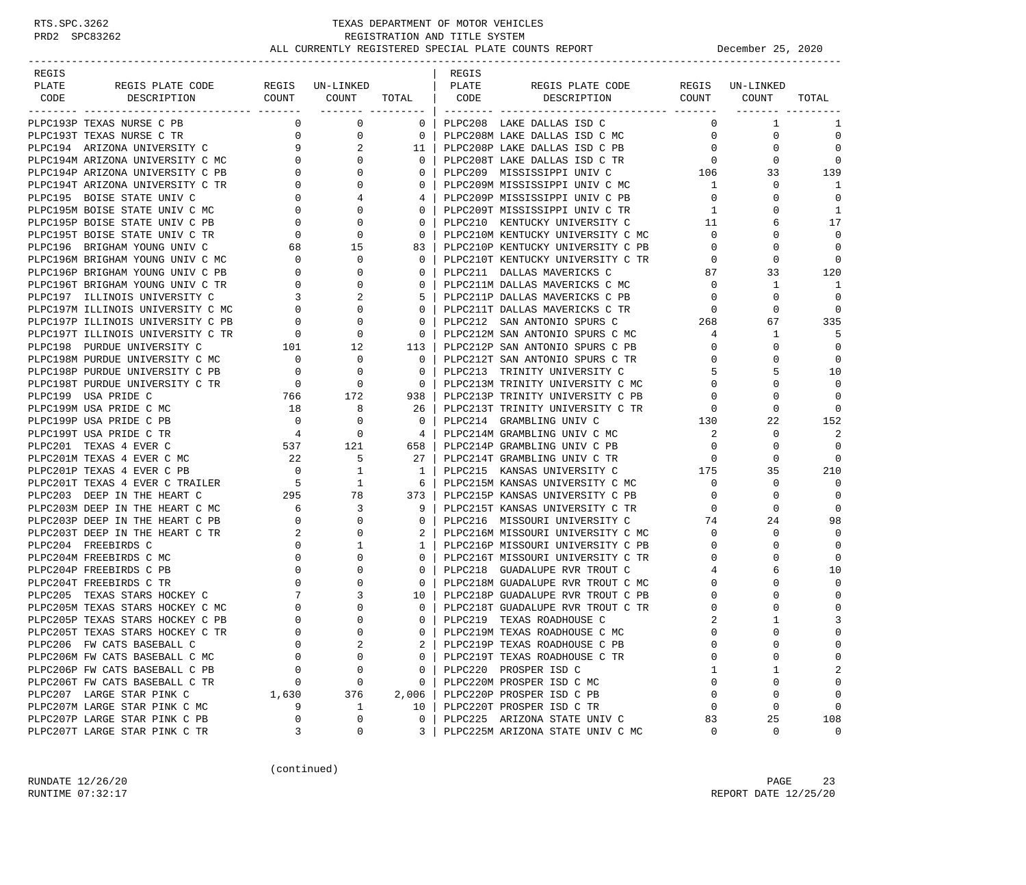| REGIS |                                   |                                       |                                                                                                           |                          | REGIS |                                                              |                     |                 |                      |
|-------|-----------------------------------|---------------------------------------|-----------------------------------------------------------------------------------------------------------|--------------------------|-------|--------------------------------------------------------------|---------------------|-----------------|----------------------|
| PLATE | REGIS PLATE CODE                  |                                       | REGIS UN-LINKED                                                                                           |                          | PLATE | REGIS PLATE CODE                                             |                     | REGIS UN-LINKED |                      |
| CODE  | DESCRIPTION                       | COUNT COUNT                           |                                                                                                           | <b>TOTAL</b>             | CODE  | DESCRIPTION COUNT COUNT                                      |                     |                 | TOTAL                |
|       |                                   |                                       | ________ _________                                                                                        |                          |       |                                                              |                     |                 |                      |
|       | PLPC193P TEXAS NURSE C PB         | $\Omega$                              | $\mathbf 0$                                                                                               | $\overline{0}$           |       | PLPC208 LAKE DALLAS ISD C                                    | 0                   | 1               | 1                    |
|       | PLPC193T TEXAS NURSE C TR         | $\overline{0}$                        | 0                                                                                                         | $\overline{0}$           |       | PLPC208M LAKE DALLAS ISD C MC                                | $\mathbf{0}$        | 0               | $\mathbf 0$          |
|       | PLPC194 ARIZONA UNIVERSITY C      |                                       | 9<br>2                                                                                                    | 11 <sup>1</sup>          |       | PLPC208P LAKE DALLAS ISD C PB                                | $\overline{0}$      | 0               | $\Omega$             |
|       | PLPC194M ARIZONA UNIVERSITY C MC  |                                       | $\overline{0}$<br>$\Omega$                                                                                | $\Omega$                 |       | PLPC208T LAKE DALLAS ISD C TR                                | $\overline{0}$      | $\Omega$        | $\Omega$             |
|       | PLPC194P ARIZONA UNIVERSITY C PB  |                                       | $0 \qquad \qquad$<br>$\mathbf{0}$                                                                         | $\overline{0}$           |       | PLPC209 MISSISSIPPI UNIV C                                   | 106                 | 33              | 139                  |
|       | PLPC194T ARIZONA UNIVERSITY C TR  | $\overline{0}$                        | $\Omega$                                                                                                  | 0 <sup>1</sup>           |       | PLPC209M MISSISSIPPI UNIV C MC                               | $\mathbf{1}$        | $\mathbf 0$     | -1                   |
|       | PLPC195 BOISE STATE UNIV C        |                                       | $\overline{0}$<br>4                                                                                       | 4                        |       | PLPC209P MISSISSIPPI UNIV C PB                               | $\mathbf{0}$        | 0               | 0                    |
|       | PLPC195M BOISE STATE UNIV C MC    |                                       |                                                                                                           | $\mathbf{0}$             |       | PLPC209T MISSISSIPPI UNIV C TR                               | $\mathbf{1}$        | 0               | 1                    |
|       | PLPC195P BOISE STATE UNIV C PB    |                                       | $\begin{array}{ccc} 0 & & & \\ 0 & & & \\ 0 & & & 0 \\ 0 & & & 0 \\ 68 & & & 15 \\ 0 & & & & \end{array}$ | $\circ$                  |       | PLPC210 KENTUCKY UNIVERSITY C                                | 11                  | 6               | 17                   |
|       | PLPC195T BOISE STATE UNIV C TR    |                                       |                                                                                                           | $\circ$                  |       | PLPC210M KENTUCKY UNIVERSITY C MC                            | $\mathbf{0}$        | $\Omega$        | $\Omega$             |
|       | PLPC196 BRIGHAM YOUNG UNIV C      |                                       |                                                                                                           | 83                       |       | PLPC210P KENTUCKY UNIVERSITY C PB                            | $\mathbf{0}$        | $\Omega$        | $\Omega$             |
|       | PLPC196M BRIGHAM YOUNG UNIV C MC  | $\overline{a}$                        |                                                                                                           | $\overline{0}$           |       | PLPC210T KENTUCKY UNIVERSITY C TR                            | $\mathbf 0$         | $\mathbf 0$     | $\Omega$             |
|       | PLPC196P BRIGHAM YOUNG UNIV C PB  | $\overline{0}$                        | 0                                                                                                         | $\mathbf{0}$             |       | PLPC211 DALLAS MAVERICKS C                                   | 87                  | 33              | 120                  |
|       | PLPC196T BRIGHAM YOUNG UNIV C TR  | $\overline{0}$                        | 0                                                                                                         | $\Omega$                 |       | PLPC211M DALLAS MAVERICKS C MC                               | $\overline{0}$      | 1               | 1                    |
|       | PLPC197 ILLINOIS UNIVERSITY C     | $\overline{3}$                        | 2                                                                                                         | 5                        |       | PLPC211P DALLAS MAVERICKS C PB                               | $\overline{0}$      | 0               | $\Omega$             |
|       | PLPC197M ILLINOIS UNIVERSITY C MC | $\overline{0}$                        | $\mathbf{0}$                                                                                              | $\overline{0}$           |       | PLPC211T DALLAS MAVERICKS C TR                               | $\overline{0}$      | $\Omega$        | 0                    |
|       | PLPC197P ILLINOIS UNIVERSITY C PB | $\overline{0}$                        | $\mathbf{0}$                                                                                              | $\overline{0}$           |       | PLPC212 SAN ANTONIO SPURS C                                  | 268                 | 67              | 335                  |
|       | PLPC197T ILLINOIS UNIVERSITY C TR |                                       | $\mathbf{0}$                                                                                              | $\overline{0}$           |       | PLPC212M SAN ANTONIO SPURS C MC                              | 4                   | 1               | -5                   |
|       | PLPC198 PURDUE UNIVERSITY C       | $\overline{R}$ 0<br>101               | 12                                                                                                        | 113                      |       | PLPC212P SAN ANTONIO SPURS C PB                              | $\mathbf{0}$        | 0               | $\Omega$             |
|       | PLPC198M PURDUE UNIVERSITY C MC   |                                       | $\mathbf{0}$                                                                                              | $\overline{0}$           |       | PLPC212T SAN ANTONIO SPURS C TR                              | $\mathbf{0}$        | 0               | 0                    |
|       | PLPC198P PURDUE UNIVERSITY C PB   | $\begin{array}{c} 0 \\ 0 \end{array}$ | $\mathbf{0}$                                                                                              | $\overline{0}$           |       | PLPC213 TRINITY UNIVERSITY C                                 | 5                   | 5               | 10                   |
|       | PLPC198T PURDUE UNIVERSITY C TR   |                                       | $\begin{matrix} 0 & 0 \\ 0 & 0 \end{matrix}$                                                              | $\overline{\phantom{0}}$ |       | PLPC213M TRINITY UNIVERSITY C MC                             | $\Omega$            | 0               | $\Omega$             |
|       | PLPC199 USA PRIDE C               | 766                                   | 172                                                                                                       | 938 I                    |       | PLPC213P TRINITY UNIVERSITY C PB                             | $\mathbf 0$         |                 | $\Omega$             |
|       | PLPC199M USA PRIDE C MC           | 18                                    |                                                                                                           |                          |       |                                                              |                     | $\Omega$        | $\Omega$             |
|       | PLPC199P USA PRIDE C PB           |                                       | 8                                                                                                         | 26<br>$\overline{0}$     |       | PLPC213T TRINITY UNIVERSITY C TR<br>PLPC214 GRAMBLING UNIV C | $\mathbf{0}$<br>130 | 22              | 152                  |
|       |                                   |                                       | $\begin{matrix} 0 & & & 0 \\ 4 & & & 0 \end{matrix}$                                                      |                          |       |                                                              |                     | $\mathbf 0$     | 2                    |
|       | PLPC199T USA PRIDE C TR           |                                       |                                                                                                           | $\overline{4}$           |       | PLPC214M GRAMBLING UNIV C MC                                 | 2                   |                 |                      |
|       | 537 121<br>PLPC201 TEXAS 4 EVER C |                                       | $5^{\circ}$                                                                                               | 658                      |       | PLPC214P GRAMBLING UNIV C PB                                 | $\mathbf 0$         | $\Omega$        | $\Omega$<br>$\Omega$ |
|       | PLPC201M TEXAS 4 EVER C MC        | 22                                    |                                                                                                           | 27 <sup>1</sup>          |       | PLPC214T GRAMBLING UNIV C TR                                 | $\circ$<br>175      | 0               |                      |
|       | PLPC201P TEXAS 4 EVER C PB        |                                       | $\begin{array}{ccc} & 0 & & 1 \\ & 5 & & 1 \\ 295 & & 78 \end{array}$                                     | $\mathbf{1}$             |       | PLPC215 KANSAS UNIVERSITY C                                  |                     | 35              | 210<br>$\Omega$      |
|       | PLPC201T TEXAS 4 EVER C TRAILER   |                                       |                                                                                                           | - 6                      |       | PLPC215M KANSAS UNIVERSITY C MC                              | $\overline{0}$      | 0               |                      |
|       | PLPC203 DEEP IN THE HEART C       |                                       |                                                                                                           | 373                      |       | PLPC215P KANSAS UNIVERSITY C PB                              | $\overline{0}$      | $\Omega$        | $\overline{0}$       |
|       | PLPC203M DEEP IN THE HEART C MC   | $\begin{array}{c} 6 \\ 0 \end{array}$ | 3                                                                                                         | 9                        |       | PLPC215T KANSAS UNIVERSITY C TR                              | 0                   | $\Omega$        | $\Omega$             |
|       | PLPC203P DEEP IN THE HEART C PB   | $\overline{\phantom{a}}$              | 0                                                                                                         | $\mathbf{0}$             |       | PLPC216 MISSOURI UNIVERSITY C                                | 74                  | 24              | 98                   |
|       | PLPC203T DEEP IN THE HEART C TR   |                                       | $\Omega$                                                                                                  |                          |       | PLPC216M MISSOURI UNIVERSITY C MC                            | $\mathbf{0}$        | 0               | $\Omega$             |
|       | PLPC204 FREEBIRDS C               | $\mathbf{0}$                          | 1                                                                                                         | 1                        |       | PLPC216P MISSOURI UNIVERSITY C PB                            | $\mathbf{0}$        | 0               | $\Omega$             |
|       | PLPC204M FREEBIRDS C MC           | $\mathbf{0}$                          | $\Omega$                                                                                                  | $\mathbf{0}$             |       | PLPC216T MISSOURI UNIVERSITY C TR                            | $\mathbf{0}$        |                 | 0                    |
|       | PLPC204P FREEBIRDS C PB           | $\overline{0}$                        | 0                                                                                                         | $\mathbf{0}$             |       | PLPC218 GUADALUPE RVR TROUT C                                | 4                   | 6               | 10                   |
|       | PLPC204T FREEBIRDS C TR           | $\mathbf{0}$                          | 0                                                                                                         | $\mathbf{0}$             |       | PLPC218M GUADALUPE RVR TROUT C MC                            | $\Omega$            |                 | $\Omega$             |
|       | PLPC205 TEXAS STARS HOCKEY C      | 7                                     | 3                                                                                                         | 10 l                     |       | PLPC218P GUADALUPE RVR TROUT C PB                            | $\Omega$            |                 | $\Omega$             |
|       | PLPC205M TEXAS STARS HOCKEY C MC  | 0                                     | $\mathbf{0}$                                                                                              | $\mathbf{0}$             |       | PLPC218T GUADALUPE RVR TROUT C TR                            | 0                   |                 | $\mathbf 0$          |
|       | PLPC205P TEXAS STARS HOCKEY C PB  | $\mathbf 0$                           | $\Omega$                                                                                                  | $\Omega$                 |       | PLPC219 TEXAS ROADHOUSE C                                    | 2                   |                 | 3                    |
|       | PLPC205T TEXAS STARS HOCKEY C TR  | $\Omega$                              | $\cap$                                                                                                    | $\Omega$                 |       | PLPC219M TEXAS ROADHOUSE C MC                                | $\cap$              | $\cap$          | $\Omega$             |
|       | PLPC206 FW CATS BASEBALL C        | 0                                     | 2                                                                                                         |                          |       | PLPC219P TEXAS ROADHOUSE C PB                                | $\Omega$            | 0               | 0                    |
|       | PLPC206M FW CATS BASEBALL C MC    | $\Omega$                              | $\Omega$                                                                                                  | 0                        |       | PLPC219T TEXAS ROADHOUSE C TR                                | $\Omega$            | U               | 0                    |
|       | PLPC206P FW CATS BASEBALL C PB    | 0                                     | 0                                                                                                         | 0                        |       | PLPC220 PROSPER ISD C                                        | 1                   | 1               | 2                    |
|       | PLPC206T FW CATS BASEBALL C TR    | 0                                     | 0                                                                                                         | 0                        |       | PLPC220M PROSPER ISD C MC                                    | $\Omega$            | $\Omega$        | $\mathbf 0$          |
|       | PLPC207 LARGE STAR PINK C         | 1,630                                 | 376                                                                                                       | 2,006                    |       | PLPC220P PROSPER ISD C PB                                    | $\Omega$            | 0               | 0                    |
|       | PLPC207M LARGE STAR PINK C MC     | 9                                     | $\mathbf{1}$                                                                                              | 10                       |       | PLPC220T PROSPER ISD C TR                                    | 0                   | 0               | $\mathbf 0$          |
|       | PLPC207P LARGE STAR PINK C PB     | 0                                     | 0                                                                                                         | 0                        |       | PLPC225 ARIZONA STATE UNIV C                                 | 83                  | 25              | 108                  |
|       | PLPC207T LARGE STAR PINK C TR     | 3                                     | 0                                                                                                         | 3                        |       | PLPC225M ARIZONA STATE UNIV C MC                             | 0                   | $\mathbf 0$     | $\mathbf{0}$         |

(continued)

RUNDATE  $12/26/20$  PAGE 23 RUNTIME 07:32:17 REPORT DATE 12/25/20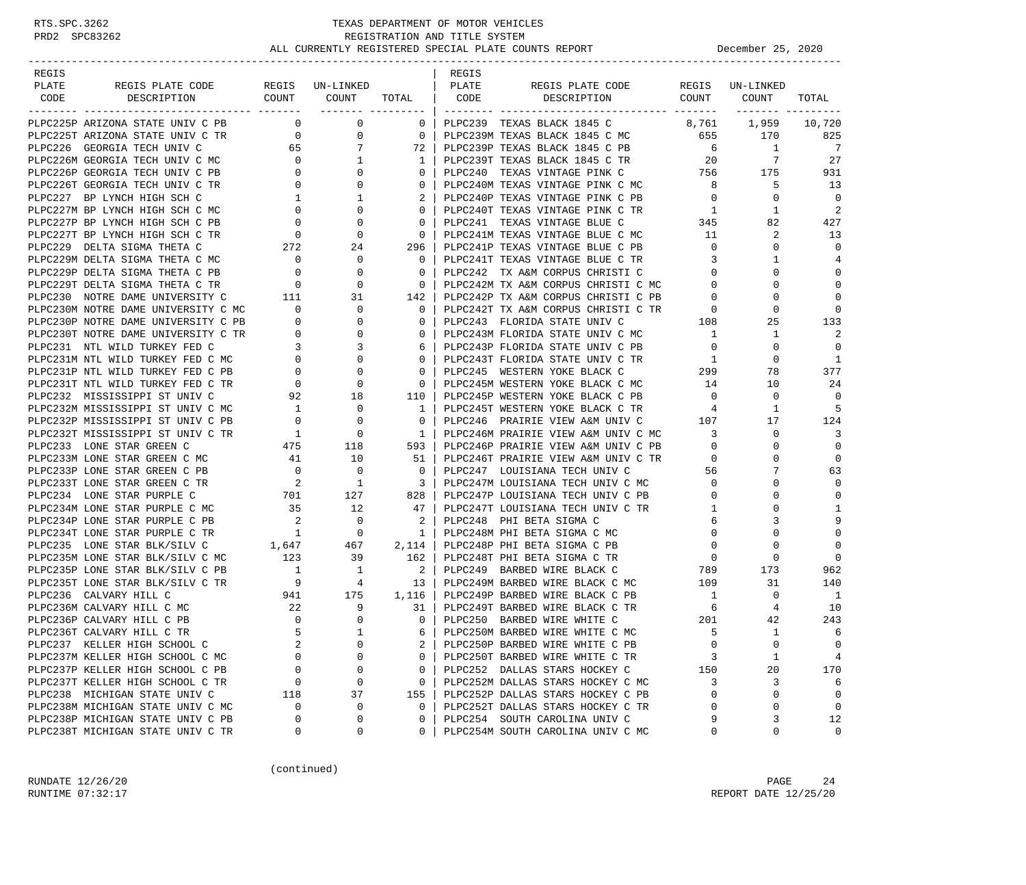| REGIS                                                                                                                                                                                                                                      |                                                    |                |          | REGIS |                                                                                                                                                                                                                                        |                                                                       |                 |                |
|--------------------------------------------------------------------------------------------------------------------------------------------------------------------------------------------------------------------------------------------|----------------------------------------------------|----------------|----------|-------|----------------------------------------------------------------------------------------------------------------------------------------------------------------------------------------------------------------------------------------|-----------------------------------------------------------------------|-----------------|----------------|
| PLATE                                                                                                                                                                                                                                      |                                                    |                |          |       | REGIS PLATE CODE REGIS UN-LINKED                                                                                                                                                                                                       |                                                                       |                 |                |
| CODE                                                                                                                                                                                                                                       |                                                    |                |          |       |                                                                                                                                                                                                                                        |                                                                       |                 | TOTAL          |
| PLPC225P ARIZONA STATE UNIV C PB                                                                                                                                                                                                           | $\begin{array}{ccc} & & 0 & \quad & 0 \end{array}$ |                |          |       | 0   PLPC239 TEXAS BLACK 1845 C 8,761 1,959                                                                                                                                                                                             |                                                                       |                 | 10,720         |
| PLPC225T ARIZONA STATE UNIV C TR 0                                                                                                                                                                                                         |                                                    |                |          |       | 0 0 PLPC239M TEXAS BLACK 1845 C MC 655 170 825<br>7 72 PLPC239P TEXAS BLACK 1845 C PB 6 1 7<br>1 PLPC239T TEXAS BLACK 1845 C TR 20 7 27<br>0 0 PLPC240 TEXAS VINTAGE PINK C 756 175 931<br>0 0 PLPC240M TEXAS VINTAGE PINK C MC 8 5 13 |                                                                       |                 |                |
|                                                                                                                                                                                                                                            |                                                    |                |          |       |                                                                                                                                                                                                                                        |                                                                       |                 |                |
|                                                                                                                                                                                                                                            |                                                    |                |          |       |                                                                                                                                                                                                                                        |                                                                       |                 |                |
|                                                                                                                                                                                                                                            |                                                    |                |          |       |                                                                                                                                                                                                                                        |                                                                       |                 |                |
|                                                                                                                                                                                                                                            |                                                    |                |          |       |                                                                                                                                                                                                                                        |                                                                       |                 |                |
|                                                                                                                                                                                                                                            |                                                    |                |          |       |                                                                                                                                                                                                                                        |                                                                       | $\mathbf{0}$    | $\overline{0}$ |
|                                                                                                                                                                                                                                            |                                                    |                |          |       |                                                                                                                                                                                                                                        |                                                                       | 1               | 2              |
|                                                                                                                                                                                                                                            |                                                    |                |          |       |                                                                                                                                                                                                                                        |                                                                       | 82              | 427            |
|                                                                                                                                                                                                                                            |                                                    |                |          |       |                                                                                                                                                                                                                                        |                                                                       | 2               | 13             |
|                                                                                                                                                                                                                                            |                                                    |                |          |       |                                                                                                                                                                                                                                        |                                                                       | $\mathbf{0}$    | $\overline{0}$ |
|                                                                                                                                                                                                                                            |                                                    |                |          |       |                                                                                                                                                                                                                                        |                                                                       | $\mathbf{1}$    | 4              |
|                                                                                                                                                                                                                                            |                                                    |                |          |       |                                                                                                                                                                                                                                        |                                                                       | $\Omega$        | $\mathbf 0$    |
|                                                                                                                                                                                                                                            |                                                    |                |          |       |                                                                                                                                                                                                                                        |                                                                       | $\Omega$        | $\mathbf 0$    |
|                                                                                                                                                                                                                                            |                                                    |                |          |       |                                                                                                                                                                                                                                        |                                                                       | 0               | $\mathbf 0$    |
|                                                                                                                                                                                                                                            |                                                    |                |          |       |                                                                                                                                                                                                                                        |                                                                       | 0               | $\overline{0}$ |
|                                                                                                                                                                                                                                            |                                                    |                |          |       |                                                                                                                                                                                                                                        |                                                                       | 25              | 133            |
|                                                                                                                                                                                                                                            |                                                    |                |          |       |                                                                                                                                                                                                                                        |                                                                       | $\mathbf{1}$    | 2              |
|                                                                                                                                                                                                                                            |                                                    |                |          |       |                                                                                                                                                                                                                                        |                                                                       | $\mathbf 0$     | $\mathbf 0$    |
|                                                                                                                                                                                                                                            |                                                    |                |          |       |                                                                                                                                                                                                                                        |                                                                       | $\mathbf{0}$    | -1             |
|                                                                                                                                                                                                                                            |                                                    |                |          |       |                                                                                                                                                                                                                                        |                                                                       | 78              | 377            |
|                                                                                                                                                                                                                                            |                                                    |                |          |       |                                                                                                                                                                                                                                        |                                                                       | 10              | 24             |
|                                                                                                                                                                                                                                            |                                                    |                |          |       |                                                                                                                                                                                                                                        |                                                                       | $\mathbf{0}$    | $\overline{0}$ |
| PHOC2250 ARTICOM STEVE USE V. C = 0 0 0 1912-233 PERSON TRIS C = 0 0 0 1912-233 PERSON TRIS C = 0 0 0 1912-233 PERSON TRIS C = 0 0 0 1912-233 PERSON TRIS C = 0 0 0 1912-233 PERSON TRIS C = 0 1922-233 PERSON TRIS C = 0 192              |                                                    |                |          |       |                                                                                                                                                                                                                                        |                                                                       | 1               | -5             |
|                                                                                                                                                                                                                                            |                                                    |                |          |       |                                                                                                                                                                                                                                        |                                                                       | 17              | 124            |
|                                                                                                                                                                                                                                            |                                                    |                |          |       |                                                                                                                                                                                                                                        |                                                                       | $\mathbf{0}$    | 3              |
|                                                                                                                                                                                                                                            |                                                    |                |          |       |                                                                                                                                                                                                                                        |                                                                       | $\mathbf 0$     | $\mathbf 0$    |
|                                                                                                                                                                                                                                            |                                                    |                |          |       |                                                                                                                                                                                                                                        |                                                                       | $\Omega$        | $\mathbf 0$    |
|                                                                                                                                                                                                                                            |                                                    |                |          |       |                                                                                                                                                                                                                                        |                                                                       | 7               | 63             |
|                                                                                                                                                                                                                                            |                                                    |                |          |       |                                                                                                                                                                                                                                        |                                                                       | 0               | $\mathbf 0$    |
|                                                                                                                                                                                                                                            |                                                    |                |          |       |                                                                                                                                                                                                                                        |                                                                       | $\Omega$        | 0              |
|                                                                                                                                                                                                                                            |                                                    |                |          |       |                                                                                                                                                                                                                                        | $\mathbf{1}$                                                          | 0               | 1              |
|                                                                                                                                                                                                                                            |                                                    |                |          |       |                                                                                                                                                                                                                                        | 6                                                                     | 3               | 9              |
|                                                                                                                                                                                                                                            |                                                    |                |          |       |                                                                                                                                                                                                                                        | $\overline{0}$                                                        | $\Omega$        | $\mathbf 0$    |
|                                                                                                                                                                                                                                            |                                                    |                |          |       |                                                                                                                                                                                                                                        | $\mathbf{0}$                                                          | 0               | $\mathbf 0$    |
| PLPC234M LONE STAR PURPLE C MC<br>PLPC234P LONE STAR PURPLE C PB<br>PLPC234T LONE STAR PURPLE C PB<br>PLPC234T LONE STAR PURPLE C TR<br>PLPC234T LONE STAR PURPLE C TR<br>PLPC235 LONE STAR BLK/SILV C C 1,647<br>PLPC235M LONE STAR BLK/S |                                                    |                |          |       |                                                                                                                                                                                                                                        | $\overline{0}$                                                        | 0               | $\mathbf 0$    |
| PLPC235P LONE STAR BLK/SILV C PB                                                                                                                                                                                                           |                                                    |                |          |       | 1 1 2 PLPC249 BARBED WIRE BLACK C<br>9 4 13 PLPC249M BARBED WIRE BLACK C MC<br>941 175 1,116 PLPC249P BARBED WIRE BLACK C PB                                                                                                           | 789                                                                   | 173             | 962            |
| PLPC235T LONE STAR BLK/SILV C TR                                                                                                                                                                                                           |                                                    |                |          |       |                                                                                                                                                                                                                                        | 109                                                                   | 31              | 140            |
| PLPC236 CALVARY HILL C                                                                                                                                                                                                                     |                                                    |                |          |       |                                                                                                                                                                                                                                        | $\mathbf{1}$                                                          | $\mathbf{0}$    | $\overline{1}$ |
| PLPC236M CALVARY HILL C MC                                                                                                                                                                                                                 |                                                    |                |          |       | $22$ 9 31   PLPC249T BARBED WIRE BLACK C<br>0 0 0   PLPC250 BARBED WIRE WHITE C<br>31   PLPC249T BARBED WIRE BLACK C TR                                                                                                                | $\begin{array}{ccc}\n\text{TR} & \qquad & 6 \\  & & 201\n\end{array}$ | $4\overline{ }$ | 10             |
| PLPC236P CALVARY HILL C PB                                                                                                                                                                                                                 |                                                    |                |          |       |                                                                                                                                                                                                                                        |                                                                       | 42              | 243            |
| PLPC236T CALVARY HILL C TR                                                                                                                                                                                                                 | $5^{\circ}$                                        | $\overline{1}$ |          |       | 6   PLPC250M BARBED WIRE WHITE C MC                                                                                                                                                                                                    | 5                                                                     | <sup>1</sup>    | 6              |
| PLPC237 KELLER HIGH SCHOOL C                                                                                                                                                                                                               | 2                                                  | 0              | 2        |       | PLPC250P BARBED WIRE WHITE C PB                                                                                                                                                                                                        | $\mathbf 0$                                                           | 0               | $\mathbf 0$    |
| PLPC237M KELLER HIGH SCHOOL C MC                                                                                                                                                                                                           | $\Omega$                                           | $\Omega$       | $\Omega$ |       | PLPC250T BARBED WIRE WHITE C TR                                                                                                                                                                                                        | 3                                                                     | 1               | 4              |
| PLPC237P KELLER HIGH SCHOOL C PB                                                                                                                                                                                                           | 0                                                  | 0              | 0        |       | PLPC252 DALLAS STARS HOCKEY C                                                                                                                                                                                                          | 150                                                                   | 20              | 170            |
| PLPC237T KELLER HIGH SCHOOL C TR                                                                                                                                                                                                           | $\mathbf 0$                                        | 0              | 0        |       | PLPC252M DALLAS STARS HOCKEY C MC                                                                                                                                                                                                      | 3                                                                     | 3               | 6              |
| PLPC238 MICHIGAN STATE UNIV C                                                                                                                                                                                                              | 118                                                | 37             | 155      |       | PLPC252P DALLAS STARS HOCKEY C PB                                                                                                                                                                                                      | $\Omega$                                                              | 0               | 0              |
| PLPC238M MICHIGAN STATE UNIV C MC                                                                                                                                                                                                          | 0                                                  | 0              | 0        |       | PLPC252T DALLAS STARS HOCKEY C TR                                                                                                                                                                                                      | 0                                                                     | 0               | $\mathbf 0$    |
| PLPC238P MICHIGAN STATE UNIV C PB                                                                                                                                                                                                          | $\Omega$                                           | 0              | 0        |       | PLPC254 SOUTH CAROLINA UNIV C                                                                                                                                                                                                          | 9                                                                     | 3               | 12             |
| PLPC238T MICHIGAN STATE UNIV C TR                                                                                                                                                                                                          | 0                                                  | 0              | 0        |       | PLPC254M SOUTH CAROLINA UNIV C MC                                                                                                                                                                                                      | 0                                                                     | 0               | 0              |

(continued)

RUNDATE 12/26/20 PAGE 24 RUNTIME 07:32:17 REPORT DATE 12/25/20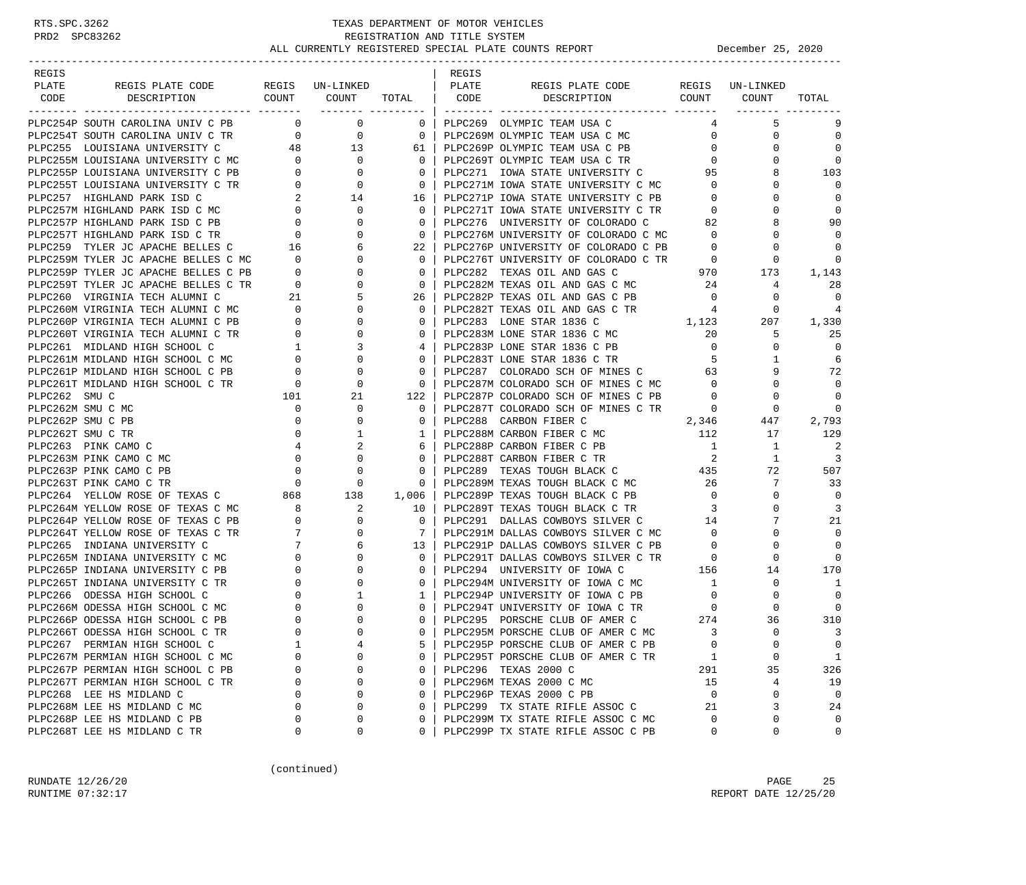| REGIS |                                                                                                                                                                                                                                            |                                             |                  |                                                     | REGIS |                                                                                                                                                                                                                                            |                         |              |                   |
|-------|--------------------------------------------------------------------------------------------------------------------------------------------------------------------------------------------------------------------------------------------|---------------------------------------------|------------------|-----------------------------------------------------|-------|--------------------------------------------------------------------------------------------------------------------------------------------------------------------------------------------------------------------------------------------|-------------------------|--------------|-------------------|
| PLATE | REGIS PLATE CODE REGIS UN-LINKED                                                                                                                                                                                                           |                                             |                  |                                                     | PLATE | REGIS PLATE CODE REGIS UN-LINKED                                                                                                                                                                                                           |                         |              |                   |
| CODE  | DESCRIPTION                                                                                                                                                                                                                                |                                             |                  |                                                     |       | COUNT COUNT TOTAL   CODE DESCRIPTION                                                                                                                                                                                                       |                         | COUNT COUNT  | TOTAL             |
|       | PLPC254P SOUTH CAROLINA UNIV C PB                                                                                                                                                                                                          |                                             | $\overline{0}$ 0 |                                                     |       | 0   PLPC269 OLYMPIC TEAM USA C                                                                                                                                                                                                             |                         | 5            | 9                 |
|       | PLPC254T SOUTH CAROLINA UNIV C TR $0$ 0<br>PLPC255 LOUISIANA UNIVERSITY C 48 13<br>PLPC255M LOUISIANA UNIVERSITY C MC 0 0                                                                                                                  |                                             |                  | $\overline{\phantom{0}}$ 0 $\overline{\phantom{0}}$ |       | PLPC269M OLYMPIC TEAM USA C MC                                                                                                                                                                                                             | $\overline{0}$          | 0            | $\mathbf 0$       |
|       |                                                                                                                                                                                                                                            |                                             |                  |                                                     |       | 61   PLPC269P OLYMPIC TEAM USA C PB                                                                                                                                                                                                        | $\overline{0}$          | 0            | $\Omega$          |
|       |                                                                                                                                                                                                                                            |                                             |                  | $\Omega$                                            |       | PLPC269T OLYMPIC TEAM USA C TR                                                                                                                                                                                                             | $\circ$                 |              | $\Omega$          |
|       |                                                                                                                                                                                                                                            |                                             |                  | $\mathbf{0}$                                        |       |                                                                                                                                                                                                                                            | 95                      |              | 103               |
|       |                                                                                                                                                                                                                                            |                                             |                  | $\overline{0}$                                      |       | PLPC271 IOWA STATE UNIVERSITY C<br>PLPC271M IOWA STATE UNIVERSITY C MC                                                                                                                                                                     | $\overline{0}$          | $\Omega$     | $\Omega$          |
|       |                                                                                                                                                                                                                                            |                                             |                  | 16                                                  |       | PLPC271P IOWA STATE UNIVERSITY C PB 0                                                                                                                                                                                                      |                         |              | $\Omega$          |
|       | PLPC255M LOUISIANA UNIVERSITY C PB<br>PLPC255P LOUISIANA UNIVERSITY C PB<br>PLPC255T LOUISIANA UNIVERSITY C TR<br>PLPC257 HIGHLAND PARK ISD C MC<br>PLPC257M HIGHLAND PARK ISD C MC<br>PLPC257P HIGHLAND PARK ISD C PB<br>PLPC257T HIGHLAN |                                             |                  | 0 <sup>1</sup>                                      |       |                                                                                                                                                                                                                                            | $\overline{0}$          |              | $\Omega$          |
|       |                                                                                                                                                                                                                                            |                                             |                  | $\Omega$                                            |       | PLPC271T IOWA STATE UNIVERSITY C TR<br>PLPC276 UNIVERSITY OF COLORADO C 82                                                                                                                                                                 |                         |              | 90                |
|       |                                                                                                                                                                                                                                            |                                             |                  | 0 <sup>1</sup>                                      |       | PLPC276M UNIVERSITY OF COLORADO C MC 0                                                                                                                                                                                                     |                         |              | $\Omega$          |
|       |                                                                                                                                                                                                                                            |                                             |                  | 22                                                  |       | PLPC276P UNIVERSITY OF COLORADO C PB                                                                                                                                                                                                       | $\overline{0}$          | $\Omega$     | $\mathbf 0$       |
|       |                                                                                                                                                                                                                                            |                                             | $\mathbf{0}$     | $\Omega$                                            |       | PLPC276T UNIVERSITY OF COLORADO C TR                                                                                                                                                                                                       | $\overline{0}$          | 0            | 0                 |
|       |                                                                                                                                                                                                                                            |                                             | $\mathbf{0}$     | 0 <sup>1</sup>                                      |       |                                                                                                                                                                                                                                            |                         | 173          | 1,143             |
|       |                                                                                                                                                                                                                                            |                                             | $\mathbf{0}$     | $\Omega$                                            |       |                                                                                                                                                                                                                                            |                         | 4            | 28                |
|       |                                                                                                                                                                                                                                            |                                             | 5                | 26 l                                                |       | PLPC282P TEXAS OIL AND GAS C PB                                                                                                                                                                                                            | $\overline{0}$          | 0            | $\mathbf 0$       |
|       |                                                                                                                                                                                                                                            |                                             | $\mathbf{0}$     | $\Omega$                                            |       | PLPC282T TEXAS OIL AND GAS C TR                                                                                                                                                                                                            | 4                       | $\mathbf{0}$ | 4                 |
|       |                                                                                                                                                                                                                                            |                                             | $\mathbf{0}$     | $\Omega$                                            |       | 1,123<br>PLPC283 LONE STAR 1836 C                                                                                                                                                                                                          |                         | 207          | 1,330             |
|       |                                                                                                                                                                                                                                            |                                             | 0                | $\mathbf{0}$                                        |       | PLPC283M LONE STAR 1836 C MC                                                                                                                                                                                                               | 20                      | 5            | 25                |
|       |                                                                                                                                                                                                                                            |                                             | 3                | 4                                                   |       | PLPC283P LONE STAR 1836 C PB                                                                                                                                                                                                               | $\overline{0}$          | $\Omega$     | $\Omega$          |
|       |                                                                                                                                                                                                                                            |                                             | $\overline{0}$   | $0-1$                                               |       | PLPC283T LONE STAR 1836 C TR                                                                                                                                                                                                               | $5 -$                   | 1            | 6                 |
|       |                                                                                                                                                                                                                                            |                                             | $\overline{0}$   | $\circ$                                             |       | PLPC287 COLORADO SCH OF MINES C                                                                                                                                                                                                            | 63                      |              | 72                |
|       |                                                                                                                                                                                                                                            |                                             | $\mathbf{0}$     | $\overline{\mathbf{0}}$                             |       | PLPC287M COLORADO SCH OF MINES C MC                                                                                                                                                                                                        | $\overline{0}$          | $\Omega$     | $\mathbf 0$       |
|       | PLPC259 TYLER JC APACHE BELLES C 16<br>PLPC259M TYLER JC APACHE BELLES C MC 0<br>PLPC259P TYLER JC APACHE BELLES C PB 0<br>PLPC259T TYLER JC APACHE BELLES C TR 0<br>PLPC260 VIRGINIA TECH ALUMNI C 12<br>PLPC260M VIRGINIA TECH ALUMNI    |                                             | 21               | $122$                                               |       | PLPC287P COLORADO SCH OF MINES C PB                                                                                                                                                                                                        | $\mathbf{0}$            | 0            | $\mathbf 0$       |
|       | PLPC262M SMU C MC                                                                                                                                                                                                                          | $\overline{0}$                              | 0                | $\Omega$                                            |       | PLPC287T COLORADO SCH OF MINES C TR 0                                                                                                                                                                                                      |                         | 0            | 0                 |
|       | PLPC262P SMU C PB                                                                                                                                                                                                                          | $\sim$ 0                                    | 0                | $\mathbf{0}$                                        |       | PLPC288 CARBON FIBER C                                                                                                                                                                                                                     | 2,346                   | 447          | 2,793             |
|       | PLPC262T SMU C TR                                                                                                                                                                                                                          | $\overline{0}$                              | 1                | 1 <sup>1</sup>                                      |       | PLPC288M CARBON FIBER C MC                                                                                                                                                                                                                 | 112                     | 17           | 129               |
|       |                                                                                                                                                                                                                                            |                                             | 2                |                                                     |       | PLPC288P CARBON FIBER C PB                                                                                                                                                                                                                 | $\mathbf{1}$            | $\mathbf{1}$ | 2                 |
|       |                                                                                                                                                                                                                                            |                                             | $\mathbf{0}$     | 0 <sup>1</sup>                                      |       | PLPC288T CARBON FIBER C TR                                                                                                                                                                                                                 | 2                       | $\mathbf{1}$ | $\overline{3}$    |
|       | PLPC263 PINK CAMO C<br>PLPC263M PINK CAMO C MC<br>PLPC263P PINK CAMO C PB<br>PLPC263T PINK CAMO C TR<br>PLPC264 YELLOW ROSE OF TEXAS C<br>PLPC264M YELLOW POSE OF TEXAS C<br>PLPC264M YELLOW POSE OF TEXAS C                               |                                             | 0                | $\Omega$                                            |       | PLPC289 TEXAS TOUGH BLACK C 435                                                                                                                                                                                                            |                         | 72           | 507               |
|       |                                                                                                                                                                                                                                            |                                             | $\mathbf 0$      | $\mathbf{0}$                                        |       |                                                                                                                                                                                                                                            |                         | 7            | 33                |
|       |                                                                                                                                                                                                                                            |                                             | 138              | 1,006                                               |       |                                                                                                                                                                                                                                            |                         | $\Omega$     | $\overline{0}$    |
|       | PLPC264M YELLOW ROSE OF TEXAS C MC 8<br>PLPC264P YELLOW ROSE OF TEXAS C PB 0                                                                                                                                                               |                                             | 2                | 10                                                  |       | PLPC289T TEXAS TOUGH BLACK C TR                                                                                                                                                                                                            | $\overline{\mathbf{3}}$ | 0            | 3                 |
|       |                                                                                                                                                                                                                                            |                                             | 0                | $\mathbf{0}$                                        |       |                                                                                                                                                                                                                                            |                         |              | 21                |
|       | PLPC264T YELLOW ROSE OF TEXAS C TR                                                                                                                                                                                                         | $\overline{7}$                              | $\Omega$         | 7                                                   |       |                                                                                                                                                                                                                                            |                         |              | $\Omega$          |
|       | PLPC265 INDIANA UNIVERSITY C                                                                                                                                                                                                               |                                             | 6                | $13-1$                                              |       |                                                                                                                                                                                                                                            |                         | 0            | $\Omega$          |
|       | PLPC265M INDIANA UNIVERSITY C MC                                                                                                                                                                                                           | $\begin{bmatrix} 7 \\ 0 \\ 0 \end{bmatrix}$ | $\mathbf{0}$     | $\Omega$                                            |       | PLPC291 DALLAS COWBOYS SILVER C FL<br>PLPC291P DALLAS COWBOYS SILVER C PB<br>PLPC291P DALLAS COWBOYS SILVER C PB<br>PLPC291T DALLAS COWBOYS SILVER C TR<br>PLPC291T DALLAS COWBOYS SILVER C TR<br>PLPC291T DALLAS COWBOYS SILVER C TR<br>P |                         | $\Omega$     | $\mathbf 0$       |
|       | PLPC265P INDIANA UNIVERSITY C PB                                                                                                                                                                                                           |                                             | 0                | $\Omega$                                            |       |                                                                                                                                                                                                                                            |                         | 14           | 170               |
|       | PLPC265T INDIANA UNIVERSITY C TR                                                                                                                                                                                                           | $\mathbf{0}$                                | 0                | $0-1$                                               |       |                                                                                                                                                                                                                                            |                         | 0            | 1                 |
|       | PLPC266 ODESSA HIGH SCHOOL C                                                                                                                                                                                                               | 0                                           | 1                | 1 <sup>1</sup>                                      |       | PLPC294P UNIVERSITY OF IOWA C PB                                                                                                                                                                                                           | $\overline{0}$          | 0            | $\mathbf 0$       |
|       | PLPC266M ODESSA HIGH SCHOOL C MC                                                                                                                                                                                                           | $\mathbf{0}$                                | 0                | $\mathbf{0}$                                        |       | PLPC294T UNIVERSITY OF IOWA C TR<br>PLPC295 PORSCHE CLUB OF AMER C 274                                                                                                                                                                     |                         | 0            | $\mathbf 0$       |
|       | PLPC266P ODESSA HIGH SCHOOL C PB                                                                                                                                                                                                           | $\mathbf 0$                                 | $\Omega$         | $\Omega$                                            |       |                                                                                                                                                                                                                                            |                         | 36           | 310               |
|       | PLPC266T ODESSA HIGH SCHOOL C TR                                                                                                                                                                                                           | $\Omega$                                    | $\Omega$         | $\Omega$                                            |       | PLPC295M PORSCHE CLUB OF AMER C MC                                                                                                                                                                                                         | $\overline{3}$          | $\Omega$     | 3                 |
|       | PLPC267 PERMIAN HIGH SCHOOL C                                                                                                                                                                                                              | 1                                           | 4                | 5                                                   |       | PLPC295P PORSCHE CLUB OF AMER C PB                                                                                                                                                                                                         | $\mathbf 0$             | $\mathbf 0$  | $\mathbf 0$       |
|       | PLPC267M PERMIAN HIGH SCHOOL C MC                                                                                                                                                                                                          | $\Omega$                                    | 0                | 0                                                   |       | PLPC295T PORSCHE CLUB OF AMER C TR                                                                                                                                                                                                         | 1                       | $\mathbf 0$  | 1                 |
|       | PLPC267P PERMIAN HIGH SCHOOL C PB                                                                                                                                                                                                          | 0                                           | 0                | 0                                                   |       | PLPC296 TEXAS 2000 C                                                                                                                                                                                                                       | 291                     | 35           | 326               |
|       | PLPC267T PERMIAN HIGH SCHOOL C TR                                                                                                                                                                                                          | 0                                           | 0                | $\Omega$                                            |       | PLPC296M TEXAS 2000 C MC                                                                                                                                                                                                                   | 15                      | 4            | 19                |
|       | PLPC268 LEE HS MIDLAND C                                                                                                                                                                                                                   | O                                           | 0<br>0           | $\Omega$                                            |       | PLPC296P TEXAS 2000 C PB                                                                                                                                                                                                                   | $\mathbf 0$             | 0            | $\mathbf 0$       |
|       | PLPC268M LEE HS MIDLAND C MC                                                                                                                                                                                                               | 0<br>O                                      | 0                | 0                                                   |       | PLPC299 TX STATE RIFLE ASSOC C                                                                                                                                                                                                             | 21<br>$\Omega$          | 3<br>U       | 24<br>$\mathbf 0$ |
|       | PLPC268P LEE HS MIDLAND C PB<br>PLPC268T LEE HS MIDLAND C TR                                                                                                                                                                               | 0                                           | 0                | 0<br>0                                              |       | PLPC299M TX STATE RIFLE ASSOC C MC<br>PLPC299P TX STATE RIFLE ASSOC C PB                                                                                                                                                                   | 0                       | $\mathbf 0$  | 0                 |
|       |                                                                                                                                                                                                                                            |                                             |                  |                                                     |       |                                                                                                                                                                                                                                            |                         |              |                   |

(continued)

RUNDATE  $12/26/20$  PAGE 25 RUNTIME 07:32:17 REPORT DATE 12/25/20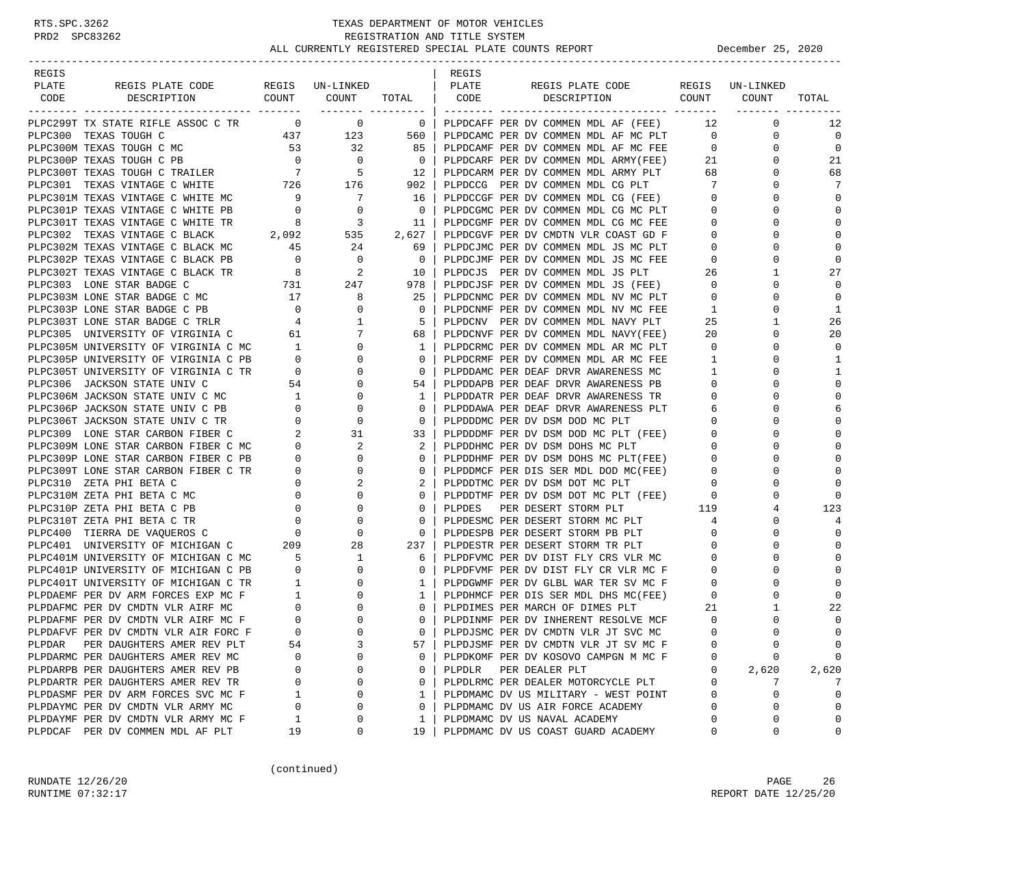| REGIS                                                                                                                                                                                                                                      |                                            |                                                                                                                          |                          | REGIS  |                                                                              |                 |                      |                            |
|--------------------------------------------------------------------------------------------------------------------------------------------------------------------------------------------------------------------------------------------|--------------------------------------------|--------------------------------------------------------------------------------------------------------------------------|--------------------------|--------|------------------------------------------------------------------------------|-----------------|----------------------|----------------------------|
| REGIS PLATE CODE REGIS UN-LINKED<br>PLATE                                                                                                                                                                                                  |                                            |                                                                                                                          |                          | PLATE  | REGIS PLATE CODE REGIS UN-LINKED                                             |                 |                      |                            |
| CODE<br>DESCRIPTION                                                                                                                                                                                                                        |                                            | COUNT COUNT TOTAL   CODE                                                                                                 |                          |        | DESCRIPTION                                                                  |                 | COUNT COUNT          | TOTAL                      |
| PLPC299T TX STATE RIFLE ASSOC C TR 0 0 0                                                                                                                                                                                                   |                                            | ------- ---------                                                                                                        | $\overline{\phantom{0}}$ |        | PLPDCAFF PER DV COMMEN MDL AF (FEE)                                          | 12              | $\mathbf{0}$         | 12                         |
| PLPC300 TEXAS TOUGH C                                                                                                                                                                                                                      |                                            | 437 123 560                                                                                                              |                          |        | PLPDCAMC PER DV COMMEN MDL AF MC PLT                                         | $\overline{0}$  | 0                    | $\mathbf 0$                |
| PLPC300M TEXAS TOUGH C MC                                                                                                                                                                                                                  | 53                                         |                                                                                                                          | 85                       |        |                                                                              | $\overline{0}$  | $\mathbf 0$          | $\mathbf 0$                |
|                                                                                                                                                                                                                                            |                                            | $\begin{array}{c} 32 \\ 0 \end{array}$                                                                                   |                          |        | PLPDCAMF PER DV COMMEN MDL AF MC FEE<br>PLPDCARF PER DV COMMEN MDL ARMY(FEE) | 21              | $\Omega$             | 21                         |
|                                                                                                                                                                                                                                            |                                            |                                                                                                                          |                          |        |                                                                              | 68              | 0                    | 68                         |
|                                                                                                                                                                                                                                            |                                            |                                                                                                                          |                          |        | PLPDCARM PER DV COMMEN MDL ARMY PLT<br>PLPDCCG PER DV COMMEN MDL CG PLT      | $7\overline{ }$ | $\Omega$             | 7                          |
| PLPC300P TEXAS TOUGH C PB<br>PLPC300T TEXAS TOUGH C TRAILER<br>PLPC301 TEXAS VINTAGE C WHITE 726 176 902<br>PLPC301M TEXAS VINTAGE C WHITE 726 176 902<br>PLPC301M TEXAS VINTAGE C WHITE MC                                                |                                            |                                                                                                                          | 16                       |        | PLPDCCGF PER DV COMMEN MDL CG (FEE) 0                                        |                 | $\Omega$             | $\Omega$                   |
| PLPC301P TEXAS VINTAGE C WHITE PB                                                                                                                                                                                                          | $\begin{array}{c} 9 \\ 0 \end{array}$      | $\begin{array}{c} 7 \\ 0 \end{array}$                                                                                    | $\overline{0}$           |        | PLPDCGMC PER DV COMMEN MDL CG MC PLT                                         | $\mathbf{0}$    | $\Omega$             | $\mathbf 0$                |
| PLPC301T TEXAS VINTAGE C WHITE TR                                                                                                                                                                                                          | $\overline{\mathbf{8}}$                    | $\overline{\mathbf{3}}$                                                                                                  | 11                       |        | PLPDCGMF PER DV COMMEN MDL CG MC FEE                                         | $\mathbf{0}$    | $\Omega$             | $\Omega$                   |
|                                                                                                                                                                                                                                            |                                            |                                                                                                                          | 2,627                    |        | PLPDCGVF PER DV CMDTN VLR COAST GD F                                         | $\mathbf 0$     | $\Omega$             | $\mathbf 0$                |
| PLPC302 TEXAS VINTAGE C BLACK $2,092$ 535<br>PLPC302M TEXAS VINTAGE C BLACK MC 45 24                                                                                                                                                       |                                            |                                                                                                                          | 69                       |        | PLPDCJMC PER DV COMMEN MDL JS MC PLT                                         | $\overline{0}$  | $\Omega$             | $\mathbf 0$                |
|                                                                                                                                                                                                                                            |                                            |                                                                                                                          | $\overline{0}$           |        | PLPDCJMF PER DV COMMEN MDL JS MC FEE                                         | $\overline{0}$  | $\Omega$             | 0                          |
|                                                                                                                                                                                                                                            |                                            |                                                                                                                          | 10                       |        |                                                                              | 26              | 1                    | 27                         |
|                                                                                                                                                                                                                                            |                                            |                                                                                                                          | 978                      |        | PLPDCJS PER DV COMMEN MDL JS PLT<br>PLPDCJSF PER DV COMMEN MDL JS (FEE)      | $\overline{0}$  | $\Omega$             | $\Omega$                   |
|                                                                                                                                                                                                                                            |                                            |                                                                                                                          | 25                       |        | PLPDCNMC PER DV COMMEN MDL NV MC PLT                                         | $\mathbf{0}$    | 0                    | $\mathbf 0$                |
|                                                                                                                                                                                                                                            |                                            |                                                                                                                          |                          |        |                                                                              |                 | $\Omega$             |                            |
|                                                                                                                                                                                                                                            |                                            |                                                                                                                          | $\overline{0}$           |        | PLPDCNMF PER DV COMMEN MDL NV MC FEE                                         | $\mathbf{1}$    | $\mathbf{1}$         | 1                          |
| PIPC303T LONE STAR BADGE C PB<br>PIPC303T LONE STAR BADGE C TRLR 4<br>PIPC305 UNIVERSITY OF VIRGINIA C 61<br>PIPC305M UNIVERSITY OF VIRGINIA C MC 1<br>PLPC305P UNIVERSITY OF VIRGINIA C PB<br>PLPC305T UNIVERSITY OF VIRGINIA C TR 0<br>0 |                                            |                                                                                                                          | $-5$                     |        | PLPDCNV PER DV COMMEN MDL NAVY PLT                                           | 25<br>20        | $\Omega$             | 26<br>20                   |
|                                                                                                                                                                                                                                            |                                            |                                                                                                                          | 68                       |        | PLPDCNVF PER DV COMMEN MDL NAVY(FEE)                                         |                 |                      |                            |
|                                                                                                                                                                                                                                            |                                            |                                                                                                                          | $\mathbf{1}$             |        | PLPDCRMC PER DV COMMEN MDL AR MC PLT                                         | $\overline{0}$  | $\Omega$             | $\Omega$                   |
| PLPC305P UNIVERSITY OF VIRGINIA C PB 0<br>PLPC305T UNIVERSITY OF VIRGINIA C TR 0<br>PLPC306 JACKSON STATE UNIV C 54                                                                                                                        |                                            |                                                                                                                          | $\mathbf{0}$             |        | PLPDCRMF PER DV COMMEN MDL AR MC FEE                                         | $\mathbf{1}$    | 0                    | 1                          |
|                                                                                                                                                                                                                                            |                                            |                                                                                                                          | $\overline{\mathbf{0}}$  |        | PLPDDAMC PER DEAF DRVR AWARENESS MC                                          | $\overline{1}$  | $\Omega$             | 1                          |
|                                                                                                                                                                                                                                            |                                            | $\mathbf{0}$                                                                                                             | 54                       |        | PLPDDAPB PER DEAF DRVR AWARENESS PB                                          | $\mathbf{0}$    | $\Omega$             | $\mathbf 0$<br>$\mathbf 0$ |
| PLPC306M JACKSON STATE UNIV C MC                                                                                                                                                                                                           |                                            | $\mathbf{0}$                                                                                                             | $\mathbf{1}$             |        | PLPDDATR PER DEAF DRVR AWARENESS TR<br>PLPDDAWA PER DEAF DRVR AWARENESS PLT  | $\mathbf{0}$    | $\Omega$             |                            |
| PLPC306P JACKSON STATE UNIV C PB                                                                                                                                                                                                           |                                            | $\overline{0}$                                                                                                           | $\mathbf{0}$             |        |                                                                              | 6               | $\Omega$<br>$\Omega$ | 6                          |
| PLPC306T JACKSON STATE UNIV C TR                                                                                                                                                                                                           |                                            | $\overline{0}$                                                                                                           | $\overline{0}$           |        | PLPDDDMC PER DV DSM DOD MC PLT                                               | $\mathbf{0}$    |                      | $\mathbf 0$                |
| PLPC309 LONE STAR CARBON FIBER C                                                                                                                                                                                                           |                                            | 31                                                                                                                       | 33                       |        | PLPDDDMF PER DV DSM DOD MC PLT (FEE)                                         | $\mathbf{0}$    | $\Omega$             | $\mathbf 0$                |
| PLPC309M LONE STAR CARBON FIBER C MC                                                                                                                                                                                                       |                                            |                                                                                                                          | 2                        |        | PLPDDHMC PER DV DSM DOHS MC PLT                                              | $\mathbf{0}$    | $\Omega$             | $\mathbf 0$                |
| PLPC309P LONE STAR CARBON FIBER C PB                                                                                                                                                                                                       |                                            |                                                                                                                          | $\mathbf{0}$             |        | PLPDDHMF PER DV DSM DOHS MC PLT(FEE)<br>PLPDDMCF PER DIS SER MDL DOD MC(FEE) | $\mathbf 0$     | $\Omega$             | $\Omega$                   |
| PLPC309T LONE STAR CARBON FIBER C TR                                                                                                                                                                                                       |                                            | $\begin{array}{ccc} 0 & & & \\ 0 & & & \\ 0 & & & \\ 0 & & & \\ 0 & & & \\ 0 & & & \\ 0 & & & \\ 0 & & & \\ \end{array}$ | $\mathbf{0}$             |        |                                                                              | $\mathbf{0}$    | $\Omega$             | $\Omega$                   |
| PLPC310 ZETA PHI BETA C                                                                                                                                                                                                                    |                                            |                                                                                                                          | 2                        |        | PLPDDTMC PER DV DSM DOT MC PLT                                               | $\mathbf{0}$    | 0                    | $\Omega$                   |
| PLPC310M ZETA PHI BETA C MC                                                                                                                                                                                                                |                                            |                                                                                                                          | $\mathbf{0}$             |        | PLPDDTMF PER DV DSM DOT MC PLT (FEE)                                         | $\mathbf 0$     | $\Omega$             | 0                          |
| PLPC310P ZETA PHI BETA C PB                                                                                                                                                                                                                |                                            |                                                                                                                          | $\mathbf{0}$             | PLPDES | PER DESERT STORM PLT                                                         | 119             | 4                    | 123                        |
| PLPC310T ZETA PHI BETA C TR                                                                                                                                                                                                                | $\begin{array}{c} 0 \\ 0 \\ 0 \end{array}$ | $\begin{array}{c} 0 \\ 0 \\ 0 \end{array}$<br>$\mathbf 0$                                                                | $\circ$                  |        | PLPDESMC PER DESERT STORM MC PLT                                             | 4               | $\Omega$             | 4                          |
| PLPC400 TIERRA DE VAQUEROS C                                                                                                                                                                                                               |                                            | $\overline{0}$                                                                                                           | $\overline{0}$           |        | PLPDESPB PER DESERT STORM PB PLT                                             | $\mathbf{0}$    | $\Omega$             | 0                          |
| PLPC401 UNIVERSITY OF MICHIGAN C 209                                                                                                                                                                                                       |                                            | 28                                                                                                                       | 237                      |        | PLPDESTR PER DESERT STORM TR PLT                                             | 0               | 0                    | $\mathbf 0$                |
| PLPC401M UNIVERSITY OF MICHIGAN C MC                                                                                                                                                                                                       | $5^{\circ}$                                | $\overline{1}$                                                                                                           | 6                        |        | PLPDFVMC PER DV DIST FLY CRS VLR MC                                          | $\mathbf{0}$    | $\Omega$             | $\mathbf 0$                |
| PLPC401P UNIVERSITY OF MICHIGAN C PB                                                                                                                                                                                                       | $\overline{\phantom{0}}$                   | $\overline{0}$                                                                                                           | $\mathbf{0}$             |        | PLPDFVMF PER DV DIST FLY CR VLR MC F                                         | $\mathbf{0}$    | $\Omega$             | $\mathbf 0$                |
| PLPC401T UNIVERSITY OF MICHIGAN C TR<br>PLPDAEMF PER DV ARM FORCES EXP MC F       1<br>PLPDAFMC PER DV CMDTN VLR AIRF MC            0<br>PLPDAFMF PER DV CMDTN VLR AIRF MC F           0<br>PLPDAFVF PER DV CMDTN VLR AIR FORC F           |                                            | $\mathbf{0}$                                                                                                             | $\mathbf{1}$             |        | PLPDGWMF PER DV GLBL WAR TER SV MC F<br>PLPDHMCF PER DIS SER MDL DHS MC(FEE) | $\mathbf{0}$    | $\Omega$             | $\Omega$                   |
|                                                                                                                                                                                                                                            |                                            | $\mathbf{0}$                                                                                                             | $\mathbf{1}$             |        |                                                                              | $\mathbf 0$     | $\Omega$             | $\Omega$                   |
|                                                                                                                                                                                                                                            |                                            | $\mathbf{0}$                                                                                                             | $\overline{0}$           |        | PLPDIMES PER MARCH OF DIMES PLT                                              | 21              | 1                    | 22                         |
|                                                                                                                                                                                                                                            |                                            | $\Omega$                                                                                                                 | $0-1$                    |        | PLPDINMF PER DV INHERENT RESOLVE MCF                                         | $\mathbf{0}$    | $\Omega$             | $\mathbf 0$                |
| PLPDAFVF PER DV CMDTN VLR AIR FORC F                                                                                                                                                                                                       |                                            | $\Omega$                                                                                                                 | $\Omega$                 |        | PLPDJSMC PER DV CMDTN VLR JT SVC MC                                          | $\Omega$        | $\Omega$             | $\Omega$                   |
| PER DAUGHTERS AMER REV PLT<br>PLPDAR                                                                                                                                                                                                       | 54                                         | 3                                                                                                                        | 57                       |        | PLPDJSMF PER DV CMDTN VLR JT SV MC F                                         |                 | 0                    | 0                          |
| PLPDARMC PER DAUGHTERS AMER REV MC                                                                                                                                                                                                         | 0                                          | $\Omega$                                                                                                                 | 0                        |        | PLPDKOMF PER DV KOSOVO CAMPGN M MC F                                         | $\Omega$        | 0                    | 0                          |
| PLPDARPB PER DAUGHTERS AMER REV PB                                                                                                                                                                                                         | 0                                          | 0                                                                                                                        | 0                        | PLPDLR | PER DEALER PLT                                                               | 0               | 2,620                | 2,620                      |
| PLPDARTR PER DAUGHTERS AMER REV TR                                                                                                                                                                                                         | 0                                          | 0                                                                                                                        | 0                        |        | PLPDLRMC PER DEALER MOTORCYCLE PLT                                           | $\Omega$        | 7                    | 7                          |
| PLPDASMF PER DV ARM FORCES SVC MC F                                                                                                                                                                                                        | 1                                          | $\Omega$                                                                                                                 | 1                        |        | PLPDMAMC DV US MILITARY - WEST POINT                                         | $\mathbf 0$     | 0                    | $\mathbf 0$                |
| PLPDAYMC PER DV CMDTN VLR ARMY MC                                                                                                                                                                                                          | $\mathbf 0$                                | $\Omega$                                                                                                                 | 0                        |        | PLPDMAMC DV US AIR FORCE ACADEMY                                             | $\mathbf 0$     | 0                    | $\mathbf 0$                |
| PLPDAYMF PER DV CMDTN VLR ARMY MC F                                                                                                                                                                                                        | 1                                          | 0                                                                                                                        | 1                        |        | PLPDMAMC DV US NAVAL ACADEMY                                                 | O               | 0                    | 0                          |
| PLPDCAF PER DV COMMEN MDL AF PLT                                                                                                                                                                                                           | 19                                         | 0                                                                                                                        | 19                       |        | PLPDMAMC DV US COAST GUARD ACADEMY                                           | 0               | 0                    | 0                          |

(continued)

RUNDATE 12/26/20 PAGE 26 RUNTIME 07:32:17 REPORT DATE 12/25/20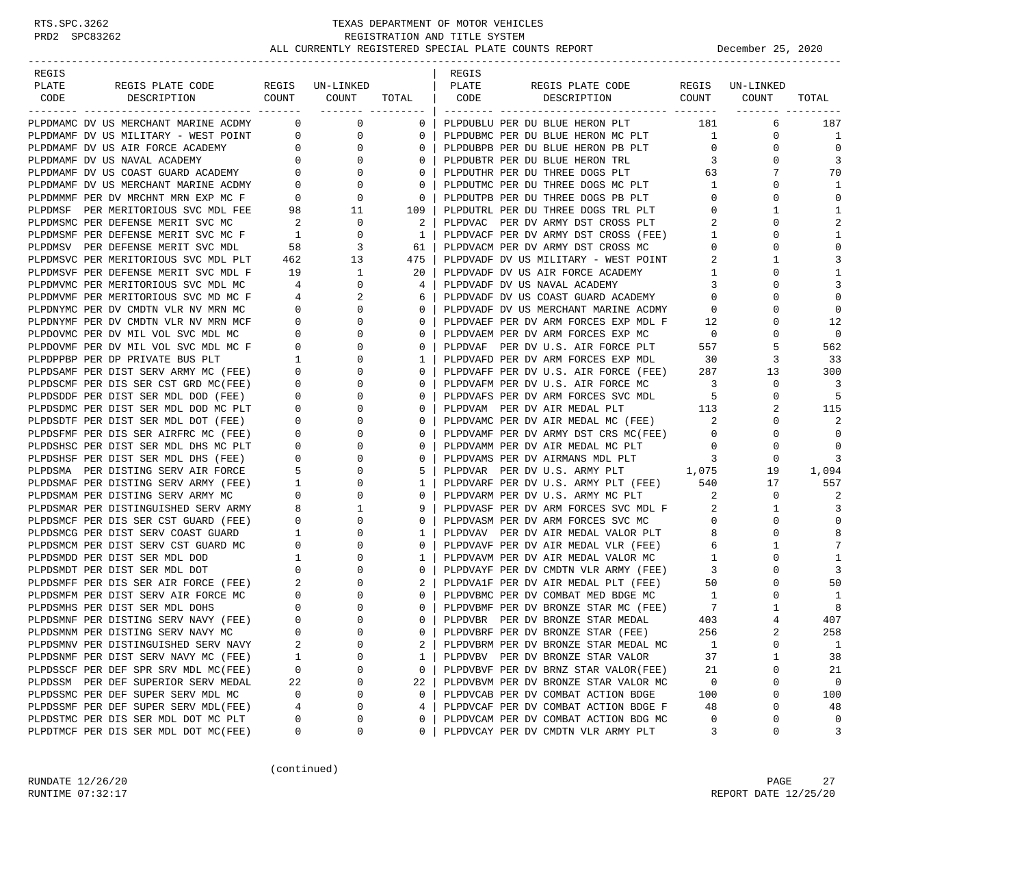| REGIS |                                                                                                                                                               |                                        |                                                     |                | REGIS |                                                                            |                            |                 |                |
|-------|---------------------------------------------------------------------------------------------------------------------------------------------------------------|----------------------------------------|-----------------------------------------------------|----------------|-------|----------------------------------------------------------------------------|----------------------------|-----------------|----------------|
| PLATE | REGIS PLATE CODE                                                                                                                                              |                                        | REGIS UN-LINKED                                     |                | PLATE | REGIS PLATE CODE                                                           |                            | REGIS UN-LINKED |                |
|       | CODE DESCRIPTION                                                                                                                                              |                                        | COUNT COUNT                                         | TOTAL   CODE   |       | DESCRIPTION COUNT COUNT                                                    |                            |                 | TOTAL          |
|       |                                                                                                                                                               |                                        |                                                     |                |       |                                                                            |                            |                 |                |
|       | PLPDMAMC DV US MERCHANT MARINE ACDMY                                                                                                                          |                                        | $\overline{0}$<br>$\overline{0}$                    | $\overline{0}$ |       | PLPDUBLU PER DU BLUE HERON PLT 181                                         |                            | 6               | 187            |
|       | PLPDMAMF DV US MILITARY - WEST POINT 0                                                                                                                        |                                        | $\overline{0}$                                      | $\mathbf{0}$   |       | PLPDUBMC PER DU BLUE HERON MC PLT 1                                        |                            | $\mathbf 0$     | 1              |
|       | PLPDMAMF DV US AIR FORCE ACADEMY                                                                                                                              | $\begin{pmatrix} 0 \\ 0 \end{pmatrix}$ | $\mathbf{0}$                                        | $\circ$        |       | PLPDUBPB PER DU BLUE HERON PB PLT                                          | $\mathbf{0}$               | 0               | $\mathbf 0$    |
|       | PLPDMAMF DV US NAVAL ACADEMY                                                                                                                                  |                                        | $\overline{0}$                                      | $\circ$        |       | PLPDUBTR PER DU BLUE HERON TRL                                             | 3                          | 0               | 3              |
|       | PLPDMAMF DV US COAST GUARD ACADEMY 0<br>PLPDMAMF DV US MERCHANT MARINE ACDMY 0                                                                                |                                        | 0                                                   | $\mathbf{0}$   |       | PLPDUTHR PER DU THREE DOGS PLT                                             | 63                         | 7               | 70             |
|       |                                                                                                                                                               |                                        | $\mathbf 0$                                         | $\mathbf{0}$   |       | PLPDUTMC PER DU THREE DOGS MC PLT                                          | $\mathbf{1}$               | $\Omega$        | 1              |
|       | PLPDMMMF PER DV MRCHNT MRN EXP MC F                                                                                                                           | $\overline{\mathbf{0}}$                | $\begin{matrix}0\\98\end{matrix}$<br>$\overline{0}$ | $\mathbf{0}$   |       | PLPDUTPB PER DU THREE DOGS PB PLT                                          | $\overline{0}$             | $\mathbf 0$     | $\mathbf 0$    |
|       | PLPDMSF PER MERITORIOUS SVC MDL FEE                                                                                                                           |                                        | 11                                                  | 109            |       | PLPDUTRL PER DU THREE DOGS TRL PLT                                         | $\overline{0}$             | 1               | 1              |
|       | PLPDMSMC PER DEFENSE MERIT SVC MC                                                                                                                             | $\sim$ 2                               | $\overline{0}$                                      | 2              |       | PLPDVAC PER DV ARMY DST CROSS PLT                                          | 2                          | $\Omega$        | $\overline{2}$ |
|       | PLPDMSMF PER DEFENSE MERIT SVC MC F 1<br>PLPDMSV PER DEFENSE MERIT SVC MDL 58                                                                                 |                                        | 0                                                   | $\mathbf{1}$   |       | PLPDVACF PER DV ARMY DST CROSS (FEE)                                       | $\overline{1}$             | 0               | 1              |
|       | PLPDMSV PER DEFENSE MERIT SVC MDL                                                                                                                             |                                        | 3                                                   | 61             |       | PLPDVACM PER DV ARMY DST CROSS MC                                          | $\circ$                    | 0               | $\mathbf{0}$   |
|       | PLPDMSVC PER MERITORIOUS SVC MDL PLT                                                                                                                          | 462                                    | 13                                                  | 475            |       | PLPDVADF DV US MILITARY - WEST POINT                                       | 2                          | 1               | 3              |
|       | PLPDMSVF PER DEFENSE MERIT SVC MDL F                                                                                                                          | 19                                     | $\mathbf{1}$                                        | 20             |       | PLPDVADF DV US AIR FORCE ACADEMY                                           | $\mathbf{1}$               | 0               | 1              |
|       | PLPDMVMC PER MERITORIOUS SVC MDL MC                                                                                                                           | $\overline{4}$                         | 0                                                   | 4              |       | PLPDVADF DV US NAVAL ACADEMY                                               | 3                          | $\Omega$        | 3              |
|       | PLPDMVMF PER MERITORIOUS SVC MD MC F                                                                                                                          | $\overline{4}$                         | 2<br>$\begin{array}{c} 4 \\ 0 \end{array}$          | 6              |       | PLPDVADF DV US COAST GUARD ACADEMY<br>PLPDVADF DV US MERCHANT MARINE ACDMY | $\overline{0}$             | 0               | $\Omega$       |
|       | PLPDNYMC PER DV CMDTN VLR NV MRN MC                                                                                                                           |                                        | $\mathbf{0}$                                        | $\mathbf{0}$   |       |                                                                            | $\overline{0}$             | $\Omega$        | $\mathbf 0$    |
|       | PLPDNYMF PER DV CMDTN VLR NV MRN MCF                                                                                                                          | $\overline{0}$                         | $\mathbf{0}$                                        | $\mathbf{0}$   |       | PLPDVAEF PER DV ARM FORCES EXP MDL F                                       | 12                         | 0               | 12             |
|       | PLPDOVMC PER DV MIL VOL SVC MDL MC                                                                                                                            | $\overline{0}$                         | 0                                                   | 0              |       | PLPDVAEM PER DV ARM FORCES EXP MC                                          | $\overline{0}$             | $\Omega$        | $\Omega$       |
|       | PLPDOVMF PER DV MIL VOL SVC MDL MC F                                                                                                                          | $\overline{0}$                         | 0                                                   | 0              |       | PLPDVAF PER DV U.S. AIR FORCE PLT                                          | 557                        | 5               | 562            |
|       | PLPDPPBP PER DP PRIVATE BUS PLT 1<br>PLPDSAMF PER DIST SERV ARMY MC (FEE) 0                                                                                   |                                        | 0                                                   | 1              |       | PLPDVAFD PER DV ARM FORCES EXP MDL                                         | 30                         | 3               | 33             |
|       |                                                                                                                                                               |                                        | 0                                                   | $\circ$        |       | PLPDVAFF PER DV U.S. AIR FORCE (FEE)                                       | 287                        | 13              | 300            |
|       | PLPDSCMF PER DIS SER CST GRD MC(FEE)                                                                                                                          | $\overline{0}$                         | 0                                                   | $\mathbf{0}$   |       | PLPDVAFM PER DV U.S. AIR FORCE MC                                          | $\overline{\phantom{a}}$ 3 | $\mathbf 0$     | 3              |
|       | PLPDSDDF PER DIST SER MDL DOD (FEE)                                                                                                                           | $\overline{0}$                         | 0                                                   | 0              |       | PLPDVAFS PER DV ARM FORCES SVC MDL                                         | 5                          | 0               | 5              |
|       | PLPDSDMC PER DIST SER MDL DOD MC PLT                                                                                                                          | $\overline{\phantom{0}}$               | 0                                                   | $\circ$        |       | PLPDVAM PER DV AIR MEDAL PLT                                               | 113                        | 2               | 115            |
|       | PLPDSDTF PER DIST SER MDL DOT (FEE)                                                                                                                           | $\mathbf 0$                            | 0                                                   | $\mathbf{0}$   |       | PLPDVAMC PER DV AIR MEDAL MC (FEE)                                         | 2                          | 0               | 2              |
|       | PLPDSFMF PER DIS SER AIRFRC MC (FEE)                                                                                                                          | $\overline{\phantom{0}}$               | $\mathbf 0$                                         | $\circ$        |       | PLPDVAMF PER DV ARMY DST CRS MC(FEE)                                       | $\overline{0}$             | $\Omega$        | $\mathbf 0$    |
|       | PLPDSHSC PER DIST SER MDL DHS MC PLT                                                                                                                          | $\mathbf{0}$                           | 0                                                   | $\mathbf{0}$   |       | PLPDVAMM PER DV AIR MEDAL MC PLT                                           | $\circ$                    | 0               | $\Omega$       |
|       | PLPDSHSF PER DIST SER MDL DHS (FEE)                                                                                                                           | $\mathbf{0}$                           | 0                                                   | 0              |       | PLPDVAMS PER DV AIRMANS MDL PLT                                            | $\overline{3}$             | 0               | 3              |
|       | PLPDSMA PER DISTING SERV AIR FORCE                                                                                                                            | 5                                      | 0                                                   | 5              |       | PLPDVAR PER DV U.S. ARMY PLT 1,075                                         |                            | 19              | 1,094          |
|       | PLPDSMAF PER DISTING SERV ARMY (FEE)                                                                                                                          | $\overline{1}$                         | 0                                                   | 1              |       | PLPDVARF PER DV U.S. ARMY PLT (FEE) 540                                    |                            | 17              | 557            |
|       | PLPDSMAM PER DISTING SERV ARMY MC                                                                                                                             | $\overline{0}$                         | $\mathbf 0$                                         | $\circ$        |       | PLPDVARM PER DV U.S. ARMY MC PLT                                           | $\overline{\phantom{a}}$   | $\mathbf{0}$    | 2              |
|       | PLPDSMAR PER DISTINGUISHED SERV ARMY                                                                                                                          |                                        | 1                                                   | 9              |       | PLPDVASF PER DV ARM FORCES SVC MDL F                                       | - 2                        | 1               | 3              |
|       | PLPDSMCF PER DIS SER CST GUARD (FEE)                                                                                                                          | $\overline{0}$                         | 0                                                   | 0              |       | PLPDVASM PER DV ARM FORCES SVC MC                                          | $\overline{0}$             | 0               | $\Omega$       |
|       | PLPDSMCG PER DIST SERV COAST GUARD                                                                                                                            | $\overline{\mathbf{1}}$                | 0                                                   | 1              |       | PLPDVAV PER DV AIR MEDAL VALOR PLT                                         | 8                          | 0               | 8              |
|       | PLPDSMCM PER DIST SERV CST GUARD MC                                                                                                                           | $\overline{0}$                         | 0                                                   | 0              |       | PLPDVAVF PER DV AIR MEDAL VLR (FEE)                                        | 6                          | 1               | 7              |
|       | PLPDSMDD PER DIST SER MDL DOD                                                                                                                                 | $\overline{1}$                         | 0                                                   | 1              |       | PLPDVAVM PER DV AIR MEDAL VALOR MC                                         | 1                          | $\Omega$        | 1              |
|       | PLPDSMDD PER DIST SER MDL DOT 0<br>PLPDSMDT PER DIST SER AIR FORCE (FEE) 2<br>PLPDSMFF PER DIS SER AIR FORCE (FEE) 2<br>PLPDSMFM PER DIST SERV AIR FORCE MC 0 |                                        | 0                                                   | $\mathbf{0}$   |       | PLPDVAYF PER DV CMDTN VLR ARMY (FEE)                                       | $\overline{3}$             | 0               | 3              |
|       |                                                                                                                                                               |                                        | 0                                                   | 2              |       | PLPDVA1F PER DV AIR MEDAL PLT (FEE)                                        | 50                         | 0               | 50             |
|       |                                                                                                                                                               |                                        | 0                                                   | $\mathbf{0}$   |       | PLPDVBMC PER DV COMBAT MED BDGE MC                                         | $\overline{1}$             | $\Omega$        | 1              |
|       | PLPDSMHS PER DIST SER MDL DOHS                                                                                                                                | $\mathbf 0$                            | 0                                                   | $\circ$        |       | PLPDVBMF PER DV BRONZE STAR MC (FEE)<br>PLPDVBR PER DV BRONZE STAR MEDAL   | $7\phantom{.000}$          | 1               | 8              |
|       | PLPDSMNF PER DISTING SERV NAVY (FEE)                                                                                                                          | $\overline{0}$                         | $\Omega$                                            | $\Omega$       |       | PLPDVBR PER DV BRONZE STAR MEDAL                                           | 403                        | $\overline{4}$  | 407            |
|       | PLPDSMNM PER DISTING SERV NAVY MC                                                                                                                             | $\Omega$                               | $\Omega$                                            | $\Omega$       |       | PLPDVBRF PER DV BRONZE STAR (FEE)                                          | 256                        | $\overline{a}$  | 258            |
|       | PLPDSMNV PER DISTINGUISHED SERV NAVY                                                                                                                          | 2                                      | 0                                                   | 2              |       | PLPDVBRM PER DV BRONZE STAR MEDAL MC                                       | 1                          | 0               | $1\,$          |
|       | PLPDSNMF PER DIST SERV NAVY MC (FEE)                                                                                                                          | 1                                      | 0                                                   | 1              |       | PLPDVBV PER DV BRONZE STAR VALOR                                           | 37                         | 1               | 38             |
|       | PLPDSSCF PER DEF SPR SRV MDL MC(FEE)                                                                                                                          | 0                                      | 0                                                   | 0              |       | PLPDVBVF PER DV BRNZ STAR VALOR(FEE)                                       | 21                         | 0               | 21             |
|       | PLPDSSM PER DEF SUPERIOR SERV MEDAL                                                                                                                           | 22                                     | 0                                                   | 22             |       | PLPDVBVM PER DV BRONZE STAR VALOR MC                                       | 0                          | 0               | 0              |
|       | PLPDSSMC PER DEF SUPER SERV MDL MC                                                                                                                            | 0                                      | 0                                                   | 0              |       | PLPDVCAB PER DV COMBAT ACTION BDGE                                         | 100                        | 0               | 100            |
|       | PLPDSSMF PER DEF SUPER SERV MDL(FEE)                                                                                                                          | 4                                      | 0                                                   | 4              |       | PLPDVCAF PER DV COMBAT ACTION BDGE F                                       | 48                         | 0               | 48             |
|       | PLPDSTMC PER DIS SER MDL DOT MC PLT                                                                                                                           | 0                                      | 0                                                   | 0              |       | PLPDVCAM PER DV COMBAT ACTION BDG MC                                       | 0                          | 0               | 0              |
|       | PLPDTMCF PER DIS SER MDL DOT MC(FEE)                                                                                                                          | 0                                      | 0                                                   | 0              |       | PLPDVCAY PER DV CMDTN VLR ARMY PLT                                         | 3                          | 0               | 3              |

(continued)

RUNDATE  $12/26/20$  PAGE 27 RUNTIME 07:32:17 REPORT DATE 12/25/20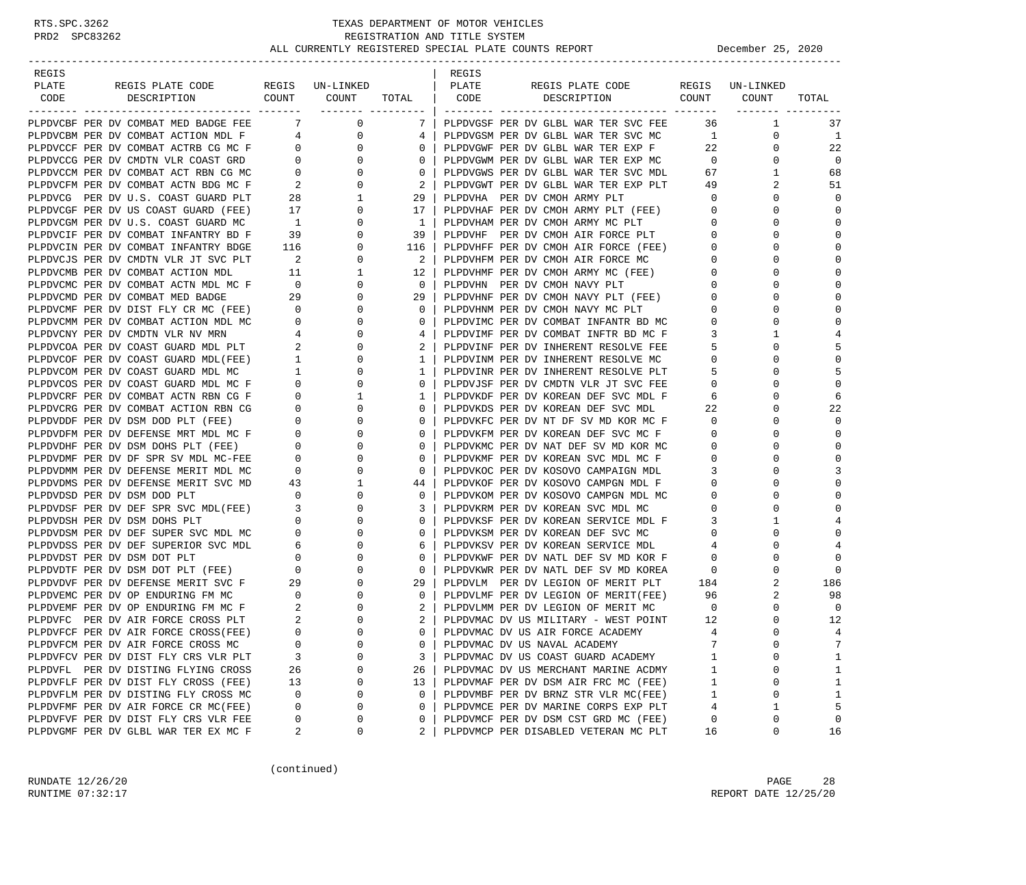| REGIS                                |                               |                      |              | REGIS |                                      |                |                 |                |
|--------------------------------------|-------------------------------|----------------------|--------------|-------|--------------------------------------|----------------|-----------------|----------------|
| PLATE<br>REGIS PLATE CODE            |                               | REGIS UN-LINKED      |              | PLATE | REGIS PLATE CODE                     |                | REGIS UN-LINKED |                |
| CODE<br>DESCRIPTION                  | COUNT                         | COUNT                | TOTAL        | CODE  | DESCRIPTION                          | COUNT          | COUNT           | TOTAL          |
|                                      |                               | ________ _______     |              |       |                                      |                |                 |                |
| PLPDVCBF PER DV COMBAT MED BADGE FEE | 7                             | $\overline{0}$       | 7            |       | PLPDVGSF PER DV GLBL WAR TER SVC FEE | 36             | $\mathbf{1}$    | 37             |
| PLPDVCBM PER DV COMBAT ACTION MDL F  |                               | 0<br>$4\overline{ }$ | 4            |       | PLPDVGSM PER DV GLBL WAR TER SVC MC  | $\mathbf{1}$   | 0               | 1              |
| PLPDVCCF PER DV COMBAT ACTRB CG MC F | $0 \qquad \qquad$             | 0                    | $\mathbf{0}$ |       | PLPDVGWF PER DV GLBL WAR TER EXP F   | 22             | $\mathbf{0}$    | 22             |
| PLPDVCCG PER DV CMDTN VLR COAST GRD  | $\mathbf{0}$                  | $\mathbf 0$          | 0            |       | PLPDVGWM PER DV GLBL WAR TER EXP MC  | $\overline{0}$ | $\mathbf{0}$    | $\mathbf 0$    |
| PLPDVCCM PER DV COMBAT ACT RBN CG MC | $\mathbf{0}$                  | 0                    | 0            |       | PLPDVGWS PER DV GLBL WAR TER SVC MDL | 67             | 1               | 68             |
| PLPDVCFM PER DV COMBAT ACTN BDG MC F | 2                             | 0                    | 2            |       | PLPDVGWT PER DV GLBL WAR TER EXP PLT | 49             | 2               | 51             |
| PLPDVCG PER DV U.S. COAST GUARD PLT  | 28                            | 1                    | 29           |       | PLPDVHA PER DV CMOH ARMY PLT         | $\circ$        | 0               | $\Omega$       |
| PLPDVCGF PER DV US COAST GUARD (FEE) | 17                            | 0                    | 17           |       | PLPDVHAF PER DV CMOH ARMY PLT (FEE)  | $\overline{0}$ | 0               | $\Omega$       |
| PLPDVCGM PER DV U.S. COAST GUARD MC  | $\overline{1}$                | 0                    | $\mathbf{1}$ |       | PLPDVHAM PER DV CMOH ARMY MC PLT     | $\mathbf 0$    | $\Omega$        | $\Omega$       |
| PLPDVCIF PER DV COMBAT INFANTRY BD F | 39                            | 0                    | 39           |       | PLPDVHF PER DV CMOH AIR FORCE PLT    | $\mathbf 0$    | 0               | $\Omega$       |
| PLPDVCIN PER DV COMBAT INFANTRY BDGE | 116                           | 0                    | 116          |       | PLPDVHFF PER DV CMOH AIR FORCE (FEE) | $\mathbf 0$    | $\Omega$        | $\mathbf 0$    |
| PLPDVCJS PER DV CMDTN VLR JT SVC PLT | $\overline{\phantom{a}}^2$    | 0                    | 2            |       | PLPDVHFM PER DV CMOH AIR FORCE MC    | $\mathbf{0}$   | $\Omega$        | $\Omega$       |
| PLPDVCMB PER DV COMBAT ACTION MDL    | 11                            | 1                    | 12           |       | PLPDVHMF PER DV CMOH ARMY MC (FEE)   | 0              | $\Omega$        | $\Omega$       |
| PLPDVCMC PER DV COMBAT ACTN MDL MC F | $\overline{0}$                | 0                    | $\mathbf{0}$ |       | PLPDVHN PER DV CMOH NAVY PLT         | 0              | $\Omega$        | $\Omega$       |
| PLPDVCMD PER DV COMBAT MED BADGE     | 29                            | 0                    | 29           |       | PLPDVHNF PER DV CMOH NAVY PLT (FEE)  | $\mathbf 0$    | 0               | $\Omega$       |
| PLPDVCMF PER DV DIST FLY CR MC (FEE) | $\overline{\phantom{0}}$      | 0                    | $\mathbf{0}$ |       | PLPDVHNM PER DV CMOH NAVY MC PLT     | 0              | $\Omega$        | $\mathbf 0$    |
| PLPDVCMM PER DV COMBAT ACTION MDL MC | $\mathbf{0}$                  | 0                    | 0            |       | PLPDVIMC PER DV COMBAT INFANTR BD MC | 0              | 0               | $\Omega$       |
| PLPDVCNY PER DV CMDTN VLR NV MRN     | 4                             | 0                    | 4            |       | PLPDVIMF PER DV COMBAT INFTR BD MC F | 3              | 1               | 4              |
| PLPDVCOA PER DV COAST GUARD MDL PLT  | 2                             | 0                    | 2            |       | PLPDVINF PER DV INHERENT RESOLVE FEE | 5              | $\Omega$        |                |
| PLPDVCOF PER DV COAST GUARD MDL(FEE) | $\mathbf{1}$                  | 0                    | 1            |       | PLPDVINM PER DV INHERENT RESOLVE MC  | $\mathbf{0}$   | 0               | $\Omega$       |
|                                      | $\mathbf{1}$                  | 0                    | $\mathbf{1}$ |       |                                      | -5             | $\Omega$        | 5              |
| PLPDVCOM PER DV COAST GUARD MDL MC   |                               | $\mathbf 0$          |              |       | PLPDVINR PER DV INHERENT RESOLVE PLT |                | $\Omega$        | $\Omega$       |
| PLPDVCOS PER DV COAST GUARD MDL MC F | $\mathbf 0$<br>$\overline{0}$ |                      | $\mathbf{0}$ |       | PLPDVJSF PER DV CMDTN VLR JT SVC FEE | $\mathbf{0}$   | $\Omega$        | 6              |
| PLPDVCRF PER DV COMBAT ACTN RBN CG F |                               | 1                    | $\mathbf{1}$ |       | PLPDVKDF PER DV KOREAN DEF SVC MDL F | 6              |                 |                |
| PLPDVCRG PER DV COMBAT ACTION RBN CG | $\mathbf 0$                   | $\mathbf 0$          | 0            |       | PLPDVKDS PER DV KOREAN DEF SVC MDL   | 22             | $\Omega$        | 22<br>$\Omega$ |
| PLPDVDDF PER DV DSM DOD PLT (FEE)    | $\mathbf{0}$                  | 0                    | 0            |       | PLPDVKFC PER DV NT DF SV MD KOR MC F | $\mathbf 0$    | 0               |                |
| PLPDVDFM PER DV DEFENSE MRT MDL MC F | $\mathbf 0$                   | 0                    | 0            |       | PLPDVKFM PER DV KOREAN DEF SVC MC F  | 0              | $\Omega$        | $\mathbf 0$    |
| PLPDVDHF PER DV DSM DOHS PLT (FEE)   | $\overline{0}$                | 0                    | 0            |       | PLPDVKMC PER DV NAT DEF SV MD KOR MC | 0              | 0               | $\Omega$       |
| PLPDVDMF PER DV DF SPR SV MDL MC-FEE | $\mathbf{0}$                  | 0                    | 0            |       | PLPDVKMF PER DV KOREAN SVC MDL MC F  | $\mathbf{0}$   | $\Omega$        | $\Omega$       |
| PLPDVDMM PER DV DEFENSE MERIT MDL MC | $\mathbf 0$                   | 0                    | 0            |       | PLPDVKOC PER DV KOSOVO CAMPAIGN MDL  | 3              | $\Omega$        | 3              |
| PLPDVDMS PER DV DEFENSE MERIT SVC MD | 43                            | 1                    | 44           |       | PLPDVKOF PER DV KOSOVO CAMPGN MDL F  | $\mathbf{0}$   | 0               | $\Omega$       |
| PLPDVDSD PER DV DSM DOD PLT          | $\overline{0}$                | 0                    | 0            |       | PLPDVKOM PER DV KOSOVO CAMPGN MDL MC | $\mathbf{0}$   | $\Omega$        | $\mathbf 0$    |
| PLPDVDSF PER DV DEF SPR SVC MDL(FEE) | $\overline{\phantom{a}}$      | 0                    | 3            |       | PLPDVKRM PER DV KOREAN SVC MDL MC    | $\mathbf{0}$   | $\Omega$        | $\Omega$       |
| PLPDVDSH PER DV DSM DOHS PLT         | $\mathbf{0}$                  | 0                    | 0            |       | PLPDVKSF PER DV KOREAN SERVICE MDL F | 3              | 1               | 4              |
| PLPDVDSM PER DV DEF SUPER SVC MDL MC | $\mathbf 0$                   | 0                    | 0            |       | PLPDVKSM PER DV KOREAN DEF SVC MC    | $\mathbf 0$    | $\Omega$        | $\Omega$       |
| PLPDVDSS PER DV DEF SUPERIOR SVC MDL | 6                             | 0                    | 6            |       | PLPDVKSV PER DV KOREAN SERVICE MDL   | 4              | 0               |                |
| PLPDVDST PER DV DSM DOT PLT          | $\mathbf 0$                   | 0                    | 0            |       | PLPDVKWF PER DV NATL DEF SV MD KOR F | $\mathbf 0$    | $\Omega$        | $\mathbf 0$    |
| PLPDVDTF PER DV DSM DOT PLT (FEE)    | $\overline{\mathbf{0}}$       | 0                    | $\mathbf{0}$ |       | PLPDVKWR PER DV NATL DEF SV MD KOREA | $\mathbf 0$    | 0               | $\mathbf 0$    |
| PLPDVDVF PER DV DEFENSE MERIT SVC F  | 29                            | 0                    | 29           |       | PLPDVLM PER DV LEGION OF MERIT PLT   | 184            | 2               | 186            |
| PLPDVEMC PER DV OP ENDURING FM MC    | $\overline{\phantom{0}}$      | 0                    | $\mathbf{0}$ |       | PLPDVLMF PER DV LEGION OF MERIT(FEE) | 96             | 2               | 98             |
| PLPDVEMF PER DV OP ENDURING FM MC F  | 2                             | 0                    | 2            |       | PLPDVLMM PER DV LEGION OF MERIT MC   | $\overline{0}$ | 0               | $\mathbf 0$    |
| PLPDVFC PER DV AIR FORCE CROSS PLT   | 2                             | $\Omega$             | 2            |       | PLPDVMAC DV US MILITARY - WEST POINT | 12             | $\Omega$        | 12             |
| PLPDVFCF PER DV AIR FORCE CROSS(FEE) | $\Omega$                      | $\Omega$             | $\Omega$     |       | PLPDVMAC DV US AIR FORCE ACADEMY     | 4              | $\Omega$        | 4              |
| PLPDVFCM PER DV AIR FORCE CROSS MC   | 0                             | $\Omega$             | 0            |       | PLPDVMAC DV US NAVAL ACADEMY         | 7              | 0               | 7              |
| PLPDVFCV PER DV DIST FLY CRS VLR PLT | 3                             | $\Omega$             | 3            |       | PLPDVMAC DV US COAST GUARD ACADEMY   | 1              | $\Omega$        | 1              |
| PLPDVFL PER DV DISTING FLYING CROSS  | 26                            | 0                    | 26           |       | PLPDVMAC DV US MERCHANT MARINE ACDMY | $\mathbf{1}$   | 0               | 1              |
| PLPDVFLF PER DV DIST FLY CROSS (FEE) | 13                            | 0                    | 13           |       | PLPDVMAF PER DV DSM AIR FRC MC (FEE) | 1              | 0               | 1              |
| PLPDVFLM PER DV DISTING FLY CROSS MC | 0                             | 0                    | 0            |       | PLPDVMBF PER DV BRNZ STR VLR MC(FEE) | 1              | 0               | 1              |
| PLPDVFMF PER DV AIR FORCE CR MC(FEE) | 0                             | $\Omega$             | 0            |       | PLPDVMCE PER DV MARINE CORPS EXP PLT | 4              | 1               | 5              |
| PLPDVFVF PER DV DIST FLY CRS VLR FEE | 0                             | 0                    | 0            |       | PLPDVMCF PER DV DSM CST GRD MC (FEE) | 0              | 0               | 0              |
| PLPDVGMF PER DV GLBL WAR TER EX MC F | 2                             | 0                    | 2            |       | PLPDVMCP PER DISABLED VETERAN MC PLT | 16             | 0               | 16             |

(continued)

RUNDATE  $12/26/20$  PAGE 28 RUNTIME 07:32:17 REPORT DATE 12/25/20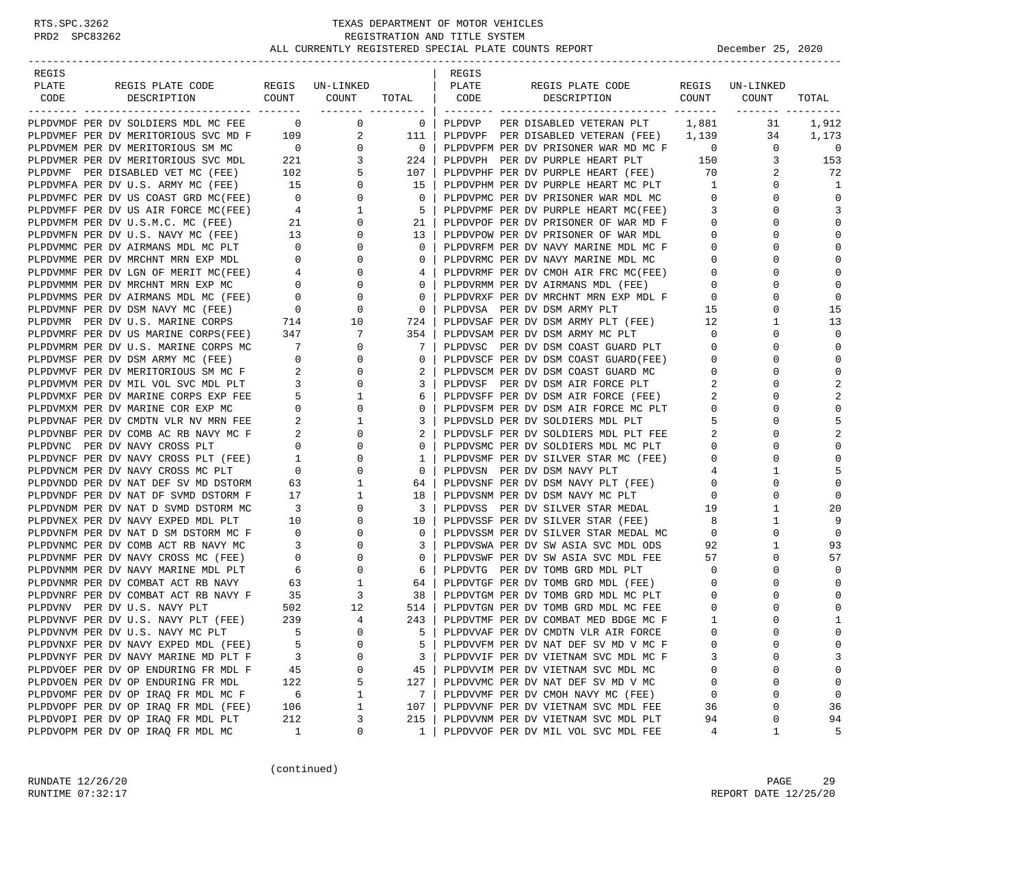| REGIS |                                                                                |                                                      |                     |                         | REGIS  |                                                                       |                         |                 |                         |
|-------|--------------------------------------------------------------------------------|------------------------------------------------------|---------------------|-------------------------|--------|-----------------------------------------------------------------------|-------------------------|-----------------|-------------------------|
| PLATE | REGIS PLATE CODE                                                               |                                                      | REGIS UN-LINKED     |                         | PLATE  | REGIS PLATE CODE                                                      |                         | REGIS UN-LINKED |                         |
| CODE  | COUNT COUNT<br>DESCRIPTION                                                     |                                                      |                     | TOTAL CODE              |        | DESCRIPTION COUNT                                                     |                         | COUNT           | TOTAL                   |
|       | PLPDVMDF PER DV SOLDIERS MDL MC FEE 0                                          |                                                      | $\overline{0}$      | $\overline{\mathbf{0}}$ | PLPDVP | PER DISABLED VETERAN PLT                                              | 1,881                   | 31              | 1,912                   |
|       | PLPDVMEF PER DV MERITORIOUS SVC MD F                                           |                                                      | 109<br>2            | 111                     |        | PLPDVPF PER DISABLED VETERAN (FEE) 1,139                              |                         | 34              | 1,173                   |
|       |                                                                                |                                                      | $\mathbf{0}$        | $\overline{0}$          |        | PLPDVPFM PER DV PRISONER WAR MD MC F                                  | $\overline{0}$          | $\mathbf{0}$    | $\Omega$                |
|       | PLPDVMEM PER DV MERITORIOUS SM MC 0<br>PLPDVMER PER DV MERITORIOUS SVC MDL 221 |                                                      | 3                   | 224                     |        | PLPDVPH PER DV PURPLE HEART PLT 150                                   |                         | 3               | 153                     |
|       | PLPDVMF PER DISABLED VET MC (FEE)                                              | 102                                                  | 5                   | 107                     |        | PLPDVPHF PER DV PURPLE HEART (FEE) 70                                 |                         | 2               | -72                     |
|       | PLPDVMFA PER DV U.S. ARMY MC (FEE)                                             | 15                                                   | $\mathbf{0}$        | 15                      |        | PLPDVPHM PER DV PURPLE HEART MC PLT                                   | $\overline{1}$          | 0               | -1                      |
|       | PLPDVMFC PER DV US COAST GRD MC(FEE) 0                                         |                                                      | $\mathbf{0}$        | $\mathbf{0}$            |        | PLPDVPMC PER DV PRISONER WAR MDL MC                                   | $\overline{0}$          | $\mathbf 0$     | $\Omega$                |
|       | PLPDVMFF PER DV US AIR FORCE MC(FEE)                                           | $4\overline{4}$                                      | 1                   | 5                       |        | PLPDVPMF PER DV PURPLE HEART MC(FEE)                                  | $\overline{\mathbf{3}}$ | $\Omega$        | 3                       |
|       | PLPDVMFM PER DV U.S.M.C. MC (FEE)                                              | $\overline{\phantom{a}}$ 21                          | 0                   | 21                      |        | PLPDVPOF PER DV PRISONER OF WAR MD F                                  | $\overline{0}$          | $\Omega$        | $\Omega$                |
|       | PLPDVMFN PER DV U.S. NAVY MC (FEE) 13                                          |                                                      | $\mathbf{0}$        | 13                      |        | PLPDVPOW PER DV PRISONER OF WAR MDL                                   | $\mathbf{0}$            | 0               | $\Omega$                |
|       | PLPDVMMC PER DV AIRMANS MDL MC PLT                                             | $\overline{0}$                                       | 0                   | $\mathbf{0}$            |        | PLPDVRFM PER DV NAVY MARINE MDL MC F                                  | $\circ$                 | $\Omega$        | $\Omega$                |
|       | PLPDVMME PER DV MRCHNT MRN EXP MDL                                             | $\overline{0}$                                       | 0                   | $\mathbf{0}$            |        | PLPDVRMC PER DV NAVY MARINE MDL MC                                    | $\overline{0}$          | 0               | $\Omega$                |
|       | PLPDVMMF PER DV LGN OF MERIT MC(FEE)                                           | $\begin{array}{c} 4 \\ 0 \end{array}$                | 0                   | 4                       |        | PLPDVRMF PER DV CMOH AIR FRC MC(FEE)                                  | $\overline{0}$          | $\Omega$        | $\Omega$                |
|       | PLPDVMMM PER DV MRCHNT MRN EXP MC                                              |                                                      | 0                   | $\Omega$                |        | PLPDVRMM PER DV AIRMANS MDL (FEE)                                     | $\mathbf 0$             | 0               | $\Omega$                |
|       | PLPDVMMS PER DV AIRMANS MDL MC (FEE) 0<br>PLPDVMNF PER DV DSM NAVY MC (FEE) 0  |                                                      | 0                   | $\mathbf{0}$            |        | PLPDVRXF PER DV MRCHNT MRN EXP MDL F<br>PLPDVSA – PER DV DSM ARMY PLT | $\overline{0}$          | 0               | $\Omega$                |
|       |                                                                                |                                                      | $\mathbf 0$         | $\mathbf{0}$            |        | PLPDVSA PER DV DSM ARMY PLT                                           | 15                      | $\mathbf 0$     | 15                      |
|       | PLPDVMR PER DV U.S. MARINE CORPS                                               | 714                                                  | 10                  | 724                     |        | PLPDVSAF PER DV DSM ARMY PLT (FEE)                                    | 12                      | 1               | 13                      |
|       | PLPDVMRF PER DV US MARINE CORPS(FEE) 347                                       |                                                      | 7                   | 354                     |        | PLPDVSAM PER DV DSM ARMY MC PLT                                       | $\overline{0}$          | $\Omega$        | $\Omega$                |
|       | PLPDVMRM PER DV U.S. MARINE CORPS MC 7                                         |                                                      | 0                   | 7                       |        | PLPDVSC PER DV DSM COAST GUARD PLT                                    | $\overline{0}$          | $\Omega$        | $\Omega$                |
|       | PLPDVMSF PER DV DSM ARMY MC (FEE)                                              | $\overline{0}$                                       | $\mathbf{0}$        | 0                       |        | PLPDVSCF PER DV DSM COAST GUARD(FEE)                                  | $\mathbf 0$             | 0               | $\Omega$                |
|       | PLPDVMVF PER DV MERITORIOUS SM MC F                                            | $\overline{\phantom{a}}^2$                           | $\mathbf{0}$        | 2                       |        | PLPDVSCM PER DV DSM COAST GUARD MC                                    | $\overline{0}$          | $\Omega$        | $\Omega$                |
|       | PLPDVMVM PER DV MIL VOL SVC MDL PLT                                            | $\overline{\phantom{a}}$ 3                           | $\mathbf{0}$        | 3                       |        | PLPDVSF PER DV DSM AIR FORCE PLT                                      | 2                       | $\Omega$        | $\overline{\mathbf{c}}$ |
|       | PLPDVMXF PER DV MARINE CORPS EXP FEE                                           | $5 -$                                                | 1                   | 6                       |        | PLPDVSFF PER DV DSM AIR FORCE (FEE)                                   | 2                       | 0               | $\overline{c}$          |
|       | PLPDVMXM PER DV MARINE COR EXP MC                                              | $\overline{\phantom{0}}$                             | 0                   | $\Omega$                |        | PLPDVSFM PER DV DSM AIR FORCE MC PLT                                  | $\overline{0}$          | 0               |                         |
|       | PLPDVNAF PER DV CMDTN VLR NV MRN FEE                                           | 2                                                    | 1                   | 3                       |        | PLPDVSLD PER DV SOLDIERS MDL PLT                                      | 5                       | 0               |                         |
|       | PLPDVNBF PER DV COMB AC RB NAVY MC F                                           | $\overline{a}$                                       | 0                   | 2                       |        | PLPDVSLF PER DV SOLDIERS MDL PLT FEE                                  | 2                       | $\Omega$        | 2                       |
|       | PLPDVNC PER DV NAVY CROSS PLT                                                  |                                                      | $\overline{0}$<br>0 | 0                       |        | PLPDVSMC PER DV SOLDIERS MDL MC PLT                                   | $\overline{0}$          | 0               | $\Omega$<br>$\Omega$    |
|       | PLPDVNCF PER DV NAVY CROSS PLT (FEE)                                           | $\mathbf{1}$<br>$\begin{matrix} 1 \\ 0 \end{matrix}$ | 0                   | 1                       |        | PLPDVSMF PER DV SILVER STAR MC (FEE)                                  | $\overline{0}$          | 0               |                         |
|       | PLPDVNCM PER DV NAVY CROSS MC PLT                                              | 63 —                                                 | $\mathbf 0$         | $\mathbf 0$<br>64       |        | PLPDVSN PER DV DSM NAVY PLT                                           | 4<br>$\overline{0}$     | 1<br>0          | 5<br>$\Omega$           |
|       | PLPDVNDD PER DV NAT DEF SV MD DSTORM                                           | 17                                                   | 1<br>1              | 18                      |        | PLPDVSNF PER DV DSM NAVY PLT (FEE)<br>plpDVSNF PER DV DSM NAVY MC PLT | $\overline{0}$          | $\mathbf 0$     | $\mathbf 0$             |
|       | PLPDVNDF PER DV NAT DF SVMD DSTORM F<br>PLPDVNDM PER DV NAT D SVMD DSTORM MC   | $\overline{\phantom{a}}$ 3                           | 0                   | 3                       |        | PLPDVSNM PER DV DSM NAVY MC PLT                                       | 19                      | 1               | 20                      |
|       | PLPDVNEX PER DV NAVY EXPED MDL PLT                                             | 10                                                   | 0                   | 10                      |        | PLPDVSS PER DV SILVER STAR MEDAL<br>PLPDVSSF PER DV SILVER STAR (FEE) | -8                      | 1               | 9                       |
|       | PLPDVNFM PER DV NAT D SM DSTORM MC F                                           | $\overline{\mathbf{0}}$                              | 0                   | $\Omega$                |        | PLPDVSSM PER DV SILVER STAR MEDAL MC                                  | $\circ$                 | $\Omega$        | $\Omega$                |
|       | PLPDVNMC PER DV COMB ACT RB NAVY MC                                            | $\overline{\mathbf{3}}$                              | 0                   | 3                       |        | PLPDVSWA PER DV SW ASIA SVC MDL ODS                                   | 92                      | 1               | 93                      |
|       | PLPDVNMF PER DV NAVY CROSS MC (FEE)                                            | $\overline{0}$                                       | $\mathbf{0}$        | $\mathbf{0}$            |        | PLPDVSWF PER DV SW ASIA SVC MDL FEE                                   | 57                      | $\mathbf 0$     | 57                      |
|       | PLPDVNMM PER DV NAVY MARINE MDL PLT                                            | 6                                                    | $\mathbf{0}$        | 6                       |        | PLPDVTG PER DV TOMB GRD MDL PLT                                       | $\overline{0}$          | $\mathbf 0$     |                         |
|       | PLPDVNMR PER DV COMBAT ACT RB NAVY                                             | 63 —                                                 | 1                   | 64                      |        | PLPDVTGF PER DV TOMB GRD MDL (FEE)                                    | $\overline{0}$          | $\Omega$        | $\Omega$                |
|       | PLPDVNRF PER DV COMBAT ACT RB NAVY F 35                                        |                                                      | 3                   | 38                      |        | PLPDVTGM PER DV TOMB GRD MDL MC PLT                                   | $\mathbf 0$             | 0               | $\Omega$                |
|       | PLPDVNV PER DV U.S. NAVY PLT                                                   | 502                                                  | 12                  | 514                     |        | PLPDVTGN PER DV TOMB GRD MDL MC FEE                                   | 0                       | 0               | $\Omega$                |
|       | PLPDVNVF PER DV U.S. NAVY PLT (FEE)                                            | 239                                                  | $\overline{4}$      | 243                     |        | PLPDVTMF PER DV COMBAT MED BDGE MC F                                  | 1                       | $\Omega$        | 1                       |
|       | PLPDVNVM PER DV U.S. NAVY MC PLT                                               | - 5                                                  | $\Omega$            | 5                       |        | PLPDVVAF PER DV CMDTN VLR AIR FORCE                                   | $\Omega$                | $\Omega$        | $\Omega$                |
|       | PLPDVNXF PER DV NAVY EXPED MDL (FEE)                                           | 5                                                    | 0                   | 5                       |        | PLPDVVFM PER DV NAT DEF SV MD V MC F                                  | 0                       | 0               | 0                       |
|       | PLPDVNYF PER DV NAVY MARINE MD PLT F                                           | 3                                                    | 0                   | 3                       |        | PLPDVVIF PER DV VIETNAM SVC MDL MC F                                  |                         | O               | 3                       |
|       | PLPDVOEF PER DV OP ENDURING FR MDL F                                           | 45                                                   | 0                   | 45                      |        | PLPDVVIM PER DV VIETNAM SVC MDL MC                                    | 0                       | 0               | 0                       |
|       | PLPDVOEN PER DV OP ENDURING FR MDL                                             | 122                                                  | 5                   | 127                     |        | PLPDVVMC PER DV NAT DEF SV MD V MC                                    | 0                       | 0               | 0                       |
|       | PLPDVOMF PER DV OP IRAQ FR MDL MC F                                            | 6                                                    | 1                   | 7                       |        | PLPDVVMF PER DV CMOH NAVY MC (FEE)                                    | 0                       | 0               | $\Omega$                |
|       | PLPDVOPF PER DV OP IRAQ FR MDL (FEE)                                           | 106                                                  | 1                   | 107                     |        | PLPDVVNF PER DV VIETNAM SVC MDL FEE                                   | 36                      | 0               | 36                      |
|       | PLPDVOPI PER DV OP IRAQ FR MDL PLT                                             | 212                                                  | 3                   | 215                     |        | PLPDVVNM PER DV VIETNAM SVC MDL PLT                                   | 94                      | 0               | 94                      |
|       | PLPDVOPM PER DV OP IRAQ FR MDL MC                                              | 1                                                    | 0                   | 1                       |        | PLPDVVOF PER DV MIL VOL SVC MDL FEE                                   | 4                       | 1               | 5                       |

(continued)

RUNDATE  $12/26/20$  PAGE 29 RUNTIME 07:32:17 REPORT DATE 12/25/20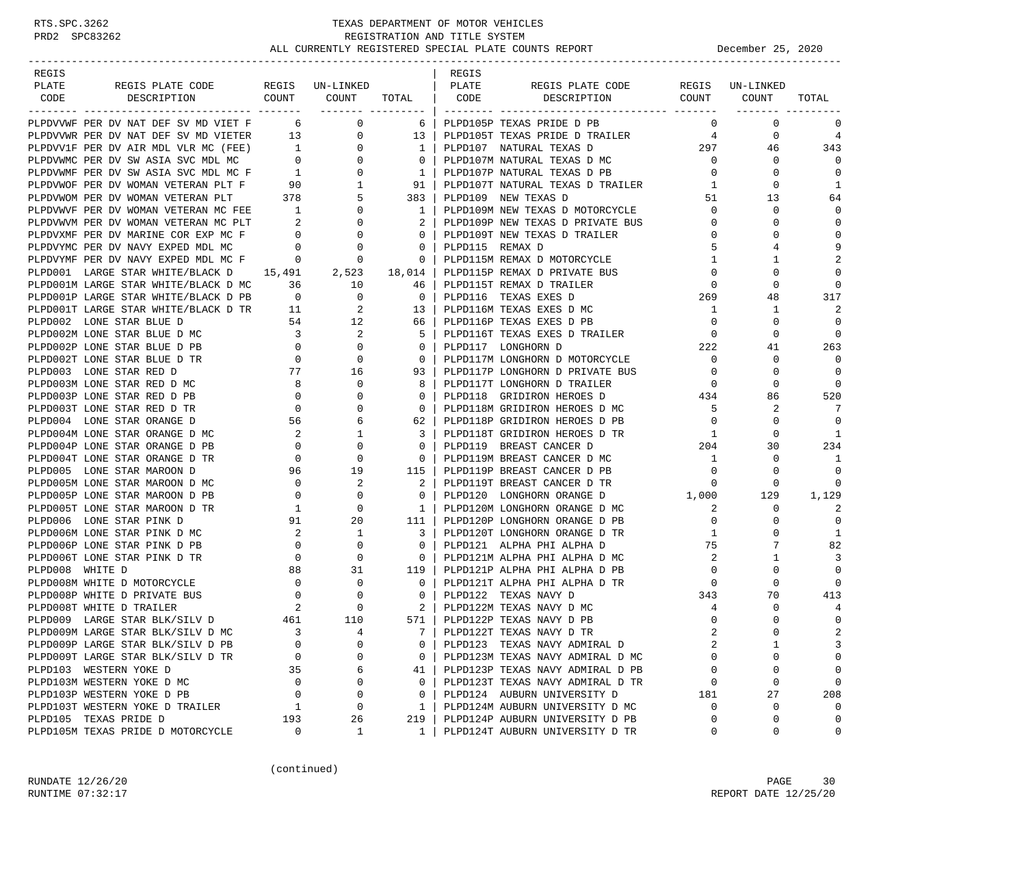-----------------------------------------------------------------------------------------------------------------------------------

| REGIS |                                                                                                                                                                                                                                           |  | REGIS |                                                                                                                 |                                                                       |                |                |
|-------|-------------------------------------------------------------------------------------------------------------------------------------------------------------------------------------------------------------------------------------------|--|-------|-----------------------------------------------------------------------------------------------------------------|-----------------------------------------------------------------------|----------------|----------------|
| PLATE |                                                                                                                                                                                                                                           |  |       |                                                                                                                 |                                                                       |                |                |
| CODE  |                                                                                                                                                                                                                                           |  |       |                                                                                                                 |                                                                       |                | TOTAL          |
|       |                                                                                                                                                                                                                                           |  |       |                                                                                                                 |                                                                       |                |                |
|       |                                                                                                                                                                                                                                           |  |       |                                                                                                                 |                                                                       |                | 0              |
|       |                                                                                                                                                                                                                                           |  |       |                                                                                                                 |                                                                       |                | $\overline{4}$ |
|       |                                                                                                                                                                                                                                           |  |       |                                                                                                                 |                                                                       |                | 343            |
|       |                                                                                                                                                                                                                                           |  |       |                                                                                                                 |                                                                       |                | $\Omega$       |
|       |                                                                                                                                                                                                                                           |  |       |                                                                                                                 |                                                                       |                | 0              |
|       |                                                                                                                                                                                                                                           |  |       |                                                                                                                 |                                                                       |                | - 1            |
|       |                                                                                                                                                                                                                                           |  |       |                                                                                                                 |                                                                       |                | 64             |
|       |                                                                                                                                                                                                                                           |  |       |                                                                                                                 |                                                                       |                | $\Omega$       |
|       |                                                                                                                                                                                                                                           |  |       |                                                                                                                 |                                                                       |                | $\mathbf 0$    |
|       | PLPDVXMF PER DV NAVY EXPED MDL MC<br>PLPDVYMF PER DV NAVY EXPED MDL MC F 0<br>PLPDVYMF PER DV NAVY EXPED MDL MC F 0<br>PLPD001 LARGE STAR WHITE/BLACK D MC 36 10 46 PLPD115P REMAX D TRAILER<br>2,523 18,014 PLPD115P REMAX D TRAILER<br> |  |       |                                                                                                                 |                                                                       |                | $\mathbf 0$    |
|       |                                                                                                                                                                                                                                           |  |       |                                                                                                                 |                                                                       |                | 9              |
|       |                                                                                                                                                                                                                                           |  |       |                                                                                                                 |                                                                       |                | $\overline{2}$ |
|       |                                                                                                                                                                                                                                           |  |       |                                                                                                                 |                                                                       | $\mathbf 0$    | $\Omega$       |
|       |                                                                                                                                                                                                                                           |  |       |                                                                                                                 | $\begin{array}{c}0\\0\\269\end{array}$                                | $\overline{0}$ | $\Omega$       |
|       |                                                                                                                                                                                                                                           |  |       |                                                                                                                 |                                                                       | 48             | 317            |
|       |                                                                                                                                                                                                                                           |  |       |                                                                                                                 |                                                                       | 1              | 2              |
|       |                                                                                                                                                                                                                                           |  |       |                                                                                                                 |                                                                       | $\mathbf 0$    | 0              |
|       |                                                                                                                                                                                                                                           |  |       |                                                                                                                 |                                                                       | $\mathbf 0$    | $\mathbf 0$    |
|       |                                                                                                                                                                                                                                           |  |       |                                                                                                                 |                                                                       | 41             | 263            |
|       |                                                                                                                                                                                                                                           |  |       |                                                                                                                 |                                                                       | $\mathbf 0$    | $\Omega$       |
|       |                                                                                                                                                                                                                                           |  |       |                                                                                                                 | $\begin{array}{ccc} & 0 & & 0 \\ & 0 & & 0 \\ 434 & & 86 \end{array}$ | $\Omega$       | $\Omega$       |
|       |                                                                                                                                                                                                                                           |  |       |                                                                                                                 |                                                                       |                | $\Omega$       |
|       |                                                                                                                                                                                                                                           |  |       |                                                                                                                 |                                                                       |                | 520            |
|       |                                                                                                                                                                                                                                           |  |       |                                                                                                                 |                                                                       | 2              | -7             |
|       |                                                                                                                                                                                                                                           |  |       |                                                                                                                 |                                                                       | $\overline{0}$ | $\Omega$       |
|       |                                                                                                                                                                                                                                           |  |       |                                                                                                                 |                                                                       | $\Omega$       | $\overline{1}$ |
|       |                                                                                                                                                                                                                                           |  |       |                                                                                                                 |                                                                       | 30             | 234            |
|       |                                                                                                                                                                                                                                           |  |       |                                                                                                                 |                                                                       | $\mathbf 0$    | $\overline{1}$ |
|       |                                                                                                                                                                                                                                           |  |       | 113   PLPD119F BREAST CANCER D TR<br>2   PLPD119T BREAST CANCER D TR<br>0   PLPD120 LONGHORN ORANGE D 1,000 129 |                                                                       | 0              | $\mathbf 0$    |
|       |                                                                                                                                                                                                                                           |  |       |                                                                                                                 |                                                                       |                |                |
|       |                                                                                                                                                                                                                                           |  |       |                                                                                                                 |                                                                       |                | 1,129          |
|       | PLAPYONE PER DV RAVY EXERED MOLOGY P = 0 0 1 PLAPCHAR RAVAX D DOCTORE TRANSMONT DESIGN AND DESIGN AND DESIGN AND DESIGN AND DESIGN AND DESIGN AND DESIGN AND DESIGN AND DESIGN AND DESIGN AND DESIGN AND DESIGN AND DESIGN AN             |  |       |                                                                                                                 |                                                                       | $\mathbf 0$    | 2              |
|       |                                                                                                                                                                                                                                           |  |       |                                                                                                                 |                                                                       | $\mathbf 0$    | $\mathbf 0$    |
|       |                                                                                                                                                                                                                                           |  |       |                                                                                                                 |                                                                       | $\Omega$       | $\mathbf{1}$   |
|       |                                                                                                                                                                                                                                           |  |       |                                                                                                                 |                                                                       | 7              | 82             |
|       |                                                                                                                                                                                                                                           |  |       |                                                                                                                 |                                                                       | $\mathbf{1}$   | $\overline{3}$ |
|       |                                                                                                                                                                                                                                           |  |       |                                                                                                                 |                                                                       | $\overline{0}$ | 0              |
|       |                                                                                                                                                                                                                                           |  |       |                                                                                                                 |                                                                       | $\overline{0}$ | $\Omega$       |
|       |                                                                                                                                                                                                                                           |  |       |                                                                                                                 |                                                                       | 70             | 413            |
|       |                                                                                                                                                                                                                                           |  |       |                                                                                                                 |                                                                       | 0              | $\overline{4}$ |
|       |                                                                                                                                                                                                                                           |  |       |                                                                                                                 |                                                                       | $\mathbf 0$    | 0              |
|       |                                                                                                                                                                                                                                           |  |       |                                                                                                                 |                                                                       |                | 2              |
|       |                                                                                                                                                                                                                                           |  |       |                                                                                                                 |                                                                       |                | 3              |
|       |                                                                                                                                                                                                                                           |  |       |                                                                                                                 |                                                                       |                | $\Omega$       |
|       |                                                                                                                                                                                                                                           |  |       |                                                                                                                 |                                                                       |                | 0              |
|       |                                                                                                                                                                                                                                           |  |       |                                                                                                                 |                                                                       |                | $\Omega$       |
|       |                                                                                                                                                                                                                                           |  |       |                                                                                                                 |                                                                       |                | 208            |
|       |                                                                                                                                                                                                                                           |  |       |                                                                                                                 |                                                                       |                |                |
|       |                                                                                                                                                                                                                                           |  |       |                                                                                                                 |                                                                       |                | $\Omega$       |
|       |                                                                                                                                                                                                                                           |  |       |                                                                                                                 |                                                                       |                | $\Omega$       |

(continued)

RUNDATE 12/26/20 PAGE 30 RUNTIME 07:32:17 REPORT DATE 12/25/20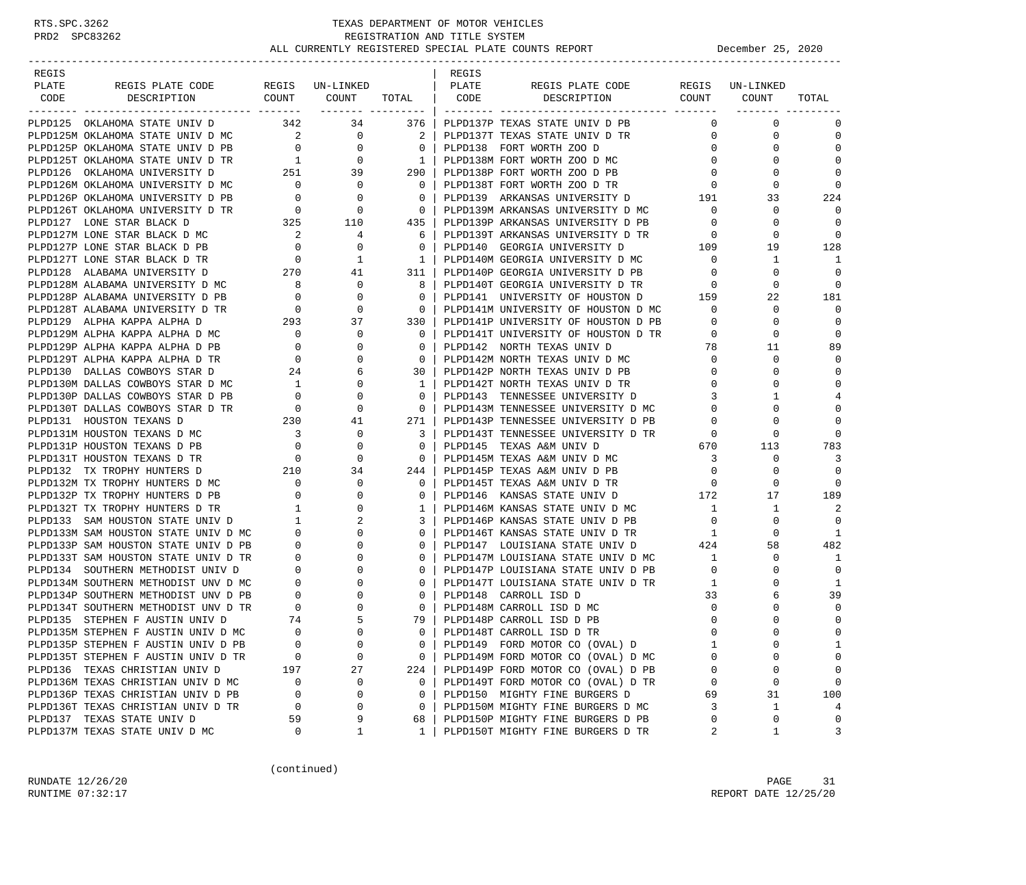| REGIS |                                                                                                                                                                                                                                           |                                              |                          |                                                     | REGIS |                                     |                          |                 |                  |
|-------|-------------------------------------------------------------------------------------------------------------------------------------------------------------------------------------------------------------------------------------------|----------------------------------------------|--------------------------|-----------------------------------------------------|-------|-------------------------------------|--------------------------|-----------------|------------------|
| PLATE | REGIS PLATE CODE                                                                                                                                                                                                                          |                                              | REGIS UN-LINKED          |                                                     | PLATE | REGIS PLATE CODE                    |                          | REGIS UN-LINKED |                  |
| CODE  | DESCRIPTION                                                                                                                                                                                                                               |                                              | COUNT COUNT TOTAL   CODE |                                                     |       | DESCRIPTION COUNT COUNT             |                          |                 | TOTAL            |
|       | PLPD125 OKLAHOMA STATE UNIV D                                                                                                                                                                                                             | 342                                          | 34                       | 376                                                 |       | PLPD137P TEXAS STATE UNIV D PB      | $\mathbf{0}$             | $\mathbf 0$     | 0                |
|       | PLPD125M OKLAHOMA STATE UNIV D MC                                                                                                                                                                                                         | $\begin{array}{c} 2 \\ 0 \\ 1 \end{array}$   | $\overline{0}$           | $\overline{2}$ 1                                    |       | PLPD137T TEXAS STATE UNIV D TR      | $\overline{0}$           | 0               | $\mathbf 0$      |
|       | PLPD125P OKLAHOMA STATE UNIV D PB                                                                                                                                                                                                         |                                              | $\mathbf{0}$             |                                                     |       | 0   PLPD138 FORT WORTH ZOO D        | $\mathbf{0}$             | $\Omega$        | $\Omega$         |
|       | PLPD125T OKLAHOMA STATE UNIV D TR                                                                                                                                                                                                         |                                              | $\mathbf{0}$             | $\begin{array}{c c} 0 &   \\ 1 &   \end{array}$     |       | PLPD138M FORT WORTH ZOO D MC        | $\mathbf{0}$             | $\Omega$        | $\Omega$         |
|       |                                                                                                                                                                                                                                           |                                              |                          | 290                                                 |       | PLPD138P FORT WORTH ZOO D PB        | $\overline{0}$           | 0               | $\Omega$         |
|       | PLPD126 OKLAHOMA UNIVERSITY D<br>PLPD126 OKLAHOMA UNIVERSITY D<br>PLPD126M OKLAHOMA UNIVERSITY D<br>PLPD126P OKLAHOMA UNIVERSITY D<br>PLPD126P OKLAHOMA UNIVERSITY D<br>PLPD127 LONE STAR BLACK D<br>PLPD127 LONE STAR BLACK D<br>225 110 |                                              |                          | $\overline{\phantom{0}}$ 0 $\overline{\phantom{0}}$ |       | PLPD138T FORT WORTH ZOO D TR        | $\circ$                  | $\Omega$        | $\mathbf 0$      |
|       |                                                                                                                                                                                                                                           |                                              |                          | $\overline{0}$                                      |       | PLPD139 ARKANSAS UNIVERSITY D 191   |                          | 33              | 224              |
|       |                                                                                                                                                                                                                                           |                                              |                          | $\overline{0}$                                      |       | PLPD139M ARKANSAS UNIVERSITY D MC   | $\mathbf{0}$             | $\Omega$        | $\Omega$         |
|       |                                                                                                                                                                                                                                           |                                              |                          | 435                                                 |       | PLPD139P ARKANSAS UNIVERSITY D PB   | $\overline{0}$           | $\Omega$        | $\Omega$         |
|       | PLPD127M LONE STAR BLACK D MC 2<br>PLPD127P LONE STAR BLACK D PB 0                                                                                                                                                                        |                                              | 4                        | 6                                                   |       | PLPD139T ARKANSAS UNIVERSITY D TR   | 0                        | 0               | $\Omega$         |
|       |                                                                                                                                                                                                                                           |                                              | 0                        | 0 <sup>1</sup>                                      |       | PLPD140 GEORGIA UNIVERSITY D        | TR 0<br>109              | 19              | 128              |
|       | PLPD127T LONE STAR BLACK D TR                                                                                                                                                                                                             | $\begin{array}{c}0\\270\end{array}$          | $\mathbf{1}$             | $\overline{1}$                                      |       | PLPD140M GEORGIA UNIVERSITY D MC    | $\overline{0}$           | $\mathbf{1}$    | 1                |
|       | PLPD128 ALABAMA UNIVERSITY D                                                                                                                                                                                                              |                                              | 41                       | $311$                                               |       | PLPD140P GEORGIA UNIVERSITY D PB    | $\mathbf{0}$             | $\Omega$        | $\Omega$         |
|       | PLPD128M ALABAMA UNIVERSITY D MC 8                                                                                                                                                                                                        |                                              | $\mathbf{0}$             | 8                                                   |       | PLPD140T GEORGIA UNIVERSITY D TR 0  |                          | $\Omega$        | $\Omega$         |
|       | PLPD128P ALABAMA UNIVERSITY D PB                                                                                                                                                                                                          | $\begin{array}{c} 0 \\ 0 \end{array}$        | 0                        | $\circ$                                             |       | PLPD141 UNIVERSITY OF HOUSTON D 159 |                          | 22              | 181              |
|       | PLPD128T ALABAMA UNIVERSITY D TR                                                                                                                                                                                                          |                                              | 0                        | $\overline{0}$                                      |       | PLPD141M UNIVERSITY OF HOUSTON D MC | $\overline{0}$           | $\Omega$        | $\mathbf 0$      |
|       | PLPD129 ALPHA KAPPA ALPHA D                                                                                                                                                                                                               | 293                                          | 37                       | 330                                                 |       | PLPD141P UNIVERSITY OF HOUSTON D PB | $\mathbf 0$              | 0               | $\Omega$         |
|       | PLPD129M ALPHA KAPPA ALPHA D $MC$ 0<br>PLPD129P ALPHA KAPPA ALPHA D $PB$ 0 $\,$                                                                                                                                                           |                                              | 0                        | $\mathbf{0}$                                        |       | PLPD141T UNIVERSITY OF HOUSTON D TR | $\mathbf{0}$             | 0               | $\Omega$         |
|       |                                                                                                                                                                                                                                           |                                              | $\Omega$                 | $\Omega$                                            |       | PLPD142 NORTH TEXAS UNIV D          | 78                       | 11              | 89               |
|       | PLPD129T ALPHA KAPPA ALPHA D TR                                                                                                                                                                                                           | $\begin{array}{c}0\\24\end{array}$           | $\Omega$                 | $\overline{0}$                                      |       | PLPD142M NORTH TEXAS UNIV D MC      | $\overline{0}$           | 0               | $\Omega$         |
|       | PLPD130 DALLAS COWBOYS STAR D                                                                                                                                                                                                             |                                              | 6                        | 30 I                                                |       | PLPD142P NORTH TEXAS UNIV D PB      | $\overline{0}$           | $\Omega$        | $\mathbf 0$      |
|       | PLPD130M DALLAS COWBOYS STAR D MC                                                                                                                                                                                                         | $\mathbf{1}$                                 | 0                        | $\mathbf{1}$                                        |       | PLPD142T NORTH TEXAS UNIV D TR      | $\Omega$                 | $\Omega$        | $\Omega$         |
|       | PLPD130P DALLAS COWBOYS STAR D PB                                                                                                                                                                                                         | $\overline{0}$                               | 0                        | $\overline{0}$                                      |       | PLPD143 TENNESSEE UNIVERSITY D      | 3                        |                 | 4                |
|       | PLPD130T DALLAS COWBOYS STAR D TR                                                                                                                                                                                                         | $\overline{0}$                               | 0                        | $\overline{0}$                                      |       | PLPD143M TENNESSEE UNIVERSITY D MC  | $\mathbf{0}$             | $\Omega$        | $\Omega$         |
|       | PLPD131 HOUSTON TEXANS D                                                                                                                                                                                                                  | 230                                          | 41                       | 271                                                 |       | PLPD143P TENNESSEE UNIVERSITY D PB  | $\mathbf{0}$             | 0               | $\Omega$         |
|       | PLPD131M HOUSTON TEXANS D MC                                                                                                                                                                                                              | $\overline{\mathbf{3}}$                      | 0                        | 3                                                   |       | PLPD143T TENNESSEE UNIVERSITY D TR  | $\overline{\phantom{0}}$ | $\Omega$        | $\mathbf 0$      |
|       | PLPD131P HOUSTON TEXANS D PB                                                                                                                                                                                                              |                                              | 0                        | $\overline{0}$                                      |       | PLPD145 TEXAS A&M UNIV D            | 670                      | 113             | 783              |
|       | PLPD131T HOUSTON TEXANS D TR                                                                                                                                                                                                              | $\begin{array}{c} 0 \\ 0 \\ 210 \end{array}$ | $\mathbf 0$              | $\overline{0}$                                      |       | PLPD145M TEXAS A&M UNIV D MC        | $\overline{\mathbf{3}}$  | $\mathbf 0$     | 3                |
|       | PLPD132 TX TROPHY HUNTERS D                                                                                                                                                                                                               |                                              | 34                       | 244                                                 |       | PLPD145P TEXAS A&M UNIV D PB        | $\mathbf 0$              | 0               | $\mathbf 0$      |
|       | PLPD132M TX TROPHY HUNTERS D MC                                                                                                                                                                                                           | $\begin{array}{c} 0 \\ 0 \end{array}$        | $\mathbf{0}$             | $\mathbf{0}$                                        |       | PLPD145T TEXAS A&M UNIV D TR        | $\mathbf{0}$             | 0               | $\Omega$         |
|       | PLPD132P TX TROPHY HUNTERS D PB                                                                                                                                                                                                           |                                              | $\Omega$                 | $\mathbf{0}$                                        |       | PLPD146 KANSAS STATE UNIV D         | 172                      | 17              | 189              |
|       | PLPD132T TX TROPHY HUNTERS D TR 1<br>PLPD133 SAM HOUSTON STATE UNIV D 1<br>PLPD133M SAM HOUSTON STATE UNIV D MC 0                                                                                                                         |                                              | 0                        | 1                                                   |       | PLPD146M KANSAS STATE UNIV D MC     | <sup>1</sup>             | 1               | 2                |
|       |                                                                                                                                                                                                                                           |                                              | 2                        | 3                                                   |       | PLPD146P KANSAS STATE UNIV D PB     | $\overline{0}$           | $\Omega$        | $\Omega$         |
|       |                                                                                                                                                                                                                                           |                                              | $\Omega$                 | $\Omega$                                            |       | PLPD146T KANSAS STATE UNIV D TR 1   |                          | $\Omega$        | 1                |
|       | PLPD133P SAM HOUSTON STATE UNIV D PB                                                                                                                                                                                                      | $\begin{array}{c} 0 \\ 0 \end{array}$        | $\overline{0}$<br>0      | $\mathbf{0}$                                        |       | PLPD147 LOUISIANA STATE UNIV D      | 424                      | 58              | 482              |
|       | PLPD133T SAM HOUSTON STATE UNIV D TR                                                                                                                                                                                                      |                                              | $\Omega$                 | $\Omega$                                            |       | PLPD147M LOUISIANA STATE UNIV D MC  | $\frac{1}{1}$            | $\Omega$        | 1                |
|       | PLPD134 SOUTHERN METHODIST UNIV D                                                                                                                                                                                                         | $\overline{0}$                               | $\Omega$                 | $\mathbf{0}$                                        |       | PLPD147P LOUISIANA STATE UNIV D PB  | $\overline{0}$           | 0               | $\mathbf 0$      |
|       | PLPD134M SOUTHERN METHODIST UNV D MC                                                                                                                                                                                                      | $\begin{matrix} 0 \\ 0 \end{matrix}$         |                          | $\mathbf{0}$                                        |       | PLPD147T LOUISIANA STATE UNIV D TR  | $\overline{1}$           |                 | 1                |
|       | PLPD134P SOUTHERN METHODIST UNV D PB                                                                                                                                                                                                      |                                              |                          | $\overline{0}$                                      |       | PLPD148 CARROLL ISD D               | 33                       |                 | 39               |
|       | PLPD134T SOUTHERN METHODIST UNV D TR                                                                                                                                                                                                      | $\begin{array}{c}0\\74\end{array}$           |                          | $\mathbf{0}$                                        |       | PLPD148M CARROLL ISD D MC           | 0                        | 0               | $\mathbf 0$      |
|       | PLPD135 STEPHEN F AUSTIN UNIV D                                                                                                                                                                                                           |                                              | 5                        | 79                                                  |       | PLPD148P CARROLL ISD D PB           | $\mathbf 0$              |                 | $\mathbf 0$      |
|       | PLPD135M STEPHEN F AUSTIN UNIV D MC                                                                                                                                                                                                       | $\Omega$                                     | $\cap$                   | $\Omega$                                            |       | PLPD148T CARROLL ISD D TR           | $\Omega$                 |                 | $\Omega$         |
|       | PLPD135P STEPHEN F AUSTIN UNIV D PB                                                                                                                                                                                                       | $\mathbf 0$                                  | 0                        | 0                                                   |       | PLPD149 FORD MOTOR CO (OVAL) D      | 1                        | $\Omega$        | 1                |
|       | PLPD135T STEPHEN F AUSTIN UNIV D TR                                                                                                                                                                                                       | 0                                            | 0                        | 0                                                   |       | PLPD149M FORD MOTOR CO (OVAL) D MC  | $\Omega$                 | $\Omega$        | 0                |
|       | PLPD136 TEXAS CHRISTIAN UNIV D                                                                                                                                                                                                            | 197                                          | 27                       | 224                                                 |       | PLPD149P FORD MOTOR CO (OVAL) D PB  | 0                        | $\Omega$        | $\mathbf 0$      |
|       | PLPD136M TEXAS CHRISTIAN UNIV D MC                                                                                                                                                                                                        | 0                                            | 0                        | $\mathbf 0$                                         |       | PLPD149T FORD MOTOR CO (OVAL) D TR  | $\mathbf 0$              | $\Omega$        | 0                |
|       | PLPD136P TEXAS CHRISTIAN UNIV D PB                                                                                                                                                                                                        | 0<br>$\mathbf 0$                             | $\Omega$<br>0            | 0<br>$\mathbf 0$                                    |       | PLPD150 MIGHTY FINE BURGERS D       | 69<br>3                  | 31              | 100              |
|       | PLPD136T TEXAS CHRISTIAN UNIV D TR                                                                                                                                                                                                        |                                              |                          |                                                     |       | PLPD150M MIGHTY FINE BURGERS D MC   |                          | 1<br>0          | 4<br>$\mathbf 0$ |
|       | PLPD137 TEXAS STATE UNIV D                                                                                                                                                                                                                | 59<br>$\mathbf 0$                            | 9<br>1                   | 68<br>1                                             |       | PLPD150P MIGHTY FINE BURGERS D PB   | 0<br>2                   | 1               | 3                |
|       | PLPD137M TEXAS STATE UNIV D MC                                                                                                                                                                                                            |                                              |                          |                                                     |       | PLPD150T MIGHTY FINE BURGERS D TR   |                          |                 |                  |

(continued)

RUNDATE  $12/26/20$  PAGE 31 RUNTIME 07:32:17 REPORT DATE 12/25/20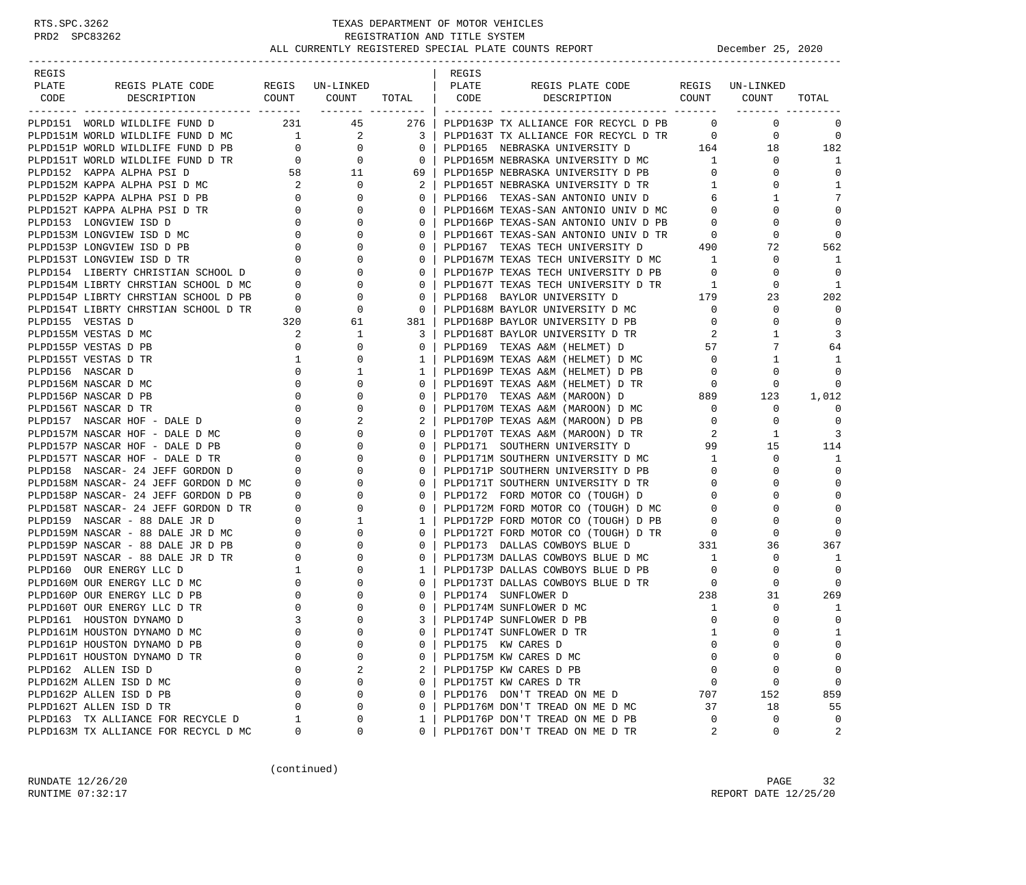| REGIS                                                                                                                                                                                                                                                                                           |                |                                            |                  | REGIS |                                                                                                                                                                                               |                |                |             |
|-------------------------------------------------------------------------------------------------------------------------------------------------------------------------------------------------------------------------------------------------------------------------------------------------|----------------|--------------------------------------------|------------------|-------|-----------------------------------------------------------------------------------------------------------------------------------------------------------------------------------------------|----------------|----------------|-------------|
| PLATE<br>REGIS PLATE CODE REGIS UN-LINKED                                                                                                                                                                                                                                                       |                |                                            |                  | PLATE | REGIS PLATE CODE REGIS UN-LINKED                                                                                                                                                              |                |                |             |
| CODE                                                                                                                                                                                                                                                                                            |                |                                            |                  |       | DESCRIPTION COUNT COUNT TOTAL   CODE DESCRIPTION COUNT COUNT                                                                                                                                  |                |                | TOTAL       |
|                                                                                                                                                                                                                                                                                                 |                |                                            | ------- -------- |       |                                                                                                                                                                                               |                |                |             |
| PLPD151 WORLD WILDLIFE FUND D 231 45 276                                                                                                                                                                                                                                                        |                |                                            |                  |       | PLPD163P TX ALLIANCE FOR RECYCL D PB 0                                                                                                                                                        |                | $\mathbf 0$    | 0           |
|                                                                                                                                                                                                                                                                                                 |                |                                            |                  |       | PLPD163T TX ALLIANCE FOR RECYCL D TR 0                                                                                                                                                        |                | $\overline{0}$ | $\mathbf 0$ |
|                                                                                                                                                                                                                                                                                                 |                |                                            | $0-1$            |       | PLPD165 NEBRASKA UNIVERSITY D 164 18                                                                                                                                                          |                |                | 182         |
| PLPD151M WORLD WILDLIFE FUND D MC $\begin{array}{ccc} 1 & 2 & 3 \\ 9 \text{ PLPD151P} & \text{WORLD} & \text{WILDLLFE} & \text{FUND} & \text{D PB} & 0 \\ 9 \text{ PLPD151T} & \text{WORLD} & \text{WILDLLFE} & \text{FUND} & \text{D TR} & 0 \\ 0 & 0 & 0 & 0 \\ 0 & 0 & 0 & 0 \\ \end{array}$ |                |                                            |                  |       | PLPD165M NEBRASKA UNIVERSITY D MC 1                                                                                                                                                           |                | $\mathbf{0}$   | 1           |
|                                                                                                                                                                                                                                                                                                 |                |                                            |                  |       | PLPD165P NEBRASKA UNIVERSITY D PB<br>PLPD165T NEBRASKA UNIVERSITY D TR                                                                                                                        | $\overline{0}$ | $\mathbf{0}$   | $\mathbf 0$ |
|                                                                                                                                                                                                                                                                                                 |                |                                            |                  |       |                                                                                                                                                                                               | $\overline{1}$ | $\circ$        | 1           |
|                                                                                                                                                                                                                                                                                                 |                |                                            |                  |       | PLPD166 TEXAS-SAN ANTONIO UNIV D 6                                                                                                                                                            |                | 1              | 7           |
|                                                                                                                                                                                                                                                                                                 |                |                                            |                  |       | PLPD166M TEXAS-SAN ANTONIO UNIV D MC 0<br>PLPD166P TEXAS-SAN ANTONIO UNIV D PB 0                                                                                                              |                | 0              | $\Omega$    |
|                                                                                                                                                                                                                                                                                                 |                |                                            |                  |       |                                                                                                                                                                                               |                | $\Omega$       | $\Omega$    |
|                                                                                                                                                                                                                                                                                                 |                |                                            |                  |       |                                                                                                                                                                                               |                | 0              | $\Omega$    |
|                                                                                                                                                                                                                                                                                                 |                |                                            |                  |       | PLPD166T TEXAS-SAN ANTONIO UNIV D TR<br>PLPD167 TEXAS TECH UNIVERSITY D 490                                                                                                                   |                | 72             | 562         |
|                                                                                                                                                                                                                                                                                                 |                |                                            |                  |       | PLPD167M TEXAS TECH UNIVERSITY D MC 1                                                                                                                                                         |                | $\mathbf 0$    | 1           |
|                                                                                                                                                                                                                                                                                                 |                |                                            |                  |       | PLPD167P TEXAS TECH UNIVERSITY D PB                                                                                                                                                           | $\overline{0}$ | $\mathbf 0$    | $\Omega$    |
|                                                                                                                                                                                                                                                                                                 |                |                                            |                  |       | PLPD167T TEXAS TECH UNIVERSITY D TR                                                                                                                                                           | $\overline{1}$ | 0              | -1          |
|                                                                                                                                                                                                                                                                                                 |                |                                            |                  |       |                                                                                                                                                                                               |                | 23             | 202         |
|                                                                                                                                                                                                                                                                                                 |                |                                            |                  |       |                                                                                                                                                                                               |                | $\mathbf 0$    | $\Omega$    |
| PLPD151 WORLD WILDLIFE FUND D TR<br>PLPD152 KAPPA ALPHA PSID<br>PLPD152 KAPPA ALPHA PSID MC<br>PLPD152P KAPPA ALPHA PSID MC<br>PLPD152P KAPPA ALPHA PSID PB<br>0 0 0 0 0<br>PLPD153 LONGVIEW ISD D TR<br>PLPD153 LONGVIEW ISD D MC<br>PLPD153<br>PLPD155 VESTAS D                               |                | 320 61                                     | 381              |       | PLPD168P BAYLOR UNIVERSITY D PB                                                                                                                                                               | $\overline{0}$ | 0              | $\Omega$    |
| PLPD155M VESTAS D MC                                                                                                                                                                                                                                                                            |                | $\mathbf{1}$                               | 3                |       |                                                                                                                                                                                               | 2              | $\mathbf{1}$   | 3           |
| PLPD155P VESTAS D PB                                                                                                                                                                                                                                                                            |                | $\begin{array}{c} 2 \\ 0 \end{array}$<br>0 | $\mathbf{0}$     |       | PLPD168T BAYLOR UNIVERSITY D TR<br>PLPD169   TEXAS A&M (HELMET) D                                                                                                                             | 57             | 7              | 64          |
| PLPD155T VESTAS D TR                                                                                                                                                                                                                                                                            |                | 0                                          | 1 <sup>1</sup>   |       |                                                                                                                                                                                               |                | $\mathbf{1}$   | -1          |
| PLPD156 NASCAR D                                                                                                                                                                                                                                                                                | $\overline{0}$ | $\frac{1}{0}$<br>1                         | $1 \vert$        |       |                                                                                                                                                                                               |                | $\circ$        | $\mathbf 0$ |
|                                                                                                                                                                                                                                                                                                 |                |                                            |                  |       | PLPD169P TEXAS A&M (HELMET) D PB                                                                                                                                                              |                |                |             |
|                                                                                                                                                                                                                                                                                                 |                |                                            | $\overline{0}$   |       |                                                                                                                                                                                               |                | 0              | $\Omega$    |
|                                                                                                                                                                                                                                                                                                 |                |                                            | $0-1$            |       | PLPD169T TEXAS A&M (HELMET) D TR<br>PLPD170 TEXAS A&M (MAROON) D 889<br>PLPD170M TEXAS A&M (MAROON) D MC 0                                                                                    |                | 123            | 1,012       |
|                                                                                                                                                                                                                                                                                                 |                |                                            | $\mathbf{0}$     |       |                                                                                                                                                                                               |                | $\circ$        | $\Omega$    |
|                                                                                                                                                                                                                                                                                                 |                |                                            | 2                |       | PLPD170P TEXAS A&M (MAROON) D PB<br>PLPD170T TEXAS A&M (MAROON) D TR                                                                                                                          | $\mathbf{0}$   | 0              | $\mathbf 0$ |
|                                                                                                                                                                                                                                                                                                 |                |                                            | $0-1$            |       |                                                                                                                                                                                               | 2              | 1              | 3           |
|                                                                                                                                                                                                                                                                                                 |                |                                            | $\overline{0}$   |       | PLPD171 SOUTHERN UNIVERSITY D                                                                                                                                                                 | 99             | 15             | 114         |
|                                                                                                                                                                                                                                                                                                 |                |                                            | $0-1$            |       | PLPD171M SOUTHERN UNIVERSITY D MC       1<br>PLPD171P SOUTHERN UNIVERSITY D PB       0                                                                                                        |                | $\mathbf 0$    | 1           |
|                                                                                                                                                                                                                                                                                                 |                |                                            | $\mathbf{0}$     |       |                                                                                                                                                                                               |                | $\mathbf 0$    | $\mathbf 0$ |
|                                                                                                                                                                                                                                                                                                 |                |                                            | $\overline{0}$   |       | PLPD171T SOUTHERN UNIVERSITY D TR<br>PLPD172 FORD MOTOR CO (TOUGH) D       0                                                                                                                  |                | 0              | $\mathbf 0$ |
|                                                                                                                                                                                                                                                                                                 |                |                                            | $0-1$            |       | PLPD172 FORD MOTOR CO (TOUGH) D                                                                                                                                                               | $\overline{0}$ | $\mathbf 0$    | $\mathbf 0$ |
|                                                                                                                                                                                                                                                                                                 |                |                                            | $\overline{0}$   |       |                                                                                                                                                                                               |                | $\mathbf 0$    | $\Omega$    |
|                                                                                                                                                                                                                                                                                                 |                |                                            | $1 \mid$         |       |                                                                                                                                                                                               |                | $\mathbf 0$    | $\Omega$    |
|                                                                                                                                                                                                                                                                                                 |                |                                            | $\mathbf{0}$     |       |                                                                                                                                                                                               |                | 0              | $\Omega$    |
|                                                                                                                                                                                                                                                                                                 |                |                                            | $\mathbf{0}$     |       | PLPD172M FORD MOTOR CO (TOUGH) D MC<br>PLPD172P FORD MOTOR CO (TOUGH) D PB<br>PLPD172T FORD MOTOR CO (TOUGH) D TR<br>PLPD173 DALLAS COWBOYS BLUE D 331<br>PLPD173M DALLAS COWBOYS BLUE D MC 1 |                | 36             | 367         |
|                                                                                                                                                                                                                                                                                                 |                |                                            | $0-1$            |       |                                                                                                                                                                                               |                | $\circ$        | -1          |
|                                                                                                                                                                                                                                                                                                 |                |                                            | $\mathbf{1}$     |       | PLPD173P DALLAS COWBOYS BLUE D PB<br>PLPD173P DALLAS COWBOYS BLUE D TR<br>PLPD173T DALLAS COWBOYS BLUE D TR<br>238                                                                            |                | $\mathbf 0$    | $\Omega$    |
|                                                                                                                                                                                                                                                                                                 |                |                                            | $0-1$            |       |                                                                                                                                                                                               |                | $\mathbf 0$    | $\Omega$    |
|                                                                                                                                                                                                                                                                                                 |                |                                            | $0-1$            |       |                                                                                                                                                                                               |                | 31             | 269         |
| PLPD160T OUR ENERGY LLC D TR                                                                                                                                                                                                                                                                    | $\overline{0}$ | 0                                          | 0 <sup>1</sup>   |       | PLPD174M SUNFLOWER D MC                                                                                                                                                                       | $\mathbf{1}$   | 0              | 1           |
| PLPD161 HOUSTON DYNAMO D                                                                                                                                                                                                                                                                        | 3              | $\mathbf 0$                                | $3-1$            |       | PLPD174P SUNFLOWER D PB                                                                                                                                                                       | $\overline{0}$ | $\Omega$       | $\mathbf 0$ |
| PLPD161M HOUSTON DYNAMO D MC                                                                                                                                                                                                                                                                    | $\Omega$       | $\Omega$                                   | $\Omega$         |       | PLPD174T SUNFLOWER D TR                                                                                                                                                                       | $\mathbf{1}$   | $\Omega$       | 1           |
| PLPD161P HOUSTON DYNAMO D PB                                                                                                                                                                                                                                                                    | 0              | $\mathbf 0$                                | 0                |       | PLPD175 KW CARES D                                                                                                                                                                            | $\Omega$       | 0              | $\Omega$    |
| PLPD161T HOUSTON DYNAMO D TR                                                                                                                                                                                                                                                                    | $\Omega$       | $\Omega$                                   | 0                |       | PLPD175M KW CARES D MC                                                                                                                                                                        | $\Omega$       | $\Omega$       | $\mathbf 0$ |
| PLPD162 ALLEN ISD D                                                                                                                                                                                                                                                                             | 0              | 2                                          | 2                |       | PLPD175P KW CARES D PB                                                                                                                                                                        | $\Omega$       | 0              | $\mathbf 0$ |
| PLPD162M ALLEN ISD D MC                                                                                                                                                                                                                                                                         | O              | $\mathbf 0$                                | 0                |       | PLPD175T KW CARES D TR                                                                                                                                                                        | 0              | 0              | $\mathbf 0$ |
| PLPD162P ALLEN ISD D PB                                                                                                                                                                                                                                                                         | 0              | $\mathbf 0$                                | 0                |       | PLPD176 DON'T TREAD ON ME D                                                                                                                                                                   | 707            | 152            | 859         |
| PLPD162T ALLEN ISD D TR                                                                                                                                                                                                                                                                         | 0              | $\mathbf 0$                                | 0                |       | PLPD176M DON'T TREAD ON ME D MC                                                                                                                                                               | 37             | 18             | 55          |
| PLPD163 TX ALLIANCE FOR RECYCLE D                                                                                                                                                                                                                                                               | 1              | 0                                          | 1                |       | PLPD176P DON'T TREAD ON ME D PB                                                                                                                                                               | $\Omega$       | 0              | 0           |
| PLPD163M TX ALLIANCE FOR RECYCL D MC                                                                                                                                                                                                                                                            | 0              | $\mathbf 0$                                | 0                |       | PLPD176T DON'T TREAD ON ME D TR                                                                                                                                                               | 2              | 0              | 2           |
|                                                                                                                                                                                                                                                                                                 |                |                                            |                  |       |                                                                                                                                                                                               |                |                |             |

(continued)

RUNDATE 12/26/20 PAGE 32 RUNTIME 07:32:17 REPORT DATE 12/25/20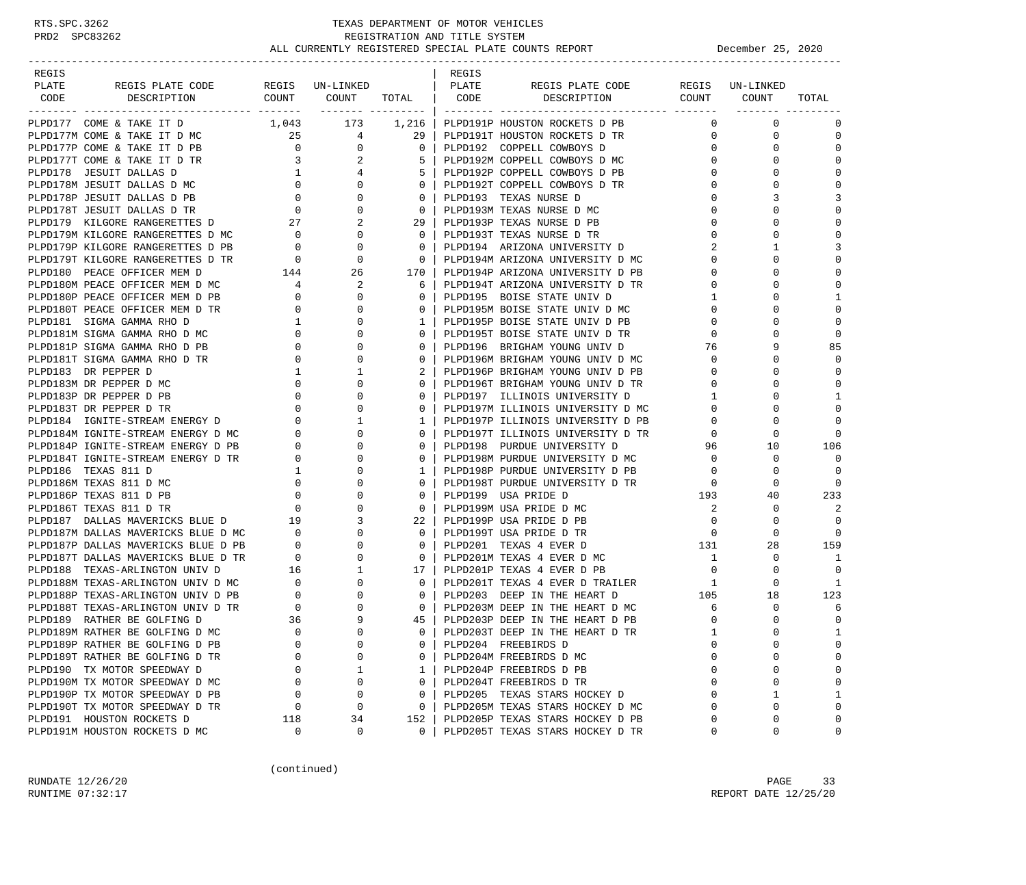| REGIS               |                                                                                                                                                                                                                       |                                                            |                                                                 |                                                     | REGIS |                                             |                |                 |              |
|---------------------|-----------------------------------------------------------------------------------------------------------------------------------------------------------------------------------------------------------------------|------------------------------------------------------------|-----------------------------------------------------------------|-----------------------------------------------------|-------|---------------------------------------------|----------------|-----------------|--------------|
| PLATE               | REGIS PLATE CODE<br>DESCRIPTION COUNT COUNT TOTAL CODE                                                                                                                                                                |                                                            | REGIS UN-LINKED                                                 |                                                     | PLATE | REGIS PLATE CODE<br>DESCRIPTION COUNT COUNT |                | REGIS UN-LINKED |              |
| CODE                |                                                                                                                                                                                                                       |                                                            |                                                                 |                                                     |       |                                             |                |                 | TOTAL        |
|                     | PLPD177 COME & TAKE IT D                                                                                                                                                                                              |                                                            | 1,043 173 1,216                                                 |                                                     |       | PLPD191P HOUSTON ROCKETS D PB               | $\Omega$       | $\mathbf 0$     | $\mathbf 0$  |
|                     | PLPD177M COME & TAKE IT D MC                                                                                                                                                                                          |                                                            | $\begin{array}{ccc} 25 & & 4 \\ 0 & & 0 \\ 3 & & 2 \end{array}$ | 29                                                  |       | PLPD191T HOUSTON ROCKETS D TR               | $\mathbf 0$    | $\mathbf 0$     | $\mathbf 0$  |
|                     | PLPD177P COME & TAKE IT D PB                                                                                                                                                                                          |                                                            |                                                                 | 0 <sup>1</sup>                                      |       | PLPD192 COPPELL COWBOYS D                   | 0              | 0               | $\mathbf 0$  |
|                     | PLPD177T COME & TAKE IT D TR                                                                                                                                                                                          |                                                            |                                                                 | 5                                                   |       | PLPD192M COPPELL COWBOYS D MC               | $\Omega$       | $\Omega$        | $\Omega$     |
|                     |                                                                                                                                                                                                                       |                                                            | $\overline{4}$                                                  |                                                     |       | PLPD192P COPPELL COWBOYS D PB               | 0              | $\Omega$        | $\mathbf 0$  |
|                     |                                                                                                                                                                                                                       |                                                            | $\Omega$                                                        | $\circ$                                             |       | PLPD192T COPPELL COWBOYS D TR               | 0              | $\Omega$        | $\mathbf 0$  |
|                     |                                                                                                                                                                                                                       |                                                            | $\mathbf 0$                                                     | $\mathbf{0}$                                        |       | PLPD193 TEXAS NURSE D                       | 0              | 3               | 3            |
|                     | PLPD178 JESUIT DALLAS D<br>PLPD178M JESUIT DALLAS D<br>PLPD178M JESUIT DALLAS D<br>PLPD178P JESUIT DALLAS D<br>PLPD178P JESUIT DALLAS D<br>PLPD179 KILGORE RANGERETTES D<br>PLPD179 KILGORE RANGERETTES D<br>27<br>27 |                                                            | $\mathbf 0$                                                     | 0 <sup>1</sup>                                      |       | PLPD193M TEXAS NURSE D MC                   | $\mathbf 0$    | $\Omega$        | $\mathbf 0$  |
|                     |                                                                                                                                                                                                                       |                                                            | 2                                                               | 29 <sub>1</sub>                                     |       | PLPD193P TEXAS NURSE D PB                   | $\Omega$       | $\Omega$        | $\Omega$     |
|                     |                                                                                                                                                                                                                       |                                                            | $\overline{0}$                                                  | $\overline{0}$                                      |       | PLPD193T TEXAS NURSE D TR                   | 0              | $\Omega$        | $\mathbf 0$  |
|                     | PLPD179M KILGORE RANGERETTES D MC 0<br>PLPD179P KILGORE RANGERETTES D PB 0                                                                                                                                            |                                                            | $\mathbf 0$                                                     | $\Omega$                                            |       | PLPD194 ARIZONA UNIVERSITY D                | 2              |                 | 3            |
|                     |                                                                                                                                                                                                                       |                                                            |                                                                 | $\overline{\phantom{0}}$ 0 $\overline{\phantom{0}}$ |       | PLPD194M ARIZONA UNIVERSITY D MC            | $\Omega$       | 0               | $\mathbf 0$  |
|                     |                                                                                                                                                                                                                       |                                                            |                                                                 |                                                     |       | 170   PLPD194P ARIZONA UNIVERSITY D PB      | 0              | $\Omega$        | $\Omega$     |
|                     |                                                                                                                                                                                                                       |                                                            |                                                                 | 6                                                   |       | PLPD194T ARIZONA UNIVERSITY D TR            | $\Omega$       | $\Omega$        | $\Omega$     |
|                     | PLPD180P PEACE OFFICER MEM D PB                                                                                                                                                                                       |                                                            | 0                                                               | $\mathbf{0}$                                        |       | PLPD195 BOISE STATE UNIV D                  | $\mathbf{1}$   | 0               | 1            |
|                     | PLPD180T PEACE OFFICER MEM D TR                                                                                                                                                                                       |                                                            | $\begin{array}{c} 0 \\ 0 \end{array}$<br>$\Omega$               | $\mathbf{0}$                                        |       | PLPD195M BOISE STATE UNIV D MC              | 0              | $\Omega$        | $\mathbf 0$  |
|                     | PLPD181 SIGMA GAMMA RHO D                                                                                                                                                                                             | $\frac{1}{2}$                                              | $\mathbf 0$                                                     | $\mathbf{1}$                                        |       | PLPD195P BOISE STATE UNIV D PB              | 0              | $\Omega$        | $\mathbf 0$  |
|                     | PLPD181M SIGMA GAMMA RHO D MC                                                                                                                                                                                         | $\overline{0}$                                             | $\mathbf 0$                                                     | $\Omega$                                            |       | PLPD195T BOISE STATE UNIV D TR              | $\mathbf 0$    | $\Omega$        | $\Omega$     |
|                     | PLPD181P SIGMA GAMMA RHO D PB                                                                                                                                                                                         | $\mathbf{0}$                                               | $\mathbf 0$                                                     | $\Omega$                                            |       | PLPD196 BRIGHAM YOUNG UNIV D                | 76             |                 | 85           |
|                     | PLPD181T SIGMA GAMMA RHO D TR                                                                                                                                                                                         | $\mathbf{0}$                                               | $\mathbf 0$                                                     | $\mathbf{0}$                                        |       | PLPD196M BRIGHAM YOUNG UNIV D MC            | $\mathbf{0}$   | $\Omega$        | 0            |
| PLPD183 DR PEPPER D |                                                                                                                                                                                                                       | $\mathbf{1}$                                               | 1                                                               | 2                                                   |       | PLPD196P BRIGHAM YOUNG UNIV D PB            | $\mathbf 0$    | $\Omega$        | $\mathbf 0$  |
|                     | PLPD183M DR PEPPER D MC                                                                                                                                                                                               | $\mathbf{0}$                                               | $\mathbf 0$                                                     | $\Omega$                                            |       | PLPD196T BRIGHAM YOUNG UNIV D TR            | $\Omega$       | $\Omega$        | $\Omega$     |
|                     | PLPD183P DR PEPPER D PB                                                                                                                                                                                               | $\mathbf{0}$                                               | $\mathbf 0$                                                     | $\Omega$                                            |       | PLPD197 ILLINOIS UNIVERSITY D               | $\mathbf 1$    | $\Omega$        | 1            |
|                     | PLPD183T DR PEPPER D TR                                                                                                                                                                                               | $\mathbf{0}$                                               | $\Omega$                                                        |                                                     |       | PLPD197M ILLINOIS UNIVERSITY D MC           | $\Omega$       | $\Omega$        | $\Omega$     |
|                     | PLPD184 IGNITE-STREAM ENERGY D                                                                                                                                                                                        | $\overline{0}$                                             | 1                                                               | 1                                                   |       | PLPD197P ILLINOIS UNIVERSITY D PB           | 0              | 0               | $\mathbf 0$  |
|                     | PLPD184M IGNITE-STREAM ENERGY D MC                                                                                                                                                                                    | $\overline{0}$                                             | $\Omega$                                                        | $\Omega$                                            |       | PLPD197T ILLINOIS UNIVERSITY D TR           | $\mathbf{0}$   | $\Omega$        | $\mathbf 0$  |
|                     | PLPD184P IGNITE-STREAM ENERGY D PB                                                                                                                                                                                    | $\overline{0}$                                             | 0                                                               | $\Omega$                                            |       | PLPD198 PURDUE UNIVERSITY D                 | 96             | 10              | 106          |
|                     | PLPD184T IGNITE-STREAM ENERGY D TR                                                                                                                                                                                    | $\overline{0}$                                             | 0                                                               | $\mathbf{0}$                                        |       | PLPD198M PURDUE UNIVERSITY D MC             | $\mathbf 0$    | 0               | $\Omega$     |
| PLPD186 TEXAS 811 D |                                                                                                                                                                                                                       | $\overline{1}$                                             | $\mathbf 0$                                                     | $\mathbf{1}$                                        |       | PLPD198P PURDUE UNIVERSITY D PB             | $\mathbf 0$    | 0               | $\Omega$     |
|                     | PLPD186M TEXAS 811 D MC                                                                                                                                                                                               | $\overline{0}$                                             | $\mathbf 0$                                                     | $\mathbf{0}$                                        |       | PLPD198T PURDUE UNIVERSITY D TR             | $\mathbf{0}$   | 0               | 0            |
|                     | PLPD186P TEXAS 811 D PB                                                                                                                                                                                               | $\overline{0}$                                             | $\Omega$                                                        | $\Omega$                                            |       | PLPD199 USA PRIDE D                         | 193            | 40              | 233          |
|                     | PLPD186T TEXAS 811 D TR                                                                                                                                                                                               | $\overline{0}$                                             | $\mathbf 0$                                                     | $\Omega$                                            |       | PLPD199M USA PRIDE D MC                     | 2              | 0               | 2            |
|                     | PLPD187 DALLAS MAVERICKS BLUE D                                                                                                                                                                                       | 19                                                         | 3                                                               |                                                     |       | 22   PLPD199P USA PRIDE D PB                | $\mathbf 0$    | 0               | $\Omega$     |
|                     | PLPD187M DALLAS MAVERICKS BLUE D MC 0                                                                                                                                                                                 |                                                            | $\mathbf 0$                                                     | $\Omega$                                            |       | PLPD199T USA PRIDE D TR                     | $\mathbf{0}$   | $\Omega$        | $\Omega$     |
|                     | PLPD187P DALLAS MAVERICKS BLUE D PB $0$ PLPD187T DALLAS MAVERICKS BLUE D TR $0$                                                                                                                                       |                                                            | 0                                                               | $\mathbf{0}$                                        |       | PLPD201 TEXAS 4 EVER D                      | 131            | 28              | 159          |
|                     |                                                                                                                                                                                                                       | $\overline{0}$                                             | $\mathbf 0$                                                     | $\circ$                                             |       | PLPD201M TEXAS 4 EVER D MC                  | $\overline{1}$ | $\Omega$        | 1            |
|                     | PLPD188 TEXAS-ARLINGTON UNIV D                                                                                                                                                                                        | 16                                                         | $\mathbf{1}$                                                    | 17                                                  |       | PLPD201P TEXAS 4 EVER D PB                  | $\overline{0}$ | 0               | 0            |
|                     | PLPD188M TEXAS-ARLINGTON UNIV D MC                                                                                                                                                                                    | $\begin{array}{c} 0 \\ 0 \end{array}$                      | $\mathbf 0$                                                     | 0 <sup>1</sup>                                      |       | PLPD201T TEXAS 4 EVER D TRAILER             | 1              | 0               | 1            |
|                     | PLPD188P TEXAS-ARLINGTON UNIV D PB                                                                                                                                                                                    |                                                            | $\mathbf 0$                                                     | $\mathbf{0}$                                        |       | PLPD203 DEEP IN THE HEART D                 | 105            | 18              | 123          |
|                     | PLPD188T TEXAS-ARLINGTON UNIV D TR                                                                                                                                                                                    | $\begin{array}{ccc}\n\text{TR} & & 0 \\ & 36\n\end{array}$ | 0                                                               | $\mathbf{0}$                                        |       | PLPD203M DEEP IN THE HEART D MC             | 6              | 0               | 6            |
|                     | PLPD189 RATHER BE GOLFING D                                                                                                                                                                                           |                                                            | 9                                                               | 45                                                  |       | PLPD203P DEEP IN THE HEART D PB             | $\circ$        | $\Omega$        | $\mathbf 0$  |
|                     | PLPD189M RATHER BE GOLFING D MC                                                                                                                                                                                       | $\overline{0}$                                             | $\Omega$                                                        | $\Omega$                                            |       | PLPD203T DEEP IN THE HEART D TR             | $\mathbf{1}$   | $\Omega$        | $\mathbf{1}$ |
|                     | PLPD189P RATHER BE GOLFING D PB                                                                                                                                                                                       | 0                                                          | 0                                                               | 0                                                   |       | PLPD204 FREEBIRDS D                         | $\mathbf 0$    | $\mathbf 0$     | $\mathbf 0$  |
|                     | PLPD189T RATHER BE GOLFING D TR                                                                                                                                                                                       | $\Omega$                                                   | 0                                                               | $\Omega$                                            |       | PLPD204M FREEBIRDS D MC                     | $\Omega$       | U               | 0            |
|                     | PLPD190 TX MOTOR SPEEDWAY D                                                                                                                                                                                           | 0                                                          | 1                                                               | 1                                                   |       | PLPD204P FREEBIRDS D PB                     | $\mathbf 0$    | 0               | $\mathbf 0$  |
|                     | PLPD190M TX MOTOR SPEEDWAY D MC                                                                                                                                                                                       | $\Omega$                                                   | 0                                                               | $\Omega$                                            |       | PLPD204T FREEBIRDS D TR                     | $\Omega$       | $\mathbf 0$     | $\mathbf 0$  |
|                     | PLPD190P TX MOTOR SPEEDWAY D PB                                                                                                                                                                                       | 0                                                          | 0                                                               | $\Omega$                                            |       | PLPD205 TEXAS STARS HOCKEY D                | $\Omega$       | 1               | 1            |
|                     | PLPD190T TX MOTOR SPEEDWAY D TR                                                                                                                                                                                       | 0                                                          | 0                                                               | 0                                                   |       | PLPD205M TEXAS STARS HOCKEY D MC            | $\Omega$       | $\mathbf 0$     | $\mathbf 0$  |
|                     | PLPD191 HOUSTON ROCKETS D                                                                                                                                                                                             | 118                                                        | 34                                                              | 152                                                 |       | PLPD205P TEXAS STARS HOCKEY D PB            | $\Omega$       | 0               | $\mathbf 0$  |
|                     | PLPD191M HOUSTON ROCKETS D MC                                                                                                                                                                                         | 0                                                          | 0                                                               | $\mathbf{0}$                                        |       | PLPD205T TEXAS STARS HOCKEY D TR            | 0              | 0               | 0            |

(continued)

RUNDATE 12/26/20 PAGE 33 RUNTIME 07:32:17 REPORT DATE 12/25/20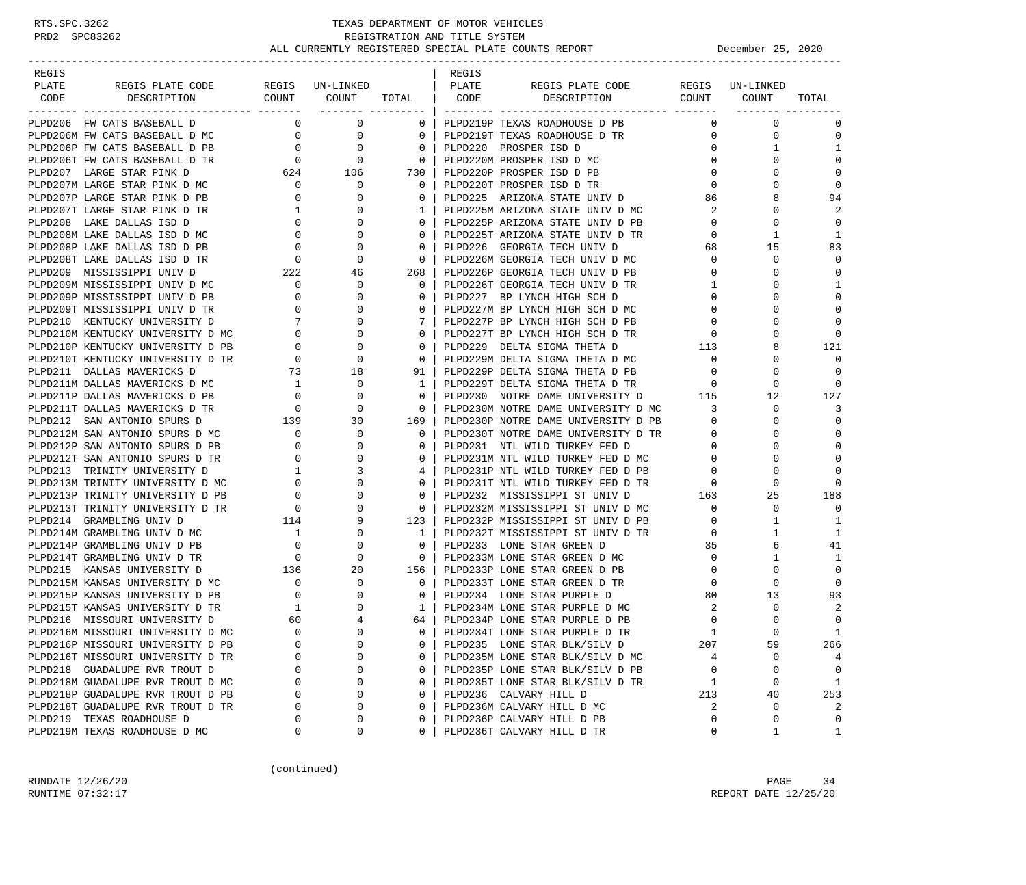| REGIS |                                   |                                                   |                                                                                                  |                         | REGIS |                                             |                                                                   |                 |              |
|-------|-----------------------------------|---------------------------------------------------|--------------------------------------------------------------------------------------------------|-------------------------|-------|---------------------------------------------|-------------------------------------------------------------------|-----------------|--------------|
| PLATE | REGIS PLATE CODE REGIS UN-LINKED  |                                                   | COUNT COUNT TOTAL   CODE                                                                         |                         | PLATE | REGIS PLATE CODE<br>DESCRIPTION COUNT COUNT |                                                                   | REGIS UN-LINKED |              |
| CODE  | DESCRIPTION                       |                                                   | ________ _________                                                                               |                         |       |                                             |                                                                   |                 | TOTAL        |
|       | PLPD206 FW CATS BASEBALL D        | $\Omega$                                          | $\mathbf 0$                                                                                      | $0-1$                   |       | PLPD219P TEXAS ROADHOUSE D PB               | $\mathbf{0}$                                                      | $\mathbf{0}$    | $\mathbf 0$  |
|       | PLPD206M FW CATS BASEBALL D MC    |                                                   |                                                                                                  | $\overline{0}$          |       | PLPD219T TEXAS ROADHOUSE D TR               | $\overline{0}$                                                    | 0               | $\mathbf 0$  |
|       | PLPD206P FW CATS BASEBALL D PB    |                                                   | $\begin{matrix}0&&&0\\0&&&&0\\0&&&&0\\0&&&&0\end{matrix}$                                        | $\mathbf{0}$            |       | PLPD220 PROSPER ISD D                       | $\overline{0}$                                                    | $\mathbf{1}$    | $\mathbf{1}$ |
|       | PLPD206T FW CATS BASEBALL D TR    |                                                   |                                                                                                  | $\overline{0}$          |       | PLPD220M PROSPER ISD D MC                   | $\mathbf{0}$                                                      | $\Omega$        | $\Omega$     |
|       | PLPD207 LARGE STAR PINK D         |                                                   |                                                                                                  | 730                     |       | PLPD220P PROSPER ISD D PB                   | $\overline{0}$                                                    | $\Omega$        | $\mathbf 0$  |
|       | PLPD207M LARGE STAR PINK D MC     |                                                   | $\begin{array}{ccc} 624 & \hspace{1.5cm} 106 \\ \hspace{1.5cm} 0 & \hspace{1.5cm} 0 \end{array}$ | $\overline{0}$          |       | PLPD220T PROSPER ISD D TR                   | $\mathbf{0}$                                                      |                 | $\mathbf 0$  |
|       | PLPD207P LARGE STAR PINK D PB     | $\overline{0}$                                    |                                                                                                  | $\mathbf{0}$            |       | PLPD225 ARIZONA STATE UNIV D                | 86                                                                | 8               | 94           |
|       | PLPD207T LARGE STAR PINK D TR     |                                                   |                                                                                                  | $1 \mid$                |       | PLPD225M ARIZONA STATE UNIV D MC            | 2                                                                 | $\Omega$        | 2            |
|       | PLPD208 LAKE DALLAS ISD D         |                                                   |                                                                                                  | $\Omega$                |       | PLPD225P ARIZONA STATE UNIV D PB            | $\mathbf{0}$                                                      | $\Omega$        | $\Omega$     |
|       | PLPD208M LAKE DALLAS ISD D MC     |                                                   |                                                                                                  | $\overline{0}$          |       | PLPD225T ARIZONA STATE UNIV D TR            | $\mathbf{0}$                                                      | 1               | 1            |
|       | PLPD208P LAKE DALLAS ISD D PB     |                                                   |                                                                                                  | $\overline{0}$          |       | PLPD226 GEORGIA TECH UNIV D                 | 68                                                                | 15              | 83           |
|       | PLPD208T LAKE DALLAS ISD D TR     |                                                   |                                                                                                  | $\overline{0}$          |       | PLPD226M GEORGIA TECH UNIV D MC             | $\mathbf{0}$                                                      | $\mathbf 0$     | $\mathbf 0$  |
|       | PLPD209 MISSISSIPPI UNIV D        |                                                   |                                                                                                  | 268                     |       | PLPD226P GEORGIA TECH UNIV D PB             | $\overline{0}$                                                    | $\Omega$        | $\Omega$     |
|       | PLPD209M MISSISSIPPI UNIV D MC    | $\overline{0}$                                    | $\overline{0}$                                                                                   | $\Omega$                |       | PLPD226T GEORGIA TECH UNIV D TR             | $\mathbf{1}$                                                      |                 | $\mathbf 1$  |
|       | PLPD209P MISSISSIPPI UNIV D PB    |                                                   | $0 \qquad \qquad$<br>$\mathbf{0}$                                                                | $\mathbf{0}$            |       | PLPD227 BP LYNCH HIGH SCH D                 | $\mathbf{0}$                                                      | O               | $\mathbf 0$  |
|       | PLPD209T MISSISSIPPI UNIV D TR    | $\overline{0}$                                    | $\mathbf{0}$                                                                                     | $\overline{0}$          |       | PLPD227M BP LYNCH HIGH SCH D MC             | $\mathbf{0}$                                                      |                 | $\mathbf 0$  |
|       | PLPD210 KENTUCKY UNIVERSITY D     |                                                   |                                                                                                  | $7\phantom{0}$          |       | PLPD227P BP LYNCH HIGH SCH D PB             | $\mathbf{0}$                                                      | O               | $\mathbf 0$  |
|       | PLPD210M KENTUCKY UNIVERSITY D MC |                                                   | $\begin{bmatrix} 7 & 0 \\ 0 & 0 \\ 0 & 0 \\ 0 & 0 \\ 73 & 18 \end{bmatrix}$                      | $\overline{0}$          |       | PLPD227T BP LYNCH HIGH SCH D TR             | $\mathbf{0}$                                                      |                 | $\Omega$     |
|       | PLPD210P KENTUCKY UNIVERSITY D PB |                                                   |                                                                                                  | $\mathbf{0}$            |       | PLPD229 DELTA SIGMA THETA D                 | 113                                                               | 8               | 121          |
|       | PLPD210T KENTUCKY UNIVERSITY D TR |                                                   |                                                                                                  | $\mathbf{0}$            |       | PLPD229M DELTA SIGMA THETA D MC             | $\circ$                                                           | 0               | $\Omega$     |
|       | PLPD211 DALLAS MAVERICKS D        | $\begin{array}{c}0\\73\end{array}$                |                                                                                                  | 91                      |       | PLPD229P DELTA SIGMA THETA D PB             | $\overline{0}$                                                    | $\Omega$        | $\mathbf 0$  |
|       | PLPD211M DALLAS MAVERICKS D MC    |                                                   | $\overline{0}$                                                                                   | $\mathbf{1}$            |       | PLPD229T DELTA SIGMA THETA D TR             | $\overline{\mathbf{0}}$                                           | $\mathbf 0$     | $\Omega$     |
|       | PLPD211P DALLAS MAVERICKS D PB    |                                                   | $\mathbf 0$                                                                                      | $\overline{0}$          |       | PLPD230 NOTRE DAME UNIVERSITY D             | 115                                                               | 12              | 127          |
|       | PLPD211T DALLAS MAVERICKS D TR    |                                                   | $\begin{array}{c}\n 1 \\  0 \\  0 \\  139\n\end{array}$<br>$\overline{0}$                        | $\overline{0}$          |       | PLPD230M NOTRE DAME UNIVERSITY D MC         | 3                                                                 | 0               | 3            |
|       | PLPD212 SAN ANTONIO SPURS D       |                                                   | 30                                                                                               | 169                     |       | PLPD230P NOTRE DAME UNIVERSITY D PB         | $\mathbf{0}$                                                      | 0               | $\mathbf 0$  |
|       | PLPD212M SAN ANTONIO SPURS D MC   | $\overline{0}$                                    | $\mathbf 0$                                                                                      | $\overline{0}$          |       | PLPD230T NOTRE DAME UNIVERSITY D TR         | $\mathbf{0}$                                                      | $\Omega$        | $\mathbf 0$  |
|       | PLPD212P SAN ANTONIO SPURS D PB   | $\overline{0}$                                    | $\mathbf{0}$                                                                                     | $\mathbf{0}$            |       | PLPD231 NTL WILD TURKEY FED D               | $\mathbf{0}$                                                      | O               | $\Omega$     |
|       | PLPD212T SAN ANTONIO SPURS D TR   |                                                   | $\begin{array}{c} 0 \\ 0 \\ 1 \end{array}$<br>$\mathbf 0$                                        | $\overline{0}$          |       | PLPD231M NTL WILD TURKEY FED D MC           | $\mathbf{0}$                                                      | $\Omega$        | $\Omega$     |
|       | PLPD213 TRINITY UNIVERSITY D      |                                                   | 3                                                                                                |                         |       | PLPD231P NTL WILD TURKEY FED D PB           | $\circ$                                                           | $\Omega$        | $\Omega$     |
|       | PLPD213M TRINITY UNIVERSITY D MC  |                                                   | $\mathbf{0}$                                                                                     | $\circ$                 |       | PLPD231T NTL WILD TURKEY FED D TR           |                                                                   | $\Omega$        | $\Omega$     |
|       | PLPD213P TRINITY UNIVERSITY D PB  | $\begin{array}{c} 0 \\ 0 \\ 0 \\ 114 \end{array}$ | $\mathbf 0$                                                                                      | $\overline{0}$          |       | PLPD232 MISSISSIPPI ST UNIV D               | $\begin{matrix} \text{TR} & \hspace{1.5cm} 0 \\ 163 \end{matrix}$ | 25              | 188          |
|       | PLPD213T TRINITY UNIVERSITY D TR  |                                                   | $\overline{0}$                                                                                   | $\overline{0}$          |       | PLPD232M MISSISSIPPI ST UNIV D MC           | $\mathbf{0}$                                                      | $\mathbf 0$     | $\mathbf 0$  |
|       | PLPD214 GRAMBLING UNIV D          |                                                   | 9                                                                                                | $123$                   |       | PLPD232P MISSISSIPPI ST UNIV D PB           | $\mathbf{0}$                                                      | $\mathbf{1}$    | 1            |
|       | PLPD214M GRAMBLING UNIV D MC      |                                                   | $\mathbf 1$<br>$\mathbf{0}$                                                                      | $\mathbf{1}$            |       | PLPD232T MISSISSIPPI ST UNIV D TR           | $\mathbf{0}$                                                      | 1               | 1            |
|       | PLPD214P GRAMBLING UNIV D PB      |                                                   | 0                                                                                                | $\mathbf{0}$            |       | PLPD233 LONE STAR GREEN D                   | 35                                                                | 6               | 41           |
|       | PLPD214T GRAMBLING UNIV D TR      |                                                   | $\begin{array}{c} 0 \\ 0 \end{array}$<br>$\mathbf{0}$                                            | $\overline{\mathbf{0}}$ |       | PLPD233M LONE STAR GREEN D MC               | $\mathbf{0}$                                                      | 1               | 1            |
|       | PLPD215 KANSAS UNIVERSITY D       | 136                                               | 20                                                                                               | 156                     |       | PLPD233P LONE STAR GREEN D PB               | $\mathbf{0}$                                                      | 0               | $\mathbf 0$  |
|       | PLPD215M KANSAS UNIVERSITY D MC   | $\begin{array}{c} 0 \\ 0 \end{array}$             | $\mathbf{0}$                                                                                     | $\mathbf{0}$            |       | PLPD233T LONE STAR GREEN D TR               | $\mathbf{0}$                                                      | $\mathbf 0$     | $\Omega$     |
|       | PLPD215P KANSAS UNIVERSITY D PB   |                                                   | $\mathbf{0}$                                                                                     | $\overline{0}$          |       | PLPD234 LONE STAR PURPLE D                  | 80                                                                | 13              | 93           |
|       | PLPD215T KANSAS UNIVERSITY D TR   | $\begin{array}{c} 1 \\ 60 \end{array}$            | $\mathbf{0}$                                                                                     | $\mathbf{1}$            |       | PLPD234M LONE STAR PURPLE D MC              | 2                                                                 | $\mathbf 0$     | 2            |
|       | PLPD216 MISSOURI UNIVERSITY D     |                                                   | $\overline{4}$                                                                                   | 64 I                    |       | PLPD234P LONE STAR PURPLE D PB              | $\mathbf 0$                                                       | $\Omega$        | $\mathbf 0$  |
|       | PLPD216M MISSOURI UNIVERSITY D MC | $\Omega$                                          | $\Omega$                                                                                         | $\Omega$                |       | PLPD234T LONE STAR PURPLE D TR              | $\mathbf{1}$                                                      |                 | $\mathbf{1}$ |
|       | PLPD216P MISSOURI UNIVERSITY D PB | $\Omega$                                          | $\mathbf 0$                                                                                      | 0                       |       | PLPD235 LONE STAR BLK/SILV D                | 207                                                               | 59              | 266          |
|       | PLPD216T MISSOURI UNIVERSITY D TR | U                                                 | $\Omega$                                                                                         | 0                       |       | PLPD235M LONE STAR BLK/SILV D MC            | 4                                                                 | $\mathbf 0$     | 4            |
|       | PLPD218 GUADALUPE RVR TROUT D     | $\Omega$                                          | 0                                                                                                | 0                       |       | PLPD235P LONE STAR BLK/SILV D PB            | 0                                                                 | 0               | $\mathbf 0$  |
|       | PLPD218M GUADALUPE RVR TROUT D MC | $\Omega$                                          | $\mathsf 0$                                                                                      | 0                       |       | PLPD235T LONE STAR BLK/SILV D TR            | 1                                                                 | 0               | $\mathbf{1}$ |
|       | PLPD218P GUADALUPE RVR TROUT D PB | $\Omega$                                          | $\mathbf 0$                                                                                      | 0                       |       | PLPD236 CALVARY HILL D                      | 213                                                               | 40              | 253          |
|       | PLPD218T GUADALUPE RVR TROUT D TR | $\Omega$                                          | $\mathbf 0$                                                                                      | 0                       |       | PLPD236M CALVARY HILL D MC                  | 2                                                                 | $\mathbf 0$     | 2            |
|       | PLPD219 TEXAS ROADHOUSE D         | U                                                 | 0                                                                                                | 0                       |       | PLPD236P CALVARY HILL D PB                  | $\mathbf 0$                                                       | $\Omega$        | $\mathbf 0$  |
|       | PLPD219M TEXAS ROADHOUSE D MC     | 0                                                 | 0                                                                                                | $\Omega$                |       | PLPD236T CALVARY HILL D TR                  | 0                                                                 | 1               | $\mathbf{1}$ |

(continued)

RUNDATE  $12/26/20$  PAGE 34 RUNTIME 07:32:17 REPORT DATE 12/25/20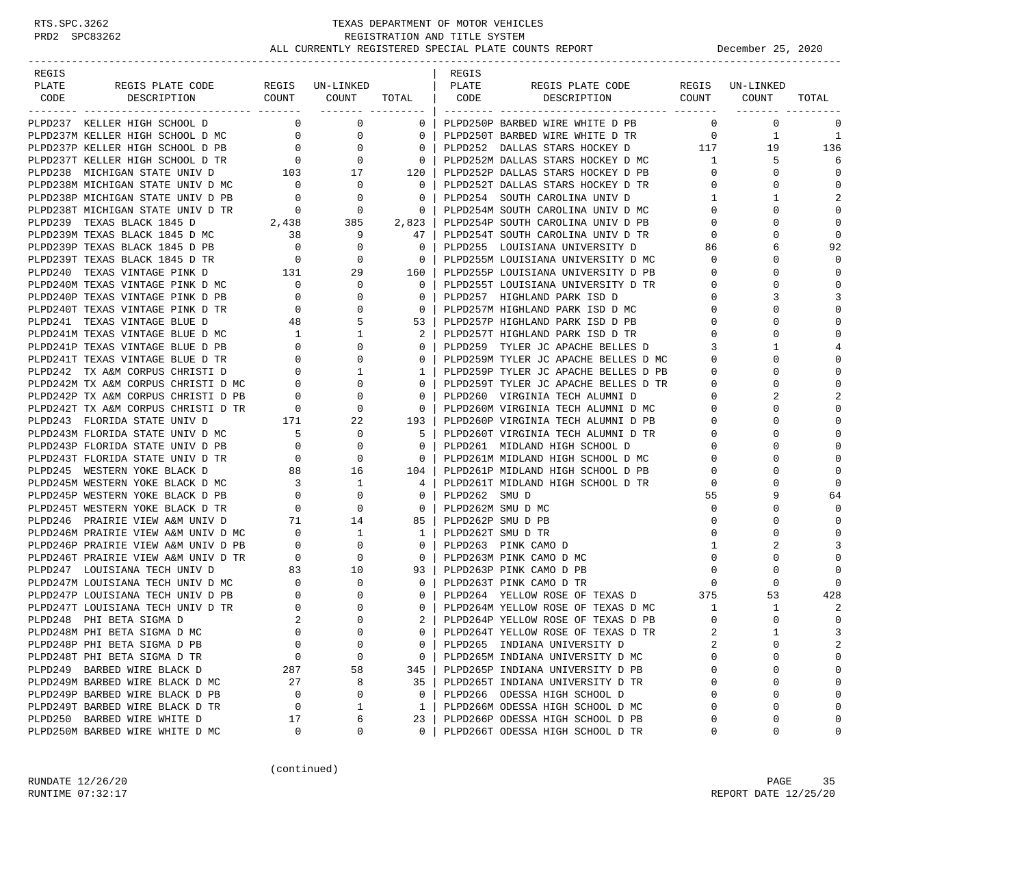| REGIS |                                                                                                                       |                                             |                                  |                          | REGIS             |                                                                              |              |                 |                |
|-------|-----------------------------------------------------------------------------------------------------------------------|---------------------------------------------|----------------------------------|--------------------------|-------------------|------------------------------------------------------------------------------|--------------|-----------------|----------------|
| PLATE | REGIS PLATE CODE                                                                                                      |                                             | REGIS UN-LINKED                  |                          | PLATE             | REGIS PLATE CODE                                                             |              | REGIS UN-LINKED |                |
| CODE  | DESCRIPTION                                                                                                           |                                             | COUNT COUNT                      | TOTAL   CODE             |                   | DESCRIPTION COUNT                                                            |              | COUNT           | TOTAL          |
|       | PLPD237 KELLER HIGH SCHOOL D                                                                                          |                                             | $\overline{0}$<br>$\overline{0}$ | $0-1$                    |                   | PLPD250P BARBED WIRE WHITE D PB                                              | $\Omega$     | $\mathbf 0$     | 0              |
|       | PLPD237M KELLER HIGH SCHOOL D MC                                                                                      | $\overline{0}$                              | 0                                | $\overline{0}$           |                   | PLPD250T BARBED WIRE WHITE D TR 0                                            |              | 1               | 1              |
|       | PLPD237P KELLER HIGH SCHOOL D PB                                                                                      | $\overline{0}$                              | $\mathbf{0}$                     | $\overline{0}$           |                   | PLPD252 DALLAS STARS HOCKEY D 117                                            |              | 19              | 136            |
|       | PLPD237T KELLER HIGH SCHOOL D TR                                                                                      | $\overline{0}$                              | $\mathbf{0}$                     | $\overline{\phantom{0}}$ |                   | PLPD252M DALLAS STARS HOCKEY D MC 1                                          |              | 5               | 6              |
|       | PLPD238 MICHIGAN STATE UNIV D                                                                                         |                                             | 17                               |                          |                   | PLPD252P DALLAS STARS HOCKEY D PB                                            | $\mathbf{0}$ | 0               | $\mathbf 0$    |
|       | PLPD238M MICHIGAN STATE UNIV D MC                                                                                     | $\frac{1}{103}$<br>$\overline{\phantom{0}}$ | $\mathbf{0}$                     | 120<br>$\overline{0}$    |                   | PLPD252T DALLAS STARS HOCKEY D TR                                            | $\Omega$     | $\Omega$        | $\mathbf 0$    |
|       | PLPD238P MICHIGAN STATE UNIV D PB                                                                                     |                                             | 0                                | $\overline{\phantom{0}}$ |                   | PLPD254 SOUTH CAROLINA UNIV D                                                | $\mathbf{1}$ | 1               | $\overline{c}$ |
|       | PLPD238T MICHIGAN STATE UNIV D TR                                                                                     | $\overline{0}$<br>$\overline{0}$            | $\overline{\phantom{0}}$         | $\overline{\phantom{0}}$ |                   | PLPD254M SOUTH CAROLINA UNIV D MC                                            | $\Omega$     | $\Omega$        | $\Omega$       |
|       | PLPD239 TEXAS BLACK 1845 D                                                                                            |                                             | 2,438 385                        | 2,823                    |                   | PLPD254P SOUTH CAROLINA UNIV D PB                                            | $\Omega$     | $\Omega$        | $\Omega$       |
|       | PLPD239M TEXAS BLACK 1845 D MC                                                                                        | $\overline{38}$                             | 9                                | 47                       |                   | PLPD254T SOUTH CAROLINA UNIV D TR                                            | $\mathbf{0}$ | $\Omega$        | $\mathbf 0$    |
|       | PLPD239P TEXAS BLACK 1845 D PB                                                                                        | $\overline{0}$                              | $\mathbf{0}$                     | $\overline{0}$           |                   | PLPD255 LOUISIANA UNIVERSITY D                                               | 86           | 6               | 92             |
|       |                                                                                                                       |                                             | 0                                | $\overline{\phantom{0}}$ |                   | PLPD255M LOUISIANA UNIVERSITY D MC                                           | $\mathbf{0}$ | $\Omega$        | $\Omega$       |
|       |                                                                                                                       |                                             | 29                               | 160                      |                   | PLPD255P LOUISIANA UNIVERSITY D PB                                           | 0            | $\Omega$        | $\Omega$       |
|       |                                                                                                                       |                                             | 0                                | $\Omega$                 |                   | PLPD255T LOUISIANA UNIVERSITY D TR                                           | 0            | U               | $\Omega$       |
|       | PLPD240P TEXAS VINTAGE PINK D PB                                                                                      | $\sim$ 0                                    | 0                                | $\mathbf{0}$             |                   | PLPD257 HIGHLAND PARK ISD D                                                  | 0            | 3               | 3              |
|       | PLPD240T TEXAS VINTAGE PINK D TR                                                                                      | $\overline{\phantom{0}}$                    | $\Omega$                         | $\overline{0}$           |                   | PLPD257M HIGHLAND PARK ISD D MC                                              | $\Omega$     |                 | $\mathbf 0$    |
|       | PLPD241 TEXAS VINTAGE BLUE D                                                                                          | 48                                          | 5                                | 53                       |                   | PLPD257P HIGHLAND PARK ISD D PB                                              | $\Omega$     | O               | $\mathbf 0$    |
|       | PLPD241M TEXAS VINTAGE BLUE D MC                                                                                      |                                             | 1                                | 2                        |                   | PLPD257T HIGHLAND PARK ISD D TR                                              | $\mathbf 0$  | O               | $\Omega$       |
|       | PLPD241P TEXAS VINTAGE BLUE D PB                                                                                      | $\begin{array}{c} 1 \\ 0 \end{array}$       | $\Omega$                         | $\Omega$                 |                   | PLPD259 TYLER JC APACHE BELLES D                                             | 3            | 1               | 4              |
|       | PLPD241T TEXAS VINTAGE BLUE D TR                                                                                      |                                             | $\mathbf{0}$                     | $\circ$                  |                   | PLPD259M TYLER JC APACHE BELLES D MC                                         | 0            | $\Omega$        | $\mathbf 0$    |
|       | PLPD242 TX A&M CORPUS CHRISTI D                                                                                       | $\begin{array}{c} 0 \\ 0 \end{array}$       | 1                                | $\mathbf{1}$             |                   |                                                                              | 0            | $\Omega$        | $\mathbf 0$    |
|       |                                                                                                                       |                                             | $\mathbf{0}$                     | $\circ$                  |                   | PLPD259P TYLER JC APACHE BELLES D PB<br>PLPD259T TYLER JC APACHE BELLES D TR | $\mathbf 0$  | $\Omega$        | $\Omega$       |
|       |                                                                                                                       |                                             | 0                                | $\mathbf 0$              |                   | PLPD260 VIRGINIA TECH ALUMNI D                                               | 0            |                 | $\overline{c}$ |
|       | PLPD242M TX A&M CORPUS CHRISTI D MC<br>PLPD242P TX A&M CORPUS CHRISTI D PB 0<br>PLPD242T TX A&M CORPUS CHRISTI D TR 0 |                                             | 0                                | $\overline{0}$           |                   | PLPD260M VIRGINIA TECH ALUMNI D MC                                           | $\Omega$     |                 | $\Omega$       |
|       | PLPD243 FLORIDA STATE UNIV D                                                                                          |                                             | 22                               | 193                      |                   | PLPD260P VIRGINIA TECH ALUMNI D PB                                           | 0            | $\Omega$        | $\Omega$       |
|       | PLPD243M FLORIDA STATE UNIV D MC                                                                                      | $171$<br>IC $5$                             | 0                                | - 5                      |                   | PLPD260T VIRGINIA TECH ALUMNI D TR                                           | 0            |                 | $\mathbf{0}$   |
|       | PLPD243P FLORIDA STATE UNIV D PB                                                                                      | $\overline{0}$                              | 0                                | $\overline{0}$           |                   | PLPD261 MIDLAND HIGH SCHOOL D                                                | 0            | O               | $\Omega$       |
|       | PLPD243T FLORIDA STATE UNIV D TR                                                                                      | $\overline{0}$                              | 0                                | $\overline{0}$           |                   | PLPD261M MIDLAND HIGH SCHOOL D MC                                            | $\Omega$     | $\Omega$        | $\Omega$       |
|       | PLPD245 WESTERN YOKE BLACK D                                                                                          | 88                                          | 16                               | 104                      |                   | PLPD261P MIDLAND HIGH SCHOOL D PB                                            | $\Omega$     |                 | $\Omega$       |
|       | PLPD245M WESTERN YOKE BLACK D MC                                                                                      |                                             | 1                                | 4                        |                   | PLPD261T MIDLAND HIGH SCHOOL D TR                                            | 0            | $\Omega$        | $\Omega$       |
|       | PLPD245P WESTERN YOKE BLACK D PB                                                                                      | $\begin{array}{c} 3 \\ 0 \end{array}$       | 0                                | $\circ$                  | PLPD262 SMU D     |                                                                              | 55           | 9               | 64             |
|       | PLPD245T WESTERN YOKE BLACK D TR                                                                                      | $\overline{0}$                              | 0                                | $\overline{\phantom{0}}$ |                   | PLPD262M SMU D MC                                                            | $\mathbf 0$  | O               | $\Omega$       |
|       | PLPD246 PRAIRIE VIEW A&M UNIV D                                                                                       | 71                                          | 14                               | 85                       | PLPD262P SMU D PB |                                                                              | $\mathbf 0$  | O               | $\Omega$       |
|       | PLPD246M PRAIRIE VIEW A&M UNIV D MC 0                                                                                 |                                             | 1                                | 1                        |                   | PLPD262T SMU D TR                                                            | $\Omega$     | U               | $\Omega$       |
|       | PLPD246P PRAIRIE VIEW A&M UNIV D PB                                                                                   |                                             | $\mathbf 0$                      | $\overline{0}$           |                   | PLPD263 PINK CAMO D                                                          | $\mathbf{1}$ |                 | 3              |
|       | PLPD246T PRAIRIE VIEW A&M UNIV D TR                                                                                   | $\begin{array}{c} 0 \\ 0 \end{array}$       | 0                                | $\overline{0}$           |                   | PLPD263M PINK CAMO D MC                                                      | $\mathbf 0$  | $\Omega$        | $\mathbf 0$    |
|       | PLPD247 LOUISIANA TECH UNIV D                                                                                         | 83                                          | 10                               | 93                       |                   | PLPD263P PINK CAMO D PB                                                      | $\mathbf 0$  | $\Omega$        | $\Omega$       |
|       | PLPD247M LOUISIANA TECH UNIV D MC                                                                                     |                                             | 0                                | $\overline{0}$           |                   | PLPD263T PINK CAMO D TR                                                      | $\mathbf 0$  | $\Omega$        | $\Omega$       |
|       | PLPD247P LOUISIANA TECH UNIV D PB                                                                                     | $\begin{array}{c} 0 \\ 0 \end{array}$       | $\Omega$                         | $\overline{0}$           |                   | PLPD264 YELLOW ROSE OF TEXAS D 375                                           |              | 53              | 428            |
|       | PLPD247T LOUISIANA TECH UNIV D TR                                                                                     | $\overline{0}$                              | 0                                | $\Omega$                 |                   | PLPD264M YELLOW ROSE OF TEXAS D MC                                           | $\mathbf{1}$ | 1               | 2              |
|       | PLPD248 PHI BETA SIGMA D                                                                                              | 2                                           | $\Omega$                         | 2                        |                   | PLPD264P YELLOW ROSE OF TEXAS D PB                                           | $\mathbf 0$  | $\Omega$        | $\mathbf 0$    |
|       | PLPD248M PHI BETA SIGMA D MC                                                                                          | $\Omega$                                    | $\cap$                           | $\Omega$                 |                   | PLPD264T YELLOW ROSE OF TEXAS D TR                                           |              | $\mathbf{1}$    | 3              |
|       | PLPD248P PHI BETA SIGMA D PB                                                                                          | 0                                           | $\mathbf 0$                      | 0                        |                   | PLPD265 INDIANA UNIVERSITY D                                                 |              | $\Omega$        | 2              |
|       | PLPD248T PHI BETA SIGMA D TR                                                                                          | 0                                           | 0                                | 0                        |                   | PLPD265M INDIANA UNIVERSITY D MC                                             | $\cap$       | $\Omega$        | $\mathsf 0$    |
|       | PLPD249 BARBED WIRE BLACK D                                                                                           | 287                                         | 58                               | 345                      |                   | PLPD265P INDIANA UNIVERSITY D PB                                             | 0            | $\Omega$        | 0              |
|       | PLPD249M BARBED WIRE BLACK D MC                                                                                       | 27                                          | 8                                | 35                       |                   | PLPD265T INDIANA UNIVERSITY D TR                                             | $\Omega$     | $\Omega$        | $\mathbf 0$    |
|       | PLPD249P BARBED WIRE BLACK D PB                                                                                       | $\mathbf 0$                                 | 0                                | $\mathbf 0$              |                   | PLPD266 ODESSA HIGH SCHOOL D                                                 | $\Omega$     | $\Omega$        | 0              |
|       | PLPD249T BARBED WIRE BLACK D TR                                                                                       | 0                                           | 1                                | $\mathbf{1}$             |                   | PLPD266M ODESSA HIGH SCHOOL D MC                                             | $\Omega$     | $\Omega$        | 0              |
|       | PLPD250 BARBED WIRE WHITE D                                                                                           | 17                                          | 6                                | 23                       |                   | PLPD266P ODESSA HIGH SCHOOL D PB                                             | n            | 0               | $\mathbf 0$    |
|       | PLPD250M BARBED WIRE WHITE D MC                                                                                       | 0                                           | 0                                | $\Omega$                 |                   | PLPD266T ODESSA HIGH SCHOOL D TR                                             | 0            | 0               | 0              |
|       |                                                                                                                       |                                             |                                  |                          |                   |                                                                              |              |                 |                |

(continued)

RUNDATE 12/26/20 PAGE 35 RUNTIME 07:32:17 REPORT DATE 12/25/20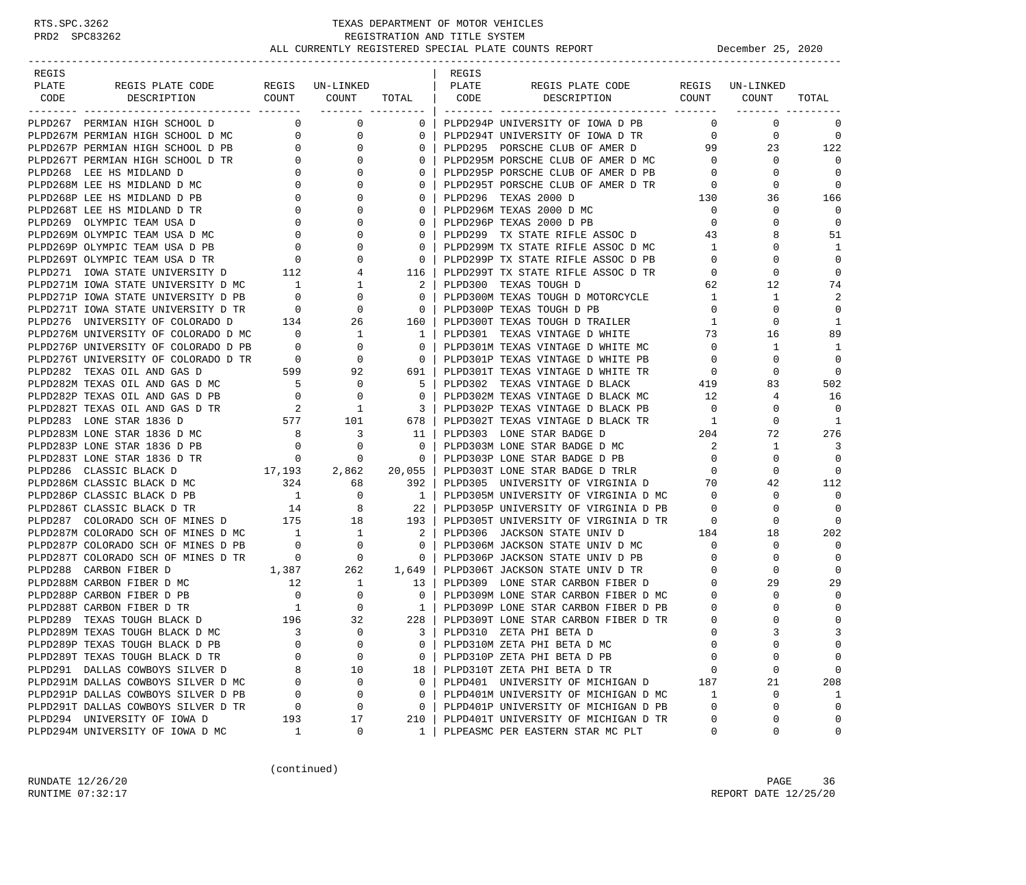# RTS.SPC.3262 TEXAS DEPARTMENT OF MOTOR VEHICLES<br>PRD2 SPC83262 REGISTRATION AND TITLE SYSTEM<br>ALL CURRENTLY PROTOTION AND TITLE SYSTEM REGISTRATION AND TITLE SYSTEM ALL CURRENTLY REGISTERED SPECIAL PLATE COUNTS REPORT **DECEMBER 25, 2020**

| REGIS |                                                                                                                                                                                                                                                                                                                                                                                 |                          |                                                            |                                                            | REGIS |                                                                                                                                                                                                                                              |                            |                 |                  |
|-------|---------------------------------------------------------------------------------------------------------------------------------------------------------------------------------------------------------------------------------------------------------------------------------------------------------------------------------------------------------------------------------|--------------------------|------------------------------------------------------------|------------------------------------------------------------|-------|----------------------------------------------------------------------------------------------------------------------------------------------------------------------------------------------------------------------------------------------|----------------------------|-----------------|------------------|
| PLATE | REGIS PLATE CODE                                                                                                                                                                                                                                                                                                                                                                |                          | REGIS UN-LINKED                                            |                                                            | PLATE | REGIS PLATE CODE                                                                                                                                                                                                                             |                            | REGIS UN-LINKED |                  |
| CODE  | DESCRIPTION                                                                                                                                                                                                                                                                                                                                                                     |                          | COUNT COUNT                                                |                                                            |       | COUNT COUNT<br>TOTAL   CODE DESCRIPTION                                                                                                                                                                                                      |                            |                 | TOTAL            |
|       |                                                                                                                                                                                                                                                                                                                                                                                 |                          |                                                            | ------- ---------                                          |       |                                                                                                                                                                                                                                              |                            |                 |                  |
|       | PLPD267 PERMIAN HIGH SCHOOL D                                                                                                                                                                                                                                                                                                                                                   | $\overline{0}$           | $\overline{0}$                                             | $0-1$                                                      |       | PLPD294P UNIVERSITY OF IOWA D PB                                                                                                                                                                                                             | $\overline{0}$             | $\mathbf 0$     | 0                |
|       | PIPD267M PERMIAN HIGH SCHOOL D MC<br>PIPD267P PERMIAN HIGH SCHOOL D PB<br>PIPD267P PERMIAN HIGH SCHOOL D PB<br>PIPD267T PERMIAN HIGH SCHOOL D TR<br>PIPD268 LEE HS MIDLAND D<br>PLPD268M LEE HS MIDLAND D MC<br>0                                                                                                                                                               |                          | $\overline{0}$                                             | $\mathbf{0}$                                               |       | PLPD294T UNIVERSITY OF IOWA D TR                                                                                                                                                                                                             | $\overline{0}$             | $\mathbf 0$     | 0                |
|       |                                                                                                                                                                                                                                                                                                                                                                                 |                          | $\mathbf{0}$                                               | $\Omega$                                                   |       | PLPD295 PORSCHE CLUB OF AMER D 99                                                                                                                                                                                                            |                            | 23              | 122              |
|       |                                                                                                                                                                                                                                                                                                                                                                                 |                          | $\mathbf{0}$                                               | $\Omega$                                                   |       | PLPD295 FORSCHE CLUB OF AMER D FL<br>PLPD295P PORSCHE CLUB OF AMER D PB<br>PLPD295F PORSCHE CLUB OF AMER D TR<br>PLPD295T PORSCHE CLUB OF AMER D TR<br>PLPD296 TEXAS 2000 D MC<br>PLPD296 TEXAS 2000 D MC<br>PLPD296M TEXAS 2000 D MC<br>PLP |                            | $\mathbf 0$     | $\Omega$         |
|       |                                                                                                                                                                                                                                                                                                                                                                                 |                          | $\mathbf{0}$                                               | $\mathbf{0}$                                               |       |                                                                                                                                                                                                                                              |                            | $\circ$         | 0                |
|       |                                                                                                                                                                                                                                                                                                                                                                                 |                          | 0                                                          | $\Omega$                                                   |       |                                                                                                                                                                                                                                              |                            | 0               | 0                |
|       | PLPD268P LEE HS MIDLAND D PB                                                                                                                                                                                                                                                                                                                                                    |                          | $\mathbf{0}$                                               | $\mathbf{0}$                                               |       |                                                                                                                                                                                                                                              |                            | 36              | 166              |
|       | PLPD268T LEE HS MIDLAND D TR                                                                                                                                                                                                                                                                                                                                                    |                          | $\begin{bmatrix} 0 \\ 0 \\ 0 \\ 0 \\ 0 \end{bmatrix}$<br>0 | $\mathbf{0}$                                               |       |                                                                                                                                                                                                                                              |                            | $\mathbf 0$     | $\mathbf 0$      |
|       | PLPD269 OLYMPIC TEAM USA D                                                                                                                                                                                                                                                                                                                                                      |                          | $\overline{0}$                                             | $\mathbf{0}$                                               |       |                                                                                                                                                                                                                                              |                            | $\mathbf 0$     | 0                |
|       | PLPD269M OLYMPIC TEAM USA D MC                                                                                                                                                                                                                                                                                                                                                  |                          | 0                                                          | $\mathbf{0}$                                               |       |                                                                                                                                                                                                                                              |                            | 8               | 51               |
|       | PLPD269P OLYMPIC TEAM USA D PB                                                                                                                                                                                                                                                                                                                                                  |                          | $\overline{0}$                                             | $\Omega$                                                   |       | PLPD299 TX STATE RIFLE ASSOC D 43<br>PLPD299M TX STATE RIFLE ASSOC D MC 1                                                                                                                                                                    | $\overline{1}$             | $\Omega$        | 1                |
|       | PLPD269T OLYMPIC TEAM USA D TR<br>PLPD271 IOWA STATE UNIVERSITY D 112 4<br>PLPD271M IOWA STATE UNIVERSITY D MC 1 1                                                                                                                                                                                                                                                              |                          |                                                            | $\mathbf{0}$                                               |       | PLPD299P TX STATE RIFLE ASSOC D PB                                                                                                                                                                                                           | $\overline{0}$             | $\mathbf 0$     | 0                |
|       |                                                                                                                                                                                                                                                                                                                                                                                 |                          |                                                            | 116 l                                                      |       | PLPD299T TX STATE RIFLE ASSOC D TR                                                                                                                                                                                                           | $\overline{0}$             | $\mathbf 0$     | $\mathbf 0$      |
|       |                                                                                                                                                                                                                                                                                                                                                                                 |                          |                                                            | $2-1$                                                      |       | PLPD300 TEXAS TOUGH D                                                                                                                                                                                                                        | 62                         | 12              | 74               |
|       |                                                                                                                                                                                                                                                                                                                                                                                 |                          |                                                            | $\circ$                                                    |       | PLPD300M TEXAS TOUGH D MOTORCYCLE 1                                                                                                                                                                                                          |                            | -1              | 2                |
|       |                                                                                                                                                                                                                                                                                                                                                                                 |                          |                                                            | $\overline{\phantom{0}}$                                   |       | PLPD300P TEXAS TOUGH D PB                                                                                                                                                                                                                    | $\overline{0}$             | $\mathbf 0$     | 0                |
|       | PLPD276 UNIVERSITY OF COLORADO D                                                                                                                                                                                                                                                                                                                                                |                          | 134 26                                                     | 160                                                        |       | PLPD300T TEXAS TOUGH D TRAILER                                                                                                                                                                                                               | $\mathbf{1}$               | 0               | 1                |
|       |                                                                                                                                                                                                                                                                                                                                                                                 |                          |                                                            | 1                                                          |       | PLPD301 TEXAS VINTAGE D WHITE                                                                                                                                                                                                                | 73                         | 16              | 89               |
|       |                                                                                                                                                                                                                                                                                                                                                                                 |                          |                                                            | $\overline{\phantom{0}}$                                   |       | PLPD301M TEXAS VINTAGE D WHITE MC 0                                                                                                                                                                                                          |                            | 1               | 1                |
|       |                                                                                                                                                                                                                                                                                                                                                                                 |                          |                                                            |                                                            |       |                                                                                                                                                                                                                                              | $\overline{0}$             | 0               | 0                |
|       |                                                                                                                                                                                                                                                                                                                                                                                 |                          |                                                            | $\begin{array}{c c} & 0 &   \\ \hline 691 &   \end{array}$ |       |                                                                                                                                                                                                                                              |                            | 0               | $\mathbf 0$      |
|       |                                                                                                                                                                                                                                                                                                                                                                                 |                          |                                                            | 5                                                          |       | PLPD301P TEXAS VINTAGE D WHITE PB<br>PLPD301T TEXAS VINTAGE D WHITE TR<br>PLPD302 TEXAS VINTAGE D BLACK 419<br>11                                                                                                                            |                            | 83              | 502              |
|       |                                                                                                                                                                                                                                                                                                                                                                                 |                          |                                                            | $\mathbf{0}$                                               |       |                                                                                                                                                                                                                                              |                            | 4               | 16               |
|       | PLPD282M TEXAS OLL AND GAS D MC<br>PLPD282P TEXAS OLL AND GAS D MC<br>PLPD282P TEXAS OLL AND GAS D PB<br>PLPD282T TEXAS OLL AND GAS D TR<br>PLPD283 LONE STAR 1836 D MC<br>PLPD283M LONE STAR 1836 D MC<br>8<br>3                                                                                                                                                               |                          |                                                            | $\overline{\phantom{0}}$ 3                                 |       | PLPD302P TEXAS VINTAGE D BLACK MC 12<br>PLPD302P TEXAS VINTAGE D BLACK PB 0<br>PLPD302T TEXAS VINTAGE T                                                                                                                                      |                            | 0               | 0                |
|       |                                                                                                                                                                                                                                                                                                                                                                                 |                          |                                                            | 678                                                        |       |                                                                                                                                                                                                                                              |                            | 0               | 1                |
|       |                                                                                                                                                                                                                                                                                                                                                                                 |                          |                                                            | 11                                                         |       | PLPD302T TEXAS VINTAGE D BLACK TR<br>PLPD303 LONE STAR BADGE D 204                                                                                                                                                                           |                            | 72              | 276              |
|       |                                                                                                                                                                                                                                                                                                                                                                                 |                          | $\mathbf 0$                                                | $\overline{0}$                                             |       | PLPD303M LONE STAR BADGE D MC                                                                                                                                                                                                                | $\overline{\phantom{a}}^2$ | $\mathbf{1}$    | 3                |
|       | PLPD283M LONE STAR 1830 D PB<br>PLPD283P LONE STAR 1836 D PB<br>---- 1936 D TR                                                                                                                                                                                                                                                                                                  |                          | $\overline{0}$                                             | $\overline{\phantom{0}}$ 0 $\overline{\phantom{0}}$        |       | PLPD303P LONE STAR BADGE D PB                                                                                                                                                                                                                | $\overline{0}$             | $\mathbf 0$     | 0                |
|       | $17,193$ $2,862$ $20,055$<br>PLPD286 CLASSIC BLACK D                                                                                                                                                                                                                                                                                                                            |                          |                                                            |                                                            |       | PLPD303T LONE STAR BADGE D TRLR 0                                                                                                                                                                                                            |                            | 0               | $\Omega$         |
|       |                                                                                                                                                                                                                                                                                                                                                                                 |                          |                                                            |                                                            |       | PLPD305 UNIVERSITY OF VIRGINIA D 70                                                                                                                                                                                                          |                            | 42              | 112              |
|       |                                                                                                                                                                                                                                                                                                                                                                                 |                          |                                                            |                                                            |       | PLPD305M UNIVERSITY OF VIRGINIA D MC                                                                                                                                                                                                         | $\overline{0}$             | 0               | $\mathbf 0$      |
|       |                                                                                                                                                                                                                                                                                                                                                                                 |                          |                                                            |                                                            |       | PLPD305P UNIVERSITY OF VIRGINIA D PB 0                                                                                                                                                                                                       |                            | $\mathbf 0$     | $\Omega$         |
|       |                                                                                                                                                                                                                                                                                                                                                                                 |                          |                                                            |                                                            |       | PLPD305T UNIVERSITY OF VIRGINIA D TR                                                                                                                                                                                                         | $\overline{0}$             | $\mathbf 0$     | $\bigcap$        |
|       |                                                                                                                                                                                                                                                                                                                                                                                 |                          |                                                            |                                                            |       | PLPD306 JACKSON STATE UNIV D                                                                                                                                                                                                                 | 184                        | 18              | 202              |
|       |                                                                                                                                                                                                                                                                                                                                                                                 |                          |                                                            |                                                            |       |                                                                                                                                                                                                                                              |                            | $\circ$         | 0                |
|       | PLPD286M CLASSIC BLACK D MC<br>PLPD286M CLASSIC BLACK D PB<br>PLPD286T CLASSIC BLACK D PB<br>PLPD286T CLASSIC BLACK D TR<br>PLPD287 COLORADO SCH OF MINES D MC<br>PLPD287M COLORADO SCH OF MINES D MC<br>PLPD287P COLORADO SCH OF MINES D                                                                                                                                       |                          |                                                            |                                                            |       | PLPD306M JACKSON STATE UNIV D MC 0<br>PLPD306P JACKSON STATE UNIV D PB 0                                                                                                                                                                     |                            | $\mathbf 0$     | 0                |
|       | 1,387 262 1,649<br>PLPD288 CARBON FIBER D                                                                                                                                                                                                                                                                                                                                       |                          |                                                            |                                                            |       |                                                                                                                                                                                                                                              |                            | $\mathbf 0$     | $\Omega$         |
|       |                                                                                                                                                                                                                                                                                                                                                                                 |                          |                                                            | 13                                                         |       | PLPD306T JACKSON STATE UNIV D TR<br>PLPD306T JACKSON STATE UNIV D TR<br>PLPD309M LONE STAR CARBON FIBER D MC 0                                                                                                                               |                            | 29              | 29               |
|       | $\begin{tabular}{lllllllllllllllllllll} \texttt{PLPD288M} & \texttt{CARBON FIBER} & \texttt{M}\texttt{C} & & & & 12 & & 1 \\ \texttt{PLPD288P} & \texttt{CARBON FIBER} & \texttt{P-B} & & & 0 & & 0 \\ \texttt{PLPD288T} & \texttt{CARBON FIBER} & \texttt{D TR} & & & 1 & & 0 \\ \texttt{PLPD289} & \texttt{TEXAS TOUGH BLACK} & \texttt{D} & & & 196 & & 32 \\ \end{tabular}$ |                          |                                                            | $\mathbf{0}$                                               |       |                                                                                                                                                                                                                                              |                            | 0               | $\mathbf 0$      |
|       |                                                                                                                                                                                                                                                                                                                                                                                 |                          |                                                            | 1 <sup>1</sup>                                             |       | PLPD309P LONE STAR CARBON FIBER D PB                                                                                                                                                                                                         | $\overline{0}$             | 0               | $\mathbf 0$      |
|       |                                                                                                                                                                                                                                                                                                                                                                                 |                          |                                                            | 228                                                        |       | PLPD309T LONE STAR CARBON FIBER D TR                                                                                                                                                                                                         | $\overline{0}$             | $\Omega$        | 0                |
|       | PLPD289M TEXAS TOUGH BLACK D MC                                                                                                                                                                                                                                                                                                                                                 | $\overline{\phantom{a}}$ | $\mathbf 0$                                                | 3 <sup>1</sup>                                             |       | PLPD310 ZETA PHI BETA D                                                                                                                                                                                                                      | $\Omega$                   | $\mathbf{3}$    | 3                |
|       | PLPD289P TEXAS TOUGH BLACK D PB                                                                                                                                                                                                                                                                                                                                                 | 0                        | $\mathbf 0$                                                | 0                                                          |       | PLPD310M ZETA PHI BETA D MC                                                                                                                                                                                                                  | $\mathbf 0$                | $\Omega$        | 0                |
|       | PLPD289T TEXAS TOUGH BLACK D TR                                                                                                                                                                                                                                                                                                                                                 | $\Omega$                 | $\mathbf 0$                                                | 0                                                          |       | PLPD310P ZETA PHI BETA D PB                                                                                                                                                                                                                  | $\Omega$                   | 0               | 0                |
|       | PLPD291 DALLAS COWBOYS SILVER D                                                                                                                                                                                                                                                                                                                                                 | 8                        | 10                                                         | 18                                                         |       | PLPD310T ZETA PHI BETA D TR                                                                                                                                                                                                                  | 0                          | 0               | 0                |
|       | PLPD291M DALLAS COWBOYS SILVER D MC                                                                                                                                                                                                                                                                                                                                             | 0                        | 0                                                          | 0                                                          |       | PLPD401 UNIVERSITY OF MICHIGAN D                                                                                                                                                                                                             | 187                        | 21              | 208              |
|       | PLPD291P DALLAS COWBOYS SILVER D PB                                                                                                                                                                                                                                                                                                                                             | 0                        | 0                                                          | 0                                                          |       | PLPD401M UNIVERSITY OF MICHIGAN D MC                                                                                                                                                                                                         |                            | 0               |                  |
|       | PLPD291T DALLAS COWBOYS SILVER D TR                                                                                                                                                                                                                                                                                                                                             | 0                        | 0                                                          | 0                                                          |       | PLPD401P UNIVERSITY OF MICHIGAN D PB                                                                                                                                                                                                         | 1<br>$\mathbf 0$           | 0               | 1<br>$\mathbf 0$ |
|       | PLPD294 UNIVERSITY OF IOWA D                                                                                                                                                                                                                                                                                                                                                    |                          |                                                            |                                                            |       |                                                                                                                                                                                                                                              | 0                          |                 | $\mathbf 0$      |
|       |                                                                                                                                                                                                                                                                                                                                                                                 | 193<br>1                 | 17<br>0                                                    | 210<br>1                                                   |       | PLPD401T UNIVERSITY OF MICHIGAN D TR                                                                                                                                                                                                         | 0                          | 0<br>0          | 0                |
|       | PLPD294M UNIVERSITY OF IOWA D MC                                                                                                                                                                                                                                                                                                                                                |                          |                                                            |                                                            |       | PLPEASMC PER EASTERN STAR MC PLT                                                                                                                                                                                                             |                            |                 |                  |

(continued)

RUNDATE  $12/26/20$  PAGE 36 RUNTIME 07:32:17 REPORT DATE 12/25/20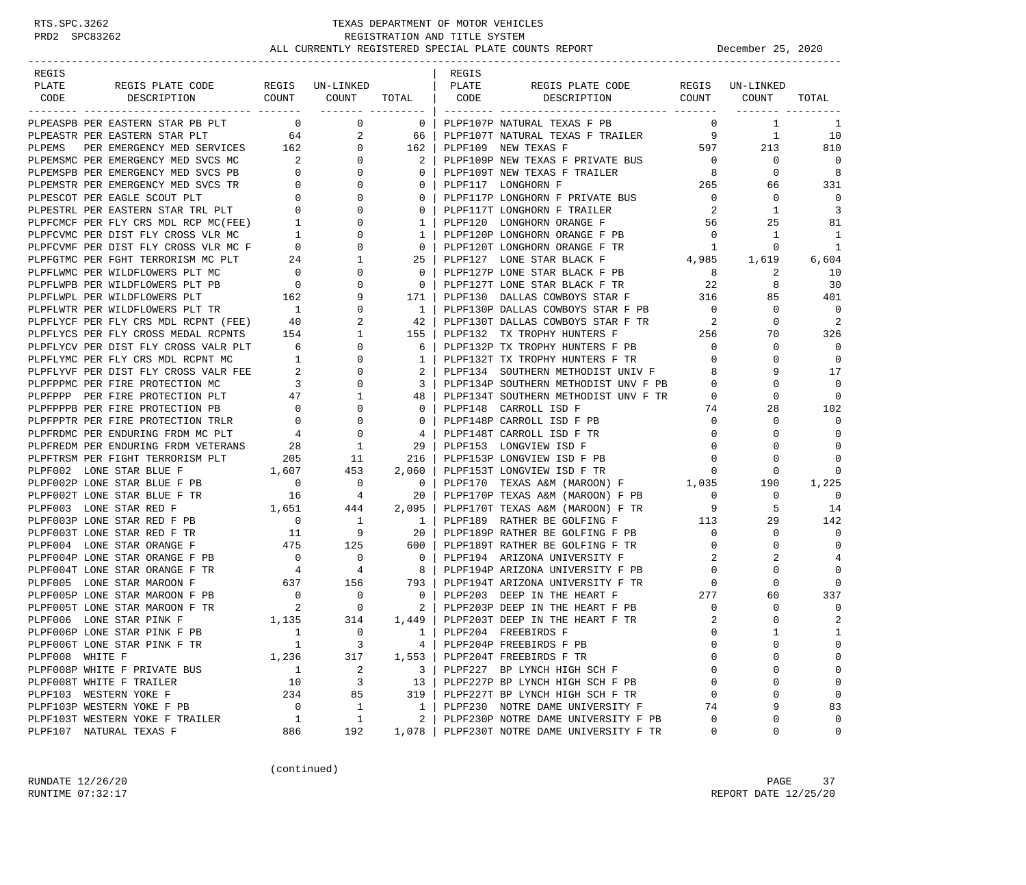| REGIS                    |                                                                                                                                                                                                                                            |                                    |                                                          |                                                     | REGIS |                                                                                                                                                                                                                                                     |                                         |                 |                |
|--------------------------|--------------------------------------------------------------------------------------------------------------------------------------------------------------------------------------------------------------------------------------------|------------------------------------|----------------------------------------------------------|-----------------------------------------------------|-------|-----------------------------------------------------------------------------------------------------------------------------------------------------------------------------------------------------------------------------------------------------|-----------------------------------------|-----------------|----------------|
| PLATE                    | REGIS PLATE CODE                                                                                                                                                                                                                           |                                    | REGIS UN-LINKED   PLATE                                  |                                                     |       | REGIS PLATE CODE                                                                                                                                                                                                                                    |                                         | REGIS UN-LINKED |                |
|                          | COUNT COUNT<br>CODE DESCRIPTION                                                                                                                                                                                                            |                                    |                                                          |                                                     |       | COUNT COUNT<br>TOTAL CODE DESCRIPTION                                                                                                                                                                                                               |                                         |                 | TOTAL          |
|                          |                                                                                                                                                                                                                                            |                                    |                                                          |                                                     |       |                                                                                                                                                                                                                                                     |                                         |                 |                |
|                          | PLPEASPB PER EASTERN STAR PB PLT 0                                                                                                                                                                                                         |                                    | $\mathsf{O}$                                             |                                                     |       | 0   PLPF107P NATURAL TEXAS F PB                                                                                                                                                                                                                     | $\Omega$                                | $\mathbf{1}$    | -1             |
|                          | PLPEASPB PER EASTERN STAR PB PLT 64<br>PLPEASTR PER EASTERN STAR PLT 64<br>PLPEMS PER EMERGENCY MED SERVICES 162<br>PLPEMSMC PER EMERGENCY MED SVCS MC 2<br>PLPEMSPB PER EMERGENCY MED SVCS PB<br>0<br>PLPEMSTR PER EMERGENCY MED SVCS TR  |                                    | 2                                                        | 66                                                  |       | PLPF107T NATURAL TEXAS F TRAILER 9                                                                                                                                                                                                                  |                                         | 1               | 10             |
|                          |                                                                                                                                                                                                                                            |                                    | $\mathbf{0}$                                             | 162 l                                               |       | PLPF109 NEW TEXAS F                                                                                                                                                                                                                                 | 597 30                                  | 213             | 810            |
|                          |                                                                                                                                                                                                                                            |                                    | $\overline{0}$                                           | 2                                                   |       | PLPF109P NEW TEXAS F PRIVATE BUS 0                                                                                                                                                                                                                  |                                         | $\overline{0}$  | $\Omega$       |
|                          |                                                                                                                                                                                                                                            |                                    | $\mathbf{0}$                                             | $\mathbf{0}$                                        |       | PLPF109T NEW TEXAS F TRAILER                                                                                                                                                                                                                        | $\begin{array}{c} 8 \\ 265 \end{array}$ | $\mathbf{0}$    | 8              |
|                          |                                                                                                                                                                                                                                            |                                    | $\mathbf{0}$                                             | $\mathbf{0}$                                        |       | PLPF117 LONGHORN F                                                                                                                                                                                                                                  |                                         | 66              | 331            |
|                          |                                                                                                                                                                                                                                            |                                    | $\mathbf{0}$                                             | $\Omega$                                            |       | PLPF117P LONGHORN F PRIVATE BUS 0                                                                                                                                                                                                                   |                                         | 0               | $\mathbf 0$    |
|                          |                                                                                                                                                                                                                                            |                                    | $\mathbf{0}$                                             |                                                     |       | 0   PLPF117T LONGHORN F TRAILER                                                                                                                                                                                                                     | $\overline{\mathbf{2}}$                 | 1               | $\overline{3}$ |
|                          |                                                                                                                                                                                                                                            |                                    | 0                                                        | 1                                                   |       | PLPF120 LONGHORN ORANGE F                                                                                                                                                                                                                           | 56                                      | 25              | 81             |
|                          |                                                                                                                                                                                                                                            |                                    | 0                                                        | 1 <sup>1</sup>                                      |       | PLPF120P LONGHORN ORANGE F PB<br>$\begin{array}{ccccccccc}\n\text{PB} & & & & 0 & & 1\\ \text{TR} & & & 1 & & 0\\ & & & 4\, , 985 & & 1\, , 619\\ \text{\small\bf 1} & & & & & & & \\ \end{array}$                                                  | $\overline{0}$                          | 1               | -1             |
|                          |                                                                                                                                                                                                                                            |                                    | $\mathbf{0}$                                             | $\circ$                                             |       | PLPF120T LONGHORN ORANGE F TR                                                                                                                                                                                                                       |                                         |                 | -1             |
|                          |                                                                                                                                                                                                                                            |                                    | $\mathbf{1}$                                             | $25 \quad$                                          |       | PLPF127 LONE STAR BLACK F                                                                                                                                                                                                                           |                                         |                 | 6,604          |
|                          |                                                                                                                                                                                                                                            |                                    | $\mathbf{0}$                                             | $0-1$                                               |       | PLPF127P LONE STAR BLACK F PB 8<br>PLPF127T LONE STAR BLACK F TR 32                                                                                                                                                                                 |                                         | 2               | 10             |
|                          |                                                                                                                                                                                                                                            |                                    | 0                                                        | $\bigcirc$                                          |       |                                                                                                                                                                                                                                                     |                                         | 8               | 30             |
|                          |                                                                                                                                                                                                                                            |                                    | 9                                                        |                                                     |       | 171   PLPF130 DALLAS COWBOYS STAR F 316<br>1   PLPF130P DALLAS COWBOYS STAR F PB 0                                                                                                                                                                  |                                         | 85              | 401            |
|                          |                                                                                                                                                                                                                                            |                                    | $\mathbf{0}$                                             |                                                     |       |                                                                                                                                                                                                                                                     |                                         | $\mathbf 0$     | $\mathbf 0$    |
|                          |                                                                                                                                                                                                                                            |                                    | 2                                                        | 42                                                  |       | PLPF130T DALLAS COWBOYS STAR F TR<br>PLPF132 TX TROPHY HUNTERS F 256<br>PLPF132P TX TROPHY HUNTERS F PB 0                                                                                                                                           |                                         | $\mathbf 0$     | 2              |
|                          |                                                                                                                                                                                                                                            |                                    | $\mathbf{1}$                                             | 155 l                                               |       |                                                                                                                                                                                                                                                     |                                         | 70              | 326            |
|                          |                                                                                                                                                                                                                                            |                                    | $\overline{0}$                                           | 6                                                   |       |                                                                                                                                                                                                                                                     |                                         | 0               | $\Omega$       |
|                          |                                                                                                                                                                                                                                            |                                    | $\overline{0}$                                           | 1 <sup>1</sup>                                      |       |                                                                                                                                                                                                                                                     |                                         | 0               | $\mathbf 0$    |
|                          |                                                                                                                                                                                                                                            |                                    | $\mathbf{0}$                                             | 2 <sup>1</sup>                                      |       |                                                                                                                                                                                                                                                     |                                         | 9               | 17             |
|                          |                                                                                                                                                                                                                                            |                                    | $\overline{0}$                                           | $\frac{3}{2}$                                       |       | PLPF134P SOUTHERN METHODIST UNV F PB 0                                                                                                                                                                                                              |                                         | $\Omega$        | $\Omega$       |
|                          | PLPFCVMF PER DIST FLY CROSS VLR MC F 0<br>PLPFGTMC PER FGHT TERRORISM MC PLT 24 :<br>PLPFLMMC PER WILDFLOWERS PLT MC 0<br>PLPFLMPB PER WILDFLOWERS PLT TR 0<br>PLPFLMPL PER WILDFLOWERS PLT TR 1<br>PLPFLWTR PER WILDFLOWERS PLT TR 1<br>P |                                    | $\mathbf{1}$                                             |                                                     |       | 48   PLPF134T SOUTHERN METHODIST UNV F TR                                                                                                                                                                                                           | $\overline{0}$                          | $\mathbf 0$     | $\Omega$       |
|                          |                                                                                                                                                                                                                                            |                                    | $\overline{0}$                                           | $\overline{0}$                                      |       | PLPF148 CARROLL ISD F                                                                                                                                                                                                                               | 74                                      | 28              | 102            |
|                          | PLPFPPTR PER FIRE PROTECTION TRLR $\begin{array}{ccc} 0 & 0 \\ 0 & 0 \end{array}$<br>PLPFRDMC PER ENDURING FRDM MC PLT $\begin{array}{ccc} 4 & 0 \\ 4 & 0 \end{array}$                                                                     |                                    | $\begin{array}{c}\n\bullet \\ 0 \\ \bullet\n\end{array}$ | $\overline{\phantom{0}}$ 0 $\overline{\phantom{0}}$ |       | PLPF148P CARROLL ISD F PB                                                                                                                                                                                                                           | $\overline{0}$                          | 0               | $\Omega$       |
|                          |                                                                                                                                                                                                                                            |                                    |                                                          |                                                     |       | 4   PLPF148T CARROLL ISD F TR                                                                                                                                                                                                                       | $\overline{0}$                          | $\Omega$        | 0              |
|                          | PLPFREDM PER ENDURING FRDM VETERANS 28                                                                                                                                                                                                     |                                    | $\begin{array}{c} 1 \\ 11 \end{array}$                   | 29                                                  |       | PLPF153 LONGVIEW ISD F                                                                                                                                                                                                                              | $\overline{0}$                          | 0               | $\Omega$       |
|                          | ${\small \begin{tabular}{lcccccc} \texttt{PLPFTRSM} & \texttt{PER} & \texttt{TERRORISM} & \texttt{PLT} & \texttt{205} \\ \texttt{PLPFO02} & \texttt{LONE} & \texttt{STAR} & \texttt{BLUE} & \texttt{F} & & 1,607 \\ \end{tabular}}$        |                                    |                                                          |                                                     |       | 216   PLPF153P LONGVIEW ISD F PB                                                                                                                                                                                                                    | $\overline{0}$                          | 0               | $\Omega$       |
|                          |                                                                                                                                                                                                                                            |                                    | 453                                                      | 2,060                                               |       | PLPF153T LONGVIEW ISD F TR                                                                                                                                                                                                                          | $\Omega$                                | $\Omega$        | ∩              |
|                          | PLPF002P LONE STAR BLUE F PB                                                                                                                                                                                                               | $\begin{array}{c}0\\16\end{array}$ | $\overline{\phantom{0}}$                                 | $\overline{\phantom{0}}$                            |       | PLPF153T LUNGVIEW LUL<br>PLPF170 TEXAS A&M (MAROON) F 1,035<br>princizon Texas A&M (MAROON) F PB 0                                                                                                                                                  |                                         | 190             | 1,225          |
|                          | PLPF002T LONE STAR BLUE F TR                                                                                                                                                                                                               |                                    | $\overline{4}$                                           | -20                                                 |       |                                                                                                                                                                                                                                                     |                                         | $\mathbf 0$     | $\Omega$       |
|                          |                                                                                                                                                                                                                                            |                                    |                                                          | 2,095                                               |       | PLPF170T TEXAS A&M (MAROON) F TR 9                                                                                                                                                                                                                  |                                         | 5               | 14             |
|                          |                                                                                                                                                                                                                                            |                                    |                                                          | 1 <sup>1</sup>                                      |       | PLPF189 RATHER BE GOLFING F 113                                                                                                                                                                                                                     |                                         | 29              | 142            |
|                          | PLPF003 LONE STAR RED F<br>PLPF003P LONE STAR RED F PB<br>PLPF003P LONE STAR RED F PB 0 1<br>PLPF003T LONE STAR RED F TR 11 9                                                                                                              |                                    | $\overline{9}$                                           | 20                                                  |       | PLPF189P RATHER BE GOLFING F PB                                                                                                                                                                                                                     | $\overline{0}$                          | 0               | $\Omega$       |
|                          | PLPF004 LONE STAR ORANGE F                                                                                                                                                                                                                 |                                    |                                                          |                                                     |       | 475 125 600 DLPF189T RATHER BE GOLFING F TR<br>2B 0 0 0 0 PLPF194 ARIZONA UNIVERSITY F<br>4 4 8 PLPF194P ARIZONA UNIVERSITY F PB<br>637 156 793 PLPF194T ARIZONA UNIVERSITY F TR<br>PLPF189T RATHER BE GOLFING F TR<br>PLPF194 ARIZONA UNIVERSITY F | $\overline{0}$                          | 0               | $\Omega$       |
|                          | PLPF004P LONE STAR ORANGE F PB                                                                                                                                                                                                             |                                    |                                                          |                                                     |       |                                                                                                                                                                                                                                                     | 2                                       | 2               | $\overline{4}$ |
|                          | PLPF004T LONE STAR ORANGE F TR                                                                                                                                                                                                             |                                    |                                                          |                                                     |       | PLPF194P ARIZONA UNIVERSITY F PB                                                                                                                                                                                                                    | $\overline{0}$                          | $\mathbf 0$     | $\Omega$       |
|                          | PLPF005 LONE STAR MAROON F                                                                                                                                                                                                                 |                                    |                                                          |                                                     |       |                                                                                                                                                                                                                                                     | $\overline{0}$                          | $\mathbf 0$     | $\Omega$       |
|                          | PLPF005 LONE STAR MAROON F PB $\begin{array}{ccc} 0 & 0 & 0 \\ 0 & 0 & 0 \\ 0 & 0 & 2 \end{array}$                                                                                                                                         |                                    |                                                          |                                                     |       | 277                                                                                                                                                                                                                                                 |                                         | 60              | 337            |
|                          | PLPF005T LONE STAR MAROON F TR<br>pr.dr006 I.ONE STAR PINK F 1,135                                                                                                                                                                         | $\overline{\mathbf{a}}$            |                                                          |                                                     |       |                                                                                                                                                                                                                                                     | $\overline{0}$                          | 0               | 0              |
|                          |                                                                                                                                                                                                                                            |                                    | 314                                                      |                                                     |       | 1,449   PLPF203T DEEP IN THE HEART F TR                                                                                                                                                                                                             | 2                                       | $\Omega$        | $\overline{2}$ |
|                          | PLPF006P LONE STAR PINK F PB                                                                                                                                                                                                               |                                    | $\Omega$                                                 |                                                     |       | 1   PLPF204 FREEBIRDS F                                                                                                                                                                                                                             | $\Omega$                                |                 | $\mathbf{1}$   |
|                          | PLPF006T LONE STAR PINK F TR                                                                                                                                                                                                               | $\mathbf{1}$                       | 3                                                        |                                                     |       | 4   PLPF204P FREEBIRDS F PB                                                                                                                                                                                                                         | 0                                       | 0               | 0              |
| PLPF008 WHITE F          |                                                                                                                                                                                                                                            | 1,236                              | 317                                                      |                                                     |       | 1,553   PLPF204T FREEBIRDS F TR                                                                                                                                                                                                                     | $\Omega$                                | $\Omega$        | 0              |
|                          | PLPF008P WHITE F PRIVATE BUS                                                                                                                                                                                                               | $\overline{1}$                     | 2                                                        |                                                     |       | 3   PLPF227 BP LYNCH HIGH SCH F                                                                                                                                                                                                                     | 0                                       | 0               | 0              |
| PLPF008T WHITE F TRAILER |                                                                                                                                                                                                                                            | 10                                 | 3                                                        |                                                     |       | 13   PLPF227P BP LYNCH HIGH SCH F PB                                                                                                                                                                                                                | $\mathbf 0$                             | 0               | 0              |
| PLPF103 WESTERN YOKE F   |                                                                                                                                                                                                                                            | 234                                | 85                                                       | 319                                                 |       | PLPF227T BP LYNCH HIGH SCH F TR                                                                                                                                                                                                                     | $\mathbf 0$                             | 0               | $\mathbf 0$    |
|                          | PLPF103P WESTERN YOKE F PB                                                                                                                                                                                                                 | $\overline{0}$                     | $\mathbf{1}$                                             |                                                     |       | 1   PLPF230 NOTRE DAME UNIVERSITY F                                                                                                                                                                                                                 | 74                                      | 9               | 83             |
|                          | PLPF103T WESTERN YOKE F TRAILER                                                                                                                                                                                                            | $\overline{1}$                     | 1                                                        | $\mathbf{2}$                                        |       | PLPF230P NOTRE DAME UNIVERSITY F PB                                                                                                                                                                                                                 | 0                                       | 0               | 0              |
| PLPF107 NATURAL TEXAS F  |                                                                                                                                                                                                                                            | 886                                | 192                                                      |                                                     |       | 1,078   PLPF230T NOTRE DAME UNIVERSITY F TR                                                                                                                                                                                                         | 0                                       | $\mathbf 0$     | 0              |

(continued)

RUNDATE  $12/26/20$  PAGE 37 RUNTIME 07:32:17 REPORT DATE 12/25/20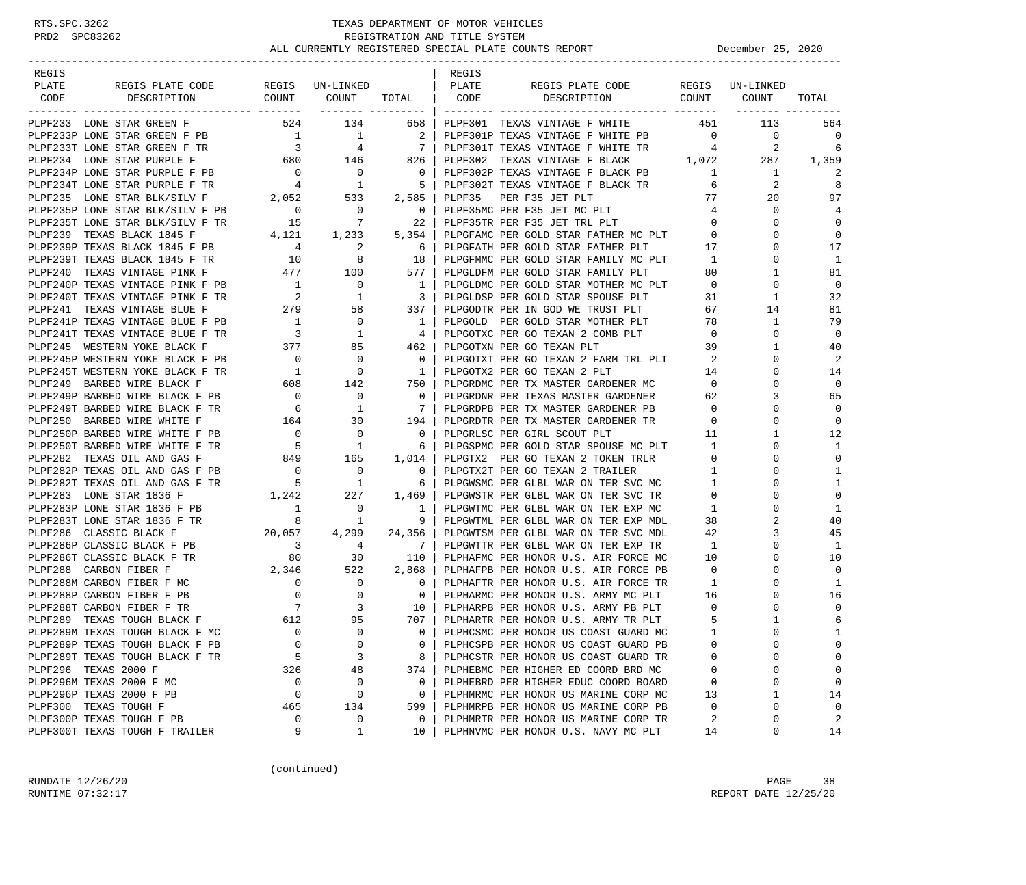### RTS.SPC.3262 TEXAS DEPARTMENT OF MOTOR VEHICLES<br>PRD2 SPC83262 REGISTRATION AND TITLE SYSTEM<br>ALL CURRENTLY BECISTRATION AND TITLE SYSTEM REGISTRATION AND TITLE SYSTEM ALL CURRENTLY REGISTERED SPECIAL PLATE COUNTS REPORT **December 25, 2020**

| REGIS |                                                                                                                                                                                                                                                             |                                        |                                  |                                                     | REGIS |                                                                                                                                                                                                                                            |                 |              |                |
|-------|-------------------------------------------------------------------------------------------------------------------------------------------------------------------------------------------------------------------------------------------------------------|----------------------------------------|----------------------------------|-----------------------------------------------------|-------|--------------------------------------------------------------------------------------------------------------------------------------------------------------------------------------------------------------------------------------------|-----------------|--------------|----------------|
| PLATE | REGIS PLATE CODE                                                                                                                                                                                                                                            |                                        | REGIS UN-LINKED   PLATE          |                                                     |       | REGIS PLATE CODE REGIS UN-LINKED                                                                                                                                                                                                           |                 |              |                |
|       | CODE DESCRIPTION                                                                                                                                                                                                                                            |                                        |                                  |                                                     |       | COUNT COUNT TOTAL CODE DESCRIPTION COUNT COUNT                                                                                                                                                                                             |                 |              | TOTAL          |
|       |                                                                                                                                                                                                                                                             |                                        |                                  |                                                     |       |                                                                                                                                                                                                                                            |                 |              |                |
|       | PLPF233 LONE STAR GREEN F                                                                                                                                                                                                                                   |                                        | 524 134                          |                                                     |       | 658   PLPF301 TEXAS VINTAGE F WHITE                 451                                                                                                                                                                                    |                 | 113          | 564            |
|       |                                                                                                                                                                                                                                                             |                                        |                                  |                                                     |       |                                                                                                                                                                                                                                            |                 |              | 0              |
|       |                                                                                                                                                                                                                                                             |                                        |                                  |                                                     |       |                                                                                                                                                                                                                                            |                 |              | 6              |
|       |                                                                                                                                                                                                                                                             |                                        |                                  |                                                     |       |                                                                                                                                                                                                                                            |                 |              | 1,359          |
|       |                                                                                                                                                                                                                                                             |                                        |                                  |                                                     |       |                                                                                                                                                                                                                                            |                 | $\mathbf{1}$ |                |
|       |                                                                                                                                                                                                                                                             |                                        |                                  |                                                     |       |                                                                                                                                                                                                                                            |                 | 2<br>77      | 8              |
|       | PLPF234P LONE STAR PURPLE F PB $\begin{array}{c ccc} 0 & 0 & 0 & 0 \\ \text{PLPF234T LONE STAR PURPLE F TR} & 4 & 1 & 5 \\ \text{PLPF235 LONE STAR BLK/SILV F} & 2,052 & 533 & 2,585 \\ \text{PLPF235P LONE STAR BLK/SILV F PB} & 0 & 0 & 0 \\ \end{array}$ |                                        |                                  |                                                     |       | PLPF35 PER F35 JET PLT<br>0   PLPF35MC PER F35 JET MC PLT                                                                                                                                                                                  | $4\overline{4}$ | 20<br>0      | 97<br>4        |
|       | PLPF235P LONE STAR BLK/SILV F PB $\begin{array}{ccc} 0 & 0 & 0 \\ 0 & 15 & 7 & 22 \end{array}$                                                                                                                                                              |                                        |                                  |                                                     |       | PLPF35TR PER F35 JET TRL PLT                                                                                                                                                                                                               | $\overline{0}$  | 0            | $\mathbf 0$    |
|       |                                                                                                                                                                                                                                                             |                                        |                                  |                                                     |       |                                                                                                                                                                                                                                            | $\overline{0}$  | 0            | $\mathbf 0$    |
|       |                                                                                                                                                                                                                                                             |                                        |                                  |                                                     |       | PLPF239 TEXAS BLACK 1845 F $\begin{array}{ccc} 4,121 & 1,233 & 5,354 \end{array}$ PLPGFAMC PER GOLD STAR FATHER MC PLT 0<br>PLPF239P TEXAS BLACK 1845 F PB $\begin{array}{ccc} 4 & 2 & 6 \end{array}$ PLPGFATH PER GOLD STAR FATHER PLT 17 |                 | $\Omega$     | 17             |
|       |                                                                                                                                                                                                                                                             |                                        |                                  |                                                     |       | PLPGFMMC PER GOLD STAR FAMILY MC PLT 1                                                                                                                                                                                                     |                 | 0            | 1              |
|       |                                                                                                                                                                                                                                                             |                                        |                                  |                                                     |       | PLPF239T TEXAS BLACK 1845 F TR<br>PLPF240 TEXAS VINTAGE PINK F PB<br>PLPF240 TEXAS VINTAGE PINK F PB<br>PLPF240T TEXAS VINTAGE PINK F PB<br>PLPF240T TEXAS VINTAGE PINK F TR<br>PLPF241 TEXAS VINTAGE BLUE F 279 58 337 PLPGDDTR PER IN    | 80 —            | 1            | 81             |
|       |                                                                                                                                                                                                                                                             |                                        |                                  |                                                     |       | PLPGLDMC PER GOLD STAR MOTHER MC PLT 0                                                                                                                                                                                                     |                 | $\Omega$     | $\Omega$       |
|       |                                                                                                                                                                                                                                                             |                                        |                                  |                                                     |       |                                                                                                                                                                                                                                            |                 | 1            | 32             |
|       |                                                                                                                                                                                                                                                             |                                        |                                  |                                                     |       | 3   PLPGLDSP PER GOLD STAR SPOUSE PLT 31<br>227   DIDCODTP DER IN COD WE TRUCT DIT                                                                                                                                                         | 67              | 14           | 81             |
|       |                                                                                                                                                                                                                                                             |                                        |                                  |                                                     |       | PLPGOLD PER GOLD STAR MOTHER PLT 78                                                                                                                                                                                                        |                 | $\mathbf{1}$ | 79             |
|       |                                                                                                                                                                                                                                                             |                                        |                                  |                                                     |       |                                                                                                                                                                                                                                            | $\overline{0}$  | 0            | $\overline{0}$ |
|       |                                                                                                                                                                                                                                                             |                                        |                                  |                                                     |       |                                                                                                                                                                                                                                            | 39              | 1            | 40             |
|       |                                                                                                                                                                                                                                                             |                                        |                                  | $\overline{\phantom{0}}$ 0 $\overline{\phantom{0}}$ |       |                                                                                                                                                                                                                                            | 2               | 0            | 2              |
|       |                                                                                                                                                                                                                                                             |                                        | $\begin{matrix}0\\0\end{matrix}$ |                                                     |       | PLPGOTXT PER GO TEXAN 2 FARM TRL PLT<br>PLPGOTX2 PER GO TEXAN 2 PLT<br>1   PLPGOTX2 PER GO TEXAN 2 PLT                                                                                                                                     | 14              | $\Omega$     | 14             |
|       | PLPF245P WESTERN YOKE BLACK F PB $\begin{array}{ccc} 0 & 0 \\ 0 & 142 \end{array}$<br>PLPF249 BARBED WIRE BLACK F TR $\begin{array}{ccc} 1 & 0 \\ 1 & 142 \end{array}$                                                                                      |                                        |                                  | 750                                                 |       | PLPGRDMC PER TX MASTER GARDENER MC                                                                                                                                                                                                         | $\overline{0}$  | 0            | $\mathbf 0$    |
|       |                                                                                                                                                                                                                                                             |                                        |                                  |                                                     |       | 0   PLPGRDNR PER TEXAS MASTER GARDENER                                                                                                                                                                                                     | 62              | 3            | 65             |
|       | PLPF249P BARBED WIRE BLACK F PB $\begin{array}{ccc} 0 & 0 \\ 0 & 1 \end{array}$                                                                                                                                                                             |                                        |                                  | 7 <sup>1</sup>                                      |       | PLPGRDPB PER TX MASTER GARDENER PB                                                                                                                                                                                                         | $\overline{0}$  | $\Omega$     | $\Omega$       |
|       | PLPF250 BARBED WIRE WHITE F                                                                                                                                                                                                                                 |                                        |                                  |                                                     |       | 164 30 194   PLPGRDTR PER TX MASTER GARDENER TR<br>0 0 0   PLPGRLSC PER GIRL SCOUT PLT<br>5 1 6   PLPGSPMC PER GOLD STAR SPOUSE MC PLT<br>849 165 1,014   PLPGTX2 PER GO TEXAN 2 TOKEN TRLR                                                | $\overline{0}$  | 0            | $\mathbf 0$    |
|       | PLPF250P BARBED WIRE WHITE F PB                                                                                                                                                                                                                             |                                        |                                  |                                                     |       |                                                                                                                                                                                                                                            | 11              | $\mathbf 1$  | 12             |
|       | PLPF250T BARBED WIRE WHITE F TR                                                                                                                                                                                                                             |                                        |                                  |                                                     |       | PLPGSPMC PER GOLD STAR SPOUSE MC PLT 1                                                                                                                                                                                                     |                 | 0            | 1              |
|       | PLPF282 TEXAS OIL AND GAS F                                                                                                                                                                                                                                 |                                        |                                  |                                                     |       |                                                                                                                                                                                                                                            | $\overline{0}$  | 0            | $\mathbf 0$    |
|       | PLPF282P TEXAS OIL AND GAS F PB 0                                                                                                                                                                                                                           |                                        |                                  |                                                     |       | $1,014$   PLPGTX2 PER GO TEXAN 2 TOKEN TRLR<br>0   PLPGTX2T PER GO TEXAN 2 TRAILER                                                                                                                                                         | $\mathbf{1}$    | $\Omega$     | 1              |
|       |                                                                                                                                                                                                                                                             |                                        |                                  |                                                     |       |                                                                                                                                                                                                                                            | $\overline{1}$  | 0            | 1              |
|       |                                                                                                                                                                                                                                                             |                                        |                                  |                                                     |       | PLPF282T TEXAS OIL AND GAS F TR 5 1 6   PLPGWSMC PER GLBL WAR ON TER SVC MC<br>PLPF283 LONE STAR 1836 F 1,242 227 1,469   PLPGWSTR PER GLBL WAR ON TER SVC TR                                                                              | $\mathbf{0}$    | $\Omega$     | $\mathbf 0$    |
|       |                                                                                                                                                                                                                                                             |                                        | $\overline{0}$                   |                                                     |       | PLPGWTMC PER GLBL WAR ON TER EXP MC                                                                                                                                                                                                        | $\mathbf{1}$    | 0            | 1              |
|       | PLPF283P LONE STAR 1836 F PB<br>PLPF283T LONE STAR 1836 F TR 8<br>PLPF283T LONE STAR 1836 F TR<br>PLPF286 CLASSIC BLACK F 20,057                                                                                                                            |                                        | $\overline{1}$                   | 9 <sub>1</sub>                                      |       | PLPGWTML PER GLBL WAR ON TER EXP MDL                                                                                                                                                                                                       | 38              | 2            | 40             |
|       |                                                                                                                                                                                                                                                             |                                        |                                  | 4,299 24,356                                        |       | PLPGWTSM PER GLBL WAR ON TER SVC MDL                                                                                                                                                                                                       | 42              | 3            | 45             |
|       | PLPF286P CLASSIC BLACK F PB                                                                                                                                                                                                                                 |                                        |                                  | 7                                                   |       |                                                                                                                                                                                                                                            | $\mathbf{1}$    | 0            | 1              |
|       | PLPF286T CLASSIC BLACK F TR                                                                                                                                                                                                                                 | $\begin{array}{c} 3 \\ 80 \end{array}$ | $\frac{4}{30}$                   | 110                                                 |       | PLPGWTTR PER GLBL WAR ON TER EXP TR<br>PLPHAFMC PER HONOR U.S. AIR FORCE MC                                                                                                                                                                | 10              | $\Omega$     | 10             |
|       | P 1 2, 346 522<br>MC 0 0<br>PB 0 0 0<br>TR 7 3<br>ACK F 612 95<br>PLPF288 CARBON FIBER F                                                                                                                                                                    |                                        |                                  | 2,868                                               |       | PLPHAFPB PER HONOR U.S. AIR FORCE PB                                                                                                                                                                                                       | $\overline{0}$  | 0            | $\Omega$       |
|       | PLPF288M CARBON FIBER F MC                                                                                                                                                                                                                                  |                                        |                                  |                                                     |       | 0   PLPHAFTR PER HONOR U.S. AIR FORCE TR                                                                                                                                                                                                   | $\overline{1}$  | $\Omega$     | 1              |
|       | PLPF288P CARBON FIBER F PB                                                                                                                                                                                                                                  |                                        |                                  | $\begin{array}{ccc} & & 0 \end{array}$              |       | PLPHARMC PER HONOR U.S. ARMY MC PLT 16                                                                                                                                                                                                     |                 | $\Omega$     | 16             |
|       | PLPF288T CARBON FIBER F TR                                                                                                                                                                                                                                  |                                        |                                  |                                                     |       |                                                                                                                                                                                                                                            |                 | 0            | $\mathbf 0$    |
|       | PLPF289 TEXAS TOUGH BLACK F                                                                                                                                                                                                                                 |                                        |                                  |                                                     |       | 707   PLPHARTR PER HONOR U.S. ARMY TR PLT                                                                                                                                                                                                  | $-5$            | $\mathbf{1}$ | 6              |
|       | PLPF289M TEXAS TOUGH BLACK F MC                                                                                                                                                                                                                             | $\sim$ 0                               | $\overline{0}$                   |                                                     |       | 0   PLPHCSMC PER HONOR US COAST GUARD MC                                                                                                                                                                                                   | -1              | $\cap$       | 1              |
|       | PLPF289P TEXAS TOUGH BLACK F PB                                                                                                                                                                                                                             | $\mathbf 0$                            | $\mathbf 0$                      | 0                                                   |       | PLPHCSPB PER HONOR US COAST GUARD PB                                                                                                                                                                                                       | 0               | 0            | $\Omega$       |
|       | PLPF289T TEXAS TOUGH BLACK F TR                                                                                                                                                                                                                             | 5                                      | 3                                | 8                                                   |       | PLPHCSTR PER HONOR US COAST GUARD TR                                                                                                                                                                                                       | 0               | U            | $\Omega$       |
|       | PLPF296 TEXAS 2000 F                                                                                                                                                                                                                                        | 326                                    | 48                               | 374                                                 |       | PLPHEBMC PER HIGHER ED COORD BRD MC                                                                                                                                                                                                        | 0               | 0            | $\mathbf 0$    |
|       | PLPF296M TEXAS 2000 F MC                                                                                                                                                                                                                                    | 0                                      | 0                                | 0                                                   |       | PLPHEBRD PER HIGHER EDUC COORD BOARD                                                                                                                                                                                                       | 0               | $\Omega$     | 0              |
|       | PLPF296P TEXAS 2000 F PB                                                                                                                                                                                                                                    | $\mathbf 0$                            | 0                                | 0                                                   |       | PLPHMRMC PER HONOR US MARINE CORP MC                                                                                                                                                                                                       | 13              | 1            | 14             |
|       | PLPF300 TEXAS TOUGH F                                                                                                                                                                                                                                       | 465                                    | 134                              | 599                                                 |       | PLPHMRPB PER HONOR US MARINE CORP PB                                                                                                                                                                                                       | $\mathbf 0$     | 0            | $\mathbf 0$    |
|       | PLPF300P TEXAS TOUGH F PB                                                                                                                                                                                                                                   | 0                                      | 0                                | 0                                                   |       | PLPHMRTR PER HONOR US MARINE CORP TR                                                                                                                                                                                                       | 2               | 0            | 2              |
|       | PLPF300T TEXAS TOUGH F TRAILER                                                                                                                                                                                                                              | 9                                      | 1                                | 10                                                  |       | PLPHNVMC PER HONOR U.S. NAVY MC PLT                                                                                                                                                                                                        | 14              | 0            | 14             |

(continued)

RUNDATE  $12/26/20$  PAGE 38 RUNTIME 07:32:17 REPORT DATE 12/25/20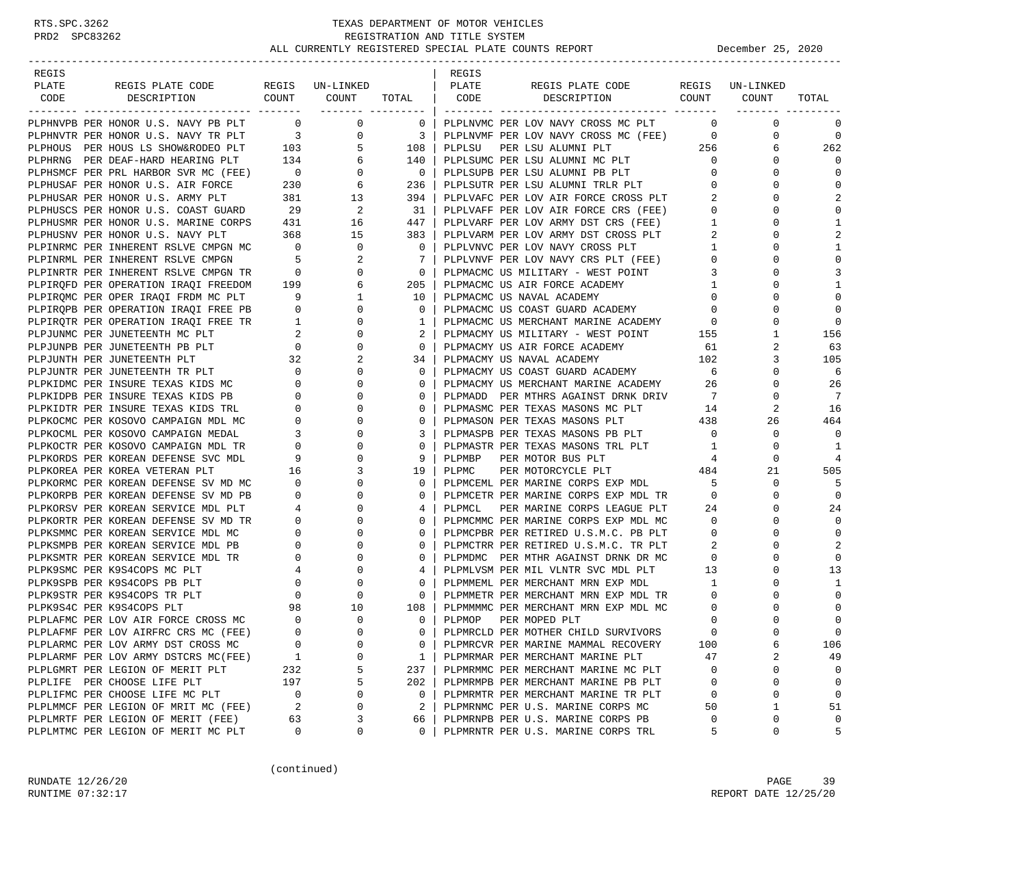| REGIS |                                                                                 |                                                                                              |                                     |                         | REGIS  |                                                                             |                         |                 |                         |
|-------|---------------------------------------------------------------------------------|----------------------------------------------------------------------------------------------|-------------------------------------|-------------------------|--------|-----------------------------------------------------------------------------|-------------------------|-----------------|-------------------------|
| PLATE | REGIS PLATE CODE                                                                |                                                                                              | REGIS UN-LINKED                     |                         | PLATE  | REGIS PLATE CODE                                                            |                         | REGIS UN-LINKED |                         |
| CODE  | DESCRIPTION                                                                     |                                                                                              | COUNT COUNT<br>____________________ | TOTAL                   | CODE   | COUNT<br>DESCRIPTION                                                        |                         | COUNT           | TOTAL                   |
|       | PLPHNVPB PER HONOR U.S. NAVY PB PLT 0                                           |                                                                                              | 0                                   | $\overline{0}$          |        | PLPLNVMC PER LOV NAVY CROSS MC PLT                                          | $\Omega$                | $\mathbf 0$     | $\mathbf 0$             |
|       | PLPHNVTR PER HONOR U.S. NAVY TR PLT 3                                           |                                                                                              | $\overline{0}$                      | $\overline{\mathbf{3}}$ |        | PLPLNVMF PER LOV NAVY CROSS MC (FEE) 0                                      |                         | 0               | $\mathbf 0$             |
|       | PLPHOUS PER HOUS LS SHOW&RODEO PLT 103                                          |                                                                                              | $5^{\circ}$                         | 108                     | PLPLSU | PER LSU ALUMNI PLT                                                          | 256                     | 6               | 262                     |
|       | PLPHRNG PER DEAF-HARD HEARING PLT 134                                           |                                                                                              | 6                                   | 140                     |        | PLPLSUMC PER LSU ALUMNI MC PLT                                              | $\overline{0}$          | 0               | $\Omega$                |
|       |                                                                                 |                                                                                              | 0                                   | $\overline{0}$          |        | PLPLSUPB PER LSU ALUMNI PB PLT                                              | $\mathbf{0}$            | 0               | $\mathbf 0$             |
|       |                                                                                 |                                                                                              | 6                                   | 236                     |        | PLPLSUTR PER LSU ALUMNI TRLR PLT                                            | $\mathbf 0$             |                 | $\mathbf 0$             |
|       | PLPHUSAR PER HONOR U.S. ARMY PLT                                                | 381                                                                                          | 13                                  | 394                     |        | PLPLVAFC PER LOV AIR FORCE CROSS PLT                                        | 2                       | 0               | 2                       |
|       | PLPHUSCS PER HONOR U.S. COAST GUARD                                             | 29                                                                                           | - 2                                 | 31                      |        |                                                                             | $\overline{0}$          |                 | $\mathbf 0$             |
|       | PLPHUSMR PER HONOR U.S. MARINE CORPS                                            | 431                                                                                          | 16                                  | 447                     |        | PLPLVAFF PER LOV AIR FORCE CRS (FEE)<br>PLPLVARF PER LOV ARMY DST CRS (FEE) | $\mathbf{1}$            | <sup>0</sup>    | 1                       |
|       | PLPHUSNV PER HONOR U.S. NAVY PLT                                                | 368                                                                                          | 15                                  | 383                     |        | PLPLVARM PER LOV ARMY DST CROSS PLT                                         | $\overline{a}$          | 0               | $\overline{2}$          |
|       | PLPINRMC PER INHERENT RSLVE CMPGN MC 0                                          |                                                                                              | $\mathbf 0$                         | $\overline{0}$          |        | PLPLVNVC PER LOV NAVY CROSS PLT                                             | 1                       | 0               | $\mathbf{1}$            |
|       | PLPINRML PER INHERENT RSLVE CMPGN                                               | $\sim$ 5                                                                                     | 2                                   | 7                       |        | PLPLVNVF PER LOV NAVY CRS PLT (FEE)                                         | $\overline{0}$          | 0               | 0                       |
|       | PLPINRTR PER INHERENT RSLVE CMPGN TR                                            | $\overline{0}$                                                                               | $\mathbf 0$                         | $\overline{0}$          |        | PLPMACMC US MILITARY - WEST POINT                                           | $\overline{3}$          |                 | 3                       |
|       | PLPIRQFD PER OPERATION IRAQI FREEDOM 199                                        |                                                                                              | 6                                   | 205                     |        | PLPMACMC US AIR FORCE ACADEMY                                               | $\overline{1}$          |                 | -1                      |
|       |                                                                                 |                                                                                              | 1                                   | 10                      |        | PLPMACMC US NAVAL ACADEMY                                                   | $\overline{0}$          | 0               | $\Omega$                |
|       | PLPIRQMC PER OPER IRAQI FRDM MC PLT 9<br>PLPIRQPB PER OPERATION IRAQI FREE PB 0 |                                                                                              | $\mathbf 0$                         | 0                       |        | PLPMACMC US COAST GUARD ACADEMY                                             | $\circ$                 |                 | $\mathbf 0$             |
|       | PLPIRQTR PER OPERATION IRAQI FREE TR                                            |                                                                                              | $\mathbf 0$                         | 1                       |        | PLPMACMC US MERCHANT MARINE ACADEMY                                         | $\overline{0}$          | 0               | $\mathbf 0$             |
|       | PLPJUNMC PER JUNETEENTH MC PLT                                                  | $\begin{array}{ccc} 2 & 1 & 0 \\ \text{E} & \text{TR} & & 1 \\ & & 2 \\ & & & 0 \end{array}$ | 0                                   | 2                       |        | PLPMACMY US MILITARY - WEST POINT 155                                       |                         | 1               | 156                     |
|       | PLPJUNPB PER JUNETEENTH PB PLT                                                  |                                                                                              | $\mathbf 0$                         | $\mathbf{0}$            |        | PLPMACMY US AIR FORCE ACADEMY                                               | 61                      | 2               | 63                      |
|       | PLPJUNTH PER JUNETEENTH PLT                                                     | $\begin{array}{c} 32 \\ 0 \end{array}$                                                       | 2                                   | 34                      |        | PLPMACMY US NAVAL ACADEMY                                                   | 102                     | 3               | 105                     |
|       | PLPJUNTR PER JUNETEENTH TR PLT                                                  |                                                                                              | $\Omega$                            | 0                       |        | PLPMACMY US COAST GUARD ACADEMY                                             | $6\overline{6}$         | $\Omega$        | 6                       |
|       | PLPKIDMC PER INSURE TEXAS KIDS MC                                               | $\overline{0}$                                                                               | 0                                   | $\Omega$                |        | PLPMACMY US MERCHANT MARINE ACADEMY 26                                      |                         | 0               | 26                      |
|       | PLPKIDPB PER INSURE TEXAS KIDS PB                                               | $\begin{array}{c} 0 \\ 0 \end{array}$                                                        | 0                                   | 0                       |        | PLPMADD PER MTHRS AGAINST DRNK DRIV                                         | $\overline{7}$          | 0               | 7                       |
|       | PLPKIDTR PER INSURE TEXAS KIDS TRL                                              |                                                                                              | 0                                   | $\Omega$                |        | PLPMASMC PER TEXAS MASONS MC PLT                                            | 14                      | 2               | 16                      |
|       | PLPKOCMC PER KOSOVO CAMPAIGN MDL MC                                             | $\mathbf{0}$                                                                                 | 0                                   | 0                       |        | PLPMASON PER TEXAS MASONS PLT                                               | 438                     | 26              | 464                     |
|       | PLPKOCML PER KOSOVO CAMPAIGN MEDAL                                              | $\overline{3}$                                                                               | $\mathbf 0$                         | 3                       |        | PLPMASPB PER TEXAS MASONS PB PLT                                            | $\overline{0}$          | $\mathbf 0$     | $\mathbf 0$             |
|       | PLPKOCTR PER KOSOVO CAMPAIGN MDL TR                                             | $\overline{\phantom{0}}$                                                                     | 0                                   | 0                       |        | PLPMASTR PER TEXAS MASONS TRL PLT                                           | 1                       | $\mathbf 0$     | 1                       |
|       | PLPKORDS PER KOREAN DEFENSE SVC MDL                                             | $\begin{array}{cc} 0 & 9 \\ 16 & \end{array}$                                                | 0                                   | 9                       | PLPMBP | PER MOTOR BUS PLT                                                           | 4                       | $\mathbf 0$     | 4                       |
|       | PLPKOREA PER KOREA VETERAN PLT                                                  |                                                                                              | 3                                   | 19                      | PLPMC  | PER MOTORCYCLE PLT                                                          | 484                     | 21              | 505                     |
|       | PLPKORMC PER KOREAN DEFENSE SV MD MC                                            | $\overline{0}$                                                                               | 0                                   | 0                       |        | PLPMCEML PER MARINE CORPS EXP MDL                                           | 5                       | 0               | -5                      |
|       | PLPKORPB PER KOREAN DEFENSE SV MD PB                                            | $\overline{0}$                                                                               | $\Omega$                            | 0                       |        | PLPMCETR PER MARINE CORPS EXP MDL TR                                        | $\overline{0}$          | $\Omega$        | 0                       |
|       | PLPKORSV PER KOREAN SERVICE MDL PLT                                             | $\overline{4}$                                                                               | 0                                   | 4                       | PLPMCL | PER MARINE CORPS LEAGUE PLT                                                 | 24                      | 0               | 24                      |
|       | PLPKORTR PER KOREAN DEFENSE SV MD TR                                            | $\overline{0}$                                                                               | 0                                   | 0                       |        | PLPMCMMC PER MARINE CORPS EXP MDL MC                                        | $\overline{0}$          |                 | $\mathbf 0$             |
|       | PLPKSMMC PER KOREAN SERVICE MDL MC                                              | $\overline{0}$                                                                               | 0                                   | $\Omega$                |        | PLPMCPBR PER RETIRED U.S.M.C. PB PLT                                        | $\overline{0}$          | <sup>0</sup>    | 0                       |
|       | PLPKSMPB PER KOREAN SERVICE MDL PB                                              | $\mathbf{0}$                                                                                 | 0                                   | 0                       |        | PLPMCTRR PER RETIRED U.S.M.C. TR PLT                                        | 2                       | 0               | 2                       |
|       | PLPKSMTR PER KOREAN SERVICE MDL TR                                              | $\begin{array}{c} 0 \\ 4 \\ 0 \end{array}$                                                   | $\mathbf 0$                         | 0                       |        | PLPMDMC PER MTHR AGAINST DRNK DR MC                                         | $\overline{0}$          | 0               | $\mathbf 0$             |
|       | PLPK9SMC PER K9S4COPS MC PLT                                                    |                                                                                              | $\mathbf 0$                         | 4                       |        | PLPMLVSM PER MIL VLNTR SVC MDL PLT                                          | 13                      | 0               | 13                      |
|       | PLPK9SPB PER K9S4COPS PB PLT                                                    | $\overline{0}$                                                                               | $\mathbf 0$                         | 0                       |        | PLPMMEML PER MERCHANT MRN EXP MDL                                           | $\mathbf{1}$            |                 | 1                       |
|       | PLPK9STR PER K9S4COPS TR PLT                                                    |                                                                                              | $\mathbf 0$                         | $\Omega$                |        | PLPMMETR PER MERCHANT MRN EXP MDL TR                                        | $\mathbf 0$             | ∩               | 0                       |
|       | PLPK9S4C PER K9S4COPS PLT                                                       | 98<br>$\overline{0}$                                                                         | 10                                  | 108                     |        | PLPMMMMC PER MERCHANT MRN EXP MDL MC                                        | 0                       | 0               | $\mathbf 0$             |
|       | PLPLAFMC PER LOV AIR FORCE CROSS MC                                             | $\Omega$                                                                                     | $\mathbf 0$<br>$\Omega$             | 0<br>$\Omega$           | PLPMOP | PER MOPED PLT                                                               | $\mathbf 0$<br>$\Omega$ | $\cap$          | $\mathsf 0$<br>$\Omega$ |
|       | PLPLAFMF PER LOV AIRFRC CRS MC (FEE)                                            | $\mathbf 0$                                                                                  | 0                                   |                         |        | PLPMRCLD PER MOTHER CHILD SURVIVORS<br>PLPMRCVR PER MARINE MAMMAL RECOVERY  |                         |                 |                         |
|       | PLPLARMC PER LOV ARMY DST CROSS MC<br>PLPLARMF PER LOV ARMY DSTCRS MC(FEE)      |                                                                                              | 0                                   | 0<br>1                  |        | PLPMRMAR PER MERCHANT MARINE PLT                                            | 100<br>47               | 6<br>2          | 106<br>49               |
|       | PLPLGMRT PER LEGION OF MERIT PLT                                                | 1<br>232                                                                                     | 5                                   | 237                     |        | PLPMRMMC PER MERCHANT MARINE MC PLT                                         | 0                       | 0               | 0                       |
|       | PLPLIFE PER CHOOSE LIFE PLT                                                     | 197                                                                                          | 5                                   | 202                     |        | PLPMRMPB PER MERCHANT MARINE PB PLT                                         | 0                       | $\mathbf 0$     | $\mathbf 0$             |
|       | PLPLIFMC PER CHOOSE LIFE MC PLT                                                 | 0                                                                                            | 0                                   | 0                       |        | PLPMRMTR PER MERCHANT MARINE TR PLT                                         | 0                       | 0               | $\mathbf 0$             |
|       | PLPLMMCF PER LEGION OF MRIT MC (FEE)                                            | 2                                                                                            | 0                                   | 2                       |        | PLPMRNMC PER U.S. MARINE CORPS MC                                           | 50                      | 1               | 51                      |
|       | PLPLMRTF PER LEGION OF MERIT (FEE)                                              | 63                                                                                           | 3                                   | 66                      |        | PLPMRNPB PER U.S. MARINE CORPS PB                                           | 0                       | 0               | 0                       |
|       | PLPLMTMC PER LEGION OF MERIT MC PLT                                             | 0                                                                                            | 0                                   | $\Omega$                |        | PLPMRNTR PER U.S. MARINE CORPS TRL                                          | 5                       | 0               | 5                       |
|       |                                                                                 |                                                                                              |                                     |                         |        |                                                                             |                         |                 |                         |

(continued)

RUNDATE  $12/26/20$  PAGE 39 RUNTIME 07:32:17 REPORT DATE 12/25/20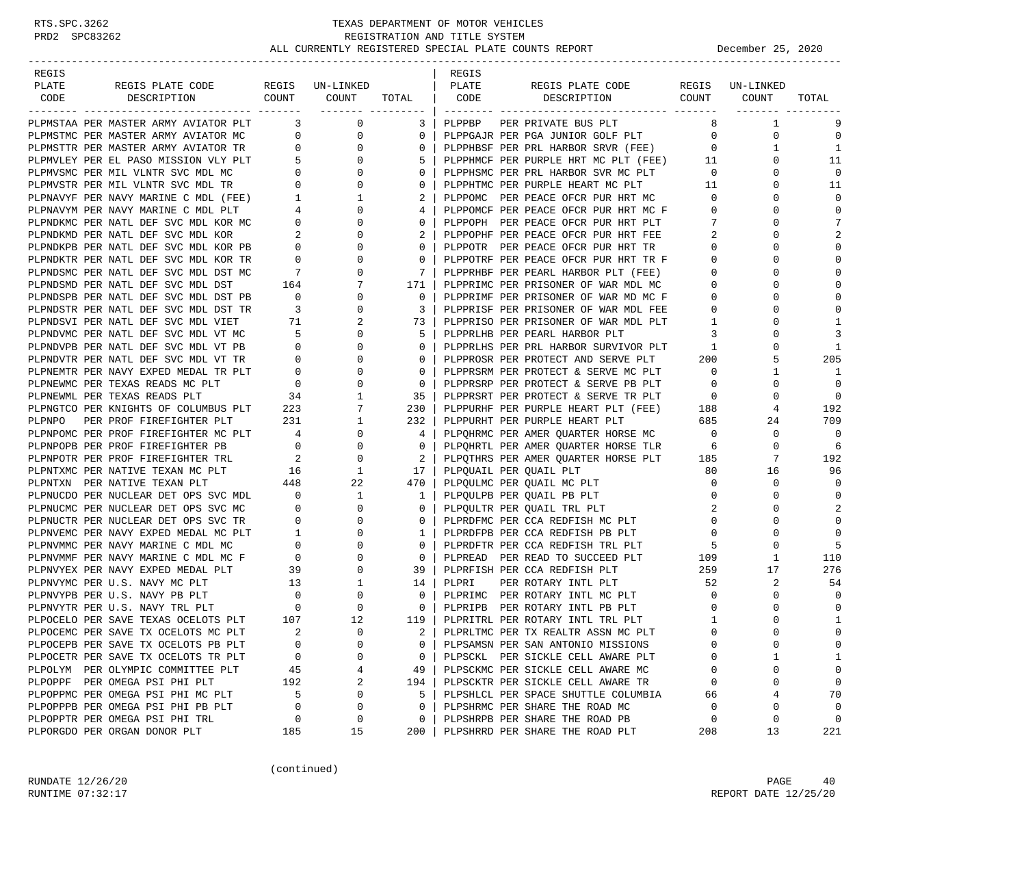| REGIS  |                                                                                    |                                                                              |                          |              | REGIS |                                                                                    |                                         |                   |             |
|--------|------------------------------------------------------------------------------------|------------------------------------------------------------------------------|--------------------------|--------------|-------|------------------------------------------------------------------------------------|-----------------------------------------|-------------------|-------------|
| PLATE  | REGIS PLATE CODE REGIS UN-LINKED                                                   |                                                                              |                          |              | PLATE | REGIS PLATE CODE                                                                   |                                         | REGIS UN-LINKED   |             |
|        | CODE DESCRIPTION                                                                   |                                                                              | COUNT COUNT TOTAL   CODE |              |       | DESCRIPTION COUNT COUNT                                                            |                                         |                   | TOTAL       |
|        | PLPMSTAA PER MASTER ARMY AVIATOR PLT 3                                             |                                                                              | $\overline{0}$           | 3 I          |       | PLPPBP PER PRIVATE BUS PLT                                                         |                                         | 8<br>1            | 9           |
|        | PLPMSTMC PER MASTER ARMY AVIATOR MC 0                                              |                                                                              | $\overline{0}$           | $\mathbf{0}$ |       | PLPPGAJR PER PGA JUNIOR GOLF PLT 0                                                 |                                         | 0                 | $\Omega$    |
|        | PLPMSTTR PER MASTER ARMY AVIATOR TR 0                                              |                                                                              | $\overline{0}$           | 0            |       | PLPPHBSF PER PRL HARBOR SRVR (FEE)                                                 | $\overline{0}$                          | 1                 | 1           |
|        | PLPMVLEY PER EL PASO MISSION VLY PLT 5                                             |                                                                              | $\mathbf{0}$             | 5            |       | PLPPHMCF PER PURPLE HRT MC PLT (FEE) 11                                            |                                         | $\mathbf 0$       | 11          |
|        | PLPMVSMC PER MIL VLNTR SVC MDL MC                                                  |                                                                              | $\mathbf{0}$             | 0            |       | PLPPHSMC PER PRL HARBOR SVR MC PLT                                                 | $\overline{0}$                          | 0                 | $\mathbf 0$ |
|        | PLPMVSTR PER MIL VLNTR SVC MDL TR                                                  | $\begin{array}{c} 0 \\ 0 \end{array}$                                        | $\mathbf{0}$             | 0            |       | PLPPHTMC PER PURPLE HEART MC PLT<br>PLPPHTMC PER PURPLE HEART MC PLT               | 11                                      | $\Omega$          | 11          |
|        | PLPNAVYF PER NAVY MARINE C MDL (FEE) 1                                             |                                                                              | $\mathbf{1}$             | 2            |       | PLPPOMC PER PEACE OFCR PUR HRT MC                                                  | $\overline{0}$                          | $\mathbf 0$       | $\Omega$    |
|        | PLPNAVYM PER NAVY MARINE C MDL PLT $4$<br>PLPNDKMC PER NATL DEF SVC MDL KOR MC $0$ |                                                                              | $\mathbf{0}$             | 4            |       | PLPPOMCF PER PEACE OFCR PUR HRT MC F                                               | $\overline{0}$                          | $\Omega$          | $\Omega$    |
|        |                                                                                    |                                                                              | $\mathbf{0}$             | $\Omega$     |       | PLPPOPH PER PEACE OFCR PUR HRT PLT                                                 | -7                                      | $\Omega$          | 7           |
|        |                                                                                    |                                                                              | 0                        | 2            |       | PLPPOPHF PER PEACE OFCR PUR HRT FEE                                                | 2                                       | 0                 | 2           |
|        |                                                                                    |                                                                              | $\mathbf{0}$             | 0            |       | PLPPOTR PER PEACE OFCR PUR HRT TR                                                  | $\overline{0}$                          | $\Omega$          | $\Omega$    |
|        | PLPNDKTR PER NATL DEF SVC MDL KOR TR                                               | $\overline{\phantom{0}}$                                                     | 0                        | $\mathbf{0}$ |       | PLPPOTRF PER PEACE OFCR PUR HRT TR F                                               | $\overline{0}$                          | $\Omega$          | $\Omega$    |
|        | PLPNDSMC PER NATL DEF SVC MDL DST MC                                               | $\overline{7}$                                                               | $\mathbf 0$              | 7            |       | PLPPRHBF PER PEARL HARBOR PLT (FEE)                                                | $\overline{0}$                          | $\Omega$          | $\Omega$    |
|        | PLPNDSMD PER NATL DEF SVC MDL DST                                                  | 164                                                                          | 7                        | 171          |       | PLPPRIMC PER PRISONER OF WAR MDL MC                                                | $\overline{0}$                          | $\Omega$          | $\Omega$    |
|        | PLPNDSPB PER NATL DEF SVC MDL DST PB                                               | $\overline{\phantom{a}}$                                                     | 0                        | 0            |       | PLPPRIMF PER PRISONER OF WAR MD MC F                                               | $\circ$                                 | 0                 | $\Omega$    |
|        | PLPNDSTR PER NATL DEF SVC MDL DST TR                                               | $\overline{\mathbf{3}}$                                                      | $\mathbf{0}$             | 3            |       | PLPPRISF PER PRISONER OF WAR MDL FEE                                               | $\overline{0}$                          | $\Omega$          | $\Omega$    |
|        | PLPNDSVI PER NATL DEF SVC MDL VIET                                                 | 71                                                                           | 2                        | 73           |       | PLPPRISO PER PRISONER OF WAR MDL PLT                                               | $\overline{1}$                          | 0                 | 1           |
|        | PLPNDVMC PER NATL DEF SVC MDL VT MC                                                | $5^{\circ}$<br>$\overline{0}$                                                | $\mathbf{0}$             | -5           |       | PLPPRLHB PER PEARL HARBOR PLT                                                      | 3                                       | $\Omega$          | 3           |
|        | PLPNDVPB PER NATL DEF SVC MDL VT PB                                                |                                                                              | $\mathbf{0}$             | $\Omega$     |       | PLPPRLHS PER PRL HARBOR SURVIVOR PLT                                               | $\mathbf{1}$                            | $\Omega$          | -1          |
|        | PLPNDVTR PER NATL DEF SVC MDL VT TR                                                |                                                                              | 0                        | 0            |       | PLPPROSR PER PROTECT AND SERVE PLT                                                 | 200                                     | 5                 | 205         |
|        | PLPNEMTR PER NAVY EXPED MEDAL TR PLT                                               |                                                                              | 0                        | 0            |       | PLPPRSRM PER PROTECT & SERVE MC PLT                                                | $\overline{0}$                          | 1                 | -1          |
|        | PLPNEWMC PER TEXAS READS MC PLT                                                    | $\begin{tabular}{cc} TR & & 0 \\ PLT & & 0 \\ & & 0 \\ & & 34 \end{tabular}$ | $\mathbf 0$              | $\mathbf{0}$ |       | PLPPRSRP PER PROTECT & SERVE PB PLT                                                | $\overline{0}$                          | $\mathbf 0$       | $\Omega$    |
|        | PLPNEWML PER TEXAS READS PLT<br>PLPNGTCO PER KNIGHTS OF COLUMBUS PLT 223           |                                                                              | 1                        | 35           |       | PLPPRSRT PER PROTECT & SERVE TR PLT $0$<br>PLPPURHF PER PURPLE HEART PLT (FEE) 188 |                                         | $\Omega$          | $\Omega$    |
|        |                                                                                    |                                                                              | 7                        | 230          |       |                                                                                    |                                         | 4                 | 192<br>709  |
| PLPNPO | PER PROF FIREFIGHTER PLT                                                           | 231                                                                          | 1<br>$\mathbf{0}$        | 232          |       | PLPPURHT PER PURPLE HEART PLT                                                      | $\begin{array}{c} 685 \\ 0 \end{array}$ | 24<br>$\mathbf 0$ | $\mathbf 0$ |
|        | PLPNPOMC PER PROF FIREFIGHTER MC PLT 4<br>PLPNPOPB PER PROF FIREFIGHTER PB         | $\overline{0}$                                                               | $\mathbf{0}$             | 4<br>0       |       | PLPQHRMC PER AMER QUARTER HORSE MC                                                 |                                         | $\mathbf 0$       | 6           |
|        |                                                                                    |                                                                              | $\mathbf 0$              | 2            |       | PLPQHRTL PER AMER QUARTER HORSE TLR 6                                              |                                         | 7                 | 192         |
|        |                                                                                    |                                                                              | 1                        | 17           |       | PLPQTHRS PER AMER QUARTER HORSE PLT 185<br>PLPQUAIL PER QUAIL PLT                  | 80                                      | 16                | 96          |
|        | PLPNTXN PER NATIVE TEXAN PLT                                                       | 448                                                                          | 22                       | 470          |       | PLPQULMC PER QUAIL MC PLT                                                          | $\overline{0}$                          | 0                 | $\Omega$    |
|        | PLPNUCDO PER NUCLEAR DET OPS SVC MDL 0                                             |                                                                              | $\mathbf{1}$             | $\mathbf{1}$ |       | PLPQULPB PER QUAIL PB PLT                                                          | $\overline{0}$                          | $\mathbf 0$       | $\mathbf 0$ |
|        | PLPNUCMC PER NUCLEAR DET OPS SVC MC                                                | $\overline{0}$                                                               | $\mathbf{0}$             | 0            |       | PLPQULTR PER QUAIL TRL PLT                                                         | 2                                       | $\Omega$          | 2           |
|        | PLPNUCTR PER NUCLEAR DET OPS SVC TR                                                |                                                                              | $\mathbf{0}$             | 0            |       | PLPRDFMC PER CCA REDFISH MC PLT                                                    | $\overline{0}$                          | $\Omega$          | $\Omega$    |
|        | PLPNVEMC PER NAVY EXPED MEDAL MC PLT                                               | $\begin{array}{c} 0 \\ 1 \end{array}$                                        | $\mathbf{0}$             | 1            |       | PLPRDFPB PER CCA REDFISH PB PLT                                                    | $\overline{\phantom{0}}$                | $\Omega$          | $\Omega$    |
|        |                                                                                    |                                                                              | 0                        | 0            |       | PLPRDFTR PER CCA REDFISH TRL PLT                                                   | - 5                                     | 0                 | .5          |
|        |                                                                                    |                                                                              | $\mathbf{0}$             | 0            |       | PLPREAD PER READ TO SUCCEED PLT                                                    | $\begin{array}{c} 5 \\ 109 \end{array}$ | 1                 | 110         |
|        | PLPNVYEX PER NAVY EXPED MEDAL PLT                                                  | 39                                                                           | $\mathbf{0}$             | 39           |       | PLPRFISH PER CCA REDFISH PLT                                                       | 259                                     | 17                | 276         |
|        |                                                                                    |                                                                              | $\mathbf{1}$             | 14           | PLPRI | PER ROTARY INTL PLT                                                                | 52                                      | 2                 | 54          |
|        |                                                                                    |                                                                              | 0                        | $\mathbf 0$  |       | PLPRIMC PER ROTARY INTL MC PLT                                                     | $\overline{0}$                          | $\mathbf 0$       | $\Omega$    |
|        |                                                                                    |                                                                              | $\mathbf{0}$             | 0            |       | PLPRIPB PER ROTARY INTL PB PLT                                                     | $\circ$                                 | 0                 | $\mathbf 0$ |
|        |                                                                                    |                                                                              | 12                       | 119          |       | PLPRITRL PER ROTARY INTL TRL PLT                                                   | 1                                       | $\Omega$          | 1           |
|        | PLPOCEMC PER SAVE TX OCELOTS MC PLT                                                | $\overline{2}$                                                               | $\Omega$                 | $2-1$        |       | PLPRLTMC PER TX REALTR ASSN MC PLT                                                 | $\Omega$                                | $\Omega$          | $\Omega$    |
|        | PLPOCEPB PER SAVE TX OCELOTS PB PLT                                                | 0                                                                            | 0                        | 0            |       | PLPSAMSN PER SAN ANTONIO MISSIONS                                                  | 0                                       | 0                 | $\Omega$    |
|        | PLPOCETR PER SAVE TX OCELOTS TR PLT                                                | 0                                                                            | 0                        | 0            |       | PLPSCKL PER SICKLE CELL AWARE PLT                                                  | 0                                       | 1                 | 1           |
|        | PLPOLYM PER OLYMPIC COMMITTEE PLT                                                  | 45                                                                           | 4                        | 49           |       | PLPSCKMC PER SICKLE CELL AWARE MC                                                  | 0                                       | 0                 | $\Omega$    |
|        | PLPOPPF PER OMEGA PSI PHI PLT                                                      | 192                                                                          | 2                        | 194          |       | PLPSCKTR PER SICKLE CELL AWARE TR                                                  | $\mathbf 0$                             | 0                 | 0           |
|        | PLPOPPMC PER OMEGA PSI PHI MC PLT                                                  | 5                                                                            | 0                        | 5            |       | PLPSHLCL PER SPACE SHUTTLE COLUMBIA                                                | 66                                      | 4                 | 70          |
|        | PLPOPPPB PER OMEGA PSI PHI PB PLT                                                  | 0                                                                            | 0                        | 0            |       | PLPSHRMC PER SHARE THE ROAD MC                                                     | 0                                       | 0                 | $\mathbf 0$ |
|        | PLPOPPTR PER OMEGA PSI PHI TRL                                                     | 0                                                                            | 0                        | 0            |       | PLPSHRPB PER SHARE THE ROAD PB                                                     | 0                                       | 0                 | 0           |
|        | PLPORGDO PER ORGAN DONOR PLT                                                       | 185                                                                          | 15                       | 200          |       | PLPSHRRD PER SHARE THE ROAD PLT                                                    | 208                                     | 13                | 221         |

(continued)

RUNDATE  $12/26/20$  PAGE 40 RUNTIME 07:32:17 REPORT DATE 12/25/20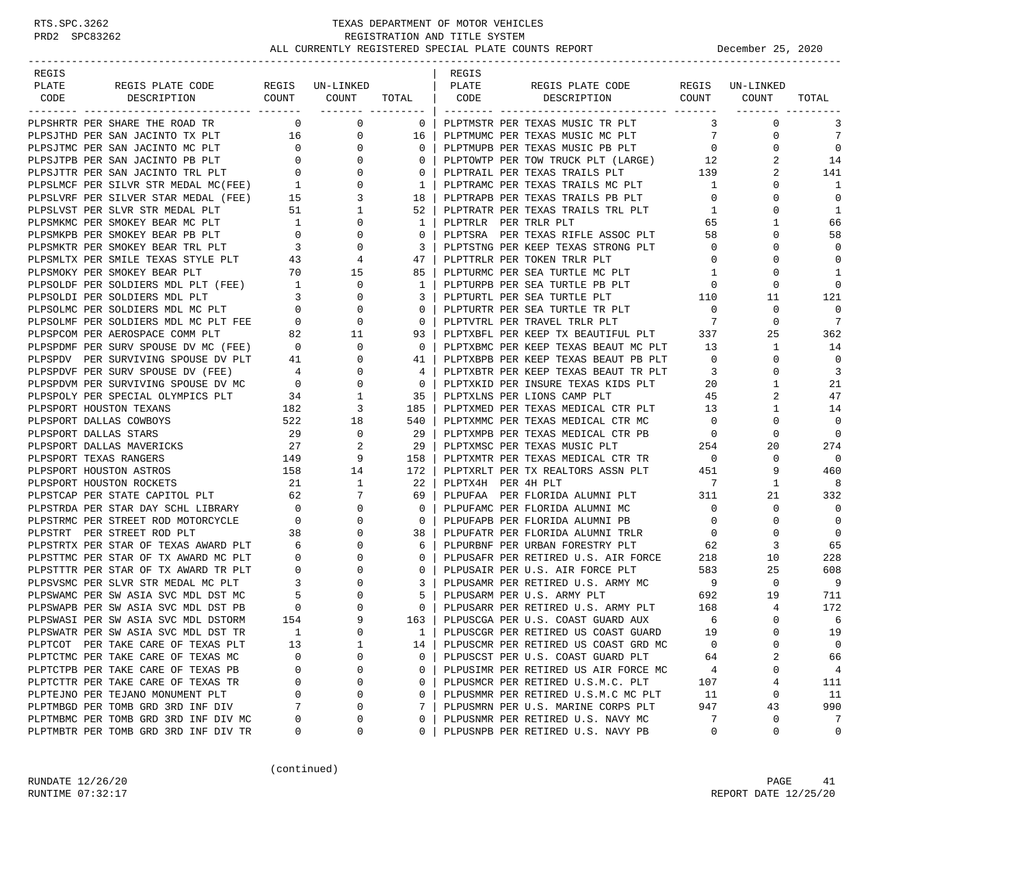| REGIS |                                                                                                                                                                                                                                                    |                |                                        |                                                     | REGIS                |                                                                                                                                                                                                                                                                                                                                                                                                                                                                                     |                                         |                             |                   |
|-------|----------------------------------------------------------------------------------------------------------------------------------------------------------------------------------------------------------------------------------------------------|----------------|----------------------------------------|-----------------------------------------------------|----------------------|-------------------------------------------------------------------------------------------------------------------------------------------------------------------------------------------------------------------------------------------------------------------------------------------------------------------------------------------------------------------------------------------------------------------------------------------------------------------------------------|-----------------------------------------|-----------------------------|-------------------|
| PLATE |                                                                                                                                                                                                                                                    |                |                                        |                                                     |                      | REGIS PLATE CODE REGIS UN-LINKED                                                                                                                                                                                                                                                                                                                                                                                                                                                    |                                         |                             |                   |
|       |                                                                                                                                                                                                                                                    |                |                                        |                                                     |                      |                                                                                                                                                                                                                                                                                                                                                                                                                                                                                     |                                         |                             | TOTAL             |
|       | PLPSHRTR PER SHARE THE ROAD TR 0                                                                                                                                                                                                                   |                | $\overline{0}$                         |                                                     |                      | 0   PLPTMSTR PER TEXAS MUSIC TR PLT                                                                                                                                                                                                                                                                                                                                                                                                                                                 | $\overline{\mathbf{3}}$                 | $\mathbf 0$                 | 3                 |
|       | PLPSJTHD PER SAN JACINTO TX PLT 16                                                                                                                                                                                                                 |                | $\overline{0}$                         | 16                                                  |                      | PLPTMUMC PER TEXAS MUSIC MC PLT 7                                                                                                                                                                                                                                                                                                                                                                                                                                                   |                                         | $\mathbf 0$                 | 7                 |
|       |                                                                                                                                                                                                                                                    |                | $\mathbf{0}$                           | $0-1$                                               |                      | PLPTMUPB PER TEXAS MUSIC PB PLT                                                                                                                                                                                                                                                                                                                                                                                                                                                     | $\overline{0}$                          | $\mathbf 0$                 | $\mathbf 0$       |
|       |                                                                                                                                                                                                                                                    |                | $\begin{matrix} 0 \\ 0 \end{matrix}$   | $\mathbf{0}$                                        |                      | PLPTOWTP PER TOW TRUCK PLT (LARGE) 12                                                                                                                                                                                                                                                                                                                                                                                                                                               |                                         | 2                           | 14                |
|       |                                                                                                                                                                                                                                                    |                | $\overline{0}$                         | $\overline{0}$                                      |                      | PLPTRAIL PER TEXAS TRAILS PLT 139<br>PLPTRAMC PER TEXAS TRAILS MC PLT 1                                                                                                                                                                                                                                                                                                                                                                                                             |                                         | 2                           | 141               |
|       | PLPSJTMC PER SAN JACINTO MC PLT<br>PLPSJTMC PER SAN JACINTO MC PLT<br>PLPSJTTR PER SAN JACINTO PB PLT<br>0<br>PLPSJTTR PER SAN JACINTO TRL PLT<br>0<br>PLPSLWRF PER SILVR STR MEDAL MC(FEE)<br>1<br>PLPSLWRF PER SILVER STAR MEDAL (FEE)<br>15<br> |                | $\overline{0}$                         | $1 \vert$                                           |                      |                                                                                                                                                                                                                                                                                                                                                                                                                                                                                     | $\sim$ 1                                | $\Omega$                    | -1                |
|       |                                                                                                                                                                                                                                                    |                | $\mathbf{3}$                           | 18                                                  |                      | PLPTRAPB PER TEXAS TRAILS PB PLT                                                                                                                                                                                                                                                                                                                                                                                                                                                    | $\overline{0}$                          | 0                           | $\mathbf 0$       |
|       | PLPSLVST PER SLVR STR MEDAL PLT 51<br>PLPSMKMC PER SMOKEY BEAR MC PLT 1<br>PLPSMKPB PER SMOKEY BEAR PB PLT 0<br>PLPSMKTR PER SMOKEY BEAR TRL PLT 3                                                                                                 |                | $\mathbf{1}$                           | 52                                                  |                      | PLPTRATR PER TEXAS TRAILS TRL PLT                                                                                                                                                                                                                                                                                                                                                                                                                                                   | $\mathbf{1}$                            | $\mathbf 0$                 | $\mathbf{1}$      |
|       |                                                                                                                                                                                                                                                    |                | $\overline{0}$                         | $\mathbf{1}$                                        | PLPTRLR PER TRLR PLT |                                                                                                                                                                                                                                                                                                                                                                                                                                                                                     | 65                                      | 1                           | 66                |
|       |                                                                                                                                                                                                                                                    |                | $\overline{0}$                         | $\circ$                                             |                      | PLPTSRA PER TEXAS RIFLE ASSOC PLT 58<br>PLPTSTNG PER KEEP TEXAS STRONG PLT 0                                                                                                                                                                                                                                                                                                                                                                                                        |                                         | 0                           | 58                |
|       |                                                                                                                                                                                                                                                    |                | $\overline{0}$                         | $\overline{\phantom{a}3}$                           |                      |                                                                                                                                                                                                                                                                                                                                                                                                                                                                                     |                                         | $\Omega$                    | $\mathbf 0$       |
|       | PLPSMLTX PER SMILE TEXAS STYLE PLT 43                                                                                                                                                                                                              |                | $\begin{array}{c} 4 \\ 15 \end{array}$ | 47                                                  |                      | PLPTTRLR PER TOKEN TRLR PLT                                                                                                                                                                                                                                                                                                                                                                                                                                                         | $\overline{0}$                          | $\mathbf 0$                 | $\mathbf 0$       |
|       | PLPSMOKY PER SMOKEY BEAR PLT                                                                                                                                                                                                                       | 70             |                                        | 85                                                  |                      | PLPTURMC PER SEA TURTLE MC PLT                                                                                                                                                                                                                                                                                                                                                                                                                                                      | $\overline{1}$                          | $\mathbf 0$                 | 1                 |
|       |                                                                                                                                                                                                                                                    |                |                                        | $\mathbf{1}$                                        |                      | PLPTURPB PER SEA TURTLE PB PLT                                                                                                                                                                                                                                                                                                                                                                                                                                                      | $\overline{0}$                          | $\mathbf 0$                 | $\Omega$          |
|       |                                                                                                                                                                                                                                                    |                |                                        | 3                                                   |                      | PLATIONID FER SEA TURTLE PLT (110)<br>PLPTURTR PER SEA TURTLE TR PLT (110)<br>PLPTUTTI PER TILL                                                                                                                                                                                                                                                                                                                                                                                     |                                         | 11                          | 121               |
|       |                                                                                                                                                                                                                                                    |                |                                        | $\overline{0}$                                      |                      |                                                                                                                                                                                                                                                                                                                                                                                                                                                                                     |                                         | $\mathbf 0$                 | $\mathbf 0$       |
|       |                                                                                                                                                                                                                                                    |                |                                        | $\overline{\phantom{0}}$ 0 $\overline{\phantom{0}}$ |                      | PLPTVTRL PER TRAVEL TRLR PLT 7<br>PLPTXBFL PER KEEP TX BEAUTIFUL PLT 337                                                                                                                                                                                                                                                                                                                                                                                                            |                                         | $\mathbf 0$                 | -7                |
|       |                                                                                                                                                                                                                                                    |                |                                        | 93 I                                                |                      |                                                                                                                                                                                                                                                                                                                                                                                                                                                                                     |                                         | 25                          | 362               |
|       |                                                                                                                                                                                                                                                    |                |                                        | $\overline{0}$                                      |                      | PLPTXBMC PER KEEP TEXAS BEAUT MC PLT 13                                                                                                                                                                                                                                                                                                                                                                                                                                             |                                         | 1                           | 14                |
|       |                                                                                                                                                                                                                                                    |                |                                        | 41                                                  |                      | PLPTXBPB PER KEEP TEXAS BEAUT PB PLT 0<br>PLPTXBTR PER KEEP TEXAS BEAUT TR PLT 3                                                                                                                                                                                                                                                                                                                                                                                                    |                                         | 0                           | 0                 |
|       |                                                                                                                                                                                                                                                    |                |                                        | $4 \vert$                                           |                      |                                                                                                                                                                                                                                                                                                                                                                                                                                                                                     |                                         | $\mathbf 0$                 | 3                 |
|       |                                                                                                                                                                                                                                                    |                |                                        | $\overline{0}$                                      |                      | PLPTXKID PER INSURE TEXAS KIDS PLT                                                                                                                                                                                                                                                                                                                                                                                                                                                  | 20                                      | 1                           | 21                |
|       |                                                                                                                                                                                                                                                    |                |                                        | 35                                                  |                      | PLPTXMED PER TEXAS MEDICAL CTR PLT 13                                                                                                                                                                                                                                                                                                                                                                                                                                               |                                         | 2                           | 47                |
|       | PLPSMOKY PER SMOKEY BEAR PLT 70 15<br>PLPSOLDF PER SOLDIERS MDL PLT (FEE) 1 0<br>PLPSOLDI PER SOLDIERS MDL PLT 3 0<br>PLPSOLMC PER SOLDIERS MDL MC PLT 0 0<br>PLPSOLMF PER SOLDIERS MDL MC PLT FEE 0<br>PLPSOLMF PER SOLDIERS MDL MC PLT           |                |                                        | 185                                                 |                      | PLPTXLNS PER LIURU C<br>PLPTXMED PER TEXAS MEDICAL CTR PLPTXMED PER TEXAS MEDICAL CTR MC<br>PLPTXMMC PER TEXAS MEDICAL CTR PB 0<br>THE TEXAS MEDICAL CTR PB 0<br>THE TEXAS MEDICAL CTR PB 0<br>THE TC PLT 254                                                                                                                                                                                                                                                                       |                                         | 1                           | 14<br>$\mathbf 0$ |
|       | 522<br>PLPSPORT DALLAS COWBOYS                                                                                                                                                                                                                     |                | 18<br>$\overline{0}$                   | 540                                                 |                      |                                                                                                                                                                                                                                                                                                                                                                                                                                                                                     | $\overline{0}$                          | $\mathbf{0}$<br>$\mathbf 0$ | 0                 |
|       | PLPSPORT DALLAS STARS<br>PLPSPORT DALLAS MAVERICKS                                                                                                                                                                                                 | 29             | 2                                      | 29<br>29                                            |                      |                                                                                                                                                                                                                                                                                                                                                                                                                                                                                     |                                         | 20                          | 274               |
|       | PLPSPORT TEXAS RANGERS                                                                                                                                                                                                                             |                | $\frac{27}{149}$<br>9                  | 158                                                 |                      |                                                                                                                                                                                                                                                                                                                                                                                                                                                                                     |                                         | $\mathbf 0$                 | $\mathbf 0$       |
|       | 158 14<br>PLPSPORT HOUSTON ASTROS                                                                                                                                                                                                                  |                |                                        | 172                                                 |                      | $\begin{tabular}{lllllllll} \multicolumn{2}{c}{\multicolumn{2}{c}{\multicolumn{2}{c}{\multicolumn{2}{c}{\multicolumn{2}{c}{\multicolumn{2}{c}{\multicolumn{2}{c}{\multicolumn{2}{c}{\multicolumn{2}{c}{\multicolumn{2}{c}{\multicolumn{2}{c}{\multicolumn{2}{c}{\multicolumn{2}{c}{\multicolumn{2}{c}{\multicolumn{2}{c}{\multicolumn{2}{c}{\multicolumn{2}{c}{\multicolumn{2}{c}{\multicolumn{2}{c}{\multicolumn{2}{c}{\multicolumn{2}{c}{\multicolumn{2}{c}{\multicolumn{2}{c}{\$ |                                         | 9                           | 460               |
|       | PLPSPORT HOUSTON ASIRUS (21 1 1)<br>PLPSPORT HOUSTON ROCKETS 21 1<br>PLPSTCAP PER STATE CAPITOL PLT 62 7<br>PLPSTRDA PER STAR DAY SCHL LIBRARY 0 0<br>PLPSTRMC PER STREET ROD MOTORCYCLE 0 0 0<br>PLPSTRT PER STREET ROD PLT 38                    |                |                                        | 22                                                  |                      |                                                                                                                                                                                                                                                                                                                                                                                                                                                                                     |                                         | 1                           | 8                 |
|       |                                                                                                                                                                                                                                                    |                |                                        | 69                                                  |                      | PLPUFAA PER FLORIDA ALUMNI PLT 311                                                                                                                                                                                                                                                                                                                                                                                                                                                  |                                         | 21                          | 332               |
|       |                                                                                                                                                                                                                                                    |                |                                        | $\mathbf{0}$                                        |                      | PLPUFAMC PER FLORIDA ALUMNI MC                                                                                                                                                                                                                                                                                                                                                                                                                                                      | $\overline{0}$                          | 0                           | $\mathbf 0$       |
|       |                                                                                                                                                                                                                                                    |                |                                        | $\overline{\phantom{0}}$ 0 $\overline{\phantom{0}}$ |                      | PLPUFAPB PER FLORIDA ALUMNI PB                                                                                                                                                                                                                                                                                                                                                                                                                                                      | $\overline{0}$                          | $\mathbf 0$                 | $\mathbf 0$       |
|       |                                                                                                                                                                                                                                                    |                |                                        | 38                                                  |                      | PLPUFATR PER FLORIDA ALUMNI TRLR 0                                                                                                                                                                                                                                                                                                                                                                                                                                                  |                                         | $\mathbf 0$                 | $\mathbf 0$       |
|       |                                                                                                                                                                                                                                                    |                | $\overline{0}$                         | 6                                                   |                      | PLPURBNF PER URBAN FORESTRY PLT                                                                                                                                                                                                                                                                                                                                                                                                                                                     | 62                                      | 3                           | 65                |
|       |                                                                                                                                                                                                                                                    |                | $\mathbf{0}$                           | $\circ$                                             |                      | PLPURBNF PER URBAN FORESTRY PLT<br>PLPUSAFR PER RETIRED U.S. AIR FORCE                                                                                                                                                                                                                                                                                                                                                                                                              | 218                                     | 10                          | 228               |
|       | PLPSTRTX PER STAR OF TEXAS AWARD PLT<br>PLPSTRTX PER STAR OF TEXAS AWARD PLT<br>0<br>PLPSTTR PER STAR OF TX AWARD TR PLT<br>0<br>PLPSWAMC PER SWASIA SVC MDL DST MC<br>5<br>PLPSWAPB PER SWASIA SVC MDL DST PB<br>0<br>PLPSWASI PER SWASIA SVC M   |                | $\overline{0}$                         | $\overline{0}$                                      |                      | PLPUSAIR PER U.S. AIR FORCE PLT 583                                                                                                                                                                                                                                                                                                                                                                                                                                                 |                                         | 25                          | 608               |
|       |                                                                                                                                                                                                                                                    |                | $\mathbf{0}$                           |                                                     |                      | 3   PLPUSAMR PER RETIRED U.S. ARMY MC                                                                                                                                                                                                                                                                                                                                                                                                                                               |                                         | $\mathbf 0$                 | - 9               |
|       |                                                                                                                                                                                                                                                    |                | $\overline{0}$                         | 5                                                   |                      | PLPUSARM PER U.S. ARMY PLT                                                                                                                                                                                                                                                                                                                                                                                                                                                          | $\begin{array}{c} 9 \\ 692 \end{array}$ | 19                          | 711               |
|       |                                                                                                                                                                                                                                                    |                | $\overline{0}$                         |                                                     |                      |                                                                                                                                                                                                                                                                                                                                                                                                                                                                                     |                                         | 4                           | 172               |
|       |                                                                                                                                                                                                                                                    |                | 9                                      |                                                     |                      | 0   PLPUSARR PER RETIRED U.S. ARMY PLT 168<br>163   PLPUSCGA PER U.S. COAST GUARD AUX 6                                                                                                                                                                                                                                                                                                                                                                                             |                                         | $\mathbf 0$                 | 6                 |
|       | PLPSWATR PER SW ASIA SVC MDL DST TR                                                                                                                                                                                                                | $\overline{1}$ | $\Omega$                               |                                                     |                      | 1   PLPUSCGR PER RETIRED US COAST GUARD                                                                                                                                                                                                                                                                                                                                                                                                                                             | 19                                      | $\Omega$                    | 19                |
|       | PLPTCOT PER TAKE CARE OF TEXAS PLT                                                                                                                                                                                                                 | 13             | 1                                      | 14                                                  |                      | PLPUSCMR PER RETIRED US COAST GRD MC                                                                                                                                                                                                                                                                                                                                                                                                                                                | 0                                       | 0                           | $\mathbf 0$       |
|       | PLPTCTMC PER TAKE CARE OF TEXAS MC                                                                                                                                                                                                                 | $\Omega$       | 0                                      | $\Omega$                                            |                      | PLPUSCST PER U.S. COAST GUARD PLT                                                                                                                                                                                                                                                                                                                                                                                                                                                   | 64                                      | 2                           | 66                |
|       | PLPTCTPB PER TAKE CARE OF TEXAS PB                                                                                                                                                                                                                 | 0              | 0                                      | 0                                                   |                      | PLPUSIMR PER RETIRED US AIR FORCE MC                                                                                                                                                                                                                                                                                                                                                                                                                                                | 4                                       | 0                           | 4                 |
|       | PLPTCTTR PER TAKE CARE OF TEXAS TR                                                                                                                                                                                                                 | 0              | 0                                      | 0                                                   |                      | PLPUSMCR PER RETIRED U.S.M.C. PLT                                                                                                                                                                                                                                                                                                                                                                                                                                                   | 107                                     | 4                           | 111               |
|       | PLPTEJNO PER TEJANO MONUMENT PLT                                                                                                                                                                                                                   | 0              | 0                                      | 0                                                   |                      | PLPUSMMR PER RETIRED U.S.M.C MC PLT                                                                                                                                                                                                                                                                                                                                                                                                                                                 | 11                                      | 0                           | 11                |
|       | PLPTMBGD PER TOMB GRD 3RD INF DIV                                                                                                                                                                                                                  | 7              | 0                                      | 7                                                   |                      | PLPUSMRN PER U.S. MARINE CORPS PLT                                                                                                                                                                                                                                                                                                                                                                                                                                                  | 947                                     | 43                          | 990               |
|       | PLPTMBMC PER TOMB GRD 3RD INF DIV MC                                                                                                                                                                                                               | 0              | 0                                      | 0                                                   |                      | PLPUSNMR PER RETIRED U.S. NAVY MC                                                                                                                                                                                                                                                                                                                                                                                                                                                   | 7                                       | $\mathbf 0$                 | 7                 |
|       | PLPTMBTR PER TOMB GRD 3RD INF DIV TR                                                                                                                                                                                                               | 0              | 0                                      | 0                                                   |                      | PLPUSNPB PER RETIRED U.S. NAVY PB                                                                                                                                                                                                                                                                                                                                                                                                                                                   | 0                                       | $\mathbf 0$                 | 0                 |

(continued)

RUNDATE  $12/26/20$  PAGE 41 RUNTIME 07:32:17 REPORT DATE 12/25/20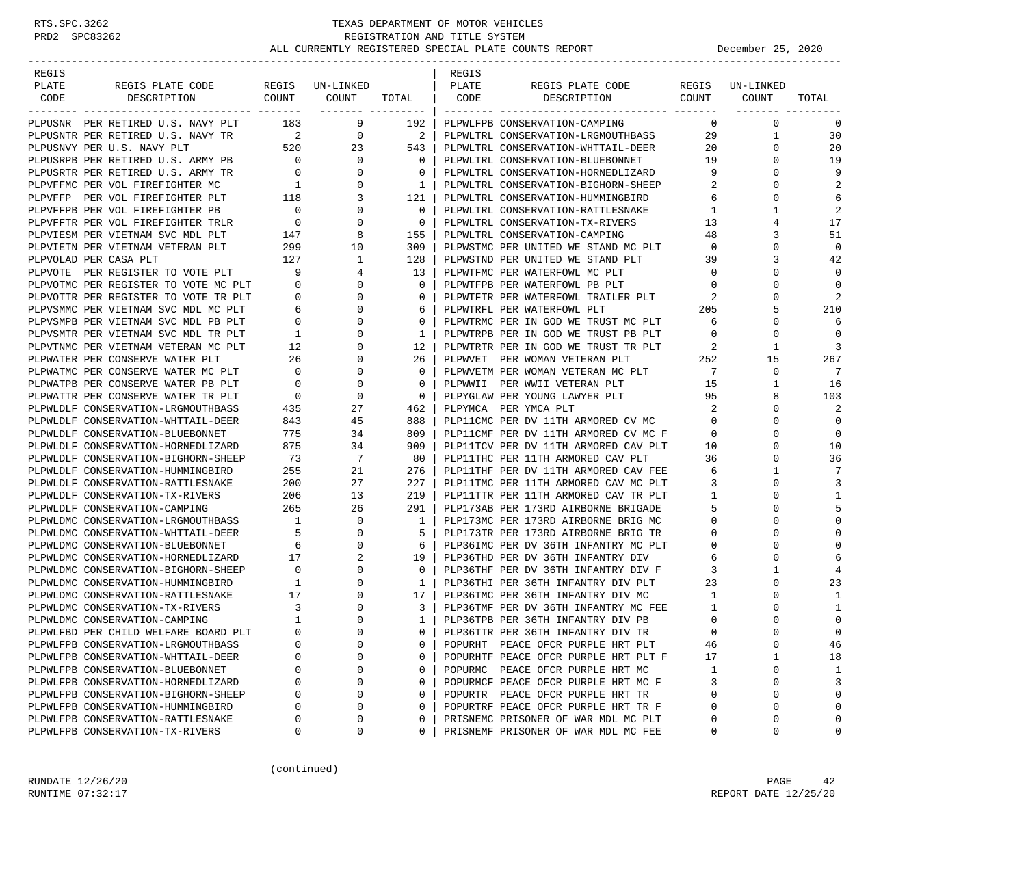| REGIS |                                        |                          |                                      |                          | REGIS |                                                                                               |                |             |             |
|-------|----------------------------------------|--------------------------|--------------------------------------|--------------------------|-------|-----------------------------------------------------------------------------------------------|----------------|-------------|-------------|
| PLATE | REGIS PLATE CODE                       |                          | REGIS UN-LINKED                      |                          | PLATE | REGIS PLATE CODE                                                                              | REGIS          | UN-LINKED   |             |
| CODE  | DESCRIPTION                            | COUNT                    | COUNT<br>-------- --------- <b>-</b> | TOTAL                    | CODE  | DESCRIPTION                                                                                   | COUNT          | COUNT       | TOTAL       |
|       | PLPUSNR PER RETIRED U.S. NAVY PLT      | 183                      | 9                                    | 192 l                    |       | PLPWLFPB CONSERVATION-CAMPING                                                                 | 0              | $\mathbf 0$ | 0           |
|       | PLPUSNTR PER RETIRED U.S. NAVY TR      | $\overline{\phantom{a}}$ | $\overline{0}$                       | $\overline{\phantom{a}}$ |       | PLPWLTRL CONSERVATION-LRGMOUTHBASS                                                            | 29             | 1           | 30          |
|       | PLPUSNVY PER U.S. NAVY PLT             | 520                      | 23                                   | 543                      |       | PLPWLTRL CONSERVATION-WHTTAIL-DEER                                                            | 20             | $\Omega$    | 20          |
|       | PLPUSRPB PER RETIRED U.S. ARMY PB      | $\overline{0}$           | $\mathbf{0}$                         | $\Omega$                 |       | PLPWLTRL CONSERVATION-BLUEBONNET                                                              | 19             | $\Omega$    | 19          |
|       | PLPUSRTR PER RETIRED U.S. ARMY TR      | $\overline{0}$           | 0                                    | 0                        |       | PLPWLTRL CONSERVATION-HORNEDLIZARD                                                            | 9              | 0           | 9           |
|       | PLPVFFMC PER VOL FIREFIGHTER MC        | $\overline{1}$           | $\mathbf{0}$                         | 1                        |       | PLPWLTRL CONSERVATION-BIGHORN-SHEEP                                                           | 2              | $\Omega$    | 2           |
|       | PLPVFFP PER VOL FIREFIGHTER PLT        | 118                      | 3                                    | 121                      |       | PLPWLTRL CONSERVATION-HUMMINGBIRD                                                             | 6              | $\Omega$    | 6           |
|       | PLPVFFPB PER VOL FIREFIGHTER PB        | $\sim$ 0                 | $\mathbf 0$                          | 0                        |       | PLPWLTRL CONSERVATION-RATTLESNAKE                                                             | $\mathbf{1}$   |             | 2           |
|       | PLPVFFTR PER VOL FIREFIGHTER TRLR      | $\overline{a}$           | $\mathbf 0$                          | $\Omega$                 |       | PLPWLTRL CONSERVATION-TX-RIVERS                                                               | 13             |             | 17          |
|       | PLPVIESM PER VIETNAM SVC MDL PLT       |                          | 8                                    | 155                      |       | PLPWLTRL CONSERVATION-CAMPING                                                                 | 48             | 3           | 51          |
|       | PLPVIETN PER VIETNAM VETERAN PLT       | 147<br>299               | 10                                   | 309                      |       | PLPWSTMC PER UNITED WE STAND MC PLT                                                           | $\overline{0}$ | $\Omega$    | $\mathbf 0$ |
|       | PLPVOLAD PER CASA PLT                  | 127                      | 1                                    | 128                      |       | PLPWSTND PER UNITED WE STAND PLT                                                              | 39             | 3           | 42          |
|       | PLPVOTE PER REGISTER TO VOTE PLT       | - 9                      | 4                                    | 13                       |       | PLPWTFMC PER WATERFOWL MC PLT                                                                 | $\mathbf 0$    | $\Omega$    | $\Omega$    |
|       | PLPVOTMC PER REGISTER TO VOTE MC PLT 0 |                          | 0                                    | $\Omega$                 |       | PLPWTFPB PER WATERFOWL PB PLT                                                                 | $\circ$        | $\Omega$    | $\mathbf 0$ |
|       | PLPVOTTR PER REGISTER TO VOTE TR PLT   | $\mathbf{0}$             | 0                                    | 0                        |       |                                                                                               | 2              | 0           | 2           |
|       | PLPVSMMC PER VIETNAM SVC MDL MC PLT    | 6                        | $\mathbf 0$                          | 6                        |       | PLPWTFPB PER WALENLOWE I-<br>PLPWTFTR PER WATERFOWL TRAILER PLT<br>PLPWTRFL PER WATERFOWL PLT | 205            | 5           | 210         |
|       | PLPVSMPB PER VIETNAM SVC MDL PB PLT    | $\mathbf{0}$             | 0                                    | $\mathbf 0$              |       | PLPWTRMC PER IN GOD WE TRUST MC PLT                                                           | 6              | 0           | 6           |
|       | PLPVSMTR PER VIETNAM SVC MDL TR PLT    | $\mathbf{1}$             | 0                                    | $\mathbf{1}$             |       | PLPWTRPB PER IN GOD WE TRUST PB PLT                                                           | 0              | 0           | $\Omega$    |
|       | PLPVTNMC PER VIETNAM VETERAN MC PLT    | 12                       | 0                                    | 12                       |       | PLPWTRTR PER IN GOD WE TRUST TR PLT                                                           | 2              | 1           | 3           |
|       | PLPWATER PER CONSERVE WATER PLT        | 26                       | 0                                    | 26                       |       | PLPWVET PER WOMAN VETERAN PLT                                                                 | 252            | 15          | 267         |
|       | PLPWATMC PER CONSERVE WATER MC PLT     | $\mathbf 0$              | $\mathbf 0$                          | $\mathbf 0$              |       | PLPWVETM PER WOMAN VETERAN MC PLT                                                             | $\overline{7}$ | 0           | 7           |
|       | PLPWATPB PER CONSERVE WATER PB PLT     | $\mathbf 0$              | $\mathbf 0$                          | $\Omega$                 |       | PLPWWII PER WWII VETERAN PLT                                                                  | 15             | 1           | 16          |
|       | PLPWATTR PER CONSERVE WATER TR PLT     | $\overline{0}$           | $\mathbf 0$                          | $\mathbf 0$              |       | PLPYGLAW PER YOUNG LAWYER PLT                                                                 | 95             |             | 103         |
|       | PLPWLDLF CONSERVATION-LRGMOUTHBASS     | 435                      | 27                                   | 462                      |       | PLPYMCA PER YMCA PLT                                                                          | 2              | $\Omega$    | 2           |
|       | PLPWLDLF CONSERVATION-WHTTAIL-DEER     | 843                      | 45                                   | 888                      |       | PLP11CMC PER DV 11TH ARMORED CV MC                                                            | $\mathbf{0}$   | 0           | $\mathbf 0$ |
|       | PLPWLDLF CONSERVATION-BLUEBONNET       | 775                      | 34                                   | 809                      |       | PLP11CMF PER DV 11TH ARMORED CV MC F                                                          | $\circ$        | $\Omega$    | $\mathbf 0$ |
|       | PLPWLDLF CONSERVATION-HORNEDLIZARD     | 875                      | 34                                   | 909                      |       | PLP11TCV PER DV 11TH ARMORED CAV PLT                                                          | 10             | $\Omega$    | 10          |
|       | PLPWLDLF CONSERVATION-BIGHORN-SHEEP    | 73                       | 7                                    | 80                       |       | PLP11THC PER 11TH ARMORED CAV PLT                                                             | 36             | $\Omega$    | 36          |
|       | PLPWLDLF CONSERVATION-HUMMINGBIRD      | 255                      | 21                                   | 276                      |       | PLP11THF PER DV 11TH ARMORED CAV FEE                                                          | 6              |             | 7           |
|       | PLPWLDLF CONSERVATION-RATTLESNAKE      | 200                      | 27                                   | 227                      |       | PLP11TMC PER 11TH ARMORED CAV MC PLT                                                          | 3              | 0           | 3           |
|       | PLPWLDLF CONSERVATION-TX-RIVERS        | 206                      | 13                                   | 219                      |       | PLP11TTR PER 11TH ARMORED CAV TR PLT                                                          | $\mathbf{1}$   | $\Omega$    | 1           |
|       | PLPWLDLF CONSERVATION-CAMPING          | 265                      | 26                                   | 291                      |       | PLP173AB PER 173RD AIRBORNE BRIGADE                                                           | 5              | $\Omega$    | 5           |
|       | PLPWLDMC CONSERVATION-LRGMOUTHBASS     | $\overline{1}$           | $\mathbf 0$                          | 1                        |       | PLP173MC PER 173RD AIRBORNE BRIG MC                                                           | $\mathbf 0$    |             | $\mathbf 0$ |
|       | PLPWLDMC CONSERVATION-WHTTAIL-DEER     | $5^{\circ}$              | $\mathbf{0}$                         | 5                        |       | PLP173TR PER 173RD AIRBORNE BRIG TR                                                           | 0              | $\Omega$    | 0           |
|       | PLPWLDMC CONSERVATION-BLUEBONNET       | 6                        | 0                                    | 6                        |       | PLP36IMC PER DV 36TH INFANTRY MC PLT                                                          | 0              | 0           | 0           |
|       | PLPWLDMC CONSERVATION-HORNEDLIZARD     | 17                       | 2                                    | 19                       |       | PLP36THD PER DV 36TH INFANTRY DIV                                                             | 6              | $\Omega$    | 6           |
|       | PLPWLDMC CONSERVATION-BIGHORN-SHEEP    | $\overline{0}$           | 0                                    | $\Omega$                 |       | PLP36THF PER DV 36TH INFANTRY DIV F                                                           | 3              |             | 4           |
|       | PLPWLDMC CONSERVATION-HUMMINGBIRD      | 1                        | $\mathbf 0$                          | $\mathbf{1}$             |       | PLP36THI PER 36TH INFANTRY DIV PLT                                                            | 23             | $\Omega$    | 23          |
|       | PLPWLDMC CONSERVATION-RATTLESNAKE      | 17                       | 0                                    | 17                       |       | PLP36TMC PER 36TH INFANTRY DIV MC                                                             | 1              | $\Omega$    | 1           |
|       | PLPWLDMC CONSERVATION-TX-RIVERS        | $\overline{\mathbf{3}}$  | 0                                    | 3                        |       | PLP36TMF PER DV 36TH INFANTRY MC FEE                                                          | 1              | 0           | 1           |
|       | PLPWLDMC CONSERVATION-CAMPING          | $\overline{1}$           | $\Omega$                             | 1                        |       | PLP36TPB PER 36TH INFANTRY DIV PB                                                             | $\mathbf{0}$   |             | $\mathbf 0$ |
|       | PLPWLFBD PER CHILD WELFARE BOARD PLT   | $\Omega$                 | $\Omega$                             | $\Omega$                 |       | PLP36TTR PER 36TH INFANTRY DIV TR                                                             | $\Omega$       | $\cap$      | $\Omega$    |
|       | PLPWLFPB CONSERVATION-LRGMOUTHBASS     | $\Omega$                 | 0                                    | 0                        |       | POPURHT PEACE OFCR PURPLE HRT PLT                                                             | 46             | 0           | 46          |
|       | PLPWLFPB CONSERVATION-WHTTAIL-DEER     | 0                        | 0                                    | 0                        |       | POPURHTF PEACE OFCR PURPLE HRT PLT F                                                          | 17             | 1           | 18          |
|       | PLPWLFPB CONSERVATION-BLUEBONNET       | 0                        | 0                                    | 0                        |       | POPURMC PEACE OFCR PURPLE HRT MC                                                              | 1              | 0           | 1           |
|       | PLPWLFPB CONSERVATION-HORNEDLIZARD     | 0                        | 0                                    | 0                        |       | POPURMCF PEACE OFCR PURPLE HRT MC F                                                           | 3              | 0           | 3           |
|       | PLPWLFPB CONSERVATION-BIGHORN-SHEEP    | 0                        | 0                                    | $\Omega$                 |       | POPURTR PEACE OFCR PURPLE HRT TR                                                              | $\Omega$       | $\Omega$    | 0           |
|       | PLPWLFPB CONSERVATION-HUMMINGBIRD      | 0                        | 0                                    | 0                        |       | POPURTRF PEACE OFCR PURPLE HRT TR F                                                           | $\mathbf 0$    | $\Omega$    | 0           |
|       | PLPWLFPB CONSERVATION-RATTLESNAKE      | 0                        | 0                                    | $\Omega$                 |       | PRISNEMC PRISONER OF WAR MDL MC PLT                                                           | 0              | 0           | 0           |
|       | PLPWLFPB CONSERVATION-TX-RIVERS        | 0                        | 0                                    | 0                        |       | PRISNEMF PRISONER OF WAR MDL MC FEE                                                           | 0              | 0           | 0           |

(continued)

RUNDATE 12/26/20 PAGE 42 RUNTIME 07:32:17 REPORT DATE 12/25/20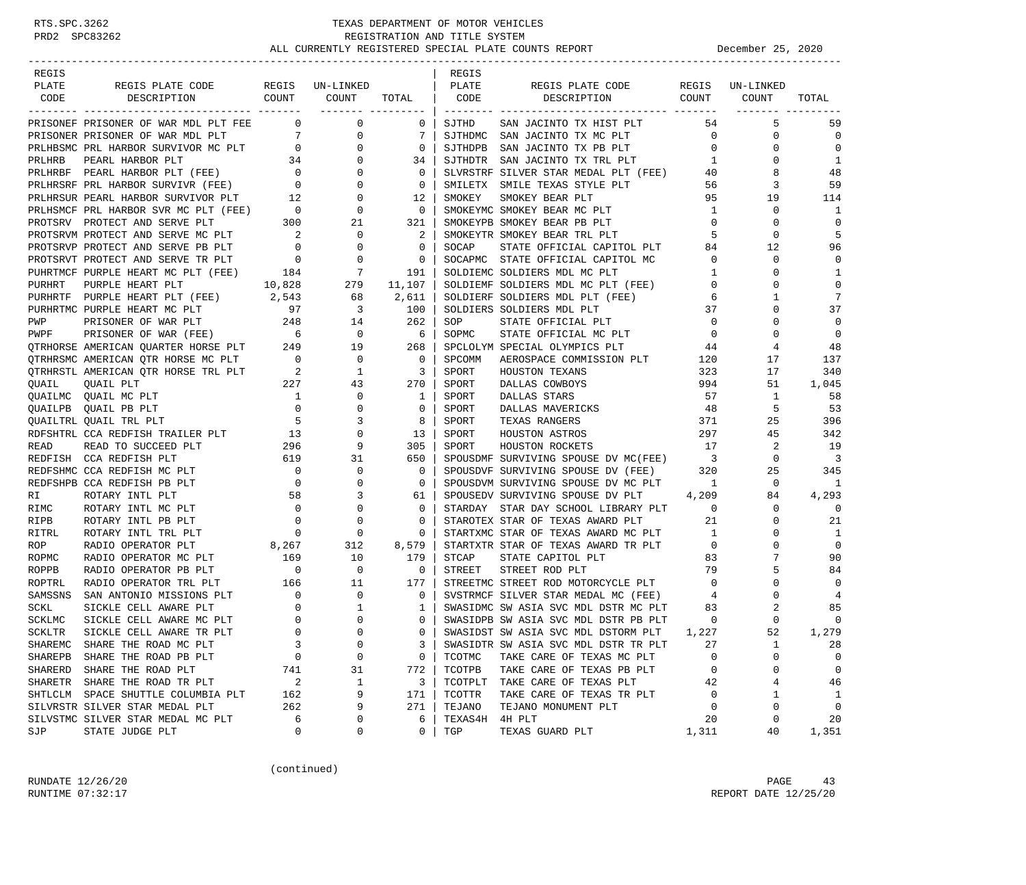| REGIS         |                                                                                                                                                                                                                               |                |                                        |                                                          | REGIS   |                                                                                                           |                         |              |                         |
|---------------|-------------------------------------------------------------------------------------------------------------------------------------------------------------------------------------------------------------------------------|----------------|----------------------------------------|----------------------------------------------------------|---------|-----------------------------------------------------------------------------------------------------------|-------------------------|--------------|-------------------------|
| PLATE         | REGIS PLATE CODE REGIS UN-LINKED                                                                                                                                                                                              |                |                                        |                                                          | PLATE   | REGIS PLATE CODE REGIS UN-LINKED                                                                          |                         |              |                         |
| CODE          | DESCRIPTION COUNT COUNT                                                                                                                                                                                                       |                |                                        | TOTAL   CODE<br>___________________                      |         | DESCRIPTION COUNT COUNT                                                                                   |                         |              | TOTAL                   |
|               | PRISONEF PRISONER OF WAR MDL PLT FEE 0 0 0                                                                                                                                                                                    |                |                                        | $\overline{0}$                                           | SJTHD   | SAN JACINTO TX HIST PLT                                                                                   |                         | 5<br>54 7    | 59                      |
|               | PRISONEF PRISONER OF WAR MDL PLT FEE 0 0 0 0 PRISONER PRISONER OF WAR MDL PLT 7 0 0 0 PRLHBSMC PRL HARBOR SURVIVOR MC PLT 0 0 0 0 0 PRLHRSRF PRL HARBOR SURVIVOR MC PLT 34 0 0 0 0 PRLHRSRF PRL HARBOR SURVIVOR PLT 12 0 0 0  |                |                                        | $7\phantom{.0}$                                          |         | SJTHDMC SAN JACINTO TX MC PLT                                                                             | $\overline{0}$          | $\mathbf 0$  | $\mathbf 0$             |
|               |                                                                                                                                                                                                                               |                |                                        | $\mathbf{0}$                                             |         | SJTHDPB SAN JACINTO TX PB PLT                                                                             | $\overline{0}$          | $\mathbf 0$  | $\mathbf 0$             |
|               |                                                                                                                                                                                                                               |                |                                        | 34                                                       |         | SJTHDTR SAN JACINTO TX TRL PLT                                                                            | $\mathbf{1}$            | $\Omega$     | 1                       |
|               |                                                                                                                                                                                                                               |                |                                        | $\mathbf 0$                                              |         |                                                                                                           | 40                      | 8            | 48                      |
|               |                                                                                                                                                                                                                               |                |                                        | $\overline{0}$                                           |         | SLVRSTRF SILVER STAR MEDAL PLT (FEE)<br>SMILETX SMILE TEXAS STYLE PLT                                     | 56                      | 3            | 59                      |
|               |                                                                                                                                                                                                                               |                |                                        | 12                                                       | SMOKEY  | SMOKEY BEAR PLT                                                                                           | 95                      | 19           | 114                     |
|               |                                                                                                                                                                                                                               |                |                                        | $\overline{0}$                                           |         | SMOKEYMC SMOKEY BEAR MC PLT                                                                               | $\mathbf{1}$            | $\mathbf 0$  | 1                       |
|               |                                                                                                                                                                                                                               |                |                                        | 321                                                      |         | SMOKEYPB SMOKEY BEAR PB PLT                                                                               | $\overline{0}$          | $\mathbf 0$  | $\mathbf 0$             |
|               |                                                                                                                                                                                                                               |                |                                        | 2                                                        |         | SMOKEYTR SMOKEY BEAR TRL PLT                                                                              | $5 -$                   | $\mathbf 0$  | 5                       |
|               |                                                                                                                                                                                                                               |                |                                        | $\mathbf{0}$                                             | SOCAP   | STATE OFFICIAL CAPITOL PLT                                                                                | 84                      | 12           | 96                      |
|               |                                                                                                                                                                                                                               |                |                                        | $\overline{0}$                                           |         | SOCAPMC STATE OFFICIAL CAPITOL MC                                                                         | $\overline{0}$          | $\mathbf 0$  | $\mathbf 0$             |
|               |                                                                                                                                                                                                                               |                |                                        | 191                                                      |         | SOLDIEMC SOLDIERS MDL MC PLT                                                                              | 1                       | $\mathbf 0$  | 1                       |
|               |                                                                                                                                                                                                                               |                |                                        | 11,107                                                   |         | SOLDIEMF SOLDIERS MDL MC PLT (FEE) 0                                                                      |                         | $\Omega$     | $\mathbf 0$             |
|               |                                                                                                                                                                                                                               |                |                                        | 2,611                                                    |         |                                                                                                           |                         | 1            | 7                       |
|               | PURHRTF PURPLE HEART PLT (FEE) 2,543<br>PURHRTMC PURPLE HEART MC PLT 97                                                                                                                                                       |                | $\begin{array}{c} 68 \\ 3 \end{array}$ | 100                                                      |         | SOLDIERF SOLDIERS MDL PLT (FEE) 6<br>SOLDIERS SOLDIERS MDL PLT 37                                         |                         | $\Omega$     | 37                      |
|               |                                                                                                                                                                                                                               |                |                                        |                                                          | SOP     | STATE OFFICIAL PLT                                                                                        | $\overline{0}$          | 0            | $\mathbf 0$             |
|               | PWP PRISONER OF WAR PLT 248 14<br>PWPF PRISONER OF WAR (FEE) 6 0<br>QTRHORSE AMERICAN QUARTER HORSE PLT 249 19                                                                                                                |                |                                        | $\begin{array}{c c} 262 & 6 \ 6 & 268 & 0 \ \end{array}$ | SOPMC   | STATE OFFICIAL MC PLT                                                                                     | $\overline{0}$          | $\Omega$     | $\overline{0}$          |
|               |                                                                                                                                                                                                                               |                |                                        |                                                          |         | SPCLOLYM SPECIAL OLYMPICS PLT 44                                                                          |                         | 4            | 48                      |
|               | 9TRHRSMC AMERICAN QTR HORSE MC PLT 0 0 0<br>9TRHRSTL AMERICAN QTR HORSE TRL PLT 2 1<br>9UAIL QUAIL PLT 2 27 43                                                                                                                |                |                                        |                                                          | SPCOMM  | AEROSPACE COMMISSION PLT 120                                                                              |                         | 17           | 137                     |
|               |                                                                                                                                                                                                                               |                |                                        | $\overline{\mathbf{3}}$                                  | SPORT   | HOUSTON TEXANS                                                                                            | 323                     | 17           | 340                     |
|               |                                                                                                                                                                                                                               |                |                                        | 270                                                      | SPORT   | DALLAS COWBOYS 994                                                                                        |                         | 51           | 1,045                   |
|               |                                                                                                                                                                                                                               |                |                                        | 1                                                        | SPORT   | DALLAS STARS                                                                                              | 57                      | 1            | 58                      |
|               |                                                                                                                                                                                                                               |                |                                        | $\mathbf{0}$                                             | SPORT   | DALLAS MAVERICKS                                                                                          | 48                      | 5            | 53                      |
|               |                                                                                                                                                                                                                               |                |                                        | 8                                                        | SPORT   | TEXAS RANGERS                                                                                             | 371                     | 25           | 396                     |
|               | PORTING QUALI PLIT and the plant of the plant of the plant of the plant of the plant of the plant of the plant of the plant of the plant of the plant of the plant of the plant of the plant of the plant of the plant of the |                |                                        | 13                                                       | SPORT   | HOUSTON ASTROS                                                                                            | $\frac{1}{2}$           | 45           | 342                     |
|               |                                                                                                                                                                                                                               |                |                                        | 305                                                      | SPORT   | 17<br>HOUSTON ROCKETS                                                                                     |                         | 2            | 19                      |
|               |                                                                                                                                                                                                                               |                |                                        | 650                                                      |         | SPOUSDMF SURVIVING SPOUSE DV MC(FEE)                                                                      | $\overline{\mathbf{3}}$ | $\mathbf 0$  | $\overline{\mathbf{3}}$ |
|               |                                                                                                                                                                                                                               |                |                                        | $\mathbf 0$                                              |         | SPOUSDVF SURVIVING SPOUSE DV (FEE) 320                                                                    |                         | 25           | 345                     |
|               |                                                                                                                                                                                                                               |                |                                        | $\mathbf{0}$                                             |         | SPOUSDVM SURVIVING SPOUSE DV MC PLT 1                                                                     |                         | $\mathbf{0}$ | - 1                     |
|               |                                                                                                                                                                                                                               |                |                                        | 61                                                       |         | SPOUSEDV SURVIVING SPOUSE DV PLT 4,209                                                                    |                         | 84           | 4,293                   |
| RIMC          | $\begin{array}{c} 0 \\ 0 \\ 0 \end{array}$<br>ROTARY INTL MC PLT                                                                                                                                                              |                | $\overline{0}$                         | $\mathbf{0}$                                             |         | STARDAY STAR DAY SCHOOL LIBRARY PLT 0                                                                     |                         | $\mathbf{0}$ | $\overline{0}$          |
| RIPB          | ROTARY INTL PB PLT                                                                                                                                                                                                            |                | $\mathbf 0$                            | 0                                                        |         | STAROTEX STAR OF TEXAS AWARD PLT                                                                          | 21                      | $\mathbf 0$  | 21                      |
| RITRL         | ROTARY INTL TRL PLT                                                                                                                                                                                                           |                | $\overline{0}$                         | 0                                                        |         | STARTXMC STAR OF TEXAS AWARD MC PLT 1                                                                     |                         | $\Omega$     | 1                       |
| ROP           |                                                                                                                                                                                                                               |                |                                        |                                                          |         | STARTXTR STAR OF TEXAS AWARD TR PLT                                                                       | $\overline{0}$          | 0            | $\mathbf 0$             |
| ROPMC         |                                                                                                                                                                                                                               |                |                                        |                                                          | STCAP   | STATE CAPITOL PLT                                                                                         | 83                      | 7            | 90                      |
| ROPPB         |                                                                                                                                                                                                                               |                |                                        |                                                          |         | STREET STREET ROD PLT 79<br>STREETMC STREET ROD MOTORCYCLE PLT 6<br>SVSTRMCF SILVER STAR MEDAL MC (FEE) 4 |                         | 79<br>5      | 84                      |
| ROPTRL        |                                                                                                                                                                                                                               |                |                                        |                                                          |         |                                                                                                           |                         | $\Omega$     | $\mathbf 0$             |
| SAMSSNS       |                                                                                                                                                                                                                               |                |                                        |                                                          |         |                                                                                                           |                         | $\Omega$     | 4                       |
| SCKL          |                                                                                                                                                                                                                               |                |                                        |                                                          |         | SWASIDMC SW ASIA SVC MDL DSTR MC PLT                                                                      | 83                      | 2            | 85                      |
| SCKLMC        |                                                                                                                                                                                                                               |                |                                        |                                                          |         | SWASIDPB SW ASIA SVC MDL DSTR PB PLT                                                                      | $\mathbf 0$             | $\Omega$     | $\mathbf 0$             |
| <b>SCKLTR</b> |                                                                                                                                                                                                                               |                |                                        | $\Omega$                                                 |         | SWASIDST SW ASIA SVC MDL DSTORM PLT                                                                       | 1,227                   | 52           | 1,279                   |
|               | SHAREMC SHARE THE ROAD MC PLT                                                                                                                                                                                                 | 3              | $\mathbf 0$                            | 3                                                        |         | SWASIDTR SW ASIA SVC MDL DSTR TR PLT                                                                      | 27                      | 1            | 28                      |
| SHAREPB       | SHARE THE ROAD PB PLT                                                                                                                                                                                                         | $\mathbf 0$    | 0                                      | 0                                                        | TCOTMC  | TAKE CARE OF TEXAS MC PLT                                                                                 | 0                       | $\mathbf 0$  | 0                       |
| SHARERD       | SHARE THE ROAD PLT                                                                                                                                                                                                            | 741            | 31                                     | 772                                                      | TCOTPB  | TAKE CARE OF TEXAS PB PLT                                                                                 | 0                       | 0            | 0                       |
| SHARETR       | SHARE THE ROAD TR PLT                                                                                                                                                                                                         | $\overline{c}$ | $\mathbf 1$                            | 3                                                        | TCOTPLT | TAKE CARE OF TEXAS PLT                                                                                    | 42                      | 4            | 46                      |
|               | SHTLCLM SPACE SHUTTLE COLUMBIA PLT                                                                                                                                                                                            | 162            | 9                                      | 171                                                      | TCOTTR  | TAKE CARE OF TEXAS TR PLT                                                                                 | $\mathbf 0$             | 1            | 1                       |
|               | SILVRSTR SILVER STAR MEDAL PLT                                                                                                                                                                                                | 262            | 9                                      | 271                                                      | TEJANO  | TEJANO MONUMENT PLT                                                                                       | 0                       | 0            | $\mathbf 0$             |
|               | SILVSTMC SILVER STAR MEDAL MC PLT                                                                                                                                                                                             | 6              | 0                                      | 6                                                        | TEXAS4H | 4H PLT                                                                                                    | 20                      | 0            | 20                      |
| SJP           | STATE JUDGE PLT                                                                                                                                                                                                               | 0              | 0                                      | 0                                                        | TGP     | TEXAS GUARD PLT                                                                                           | 1,311                   | 40           | 1,351                   |

(continued)

RUNDATE  $12/26/20$  PAGE 43 RUNTIME 07:32:17 REPORT DATE 12/25/20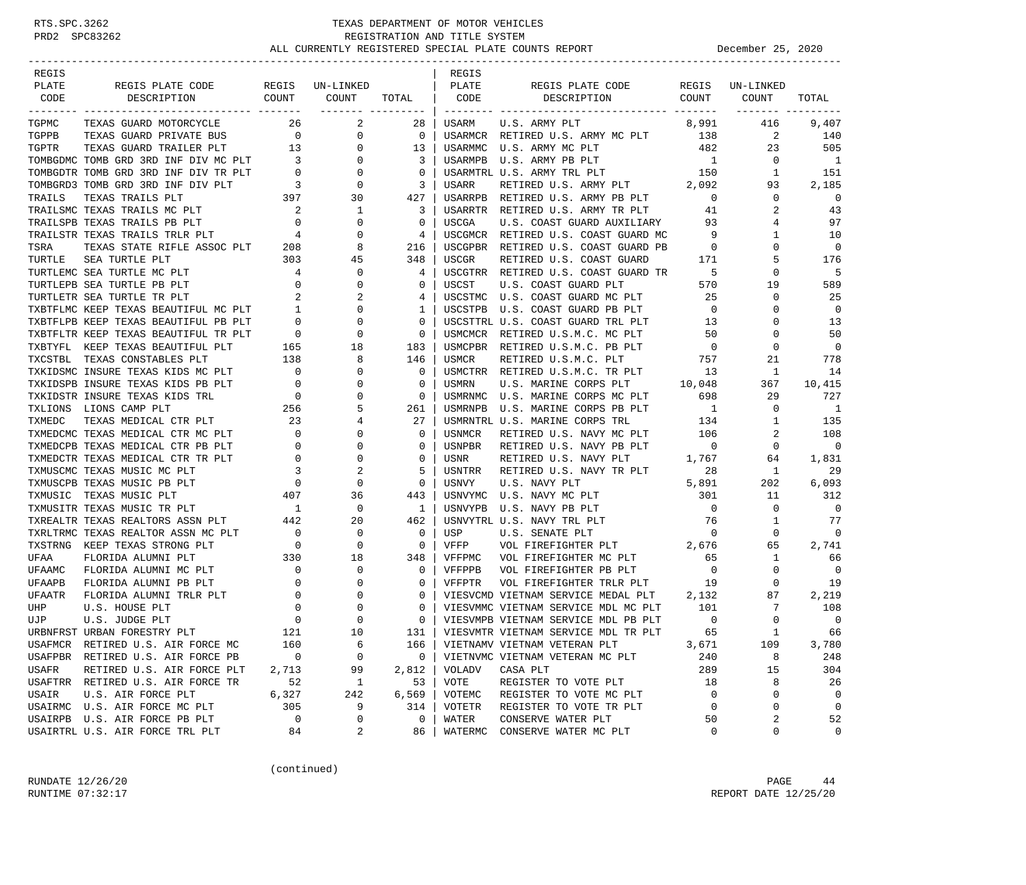| REGIS  |                                                                                                                                                                                                                                                                                                                                                                                                                                                                                          |                                       |                           |                          | REGIS         |                                                                         |                                           |                 |                          |
|--------|------------------------------------------------------------------------------------------------------------------------------------------------------------------------------------------------------------------------------------------------------------------------------------------------------------------------------------------------------------------------------------------------------------------------------------------------------------------------------------------|---------------------------------------|---------------------------|--------------------------|---------------|-------------------------------------------------------------------------|-------------------------------------------|-----------------|--------------------------|
| PLATE  | REGIS PLATE CODE                                                                                                                                                                                                                                                                                                                                                                                                                                                                         |                                       | REGIS UN-LINKED           |                          | PLATE         | REGIS PLATE CODE                                                        |                                           | REGIS UN-LINKED |                          |
| CODE   | COUNT<br>DESCRIPTION                                                                                                                                                                                                                                                                                                                                                                                                                                                                     |                                       | COUNT<br>________ _______ | TOTAL                    | CODE          | DESCRIPTION                                                             | COUNT                                     | COUNT           | TOTAL                    |
| TGPMC  | TEXAS GUARD MOTORCYCLE                                                                                                                                                                                                                                                                                                                                                                                                                                                                   | 26 30                                 | 2                         | 28                       | USARM         | U.S. ARMY PLT                                                           | 8,991                                     | 416             | 9,407                    |
| TGPPB  | TEXAS GUARD PRIVATE BUS                                                                                                                                                                                                                                                                                                                                                                                                                                                                  | $\overline{\phantom{a}}$              | $\overline{0}$            | $\overline{\mathbf{0}}$  |               | USARMCR RETIRED U.S. ARMY MC PLT 138                                    |                                           | 2               | 140                      |
|        |                                                                                                                                                                                                                                                                                                                                                                                                                                                                                          |                                       |                           | 13 <sup>1</sup>          | USARMMC       | U.S. ARMY MC PLT                                                        | 482                                       | 23              | 505                      |
|        | TGPPB TEXAS GUARD PRILER PLT 13 0<br>TGPTR TEXAS GUARD TRAILER PLT 13 0<br>TOMBGDMC TOMB GRD 3RD INF DIV MC PLT 3 0<br>TOMBGDTR TOMB GRD 3RD INF DIV TR PLT 0 0 0<br>TOMBGPDR TOMB GRD 3RD INF DIV PLT 3 0                                                                                                                                                                                                                                                                               |                                       |                           | $\overline{\mathbf{3}}$  | USARMPB       | U.S. ARMY PB PLT                                                        | $\overline{1}$                            | $\overline{0}$  | $\overline{\phantom{0}}$ |
|        |                                                                                                                                                                                                                                                                                                                                                                                                                                                                                          |                                       |                           | $\overline{0}$           |               |                                                                         |                                           | 1               | 151                      |
|        |                                                                                                                                                                                                                                                                                                                                                                                                                                                                                          |                                       |                           | 3                        |               |                                                                         |                                           | 93              | 2,185                    |
| TRAILS | TEXAS TRAILS PLT                                                                                                                                                                                                                                                                                                                                                                                                                                                                         |                                       | 397 30                    | 427                      |               | USARRPB RETIRED U.S. ARMY PB PLT                                        | $\overline{0}$                            | $\mathbf{0}$    | $\mathbf 0$              |
|        |                                                                                                                                                                                                                                                                                                                                                                                                                                                                                          |                                       |                           | 3                        |               | USARRTR RETIRED U.S. ARMY TR PLT                                        | 41                                        | 2               | 43                       |
|        |                                                                                                                                                                                                                                                                                                                                                                                                                                                                                          |                                       |                           | $\mathbf{0}$             | USCGA         | U.S. COAST GUARD AUXILIARY 93                                           |                                           | 4               | 97                       |
|        |                                                                                                                                                                                                                                                                                                                                                                                                                                                                                          |                                       |                           | 4                        |               | USCGMCR RETIRED U.S. COAST GUARD MC                                     | $\overline{9}$                            | 1               | 10                       |
|        |                                                                                                                                                                                                                                                                                                                                                                                                                                                                                          |                                       |                           | 216                      |               | USCGPBR RETIRED U.S. COAST GUARD PB                                     | $\overline{0}$                            | $\mathbf 0$     | $\mathbf 0$              |
| TURTLE | SEA TURTLE PLT                                                                                                                                                                                                                                                                                                                                                                                                                                                                           | 303                                   | 45                        | 348                      | USCGR         | RETIRED U.S. COAST GUARD                                                | 171                                       | 5               | 176                      |
|        |                                                                                                                                                                                                                                                                                                                                                                                                                                                                                          |                                       |                           | 4                        |               | USCGTRR RETIRED U.S. COAST GUARD TR                                     | $5^{\circ}$                               | $\mathbf 0$     | 5                        |
|        | $\begin{tabular}{lllllllllllllllllllll} \multicolumn{3}{c}{\multicolumn{3}{c}{\multicolumn{3}{c}{\multicolumn{3}{c}{\multicolumn{3}{c}{\multicolumn{3}{c}{\multicolumn{3}{c}{\multicolumn{3}{c}{\multicolumn{3}{c}{\multicolumn{3}{c}{\multicolumn{3}{c}{\multicolumn{3}{c}{\multicolumn{3}{c}{\multicolumn{3}{c}{\multicolumn{3}{c}{\multicolumn{3}{c}{\multicolumn{3}{c}{\multicolumn{3}{c}{\multicolumn{3}{c}{\multicolumn{3}{c}{\multicolumn{3}{c}{\multicolumn{3}{\multicolumn{3}{$ |                                       |                           | $\mathbf{0}$             | USCST         | U.S. COAST GUARD PLT                                                    | 570                                       | 19              | 589                      |
|        |                                                                                                                                                                                                                                                                                                                                                                                                                                                                                          |                                       |                           | 4                        |               |                                                                         |                                           | 0               | 25                       |
|        |                                                                                                                                                                                                                                                                                                                                                                                                                                                                                          |                                       |                           | $\mathbf{1}$             |               | USCSTMC U.S. COAST GUARD MC PLT 25<br>USCSTPB U.S. COAST GUARD PB PLT 0 | $\overline{0}$                            | $\mathbf 0$     | $\overline{0}$           |
|        | TXBTFLPB KEEP TEXAS BEAUTIFUL PB PLT                                                                                                                                                                                                                                                                                                                                                                                                                                                     | $\overline{0}$                        | $\overline{0}$            | $\mathbf{0}$             |               | USCSTTRL U.S. COAST GUARD TRL PLT                                       | 13                                        | 0               | 13                       |
|        | TXBTFLTR KEEP TEXAS BEAUTIFUL TR PLT                                                                                                                                                                                                                                                                                                                                                                                                                                                     | $\overline{0}$                        | $\mathbf 0$               | $\overline{0}$           |               | USMCMCR RETIRED U.S.M.C. MC PLT                                         | 50                                        | 0               | 50                       |
|        | TXBTYFL KEEP TEXAS BEAUTIFUL PLT                                                                                                                                                                                                                                                                                                                                                                                                                                                         | 165                                   | 18                        | 183                      |               | USMCPBR RETIRED U.S.M.C. PB PLT                                         | $\overline{0}$                            | $\mathbf 0$     | $\mathbf 0$              |
|        | TXCSTBL TEXAS CONSTABLES PLT                                                                                                                                                                                                                                                                                                                                                                                                                                                             | 138                                   | 8                         | 146                      | USMCR         | RETIRED U.S.M.C. PLT                                                    | 757                                       | 21              | 778                      |
|        | TXKIDSMC INSURE TEXAS KIDS MC PLT                                                                                                                                                                                                                                                                                                                                                                                                                                                        | $\overline{\phantom{0}}$              | $\mathbf 0$               | $\overline{0}$           |               | USMCTRR RETIRED U.S.M.C. TR PLT                                         | 13                                        | 1               | -14                      |
|        | TXKIDSPB INSURE TEXAS KIDS PB PLT                                                                                                                                                                                                                                                                                                                                                                                                                                                        | $\overline{0}$                        | $\mathbf{0}$              | $\mathbf{0}$             | <b>USMRN</b>  | U.S. MARINE CORPS PLT 10,048                                            |                                           | 367             | 10,415                   |
|        | TXKIDSTR INSURE TEXAS KIDS TRL                                                                                                                                                                                                                                                                                                                                                                                                                                                           |                                       | $\mathbf 0$               | $\overline{0}$           |               | USMRNMC U.S. MARINE CORPS MC PLT                                        | 698                                       | 29              | 727                      |
|        | $\begin{tabular}{lllllllllll} \textsc{INSIRE} & \textsc{FEXAS} & \textsc{KDS} & \textsc{TR} & & & & & 0 \\ \textsc{LIONS} & \textsc{CAMP} & \textsc{DLT} & & & 256 \\ \textsc{TEXAS} & \textsc{MEDICAL} & \textsc{CTR} & \textsc{PLT} & & & 23 \\ \textsc{TEXAS} & \textsc{MEDICAL} & \textsc{CTR} & \textsc{MC} & \textsc{PLT} & & & 0 \\ \end{tabular}$<br>TXLIONS LIONS CAMP PLT                                                                                                      |                                       | 5                         | 261                      | USMRNPB       | U.S. MARINE CORPS PB PLT                                                | $\overline{1}$                            | $\mathbf{0}$    | $\overline{\phantom{0}}$ |
| TXMEDC |                                                                                                                                                                                                                                                                                                                                                                                                                                                                                          |                                       | 4                         | 27                       |               | USMRNTRL U.S. MARINE CORPS TRL                                          | 134                                       | 1               | 135                      |
|        | TXMEDCMC TEXAS MEDICAL CTR MC PLT                                                                                                                                                                                                                                                                                                                                                                                                                                                        |                                       | $\mathbf 0$               | $\mathbf{0}$             | USNMCR        | RETIRED U.S. NAVY MC PLT                                                | $\begin{array}{c} 134 \\ 106 \end{array}$ | 2               | 108                      |
|        | TXMEDCPB TEXAS MEDICAL CTR PB PLT                                                                                                                                                                                                                                                                                                                                                                                                                                                        |                                       | $\overline{0}$            | $\mathbf{0}$             | USNPBR        | RETIRED U.S. NAVY PB PLT                                                | $\sim$ 0                                  | $\mathbf 0$     | 0                        |
|        | TXMEDCTR TEXAS MEDICAL CTR TR PLT                                                                                                                                                                                                                                                                                                                                                                                                                                                        |                                       | $\mathbf 0$               | $\mathbf{0}$             | USNR          | RETIRED U.S. NAVY PLT 1,767                                             |                                           | 64              | 1,831                    |
|        | TXMUSCMC TEXAS MUSIC MC PLT                                                                                                                                                                                                                                                                                                                                                                                                                                                              |                                       | 2                         | 5                        | USNTRR        | RETIRED U.S. NAVY TR PLT                                                | 28                                        | $\mathbf{1}$    | -29                      |
|        | TXMUSCPB TEXAS MUSIC PB PLT                                                                                                                                                                                                                                                                                                                                                                                                                                                              |                                       | $\overline{0}$            | $\overline{0}$           | USNVY         | U.S. NAVY PLT                                                           | $5,891$<br>301                            | 202             | 6,093                    |
|        | TXMUSIC TEXAS MUSIC PLT                                                                                                                                                                                                                                                                                                                                                                                                                                                                  |                                       | 36                        | 443                      | USNVYMC       | U.S. NAVY MC PLT                                                        |                                           | 11              | 312                      |
|        | TXMUSITR TEXAS MUSIC TR PLT                                                                                                                                                                                                                                                                                                                                                                                                                                                              | $\overline{\phantom{a}}$              | $\overline{0}$            | $\frac{1}{2}$            |               | USNVYPB U.S. NAVY PB PLT                                                | $\overline{0}$                            | $\mathbf{0}$    | $\overline{0}$           |
|        | TXREALTR TEXAS REALTORS ASSN PLT                                                                                                                                                                                                                                                                                                                                                                                                                                                         | 442                                   | 20                        | 462                      |               | USNVYTRL U.S. NAVY TRL PLT                                              | 76                                        | 1               | 77                       |
|        | TXRLTRMC TEXAS REALTOR ASSN MC PLT 0                                                                                                                                                                                                                                                                                                                                                                                                                                                     |                                       | $\overline{0}$            | $\overline{\mathbf{0}}$  | USP           | U.S. SENATE PLT                                                         | $\overline{0}$                            | $\mathbf{0}$    | 0                        |
|        | TXSTRNG KEEP TEXAS STRONG PLT                                                                                                                                                                                                                                                                                                                                                                                                                                                            | $\overline{\phantom{0}}$              | $\overline{0}$            | $\overline{\phantom{0}}$ | VFFP          |                                                                         |                                           | 65              | 2,741                    |
| UFAA   | FLORIDA ALUMNI PLT                                                                                                                                                                                                                                                                                                                                                                                                                                                                       | $\begin{array}{c}0\\330\end{array}$   | 18                        | 348                      | VFFPMC        | VOL FIREFIGHTER PLT 2,676<br>VOL FIREFIGHTER MC PLT 65                  |                                           | $\mathbf{1}$    | 66                       |
| UFAAMC | FLORIDA ALUMNI MC PLT                                                                                                                                                                                                                                                                                                                                                                                                                                                                    | $\begin{array}{c} 0 \\ 0 \end{array}$ | $\overline{0}$            | 0 <sup>1</sup>           | VFFPPB        | VOL FIREFIGHTER PB PLT 0                                                |                                           | $\mathbf{0}$    | $\overline{0}$           |
| UFAAPB | FLORIDA ALUMNI PB PLT                                                                                                                                                                                                                                                                                                                                                                                                                                                                    |                                       | $\overline{0}$            | $\mathbf{0}$             | VFFPTR        | VOL FIREFIGHTER TRLR PLT                                                | 19                                        | $\mathbf{0}$    | 19                       |
| UFAATR | FLORIDA ALUMNI TRLR PLT                                                                                                                                                                                                                                                                                                                                                                                                                                                                  | $\overline{0}$                        | $\overline{0}$            | $\mathbf{0}$             |               | VIESVCMD VIETNAM SERVICE MEDAL PLT 2,132                                |                                           | 87              | 2,219                    |
| UHP    | U.S. HOUSE PLT                                                                                                                                                                                                                                                                                                                                                                                                                                                                           | $\overline{\phantom{0}}$              | $\overline{0}$            | $\mathbf{0}$             |               | VIESVMMC VIETNAM SERVICE MDL MC PLT                                     | $\begin{array}{c} 101 \\ 0 \end{array}$   | 7               | 108                      |
| UJP    | U.S. JUDGE PLT                                                                                                                                                                                                                                                                                                                                                                                                                                                                           | $\begin{array}{c} 0 \\ 0 \end{array}$ | $\mathbf 0$               | $\mathbf{0}$             |               | VIESVMPB VIETNAM SERVICE MDL PB PLT                                     | $\overline{0}$                            | $\mathbf 0$     | $\overline{0}$           |
|        | URBNFRST URBAN FORESTRY PLT                                                                                                                                                                                                                                                                                                                                                                                                                                                              | 121                                   | 10                        |                          |               | 131   VIESVMTR VIETNAM SERVICE MDL TR PLT                               | 65                                        | $\mathbf{1}$    | 66                       |
|        | USAFMCR RETIRED U.S. AIR FORCE MC                                                                                                                                                                                                                                                                                                                                                                                                                                                        | 160                                   | 6                         | 166                      |               | VIETNAMV VIETNAM VETERAN PLT                                            | 3,671                                     | 109             | 3,780                    |
|        | USAFPBR RETIRED U.S. AIR FORCE PB                                                                                                                                                                                                                                                                                                                                                                                                                                                        | 0                                     | 0                         | 0                        |               | VIETNVMC VIETNAM VETERAN MC PLT                                         | 240                                       | 8               | 248                      |
| USAFR  | RETIRED U.S. AIR FORCE PLT                                                                                                                                                                                                                                                                                                                                                                                                                                                               | 2,713                                 | 99                        | 2,812                    | <b>VOLADV</b> | CASA PLT                                                                | 289                                       | 15              | 304                      |
|        | USAFTRR RETIRED U.S. AIR FORCE TR                                                                                                                                                                                                                                                                                                                                                                                                                                                        | 52                                    | 1                         | 53                       | VOTE          | REGISTER TO VOTE PLT                                                    | 18                                        | 8               | 26                       |
| USAIR  | U.S. AIR FORCE PLT                                                                                                                                                                                                                                                                                                                                                                                                                                                                       | 6,327                                 | 242                       | 6,569                    | VOTEMC        | REGISTER TO VOTE MC PLT                                                 | $\mathbf 0$                               | 0               | 0                        |
|        | USAIRMC U.S. AIR FORCE MC PLT                                                                                                                                                                                                                                                                                                                                                                                                                                                            | 305                                   | 9                         | 314                      | VOTETR        | REGISTER TO VOTE TR PLT                                                 | 0                                         | 0               | $\mathsf 0$              |
|        | USAIRPB U.S. AIR FORCE PB PLT                                                                                                                                                                                                                                                                                                                                                                                                                                                            | 0                                     | 0                         | 0                        | WATER         | CONSERVE WATER PLT                                                      | 50                                        | 2               | 52                       |
|        | USAIRTRL U.S. AIR FORCE TRL PLT                                                                                                                                                                                                                                                                                                                                                                                                                                                          | 84                                    | 2                         | 86                       |               | WATERMC CONSERVE WATER MC PLT                                           | 0                                         | 0               | 0                        |

(continued)

RUNDATE 12/26/20 PAGE 44 RUNTIME 07:32:17 REPORT DATE 12/25/20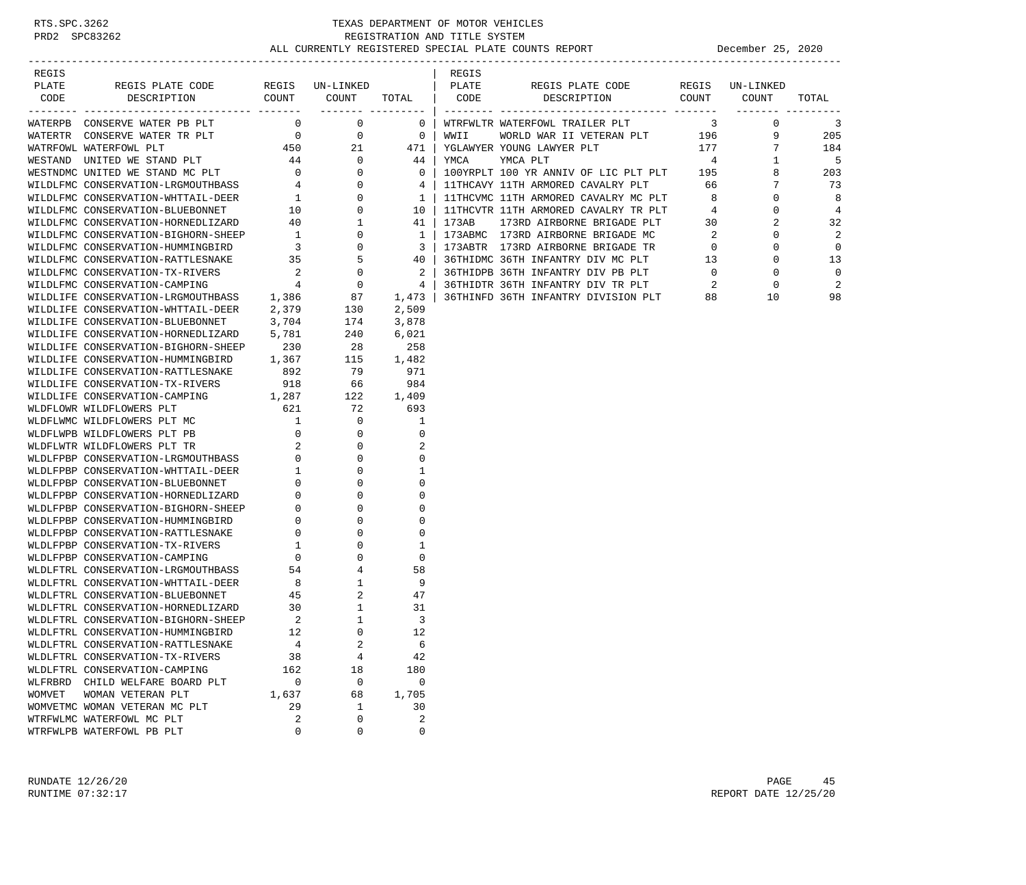| REGIS   |                                                                                  |             |                          |             | REGIS |                                    |                  |                |
|---------|----------------------------------------------------------------------------------|-------------|--------------------------|-------------|-------|------------------------------------|------------------|----------------|
| PLATE   | REGIS PLATE CODE REGIS UN-LINKED   PLATE                                         |             |                          |             |       | REGIS PLATE CODE REGIS UN-LINKED   |                  |                |
| CODE    | DESCRIPTION                                                                      |             | COUNT COUNT TOTAL   CODE |             |       | DESCRIPTION COUNT COUNT            |                  | TOTAL          |
|         |                                                                                  |             |                          |             |       |                                    | ________ _______ |                |
|         | WATERPB CONSERVE WATER PB PLT 0 0 0                                              |             |                          |             |       | 0   WTRFWLTR WATERFOWL TRAILER PLT | $3 \t 0$         | $\overline{3}$ |
|         |                                                                                  |             |                          |             |       |                                    |                  | 205            |
|         |                                                                                  |             |                          |             |       |                                    |                  | 184            |
|         |                                                                                  |             |                          |             |       |                                    |                  | 5              |
|         |                                                                                  |             |                          |             |       |                                    |                  | 203            |
|         |                                                                                  |             |                          |             |       |                                    |                  | 73             |
|         |                                                                                  |             |                          |             |       |                                    |                  | 8              |
|         |                                                                                  |             |                          |             |       |                                    |                  | $\overline{4}$ |
|         |                                                                                  |             |                          |             |       |                                    |                  | 32             |
|         |                                                                                  |             |                          |             |       |                                    |                  | 2              |
|         |                                                                                  |             |                          |             |       |                                    |                  | 0              |
|         |                                                                                  |             |                          |             |       |                                    |                  | 13             |
|         |                                                                                  |             |                          |             |       |                                    |                  | $\mathbf 0$    |
|         |                                                                                  |             |                          |             |       |                                    |                  | 2              |
|         |                                                                                  |             |                          |             |       |                                    |                  | 98             |
|         |                                                                                  |             |                          |             |       |                                    |                  |                |
|         | WILDLIFE CONSERVATION-BLUEBONNET                                                 | 3,704       | $\frac{174}{240}$        | 3,878       |       |                                    |                  |                |
|         | WILDLIFE CONSERVATION-HORNEDLIZARD 5,781                                         |             |                          | 6,021       |       |                                    |                  |                |
|         | WILDLIFE CONSERVATION-BIGHORN-SHEEP 230                                          |             |                          | 28 258      |       |                                    |                  |                |
|         |                                                                                  |             |                          |             |       |                                    |                  |                |
|         | WILDLIFE CONSERVATION-HUMMINGBIRD 1,367<br>WILDLIFE CONSERVATION-RATTLESNAKE 892 |             | 115 1,482<br>79 971      |             |       |                                    |                  |                |
|         |                                                                                  |             |                          |             |       |                                    |                  |                |
|         |                                                                                  |             |                          |             |       |                                    |                  |                |
|         |                                                                                  |             |                          |             |       |                                    |                  |                |
|         |                                                                                  |             |                          |             |       |                                    |                  |                |
|         |                                                                                  |             |                          |             |       |                                    |                  |                |
|         |                                                                                  |             |                          |             |       |                                    |                  |                |
|         |                                                                                  |             |                          |             |       |                                    |                  |                |
|         |                                                                                  |             |                          |             |       |                                    |                  |                |
|         |                                                                                  |             |                          |             |       |                                    |                  |                |
|         |                                                                                  |             |                          |             |       |                                    |                  |                |
|         |                                                                                  |             |                          |             |       |                                    |                  |                |
|         |                                                                                  |             |                          |             |       |                                    |                  |                |
|         |                                                                                  |             |                          |             |       |                                    |                  |                |
|         |                                                                                  |             |                          |             |       |                                    |                  |                |
|         |                                                                                  |             |                          |             |       |                                    |                  |                |
|         |                                                                                  |             |                          |             |       |                                    |                  |                |
|         |                                                                                  |             |                          |             |       |                                    |                  |                |
|         |                                                                                  |             |                          |             |       |                                    |                  |                |
|         |                                                                                  |             |                          |             |       |                                    |                  |                |
|         |                                                                                  |             |                          |             |       |                                    |                  |                |
|         | WLDLFTRL CONSERVATION-HUMMINGBIRD                                                | 12          | $\Omega$                 | 12          |       |                                    |                  |                |
|         | WLDLFTRL CONSERVATION-RATTLESNAKE                                                | 4           | $\overline{a}$           | 6           |       |                                    |                  |                |
|         | WLDLFTRL CONSERVATION-TX-RIVERS                                                  | 38          | 4                        | 42          |       |                                    |                  |                |
|         | WLDLFTRL CONSERVATION-CAMPING                                                    | 162         | 18                       | 180         |       |                                    |                  |                |
| WLFRBRD | CHILD WELFARE BOARD PLT                                                          | 0           | 0                        | $\mathbf 0$ |       |                                    |                  |                |
| WOMVET  | WOMAN VETERAN PLT                                                                | 1,637       | 68                       | 1,705       |       |                                    |                  |                |
|         | WOMVETMC WOMAN VETERAN MC PLT                                                    | 29          | 1                        | 30          |       |                                    |                  |                |
|         | WTRFWLMC WATERFOWL MC PLT                                                        | 2           | 0                        | 2           |       |                                    |                  |                |
|         | WTRFWLPB WATERFOWL PB PLT                                                        | $\mathbf 0$ | 0                        | 0           |       |                                    |                  |                |
|         |                                                                                  |             |                          |             |       |                                    |                  |                |